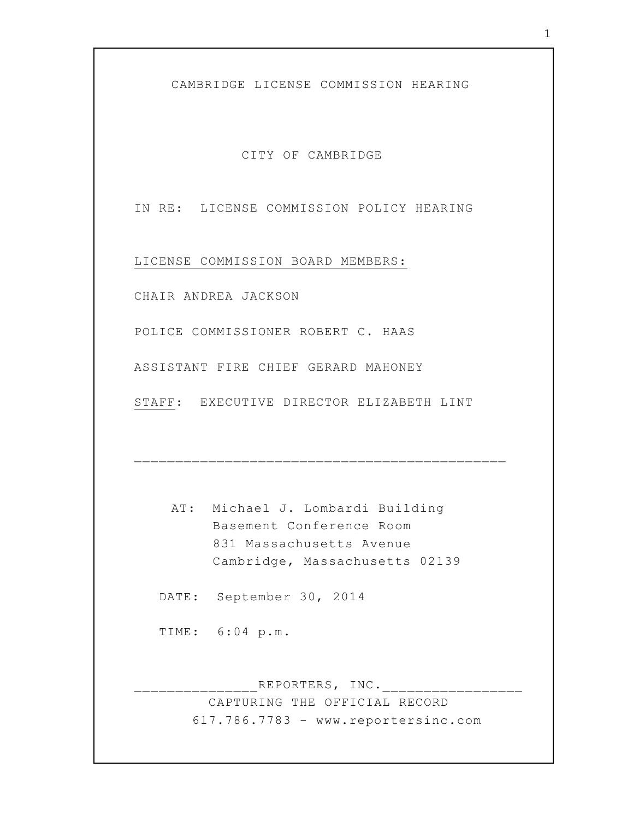CAMBRIDGE LICENSE COMMISSION HEARING

CITY OF CAMBRIDGE

IN RE: LICENSE COMMISSION POLICY HEARING

LICENSE COMMISSION BOARD MEMBERS:

CHAIR ANDREA JACKSON

POLICE COMMISSIONER ROBERT C. HAAS

ASSISTANT FIRE CHIEF GERARD MAHONEY

STAFF: EXECUTIVE DIRECTOR ELIZABETH LINT

AT: Michael J. Lombardi Building Basement Conference Room 831 Massachusetts Avenue Cambridge, Massachusetts 02139

\_\_\_\_\_\_\_\_\_\_\_\_\_\_\_\_\_\_\_\_\_\_\_\_\_\_\_\_\_\_\_\_\_\_\_\_\_\_\_\_\_\_\_\_\_

DATE: September 30, 2014

TIME: 6:04 p.m.

REPORTERS, INC.\_\_\_\_\_\_\_\_\_\_\_\_\_\_\_\_\_\_\_\_\_ CAPTURING THE OFFICIAL RECORD 617.786.7783 - www.reportersinc.com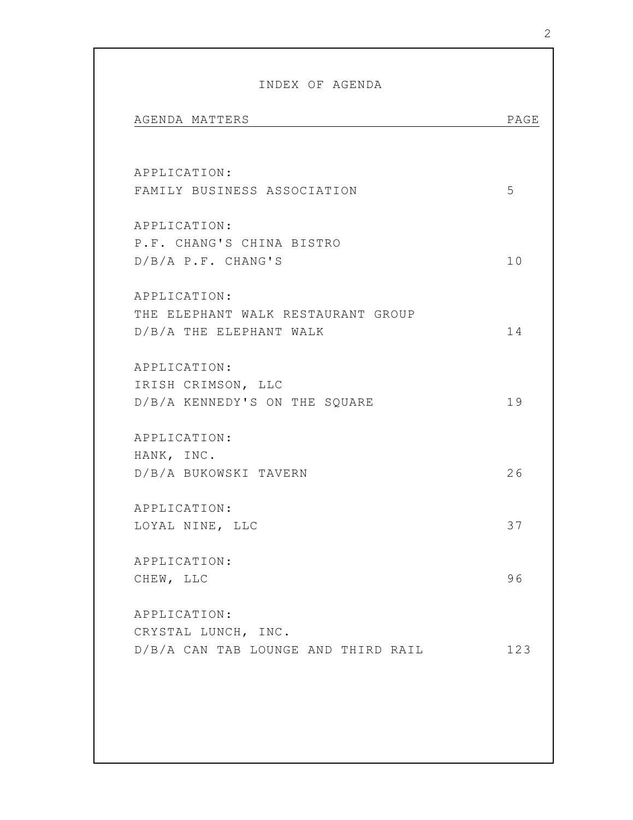| AGENDA MATTERS                              | PAGE |
|---------------------------------------------|------|
| APPLICATION:<br>FAMILY BUSINESS ASSOCIATION | 5    |
|                                             |      |
| APPLICATION:                                |      |
| P.F. CHANG'S CHINA BISTRO                   |      |
| $D/B/A$ P.F. CHANG'S                        | 10   |
| APPLICATION:                                |      |
| THE ELEPHANT WALK RESTAURANT GROUP          |      |
| D/B/A THE ELEPHANT WALK                     | 14   |
| APPLICATION:                                |      |
| IRISH CRIMSON, LLC                          |      |
| D/B/A KENNEDY'S ON THE SQUARE               | 19   |
| APPLICATION:                                |      |
| HANK, INC.                                  |      |
| D/B/A BUKOWSKI TAVERN                       | 26   |
| APPLICATION:                                |      |
| LOYAL NINE, LLC                             | 37   |
| APPLICATION:                                |      |
| CHEW, LLC                                   | 96   |
| APPLICATION:                                |      |
| CRYSTAL LUNCH, INC.                         |      |
| D/B/A CAN TAB LOUNGE AND THIRD RAIL         | 123  |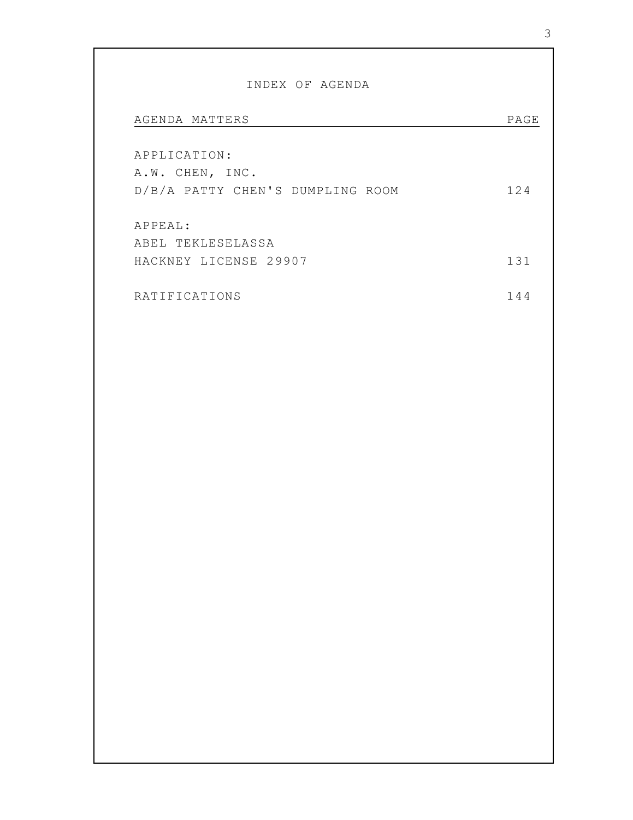## INDEX OF AGENDA

| AGENDA MATTERS                   | PAGE |
|----------------------------------|------|
|                                  |      |
| APPLICATION:                     |      |
| A.W. CHEN, INC.                  |      |
| D/B/A PATTY CHEN'S DUMPLING ROOM | 124  |
|                                  |      |
| APPEAL:                          |      |
| ABEL TEKLESELASSA                |      |
| HACKNEY LICENSE 29907            | 131  |
|                                  |      |
| RATIFICATIONS                    | 144  |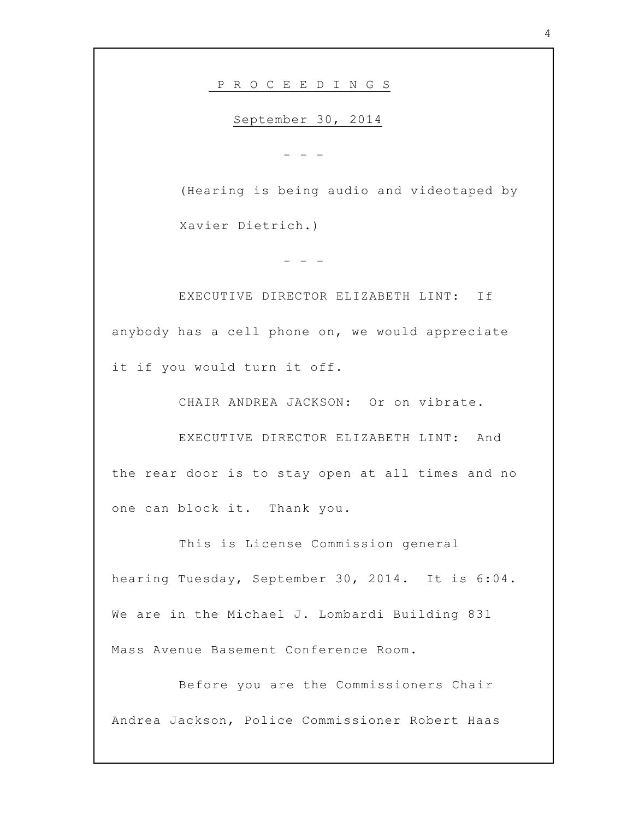P R O C E E D I N G S

September 30, 2014

- - -

(Hearing is being audio and videotaped by Xavier Dietrich.)

- - -

EXECUTIVE DIRECTOR ELIZABETH LINT: If anybody has a cell phone on, we would appreciate it if you would turn it off.

CHAIR ANDREA JACKSON: Or on vibrate.

EXECUTIVE DIRECTOR ELIZABETH LINT: And the rear door is to stay open at all times and no one can block it. Thank you.

This is License Commission general hearing Tuesday, September 30, 2014. It is 6:04. We are in the Michael J. Lombardi Building 831 Mass Avenue Basement Conference Room.

Before you are the Commissioners Chair Andrea Jackson, Police Commissioner Robert Haas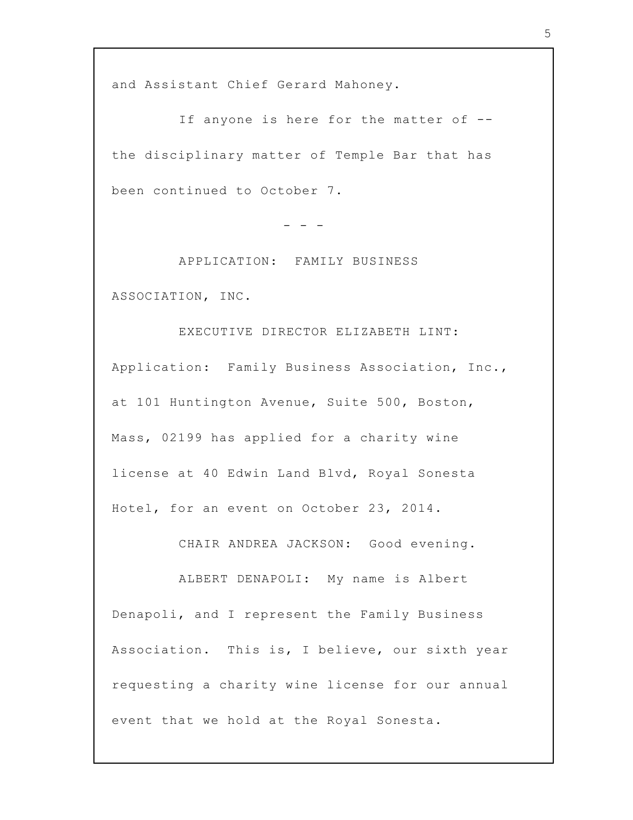and Assistant Chief Gerard Mahoney.

If anyone is here for the matter of - the disciplinary matter of Temple Bar that has been continued to October 7.

- - -

APPLICATION: FAMILY BUSINESS ASSOCIATION, INC.

EXECUTIVE DIRECTOR ELIZABETH LINT: Application: Family Business Association, Inc., at 101 Huntington Avenue, Suite 500, Boston, Mass, 02199 has applied for a charity wine license at 40 Edwin Land Blvd, Royal Sonesta Hotel, for an event on October 23, 2014.

CHAIR ANDREA JACKSON: Good evening.

ALBERT DENAPOLI: My name is Albert Denapoli, and I represent the Family Business Association. This is, I believe, our sixth year requesting a charity wine license for our annual event that we hold at the Royal Sonesta.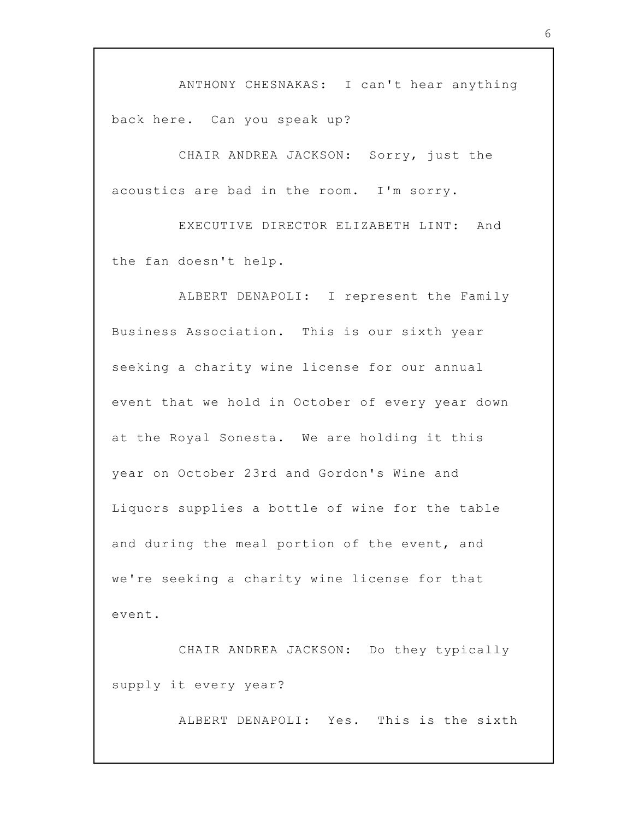ANTHONY CHESNAKAS: I can't hear anything back here. Can you speak up?

CHAIR ANDREA JACKSON: Sorry, just the acoustics are bad in the room. I'm sorry.

EXECUTIVE DIRECTOR ELIZABETH LINT: And the fan doesn't help.

ALBERT DENAPOLI: I represent the Family Business Association. This is our sixth year seeking a charity wine license for our annual event that we hold in October of every year down at the Royal Sonesta. We are holding it this year on October 23rd and Gordon's Wine and Liquors supplies a bottle of wine for the table and during the meal portion of the event, and we're seeking a charity wine license for that event.

CHAIR ANDREA JACKSON: Do they typically supply it every year?

ALBERT DENAPOLI: Yes. This is the sixth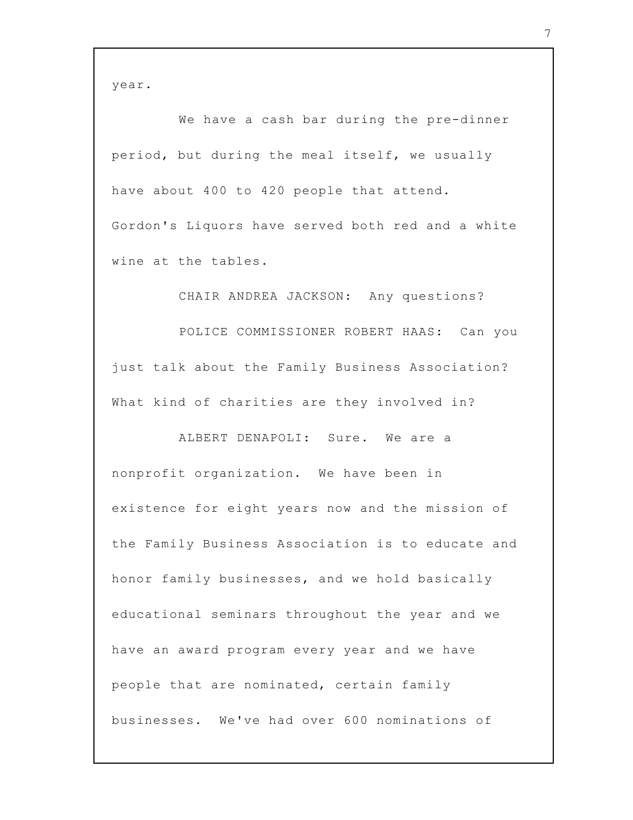year.

We have a cash bar during the pre-dinner period, but during the meal itself, we usually have about 400 to 420 people that attend. Gordon's Liquors have served both red and a white wine at the tables.

CHAIR ANDREA JACKSON: Any questions? POLICE COMMISSIONER ROBERT HAAS: Can you just talk about the Family Business Association? What kind of charities are they involved in?

ALBERT DENAPOLI: Sure. We are a nonprofit organization. We have been in existence for eight years now and the mission of the Family Business Association is to educate and honor family businesses, and we hold basically educational seminars throughout the year and we have an award program every year and we have people that are nominated, certain family businesses. We've had over 600 nominations of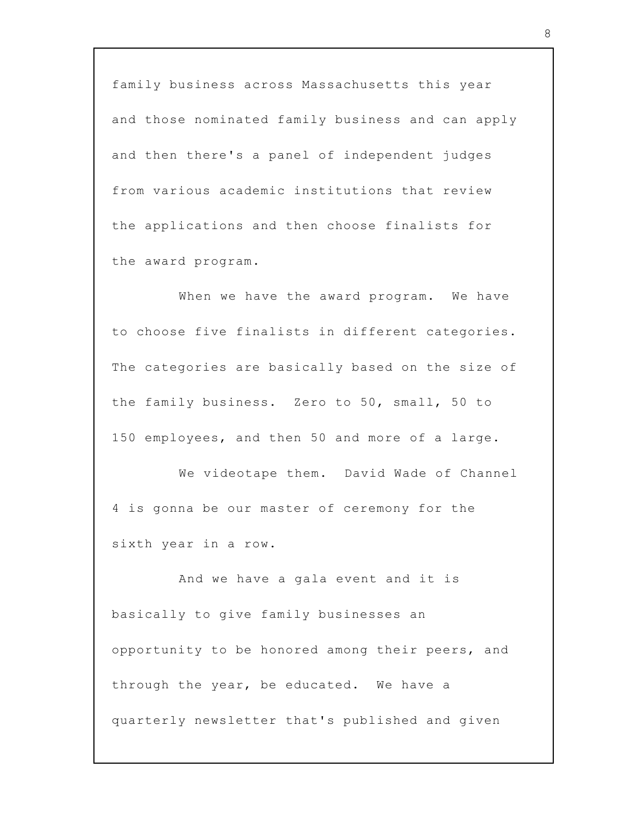family business across Massachusetts this year and those nominated family business and can apply and then there's a panel of independent judges from various academic institutions that review the applications and then choose finalists for the award program.

When we have the award program. We have to choose five finalists in different categories. The categories are basically based on the size of the family business. Zero to 50, small, 50 to 150 employees, and then 50 and more of a large.

We videotape them. David Wade of Channel 4 is gonna be our master of ceremony for the sixth year in a row.

And we have a gala event and it is basically to give family businesses an opportunity to be honored among their peers, and through the year, be educated. We have a quarterly newsletter that's published and given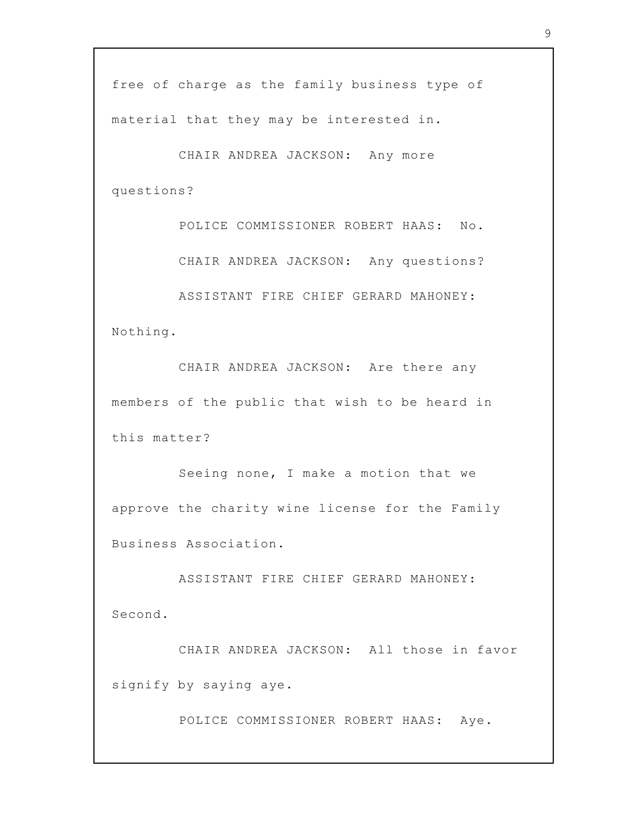free of charge as the family business type of material that they may be interested in.

CHAIR ANDREA JACKSON: Any more questions?

POLICE COMMISSIONER ROBERT HAAS: No.

CHAIR ANDREA JACKSON: Any questions?

ASSISTANT FIRE CHIEF GERARD MAHONEY: Nothing.

CHAIR ANDREA JACKSON: Are there any members of the public that wish to be heard in this matter?

Seeing none, I make a motion that we approve the charity wine license for the Family Business Association.

ASSISTANT FIRE CHIEF GERARD MAHONEY: Second.

CHAIR ANDREA JACKSON: All those in favor signify by saying aye.

POLICE COMMISSIONER ROBERT HAAS: Aye.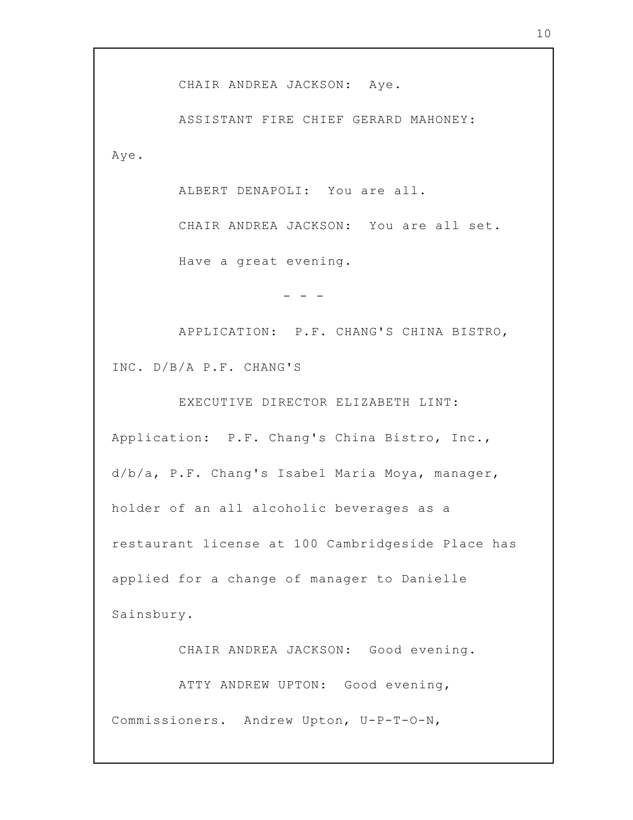CHAIR ANDREA JACKSON: Aye.

ASSISTANT FIRE CHIEF GERARD MAHONEY: Aye.

ALBERT DENAPOLI: You are all.

CHAIR ANDREA JACKSON: You are all set. Have a great evening.

APPLICATION: P.F. CHANG'S CHINA BISTRO, INC. D/B/A P.F. CHANG'S

- - -

EXECUTIVE DIRECTOR ELIZABETH LINT: Application: P.F. Chang's China Bistro, Inc., d/b/a, P.F. Chang's Isabel Maria Moya, manager, holder of an all alcoholic beverages as a restaurant license at 100 Cambridgeside Place has applied for a change of manager to Danielle Sainsbury.

CHAIR ANDREA JACKSON: Good evening.

ATTY ANDREW UPTON: Good evening, Commissioners. Andrew Upton, U-P-T-O-N,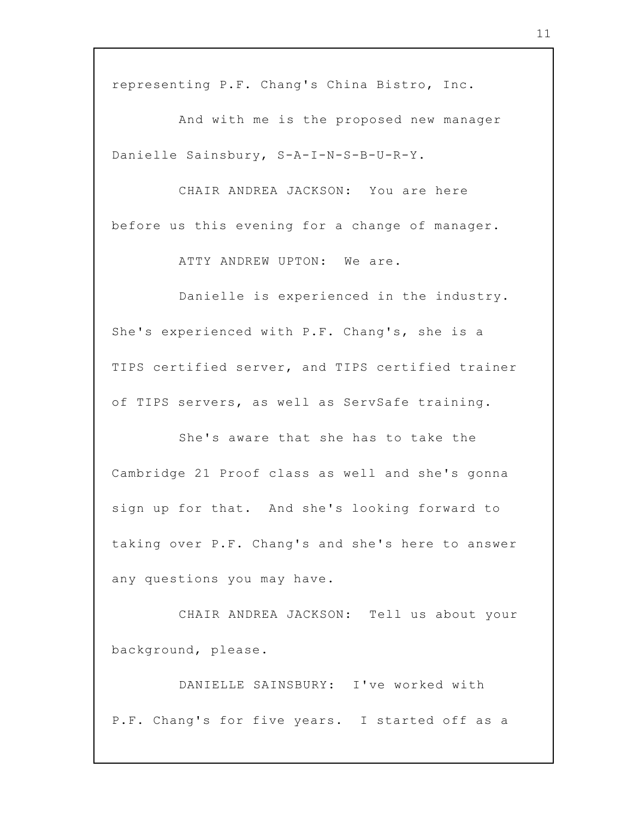representing P.F. Chang's China Bistro, Inc.

And with me is the proposed new manager Danielle Sainsbury, S-A-I-N-S-B-U-R-Y.

CHAIR ANDREA JACKSON: You are here before us this evening for a change of manager.

ATTY ANDREW UPTON: We are.

Danielle is experienced in the industry. She's experienced with P.F. Chang's, she is a TIPS certified server, and TIPS certified trainer of TIPS servers, as well as ServSafe training.

She's aware that she has to take the Cambridge 21 Proof class as well and she's gonna sign up for that. And she's looking forward to taking over P.F. Chang's and she's here to answer any questions you may have.

CHAIR ANDREA JACKSON: Tell us about your background, please.

DANIELLE SAINSBURY: I've worked with P.F. Chang's for five years. I started off as a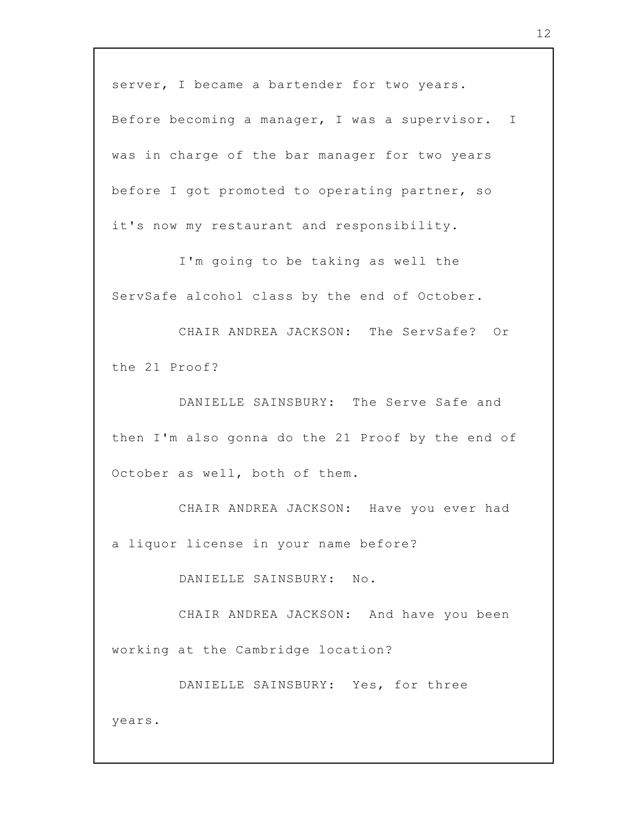server, I became a bartender for two years.

Before becoming a manager, I was a supervisor. I was in charge of the bar manager for two years before I got promoted to operating partner, so it's now my restaurant and responsibility.

I'm going to be taking as well the ServSafe alcohol class by the end of October.

CHAIR ANDREA JACKSON: The ServSafe? Or the 21 Proof?

DANIELLE SAINSBURY: The Serve Safe and then I'm also gonna do the 21 Proof by the end of October as well, both of them.

CHAIR ANDREA JACKSON: Have you ever had a liquor license in your name before?

DANIELLE SAINSBURY: No.

CHAIR ANDREA JACKSON: And have you been working at the Cambridge location?

DANIELLE SAINSBURY: Yes, for three

years.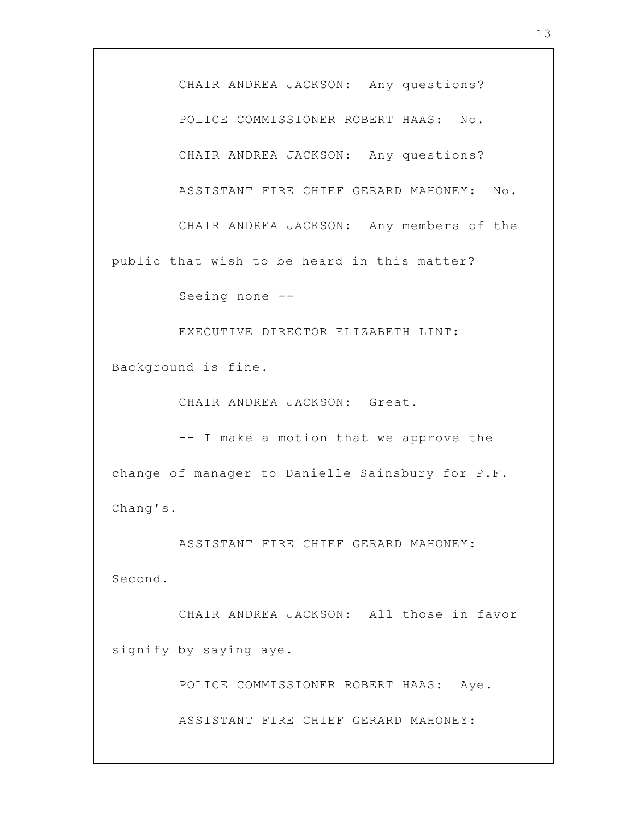CHAIR ANDREA JACKSON: Any questions? POLICE COMMISSIONER ROBERT HAAS: No. CHAIR ANDREA JACKSON: Any questions? ASSISTANT FIRE CHIEF GERARD MAHONEY: No. CHAIR ANDREA JACKSON: Any members of the public that wish to be heard in this matter? Seeing none -- EXECUTIVE DIRECTOR ELIZABETH LINT: Background is fine. CHAIR ANDREA JACKSON: Great. -- I make a motion that we approve the change of manager to Danielle Sainsbury for P.F. Chang's. ASSISTANT FIRE CHIEF GERARD MAHONEY: Second. CHAIR ANDREA JACKSON: All those in favor signify by saying aye. POLICE COMMISSIONER ROBERT HAAS: Aye. ASSISTANT FIRE CHIEF GERARD MAHONEY: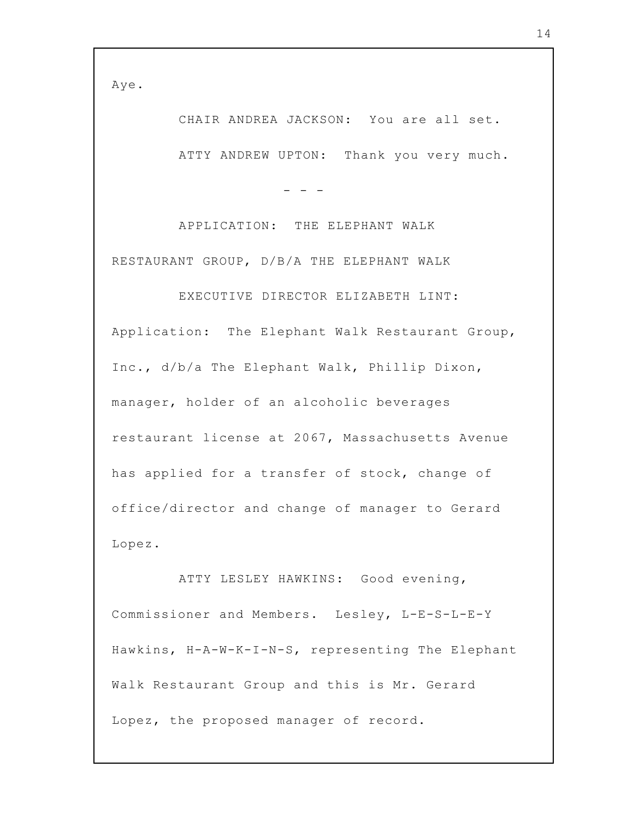Aye.

CHAIR ANDREA JACKSON: You are all set. ATTY ANDREW UPTON: Thank you very much.

APPLICATION: THE ELEPHANT WALK RESTAURANT GROUP, D/B/A THE ELEPHANT WALK

- - -

EXECUTIVE DIRECTOR ELIZABETH LINT: Application: The Elephant Walk Restaurant Group, Inc., d/b/a The Elephant Walk, Phillip Dixon, manager, holder of an alcoholic beverages restaurant license at 2067, Massachusetts Avenue has applied for a transfer of stock, change of office/director and change of manager to Gerard Lopez.

ATTY LESLEY HAWKINS: Good evening, Commissioner and Members. Lesley, L-E-S-L-E-Y Hawkins, H-A-W-K-I-N-S, representing The Elephant Walk Restaurant Group and this is Mr. Gerard Lopez, the proposed manager of record.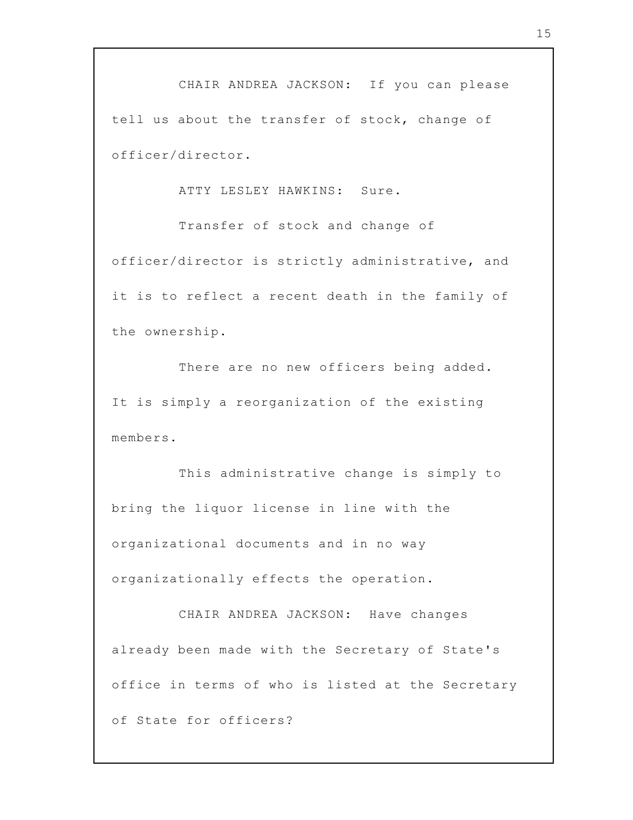CHAIR ANDREA JACKSON: If you can please tell us about the transfer of stock, change of officer/director.

ATTY LESLEY HAWKINS: Sure.

Transfer of stock and change of officer/director is strictly administrative, and it is to reflect a recent death in the family of the ownership.

There are no new officers being added. It is simply a reorganization of the existing members.

This administrative change is simply to bring the liquor license in line with the organizational documents and in no way organizationally effects the operation.

CHAIR ANDREA JACKSON: Have changes already been made with the Secretary of State's office in terms of who is listed at the Secretary of State for officers?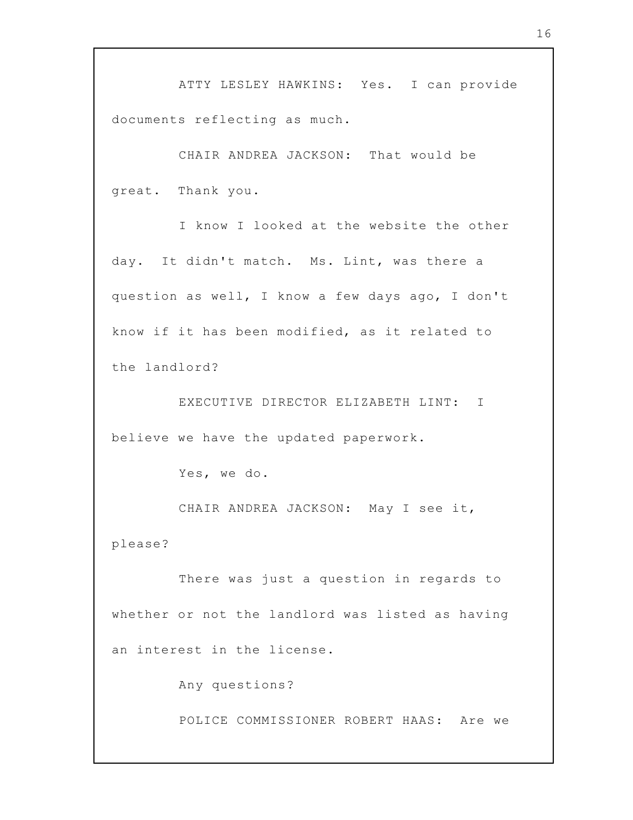ATTY LESLEY HAWKINS: Yes. I can provide documents reflecting as much.

CHAIR ANDREA JACKSON: That would be great. Thank you.

I know I looked at the website the other day. It didn't match. Ms. Lint, was there a question as well, I know a few days ago, I don't know if it has been modified, as it related to the landlord?

EXECUTIVE DIRECTOR ELIZABETH LINT: I believe we have the updated paperwork.

Yes, we do.

CHAIR ANDREA JACKSON: May I see it, please?

There was just a question in regards to whether or not the landlord was listed as having an interest in the license.

Any questions?

POLICE COMMISSIONER ROBERT HAAS: Are we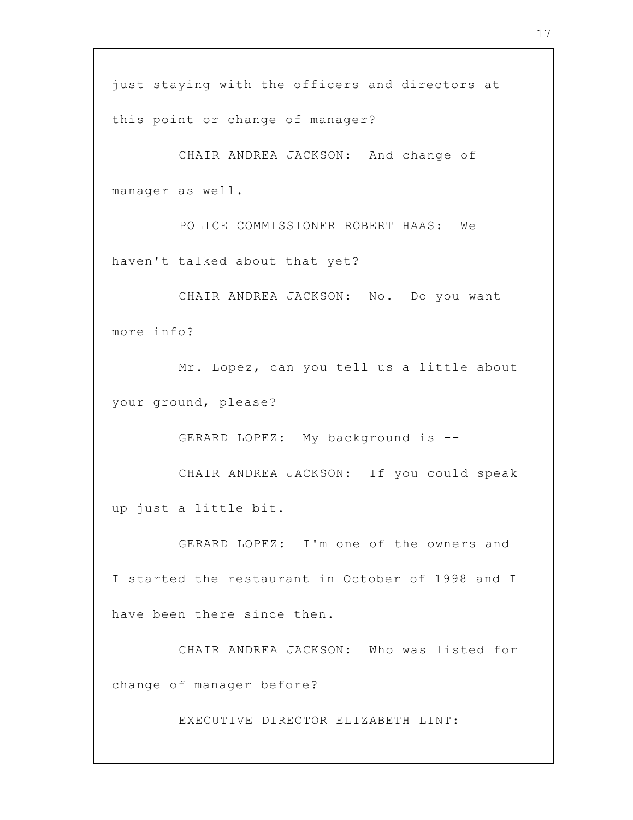this point or change of manager?

CHAIR ANDREA JACKSON: And change of manager as well.

POLICE COMMISSIONER ROBERT HAAS: We haven't talked about that yet?

CHAIR ANDREA JACKSON: No. Do you want more info?

Mr. Lopez, can you tell us a little about your ground, please?

GERARD LOPEZ: My background is --

CHAIR ANDREA JACKSON: If you could speak up just a little bit.

GERARD LOPEZ: I'm one of the owners and I started the restaurant in October of 1998 and I have been there since then.

CHAIR ANDREA JACKSON: Who was listed for change of manager before?

EXECUTIVE DIRECTOR ELIZABETH LINT: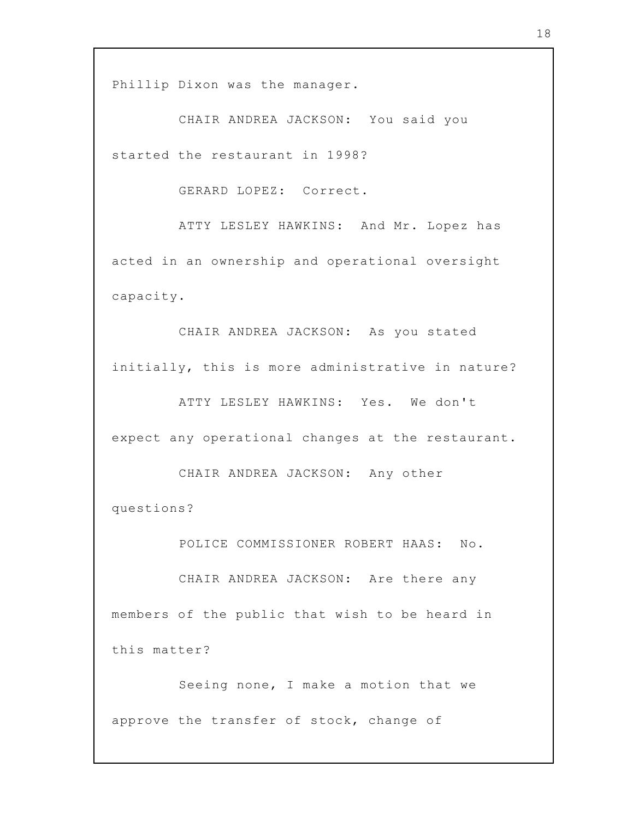Phillip Dixon was the manager.

CHAIR ANDREA JACKSON: You said you started the restaurant in 1998?

GERARD LOPEZ: Correct.

ATTY LESLEY HAWKINS: And Mr. Lopez has acted in an ownership and operational oversight capacity.

CHAIR ANDREA JACKSON: As you stated initially, this is more administrative in nature?

ATTY LESLEY HAWKINS: Yes. We don't expect any operational changes at the restaurant.

CHAIR ANDREA JACKSON: Any other questions?

POLICE COMMISSIONER ROBERT HAAS: No.

CHAIR ANDREA JACKSON: Are there any members of the public that wish to be heard in this matter?

Seeing none, I make a motion that we approve the transfer of stock, change of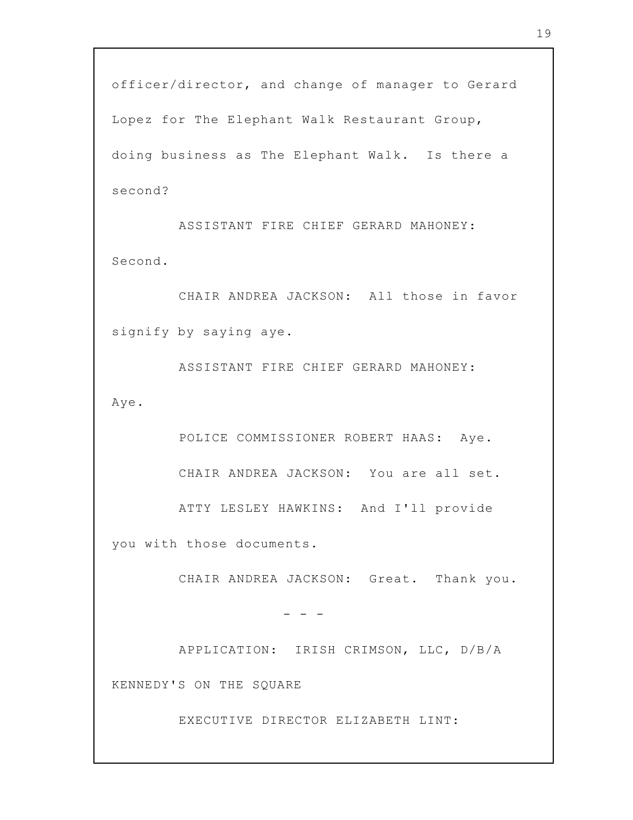officer/director, and change of manager to Gerard Lopez for The Elephant Walk Restaurant Group, doing business as The Elephant Walk. Is there a second?

ASSISTANT FIRE CHIEF GERARD MAHONEY: Second.

CHAIR ANDREA JACKSON: All those in favor signify by saying aye.

ASSISTANT FIRE CHIEF GERARD MAHONEY: Aye.

POLICE COMMISSIONER ROBERT HAAS: Aye. CHAIR ANDREA JACKSON: You are all set. ATTY LESLEY HAWKINS: And I'll provide

you with those documents.

CHAIR ANDREA JACKSON: Great. Thank you.

APPLICATION: IRISH CRIMSON, LLC, D/B/A

KENNEDY'S ON THE SQUARE

EXECUTIVE DIRECTOR ELIZABETH LINT:

 $-$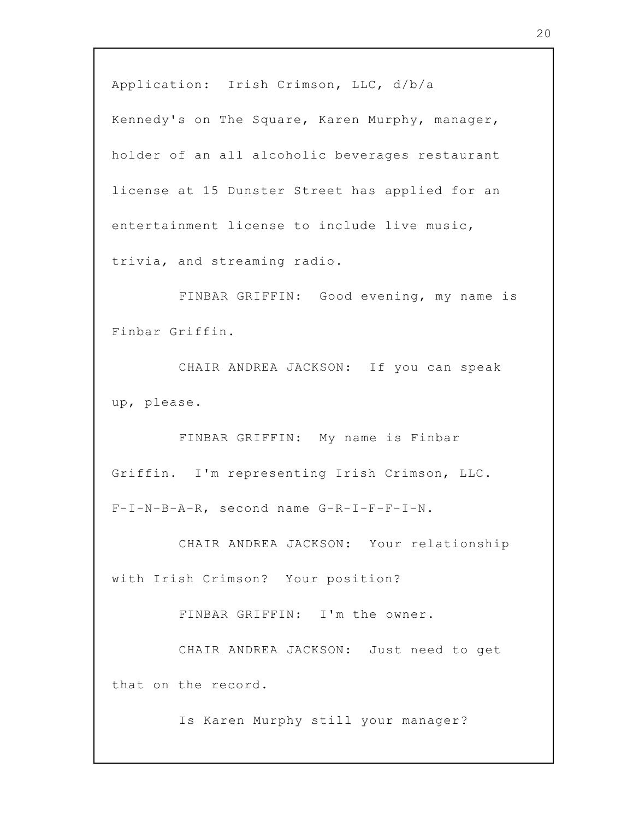Application: Irish Crimson, LLC, d/b/a

Kennedy's on The Square, Karen Murphy, manager, holder of an all alcoholic beverages restaurant license at 15 Dunster Street has applied for an entertainment license to include live music, trivia, and streaming radio.

FINBAR GRIFFIN: Good evening, my name is Finbar Griffin.

CHAIR ANDREA JACKSON: If you can speak up, please.

FINBAR GRIFFIN: My name is Finbar Griffin. I'm representing Irish Crimson, LLC. F-I-N-B-A-R, second name G-R-I-F-F-I-N.

CHAIR ANDREA JACKSON: Your relationship with Irish Crimson? Your position?

FINBAR GRIFFIN: I'm the owner.

CHAIR ANDREA JACKSON: Just need to get that on the record.

Is Karen Murphy still your manager?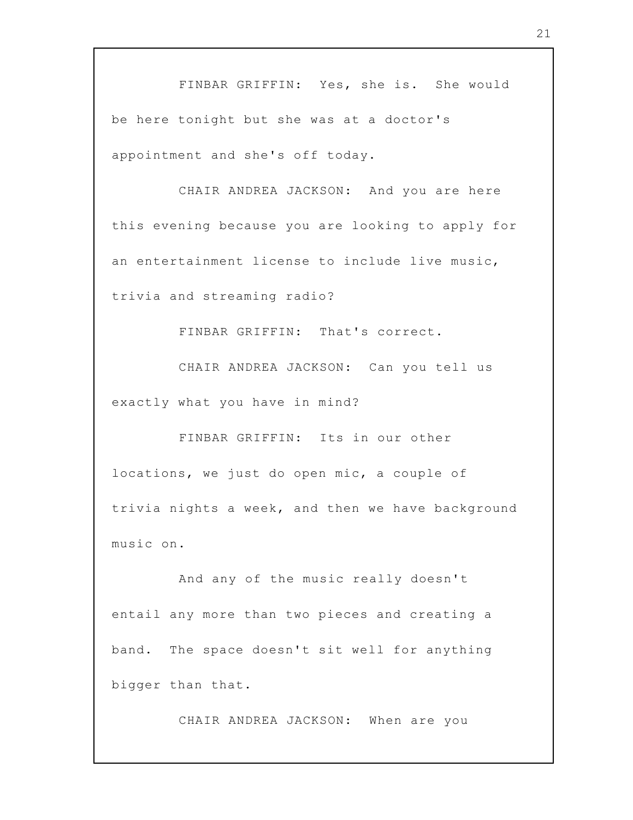FINBAR GRIFFIN: Yes, she is. She would be here tonight but she was at a doctor's appointment and she's off today.

CHAIR ANDREA JACKSON: And you are here this evening because you are looking to apply for an entertainment license to include live music, trivia and streaming radio?

FINBAR GRIFFIN: That's correct.

CHAIR ANDREA JACKSON: Can you tell us exactly what you have in mind?

FINBAR GRIFFIN: Its in our other locations, we just do open mic, a couple of trivia nights a week, and then we have background music on.

And any of the music really doesn't entail any more than two pieces and creating a band. The space doesn't sit well for anything bigger than that.

CHAIR ANDREA JACKSON: When are you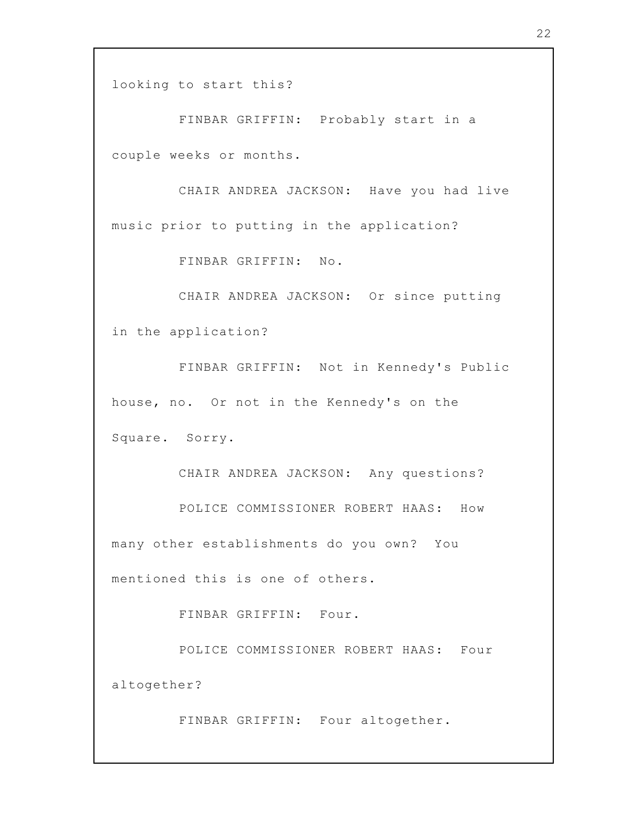looking to start this?

FINBAR GRIFFIN: Probably start in a couple weeks or months.

CHAIR ANDREA JACKSON: Have you had live music prior to putting in the application?

FINBAR GRIFFIN: No.

CHAIR ANDREA JACKSON: Or since putting in the application?

FINBAR GRIFFIN: Not in Kennedy's Public house, no. Or not in the Kennedy's on the Square. Sorry.

CHAIR ANDREA JACKSON: Any questions? POLICE COMMISSIONER ROBERT HAAS: How many other establishments do you own? You mentioned this is one of others.

FINBAR GRIFFIN: Four.

POLICE COMMISSIONER ROBERT HAAS: Four altogether?

FINBAR GRIFFIN: Four altogether.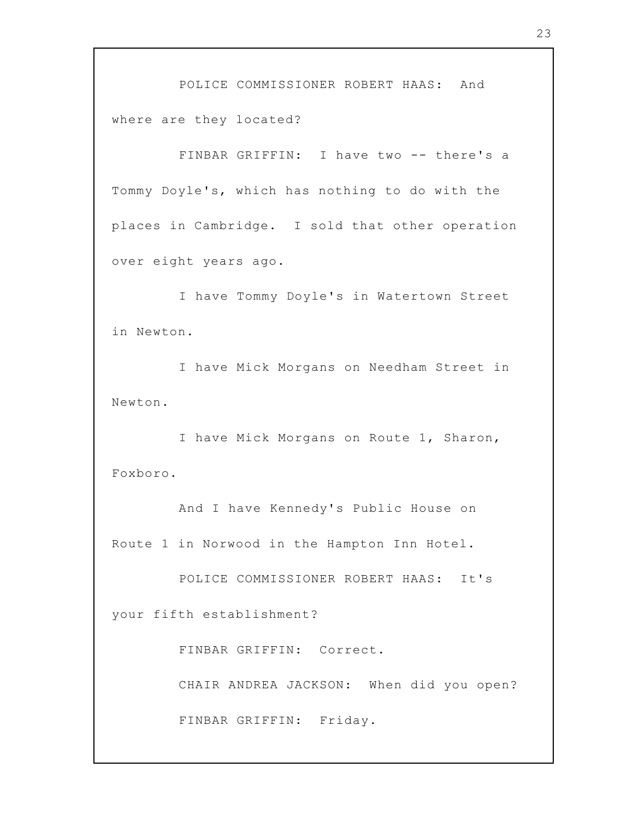POLICE COMMISSIONER ROBERT HAAS: And where are they located?

FINBAR GRIFFIN: I have two -- there's a Tommy Doyle's, which has nothing to do with the places in Cambridge. I sold that other operation over eight years ago.

I have Tommy Doyle's in Watertown Street in Newton.

I have Mick Morgans on Needham Street in Newton.

I have Mick Morgans on Route 1, Sharon, Foxboro.

And I have Kennedy's Public House on Route 1 in Norwood in the Hampton Inn Hotel.

POLICE COMMISSIONER ROBERT HAAS: It's your fifth establishment?

FINBAR GRIFFIN: Correct.

CHAIR ANDREA JACKSON: When did you open?

FINBAR GRIFFIN: Friday.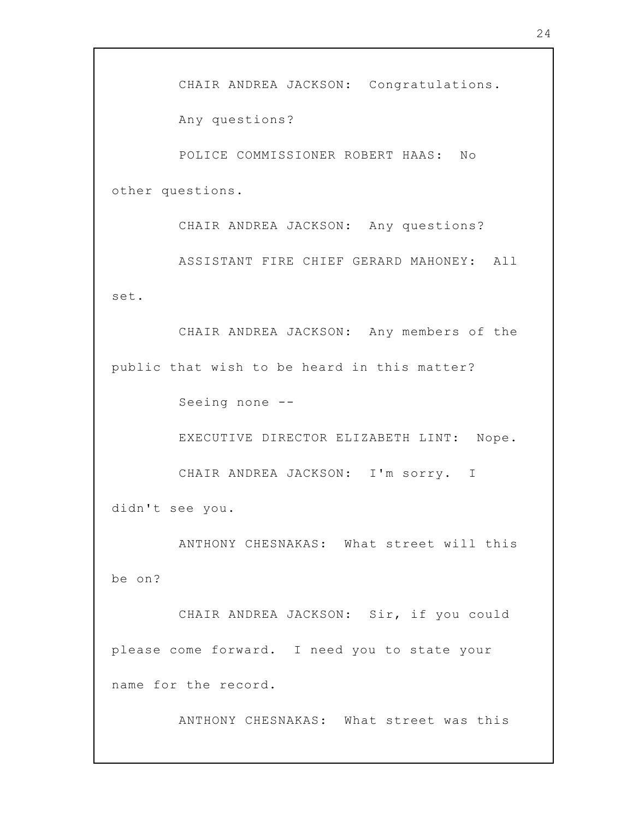Any questions?

POLICE COMMISSIONER ROBERT HAAS: No other questions.

CHAIR ANDREA JACKSON: Any questions?

ASSISTANT FIRE CHIEF GERARD MAHONEY: All set.

CHAIR ANDREA JACKSON: Any members of the public that wish to be heard in this matter?

Seeing none --

EXECUTIVE DIRECTOR ELIZABETH LINT: Nope.

CHAIR ANDREA JACKSON: I'm sorry. I

didn't see you.

ANTHONY CHESNAKAS: What street will this be on?

CHAIR ANDREA JACKSON: Sir, if you could please come forward. I need you to state your name for the record.

ANTHONY CHESNAKAS: What street was this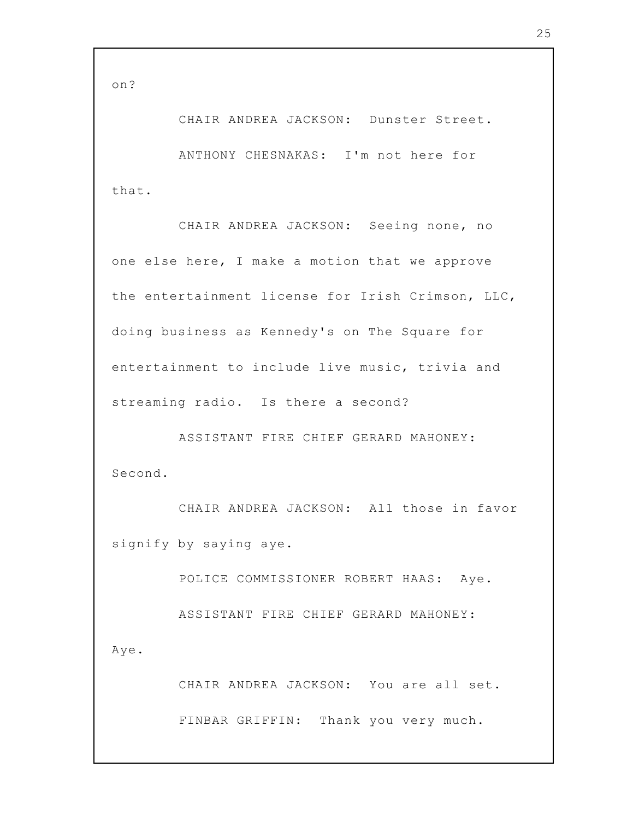on?

CHAIR ANDREA JACKSON: Dunster Street. ANTHONY CHESNAKAS: I'm not here for that.

CHAIR ANDREA JACKSON: Seeing none, no one else here, I make a motion that we approve the entertainment license for Irish Crimson, LLC, doing business as Kennedy's on The Square for entertainment to include live music, trivia and streaming radio. Is there a second?

ASSISTANT FIRE CHIEF GERARD MAHONEY: Second.

CHAIR ANDREA JACKSON: All those in favor signify by saying aye.

POLICE COMMISSIONER ROBERT HAAS: Aye.

ASSISTANT FIRE CHIEF GERARD MAHONEY:

Aye.

CHAIR ANDREA JACKSON: You are all set. FINBAR GRIFFIN: Thank you very much.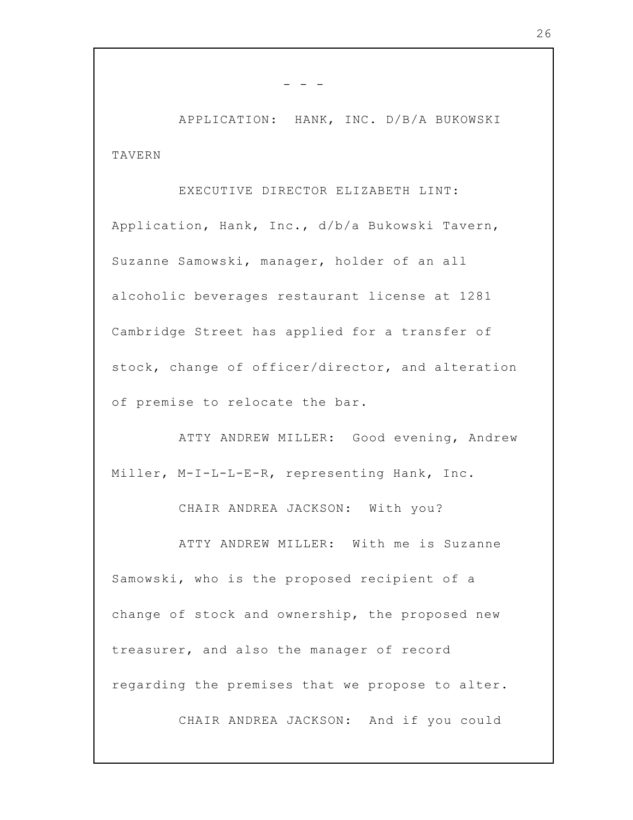APPLICATION: HANK, INC. D/B/A BUKOWSKI TAVERN

 $-$ 

## EXECUTIVE DIRECTOR ELIZABETH LINT:

Application, Hank, Inc., d/b/a Bukowski Tavern, Suzanne Samowski, manager, holder of an all alcoholic beverages restaurant license at 1281 Cambridge Street has applied for a transfer of stock, change of officer/director, and alteration of premise to relocate the bar.

ATTY ANDREW MILLER: Good evening, Andrew Miller, M-I-L-L-E-R, representing Hank, Inc.

CHAIR ANDREA JACKSON: With you?

ATTY ANDREW MILLER: With me is Suzanne Samowski, who is the proposed recipient of a change of stock and ownership, the proposed new treasurer, and also the manager of record regarding the premises that we propose to alter.

CHAIR ANDREA JACKSON: And if you could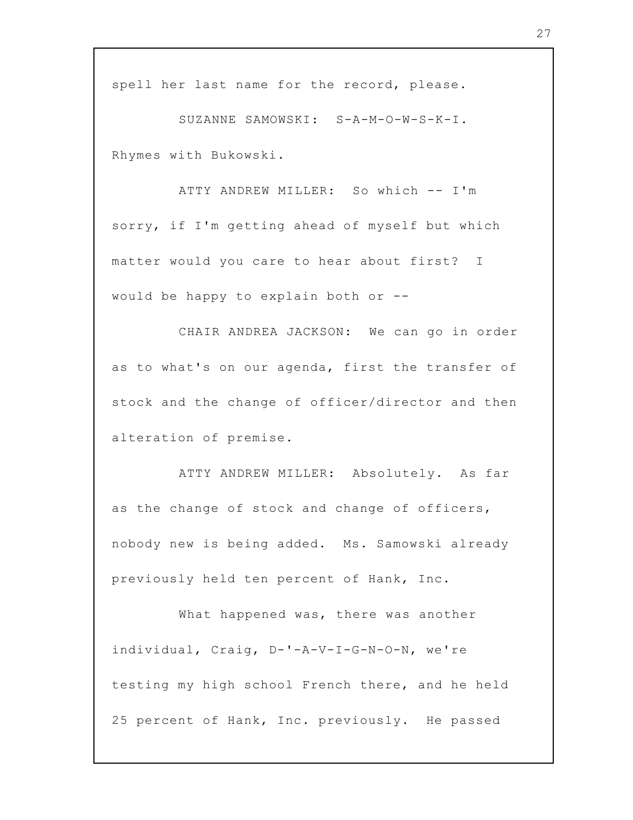spell her last name for the record, please.

SUZANNE SAMOWSKI: S-A-M-O-W-S-K-I. Rhymes with Bukowski.

ATTY ANDREW MILLER: So which -- I'm sorry, if I'm getting ahead of myself but which matter would you care to hear about first? I would be happy to explain both or --

CHAIR ANDREA JACKSON: We can go in order as to what's on our agenda, first the transfer of stock and the change of officer/director and then alteration of premise.

ATTY ANDREW MILLER: Absolutely. As far as the change of stock and change of officers, nobody new is being added. Ms. Samowski already previously held ten percent of Hank, Inc.

What happened was, there was another individual, Craig, D-'-A-V-I-G-N-O-N, we're testing my high school French there, and he held 25 percent of Hank, Inc. previously. He passed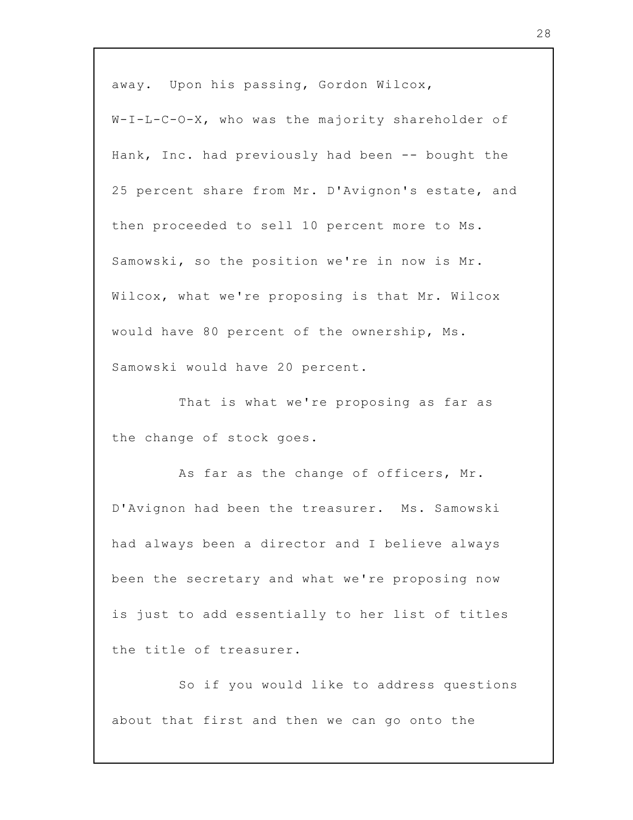away. Upon his passing, Gordon Wilcox,

W-I-L-C-O-X, who was the majority shareholder of Hank, Inc. had previously had been -- bought the 25 percent share from Mr. D'Avignon's estate, and then proceeded to sell 10 percent more to Ms. Samowski, so the position we're in now is Mr. Wilcox, what we're proposing is that Mr. Wilcox would have 80 percent of the ownership, Ms. Samowski would have 20 percent.

That is what we're proposing as far as the change of stock goes.

As far as the change of officers, Mr. D'Avignon had been the treasurer. Ms. Samowski had always been a director and I believe always been the secretary and what we're proposing now is just to add essentially to her list of titles the title of treasurer.

So if you would like to address questions about that first and then we can go onto the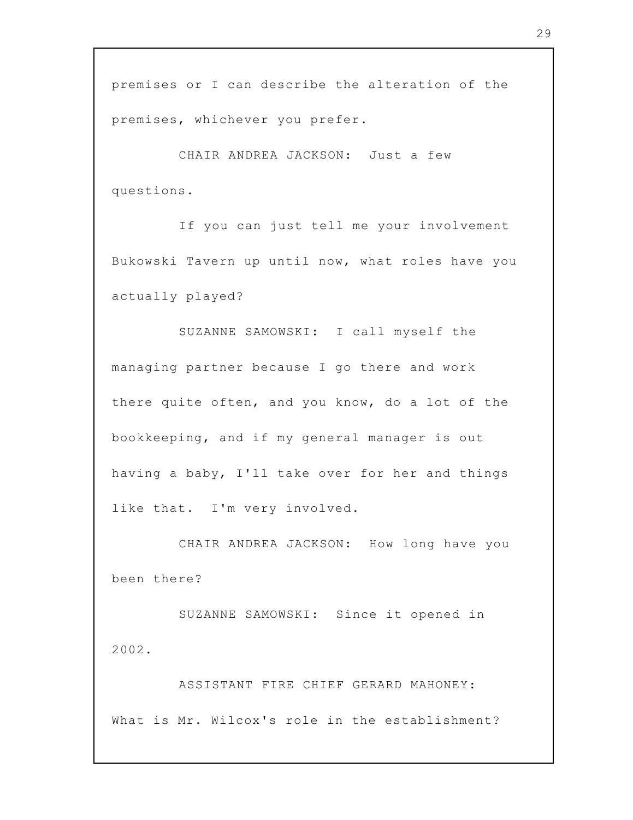premises or I can describe the alteration of the premises, whichever you prefer.

CHAIR ANDREA JACKSON: Just a few questions.

If you can just tell me your involvement Bukowski Tavern up until now, what roles have you actually played?

SUZANNE SAMOWSKI: I call myself the managing partner because I go there and work there quite often, and you know, do a lot of the bookkeeping, and if my general manager is out having a baby, I'll take over for her and things like that. I'm very involved.

CHAIR ANDREA JACKSON: How long have you been there?

SUZANNE SAMOWSKI: Since it opened in 2002.

ASSISTANT FIRE CHIEF GERARD MAHONEY: What is Mr. Wilcox's role in the establishment?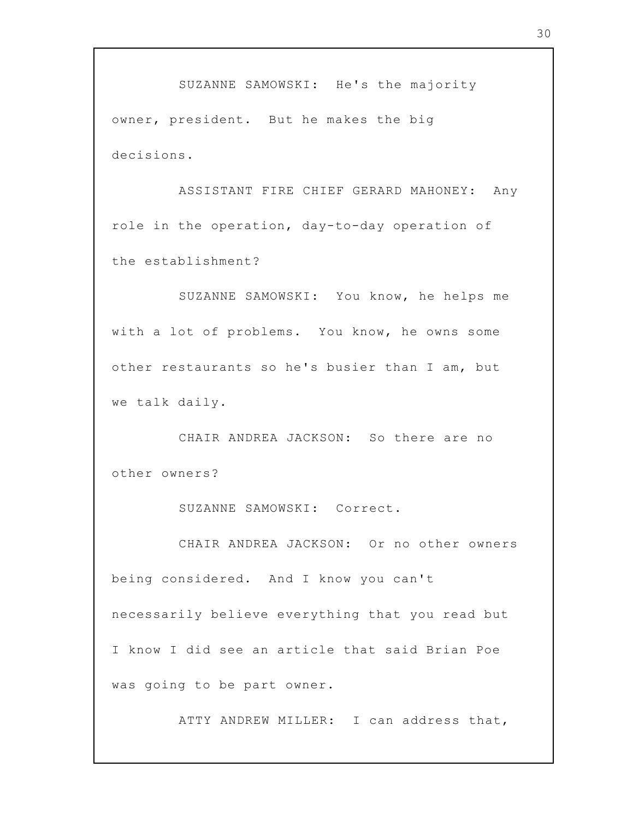SUZANNE SAMOWSKI: He's the majority owner, president. But he makes the big decisions.

ASSISTANT FIRE CHIEF GERARD MAHONEY: Any role in the operation, day-to-day operation of the establishment?

SUZANNE SAMOWSKI: You know, he helps me with a lot of problems. You know, he owns some other restaurants so he's busier than I am, but we talk daily.

CHAIR ANDREA JACKSON: So there are no other owners?

SUZANNE SAMOWSKI: Correct.

CHAIR ANDREA JACKSON: Or no other owners being considered. And I know you can't necessarily believe everything that you read but I know I did see an article that said Brian Poe was going to be part owner.

ATTY ANDREW MILLER: I can address that,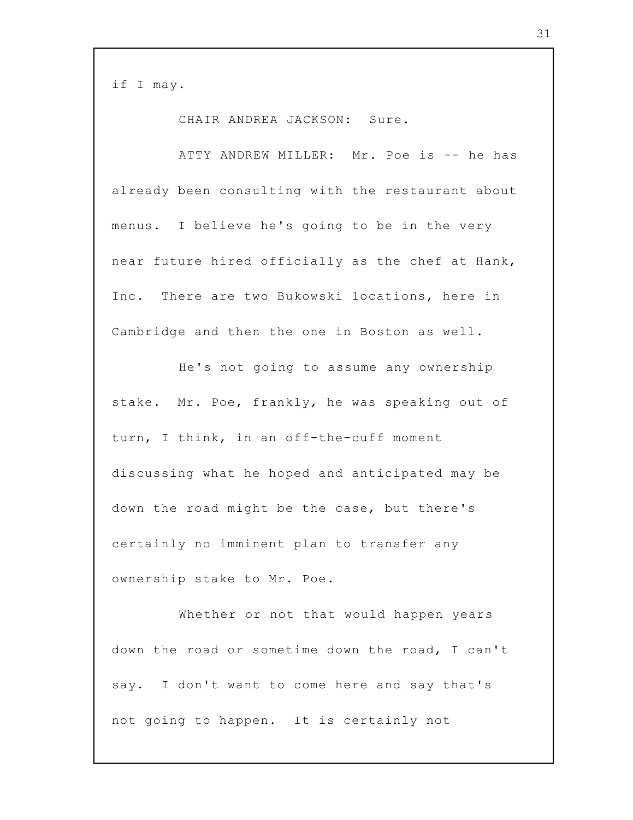if I may.

CHAIR ANDREA JACKSON: Sure.

ATTY ANDREW MILLER: Mr. Poe is -- he has already been consulting with the restaurant about menus. I believe he's going to be in the very near future hired officially as the chef at Hank, Inc. There are two Bukowski locations, here in Cambridge and then the one in Boston as well.

He's not going to assume any ownership stake. Mr. Poe, frankly, he was speaking out of turn, I think, in an off-the-cuff moment discussing what he hoped and anticipated may be down the road might be the case, but there's certainly no imminent plan to transfer any ownership stake to Mr. Poe.

Whether or not that would happen years down the road or sometime down the road, I can't say. I don't want to come here and say that's not going to happen. It is certainly not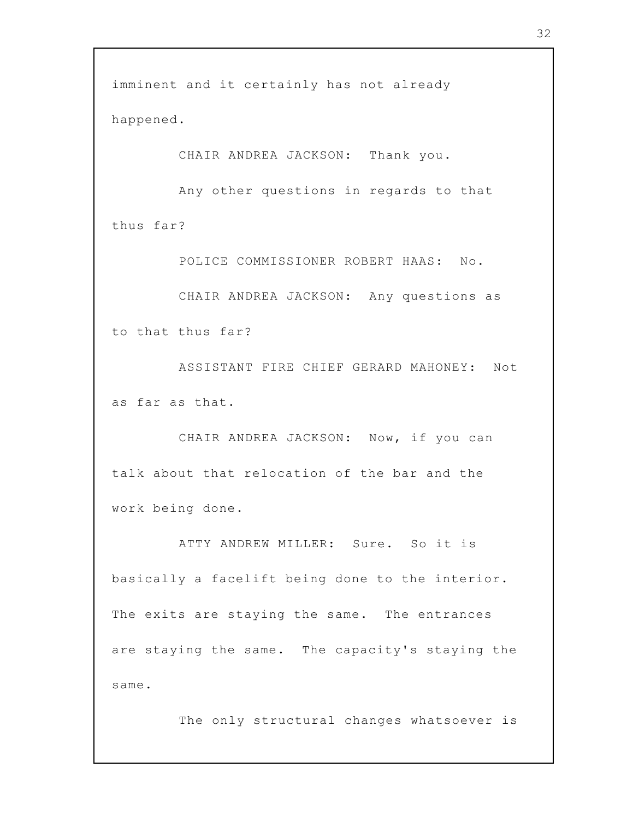imminent and it certainly has not already happened.

CHAIR ANDREA JACKSON: Thank you.

Any other questions in regards to that thus far?

POLICE COMMISSIONER ROBERT HAAS: No.

CHAIR ANDREA JACKSON: Any questions as to that thus far?

ASSISTANT FIRE CHIEF GERARD MAHONEY: Not as far as that.

CHAIR ANDREA JACKSON: Now, if you can talk about that relocation of the bar and the work being done.

ATTY ANDREW MILLER: Sure. So it is basically a facelift being done to the interior. The exits are staying the same. The entrances are staying the same. The capacity's staying the same.

The only structural changes whatsoever is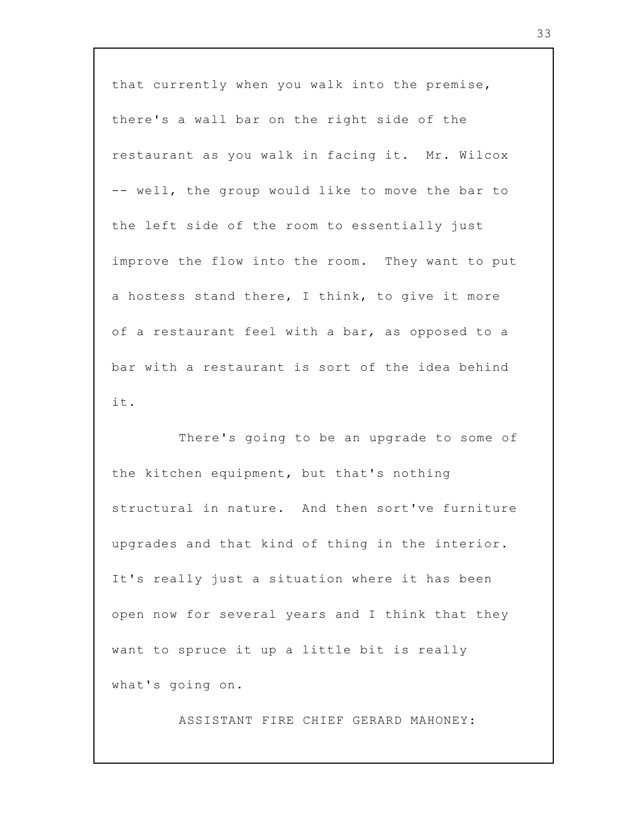that currently when you walk into the premise, there's a wall bar on the right side of the restaurant as you walk in facing it. Mr. Wilcox -- well, the group would like to move the bar to the left side of the room to essentially just improve the flow into the room. They want to put a hostess stand there, I think, to give it more of a restaurant feel with a bar, as opposed to a bar with a restaurant is sort of the idea behind it.

There's going to be an upgrade to some of the kitchen equipment, but that's nothing structural in nature. And then sort've furniture upgrades and that kind of thing in the interior. It's really just a situation where it has been open now for several years and I think that they want to spruce it up a little bit is really what's going on.

ASSISTANT FIRE CHIEF GERARD MAHONEY: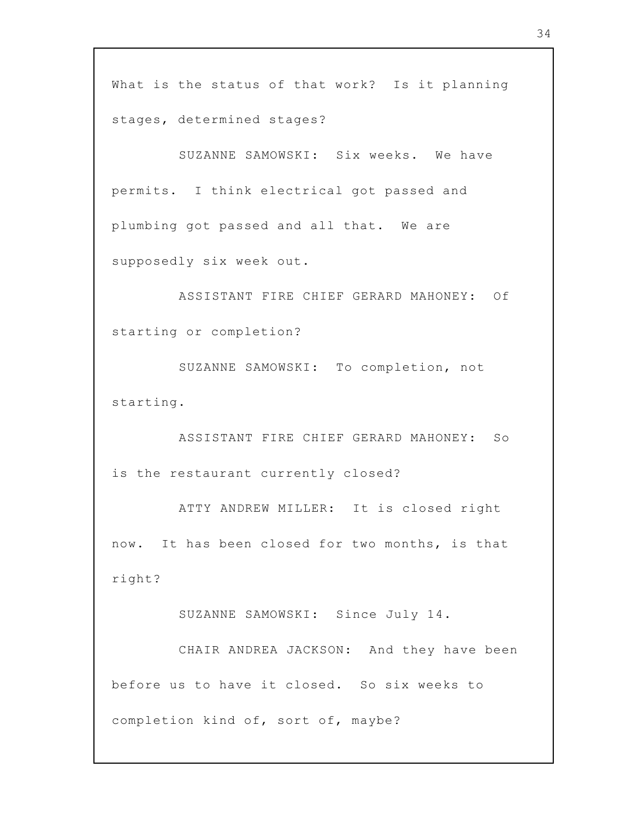What is the status of that work? Is it planning stages, determined stages?

SUZANNE SAMOWSKI: Six weeks. We have permits. I think electrical got passed and plumbing got passed and all that. We are supposedly six week out.

ASSISTANT FIRE CHIEF GERARD MAHONEY: Of starting or completion?

SUZANNE SAMOWSKI: To completion, not starting.

ASSISTANT FIRE CHIEF GERARD MAHONEY: So is the restaurant currently closed?

ATTY ANDREW MILLER: It is closed right now. It has been closed for two months, is that right?

SUZANNE SAMOWSKI: Since July 14.

CHAIR ANDREA JACKSON: And they have been before us to have it closed. So six weeks to completion kind of, sort of, maybe?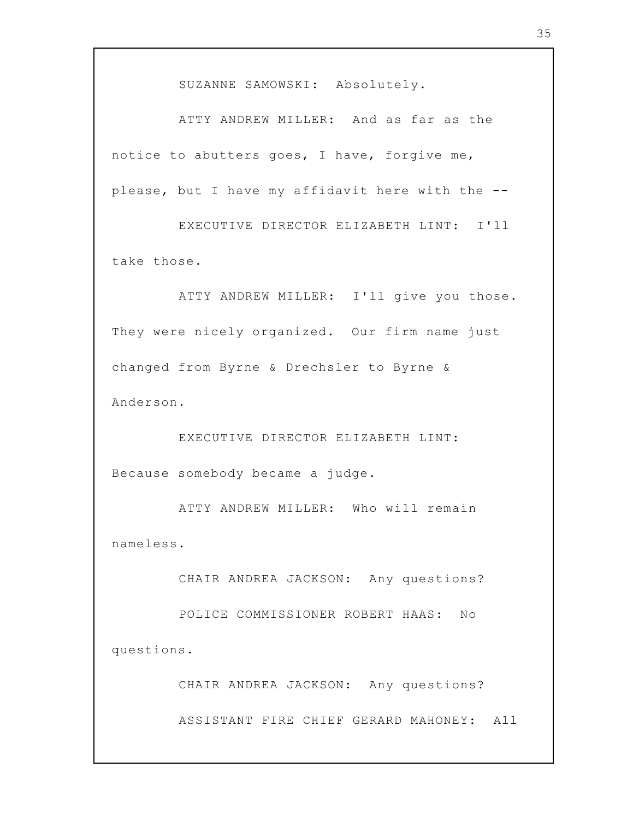SUZANNE SAMOWSKI: Absolutely.

ATTY ANDREW MILLER: And as far as the notice to abutters goes, I have, forgive me, please, but I have my affidavit here with the --

EXECUTIVE DIRECTOR ELIZABETH LINT: I'll take those.

ATTY ANDREW MILLER: I'll give you those. They were nicely organized. Our firm name just changed from Byrne & Drechsler to Byrne & Anderson.

EXECUTIVE DIRECTOR ELIZABETH LINT: Because somebody became a judge.

ATTY ANDREW MILLER: Who will remain nameless.

CHAIR ANDREA JACKSON: Any questions?

POLICE COMMISSIONER ROBERT HAAS: No questions.

CHAIR ANDREA JACKSON: Any questions?

ASSISTANT FIRE CHIEF GERARD MAHONEY: All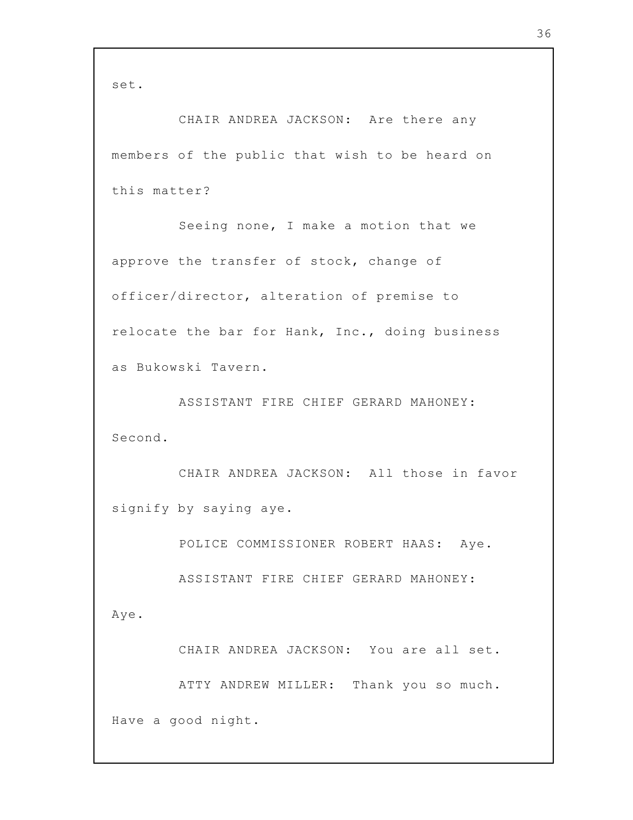set.

CHAIR ANDREA JACKSON: Are there any members of the public that wish to be heard on this matter?

Seeing none, I make a motion that we approve the transfer of stock, change of officer/director, alteration of premise to relocate the bar for Hank, Inc., doing business as Bukowski Tavern.

ASSISTANT FIRE CHIEF GERARD MAHONEY: Second.

CHAIR ANDREA JACKSON: All those in favor signify by saying aye.

POLICE COMMISSIONER ROBERT HAAS: Aye.

ASSISTANT FIRE CHIEF GERARD MAHONEY:

Aye.

CHAIR ANDREA JACKSON: You are all set.

ATTY ANDREW MILLER: Thank you so much. Have a good night.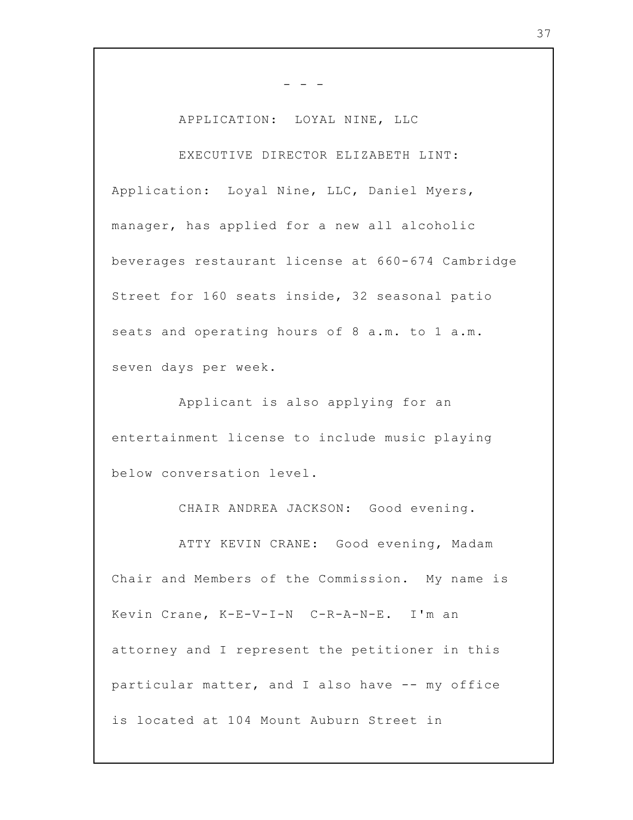## APPLICATION: LOYAL NINE, LLC

- - -

EXECUTIVE DIRECTOR ELIZABETH LINT: Application: Loyal Nine, LLC, Daniel Myers, manager, has applied for a new all alcoholic beverages restaurant license at 660-674 Cambridge Street for 160 seats inside, 32 seasonal patio seats and operating hours of 8 a.m. to 1 a.m. seven days per week.

Applicant is also applying for an entertainment license to include music playing below conversation level.

CHAIR ANDREA JACKSON: Good evening.

ATTY KEVIN CRANE: Good evening, Madam Chair and Members of the Commission. My name is Kevin Crane, K-E-V-I-N C-R-A-N-E. I'm an attorney and I represent the petitioner in this particular matter, and I also have -- my office is located at 104 Mount Auburn Street in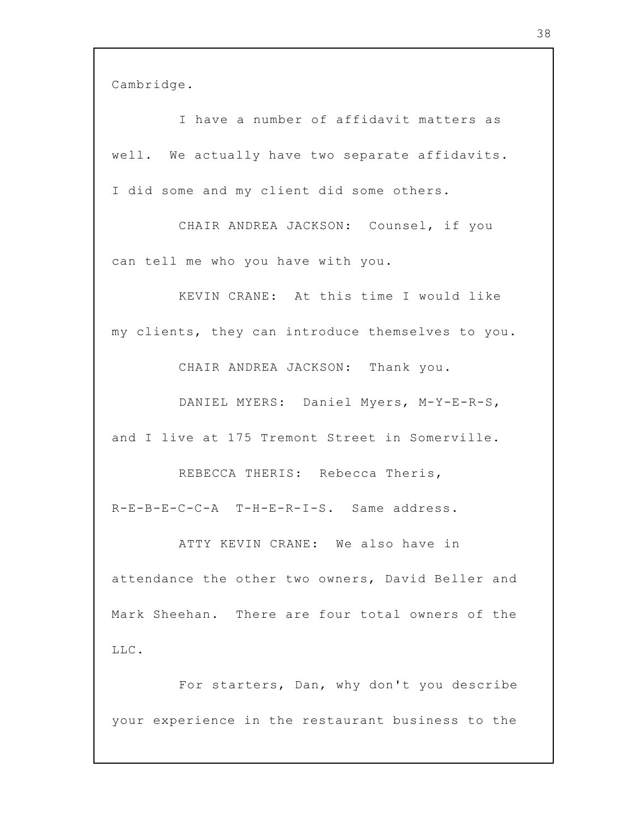Cambridge.

I have a number of affidavit matters as well. We actually have two separate affidavits. I did some and my client did some others.

CHAIR ANDREA JACKSON: Counsel, if you can tell me who you have with you.

KEVIN CRANE: At this time I would like my clients, they can introduce themselves to you.

CHAIR ANDREA JACKSON: Thank you.

DANIEL MYERS: Daniel Myers, M-Y-E-R-S, and I live at 175 Tremont Street in Somerville.

REBECCA THERIS: Rebecca Theris, R-E-B-E-C-C-A T-H-E-R-I-S. Same address.

ATTY KEVIN CRANE: We also have in attendance the other two owners, David Beller and Mark Sheehan. There are four total owners of the LLC.

For starters, Dan, why don't you describe your experience in the restaurant business to the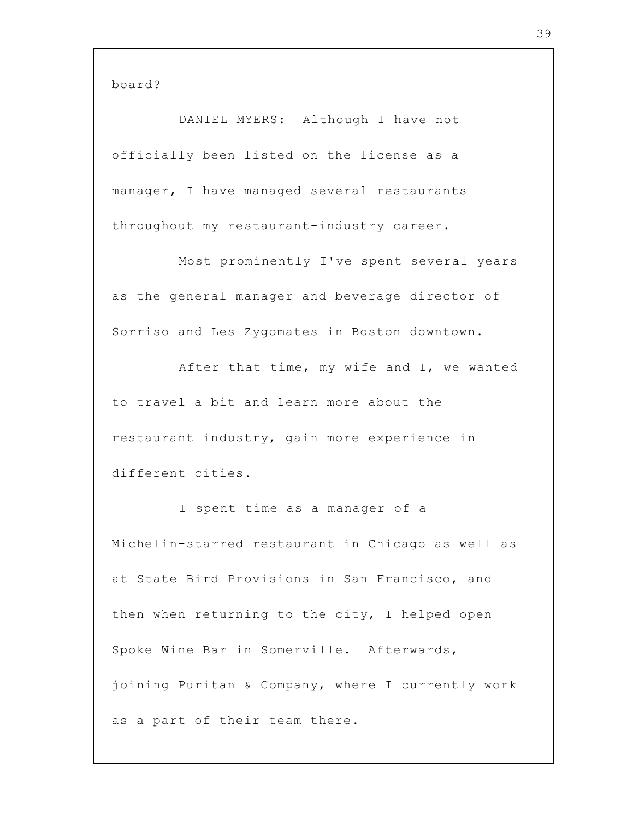board?

DANIEL MYERS: Although I have not officially been listed on the license as a manager, I have managed several restaurants throughout my restaurant-industry career.

Most prominently I've spent several years as the general manager and beverage director of Sorriso and Les Zygomates in Boston downtown.

After that time, my wife and I, we wanted to travel a bit and learn more about the restaurant industry, gain more experience in different cities.

I spent time as a manager of a Michelin-starred restaurant in Chicago as well as at State Bird Provisions in San Francisco, and then when returning to the city, I helped open Spoke Wine Bar in Somerville. Afterwards, joining Puritan & Company, where I currently work as a part of their team there.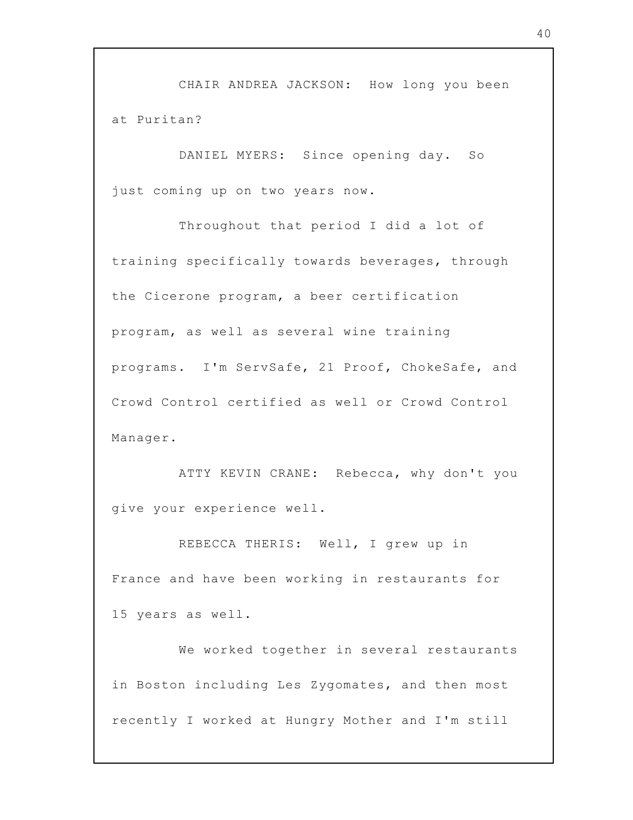CHAIR ANDREA JACKSON: How long you been at Puritan?

DANIEL MYERS: Since opening day. So just coming up on two years now.

Throughout that period I did a lot of training specifically towards beverages, through the Cicerone program, a beer certification program, as well as several wine training programs. I'm ServSafe, 21 Proof, ChokeSafe, and Crowd Control certified as well or Crowd Control Manager.

ATTY KEVIN CRANE: Rebecca, why don't you give your experience well.

REBECCA THERIS: Well, I grew up in France and have been working in restaurants for 15 years as well.

We worked together in several restaurants in Boston including Les Zygomates, and then most recently I worked at Hungry Mother and I'm still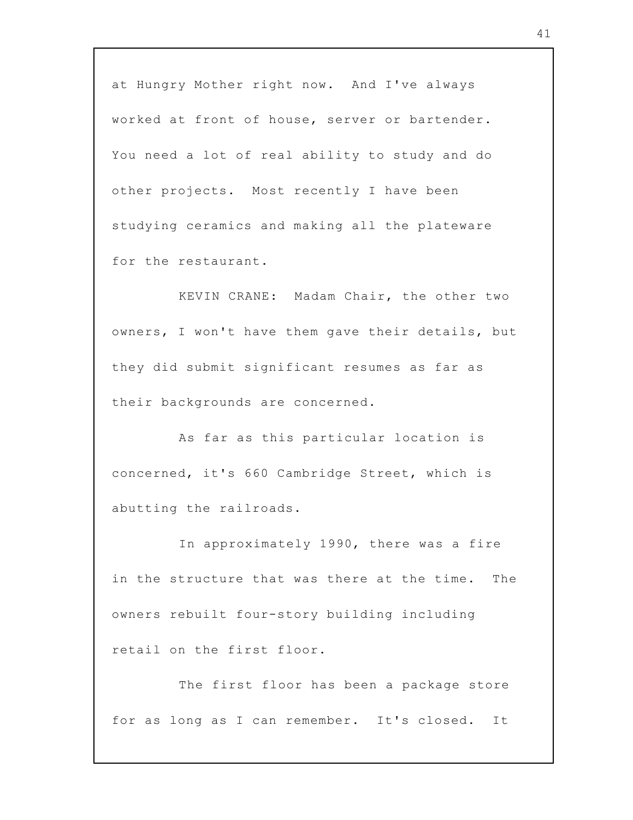at Hungry Mother right now. And I've always worked at front of house, server or bartender. You need a lot of real ability to study and do other projects. Most recently I have been studying ceramics and making all the plateware for the restaurant.

KEVIN CRANE: Madam Chair, the other two owners, I won't have them gave their details, but they did submit significant resumes as far as their backgrounds are concerned.

As far as this particular location is concerned, it's 660 Cambridge Street, which is abutting the railroads.

In approximately 1990, there was a fire in the structure that was there at the time. The owners rebuilt four-story building including retail on the first floor.

The first floor has been a package store for as long as I can remember. It's closed. It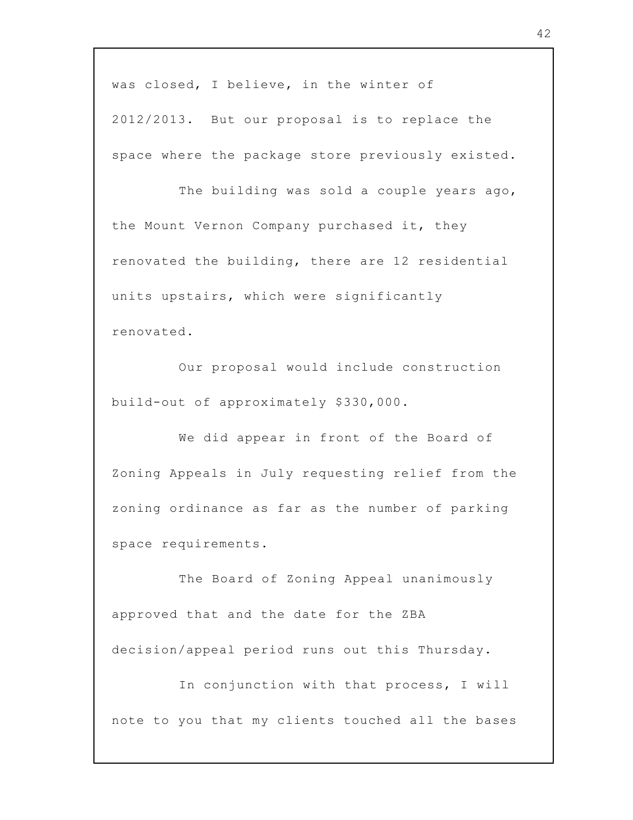was closed, I believe, in the winter of 2012/2013. But our proposal is to replace the space where the package store previously existed.

The building was sold a couple years ago, the Mount Vernon Company purchased it, they renovated the building, there are 12 residential units upstairs, which were significantly renovated.

Our proposal would include construction build-out of approximately \$330,000.

We did appear in front of the Board of Zoning Appeals in July requesting relief from the zoning ordinance as far as the number of parking space requirements.

The Board of Zoning Appeal unanimously approved that and the date for the ZBA decision/appeal period runs out this Thursday.

In conjunction with that process, I will note to you that my clients touched all the bases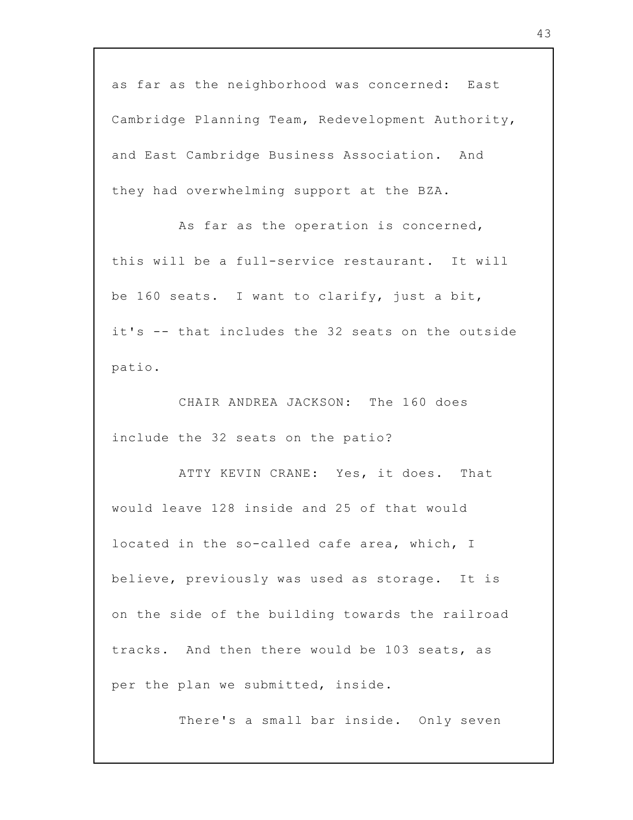as far as the neighborhood was concerned: East Cambridge Planning Team, Redevelopment Authority, and East Cambridge Business Association. And they had overwhelming support at the BZA.

As far as the operation is concerned, this will be a full-service restaurant. It will be 160 seats. I want to clarify, just a bit, it's -- that includes the 32 seats on the outside patio.

CHAIR ANDREA JACKSON: The 160 does include the 32 seats on the patio?

ATTY KEVIN CRANE: Yes, it does. That would leave 128 inside and 25 of that would located in the so-called cafe area, which, I believe, previously was used as storage. It is on the side of the building towards the railroad tracks. And then there would be 103 seats, as per the plan we submitted, inside.

There's a small bar inside. Only seven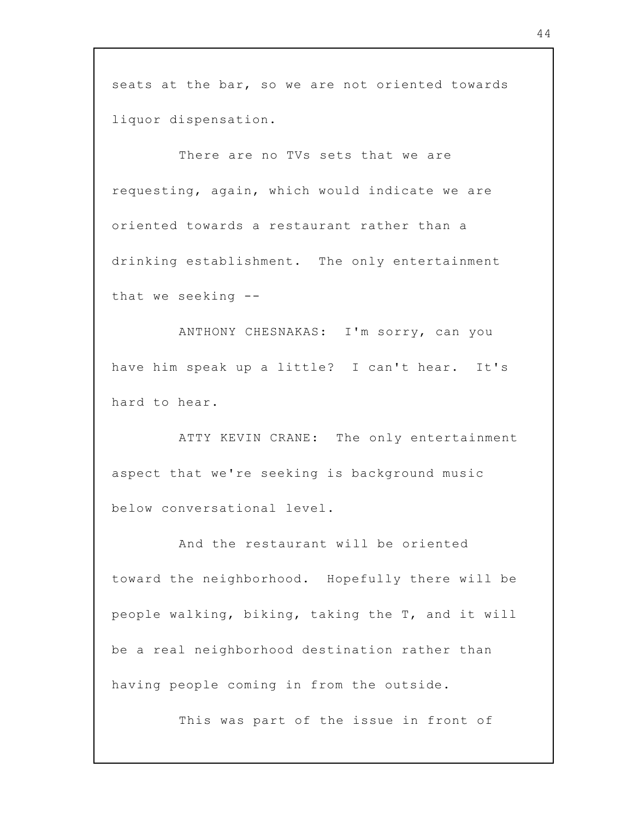seats at the bar, so we are not oriented towards liquor dispensation.

There are no TVs sets that we are requesting, again, which would indicate we are oriented towards a restaurant rather than a drinking establishment. The only entertainment that we seeking --

ANTHONY CHESNAKAS: I'm sorry, can you have him speak up a little? I can't hear. It's hard to hear.

ATTY KEVIN CRANE: The only entertainment aspect that we're seeking is background music below conversational level.

And the restaurant will be oriented toward the neighborhood. Hopefully there will be people walking, biking, taking the T, and it will be a real neighborhood destination rather than having people coming in from the outside.

This was part of the issue in front of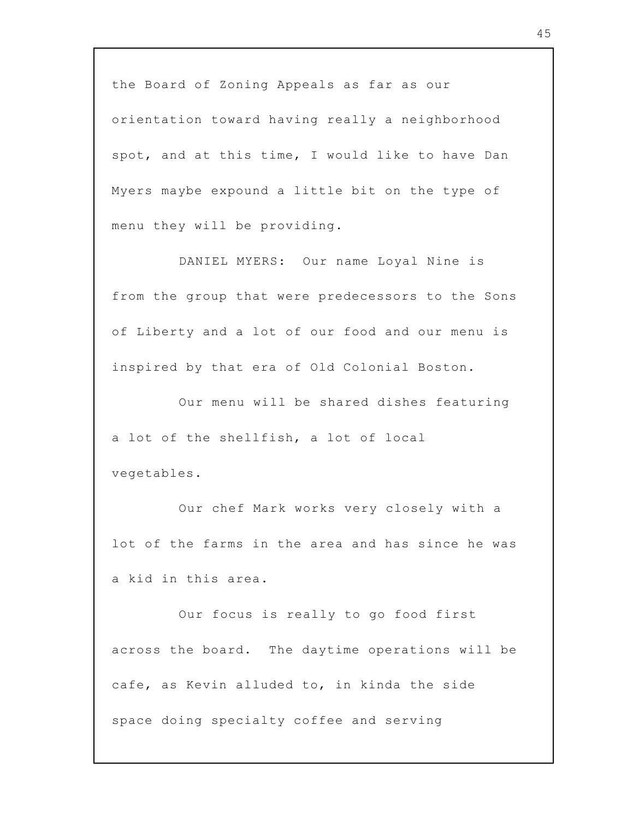the Board of Zoning Appeals as far as our orientation toward having really a neighborhood spot, and at this time, I would like to have Dan Myers maybe expound a little bit on the type of menu they will be providing.

DANIEL MYERS: Our name Loyal Nine is from the group that were predecessors to the Sons of Liberty and a lot of our food and our menu is inspired by that era of Old Colonial Boston.

Our menu will be shared dishes featuring a lot of the shellfish, a lot of local vegetables.

Our chef Mark works very closely with a lot of the farms in the area and has since he was a kid in this area.

Our focus is really to go food first across the board. The daytime operations will be cafe, as Kevin alluded to, in kinda the side space doing specialty coffee and serving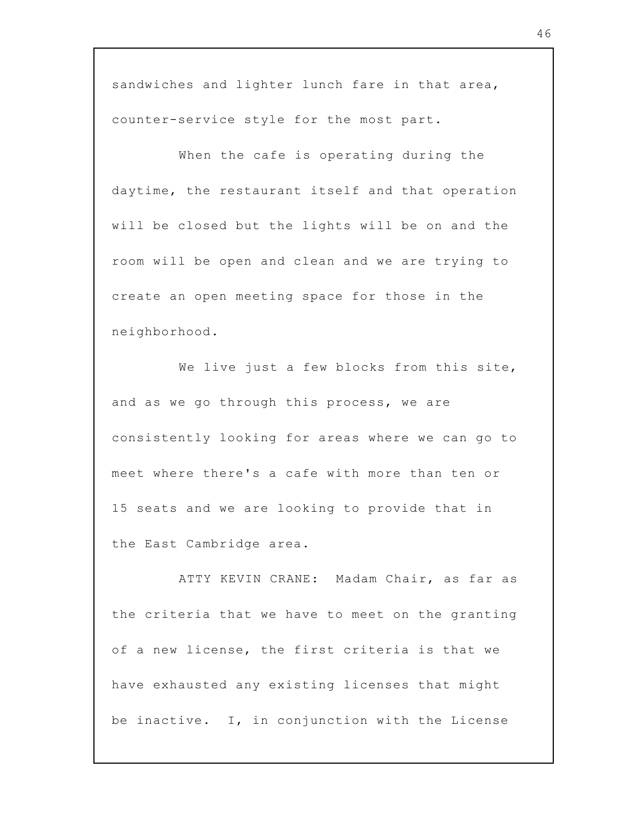sandwiches and lighter lunch fare in that area, counter-service style for the most part.

When the cafe is operating during the daytime, the restaurant itself and that operation will be closed but the lights will be on and the room will be open and clean and we are trying to create an open meeting space for those in the neighborhood.

We live just a few blocks from this site, and as we go through this process, we are consistently looking for areas where we can go to meet where there's a cafe with more than ten or 15 seats and we are looking to provide that in the East Cambridge area.

ATTY KEVIN CRANE: Madam Chair, as far as the criteria that we have to meet on the granting of a new license, the first criteria is that we have exhausted any existing licenses that might be inactive. I, in conjunction with the License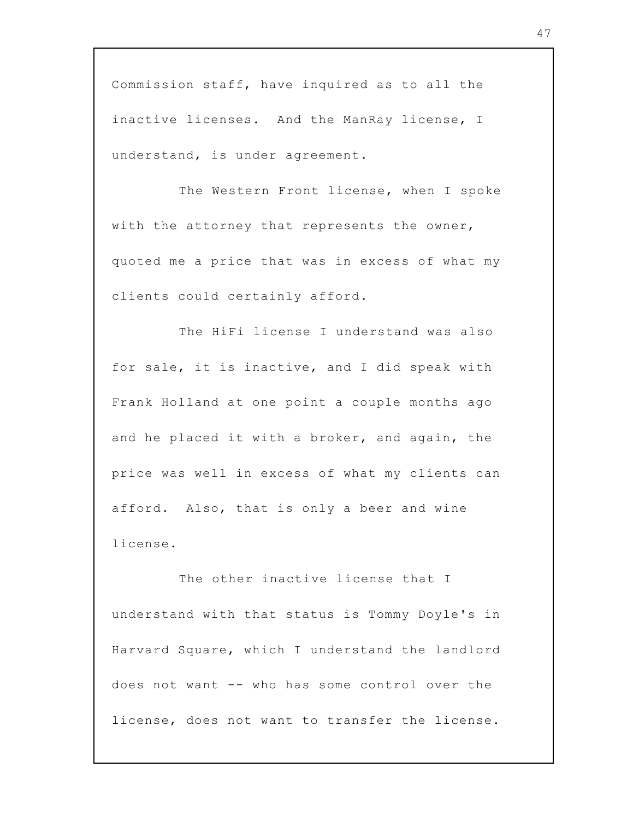Commission staff, have inquired as to all the inactive licenses. And the ManRay license, I understand, is under agreement.

The Western Front license, when I spoke with the attorney that represents the owner, quoted me a price that was in excess of what my clients could certainly afford.

The HiFi license I understand was also for sale, it is inactive, and I did speak with Frank Holland at one point a couple months ago and he placed it with a broker, and again, the price was well in excess of what my clients can afford. Also, that is only a beer and wine license.

The other inactive license that I understand with that status is Tommy Doyle's in Harvard Square, which I understand the landlord does not want -- who has some control over the license, does not want to transfer the license.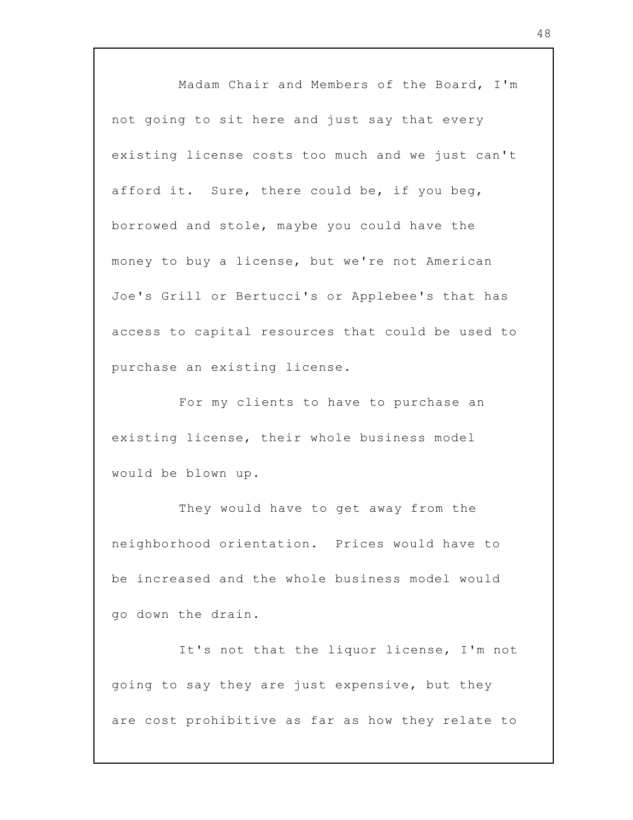Madam Chair and Members of the Board, I'm not going to sit here and just say that every existing license costs too much and we just can't afford it. Sure, there could be, if you beg, borrowed and stole, maybe you could have the money to buy a license, but we're not American Joe's Grill or Bertucci's or Applebee's that has access to capital resources that could be used to purchase an existing license.

For my clients to have to purchase an existing license, their whole business model would be blown up.

They would have to get away from the neighborhood orientation. Prices would have to be increased and the whole business model would go down the drain.

It's not that the liquor license, I'm not going to say they are just expensive, but they are cost prohibitive as far as how they relate to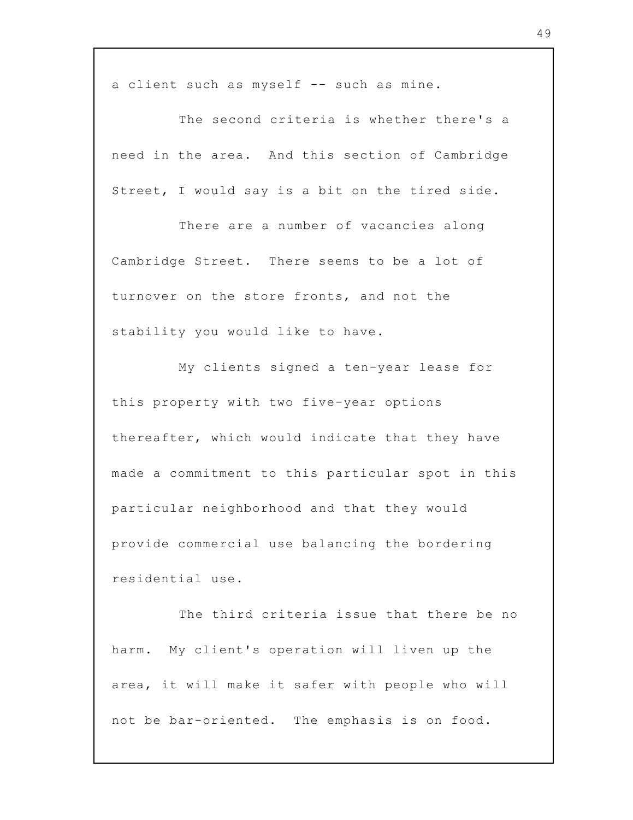a client such as myself -- such as mine.

The second criteria is whether there's a need in the area. And this section of Cambridge Street, I would say is a bit on the tired side.

There are a number of vacancies along Cambridge Street. There seems to be a lot of turnover on the store fronts, and not the stability you would like to have.

My clients signed a ten-year lease for this property with two five-year options thereafter, which would indicate that they have made a commitment to this particular spot in this particular neighborhood and that they would provide commercial use balancing the bordering residential use.

The third criteria issue that there be no harm. My client's operation will liven up the area, it will make it safer with people who will not be bar-oriented. The emphasis is on food.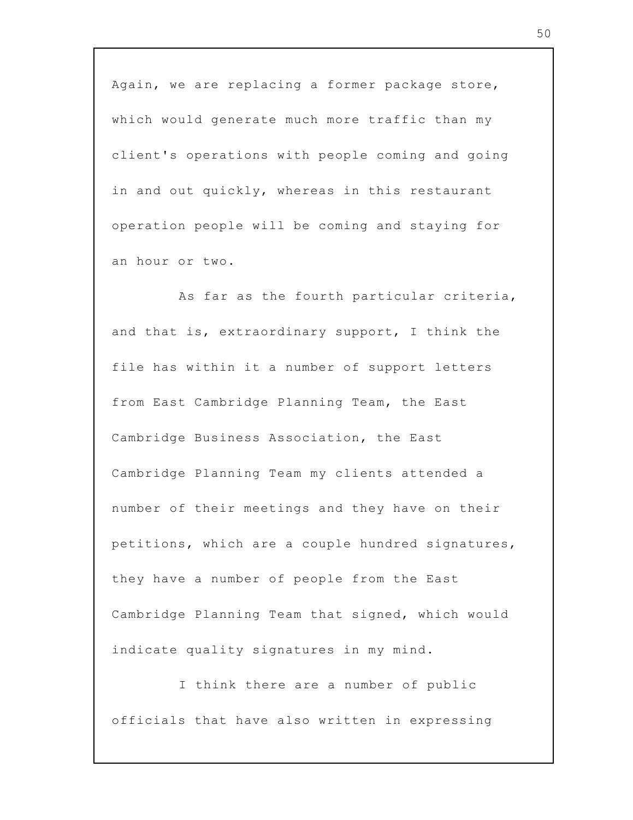Again, we are replacing a former package store, which would generate much more traffic than my client's operations with people coming and going in and out quickly, whereas in this restaurant operation people will be coming and staying for an hour or two.

As far as the fourth particular criteria, and that is, extraordinary support, I think the file has within it a number of support letters from East Cambridge Planning Team, the East Cambridge Business Association, the East Cambridge Planning Team my clients attended a number of their meetings and they have on their petitions, which are a couple hundred signatures, they have a number of people from the East Cambridge Planning Team that signed, which would indicate quality signatures in my mind.

I think there are a number of public officials that have also written in expressing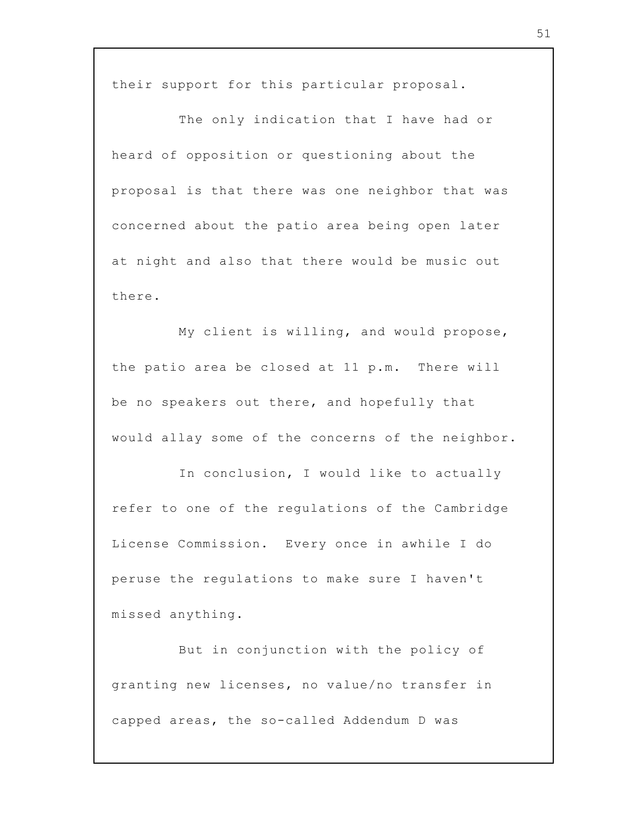their support for this particular proposal.

The only indication that I have had or heard of opposition or questioning about the proposal is that there was one neighbor that was concerned about the patio area being open later at night and also that there would be music out there.

My client is willing, and would propose, the patio area be closed at 11 p.m. There will be no speakers out there, and hopefully that would allay some of the concerns of the neighbor.

In conclusion, I would like to actually refer to one of the regulations of the Cambridge License Commission. Every once in awhile I do peruse the regulations to make sure I haven't missed anything.

But in conjunction with the policy of granting new licenses, no value/no transfer in capped areas, the so-called Addendum D was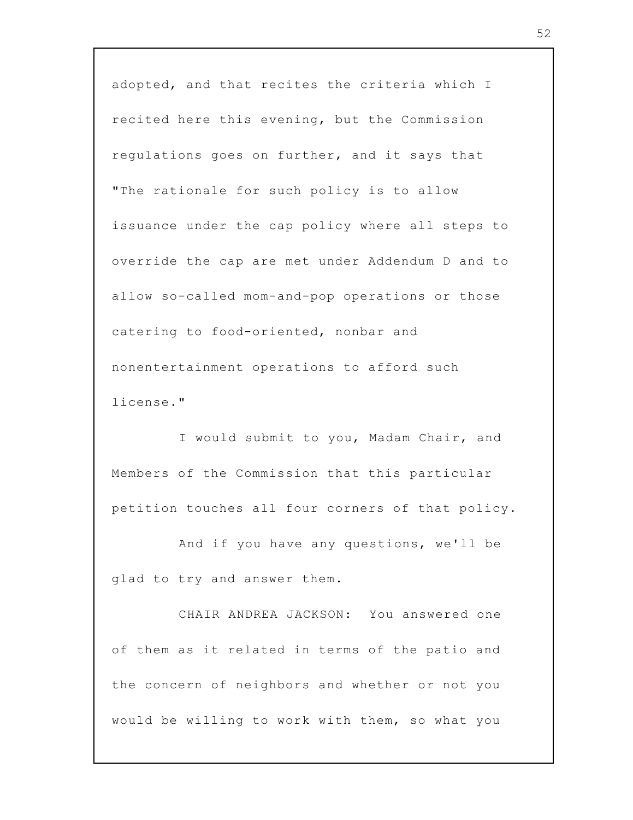adopted, and that recites the criteria which I recited here this evening, but the Commission regulations goes on further, and it says that "The rationale for such policy is to allow issuance under the cap policy where all steps to override the cap are met under Addendum D and to allow so-called mom-and-pop operations or those catering to food-oriented, nonbar and nonentertainment operations to afford such license."

I would submit to you, Madam Chair, and Members of the Commission that this particular petition touches all four corners of that policy.

And if you have any questions, we'll be glad to try and answer them.

CHAIR ANDREA JACKSON: You answered one of them as it related in terms of the patio and the concern of neighbors and whether or not you would be willing to work with them, so what you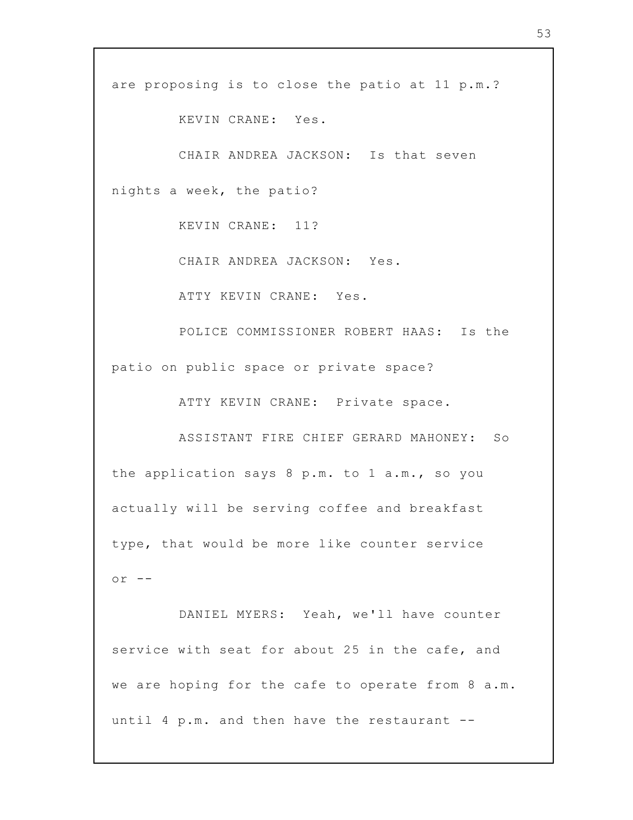are proposing is to close the patio at 11 p.m.?

KEVIN CRANE: Yes.

CHAIR ANDREA JACKSON: Is that seven nights a week, the patio?

KEVIN CRANE: 11?

CHAIR ANDREA JACKSON: Yes.

ATTY KEVIN CRANE: Yes.

POLICE COMMISSIONER ROBERT HAAS: Is the patio on public space or private space?

ATTY KEVIN CRANE: Private space.

ASSISTANT FIRE CHIEF GERARD MAHONEY: So the application says 8 p.m. to 1 a.m., so you actually will be serving coffee and breakfast type, that would be more like counter service  $or$   $--$ 

DANIEL MYERS: Yeah, we'll have counter service with seat for about 25 in the cafe, and we are hoping for the cafe to operate from 8 a.m. until 4 p.m. and then have the restaurant --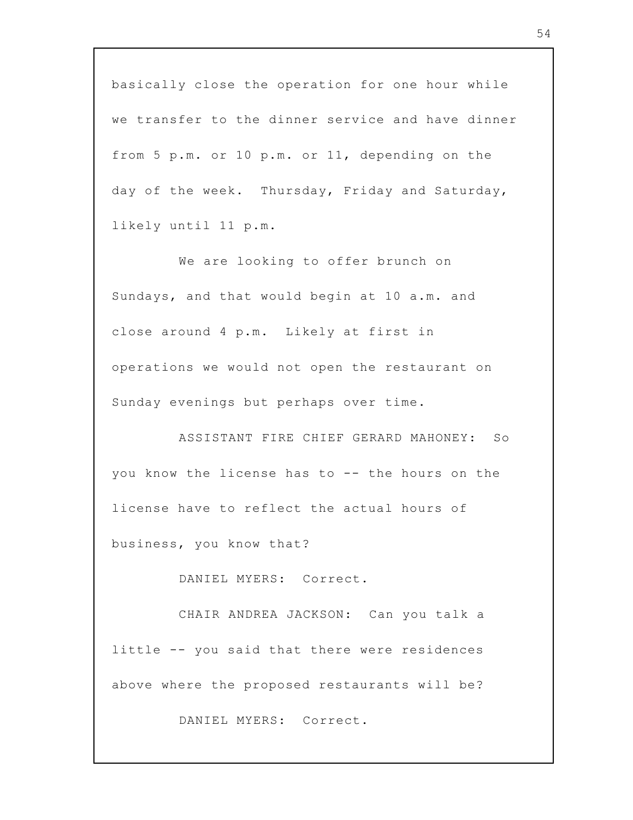basically close the operation for one hour while we transfer to the dinner service and have dinner from 5 p.m. or 10 p.m. or 11, depending on the day of the week. Thursday, Friday and Saturday, likely until 11 p.m.

We are looking to offer brunch on Sundays, and that would begin at 10 a.m. and close around 4 p.m. Likely at first in operations we would not open the restaurant on Sunday evenings but perhaps over time.

ASSISTANT FIRE CHIEF GERARD MAHONEY: So you know the license has to -- the hours on the license have to reflect the actual hours of business, you know that?

DANIEL MYERS: Correct.

CHAIR ANDREA JACKSON: Can you talk a little -- you said that there were residences above where the proposed restaurants will be?

DANIEL MYERS: Correct.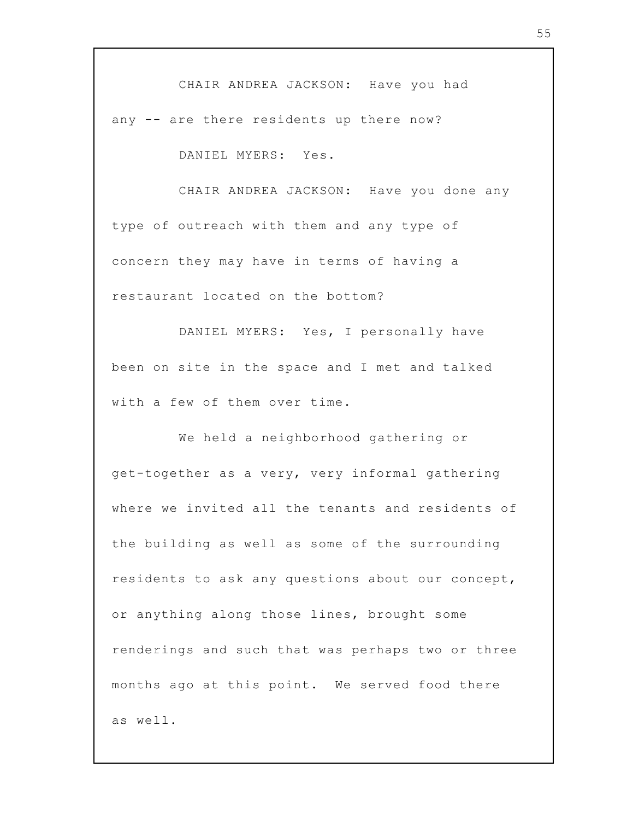CHAIR ANDREA JACKSON: Have you had any -- are there residents up there now?

DANIEL MYERS: Yes.

CHAIR ANDREA JACKSON: Have you done any type of outreach with them and any type of concern they may have in terms of having a restaurant located on the bottom?

DANIEL MYERS: Yes, I personally have been on site in the space and I met and talked with a few of them over time.

We held a neighborhood gathering or get-together as a very, very informal gathering where we invited all the tenants and residents of the building as well as some of the surrounding residents to ask any questions about our concept, or anything along those lines, brought some renderings and such that was perhaps two or three months ago at this point. We served food there as well.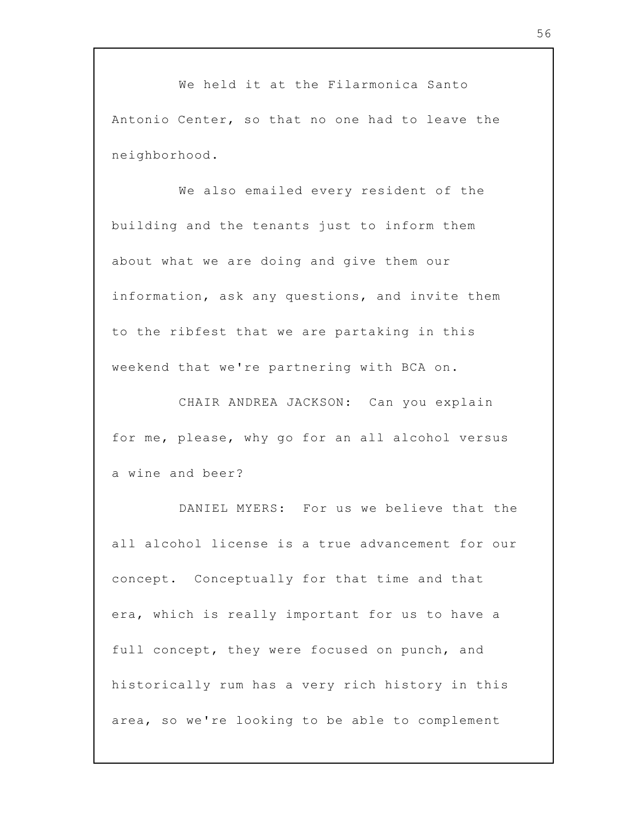We held it at the Filarmonica Santo Antonio Center, so that no one had to leave the neighborhood.

We also emailed every resident of the building and the tenants just to inform them about what we are doing and give them our information, ask any questions, and invite them to the ribfest that we are partaking in this weekend that we're partnering with BCA on.

CHAIR ANDREA JACKSON: Can you explain for me, please, why go for an all alcohol versus a wine and beer?

DANIEL MYERS: For us we believe that the all alcohol license is a true advancement for our concept. Conceptually for that time and that era, which is really important for us to have a full concept, they were focused on punch, and historically rum has a very rich history in this area, so we're looking to be able to complement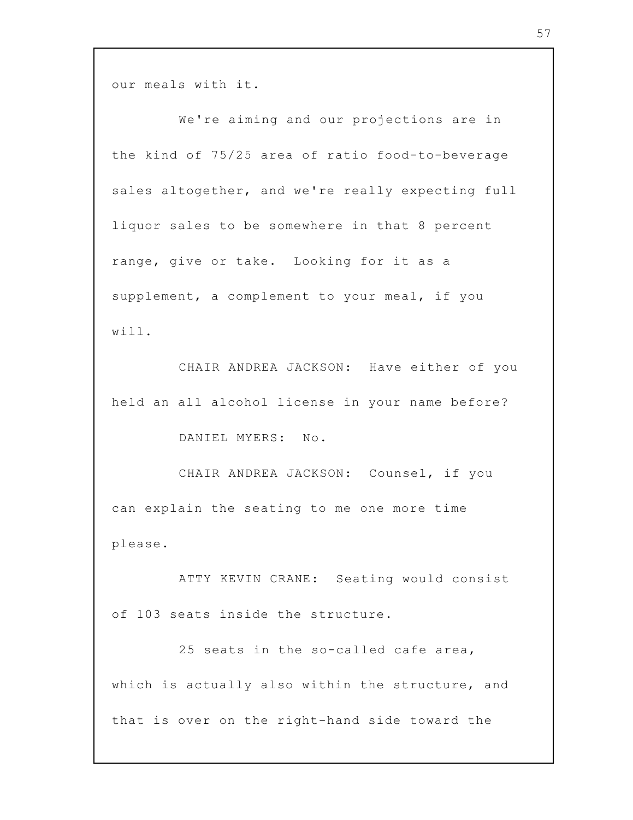our meals with it.

We're aiming and our projections are in the kind of 75/25 area of ratio food-to-beverage sales altogether, and we're really expecting full liquor sales to be somewhere in that 8 percent range, give or take. Looking for it as a supplement, a complement to your meal, if you will.

CHAIR ANDREA JACKSON: Have either of you held an all alcohol license in your name before?

DANIEL MYERS: No.

CHAIR ANDREA JACKSON: Counsel, if you can explain the seating to me one more time please.

ATTY KEVIN CRANE: Seating would consist of 103 seats inside the structure.

25 seats in the so-called cafe area, which is actually also within the structure, and that is over on the right-hand side toward the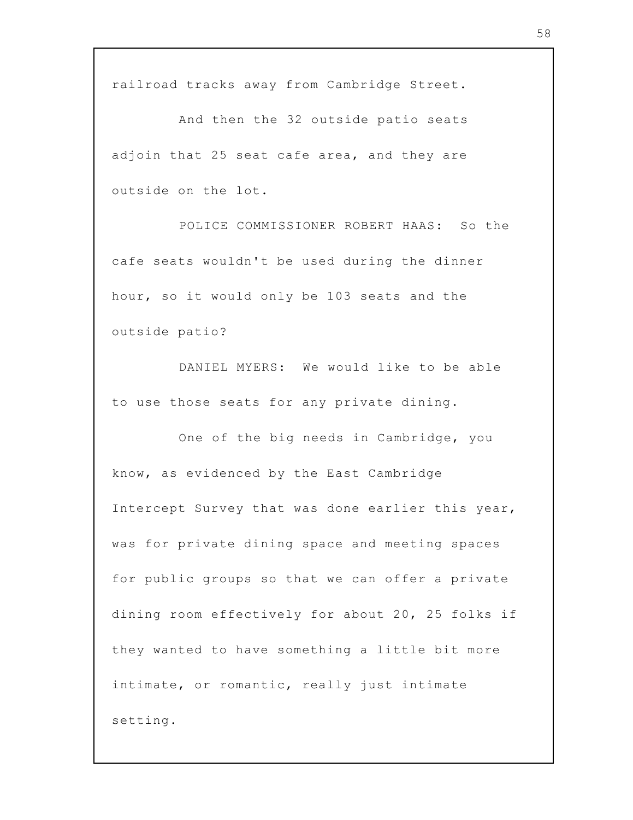railroad tracks away from Cambridge Street.

And then the 32 outside patio seats adjoin that 25 seat cafe area, and they are outside on the lot.

POLICE COMMISSIONER ROBERT HAAS: So the cafe seats wouldn't be used during the dinner hour, so it would only be 103 seats and the outside patio?

DANIEL MYERS: We would like to be able to use those seats for any private dining.

One of the big needs in Cambridge, you know, as evidenced by the East Cambridge Intercept Survey that was done earlier this year, was for private dining space and meeting spaces for public groups so that we can offer a private dining room effectively for about 20, 25 folks if they wanted to have something a little bit more intimate, or romantic, really just intimate setting.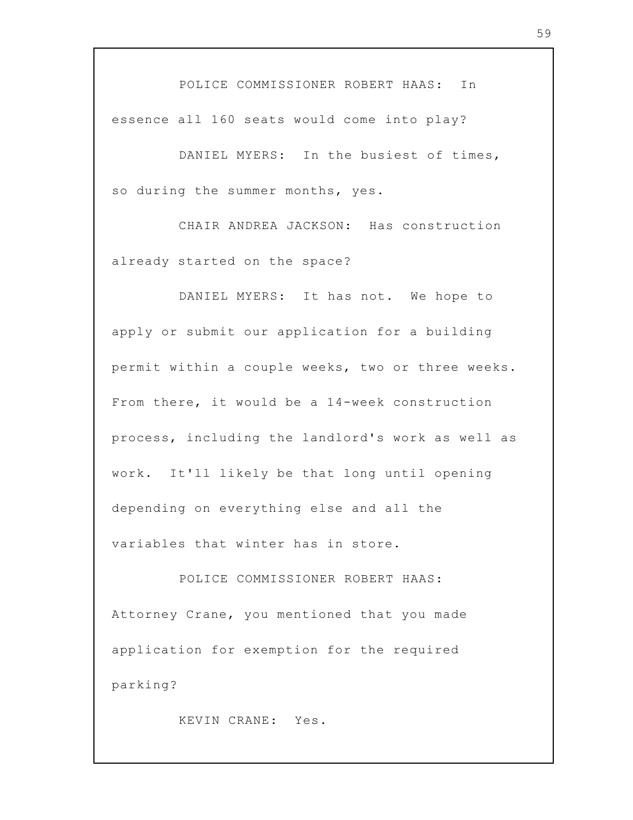POLICE COMMISSIONER ROBERT HAAS: In essence all 160 seats would come into play?

DANIEL MYERS: In the busiest of times, so during the summer months, yes.

CHAIR ANDREA JACKSON: Has construction already started on the space?

DANIEL MYERS: It has not. We hope to apply or submit our application for a building permit within a couple weeks, two or three weeks. From there, it would be a 14-week construction process, including the landlord's work as well as work. It'll likely be that long until opening depending on everything else and all the variables that winter has in store.

POLICE COMMISSIONER ROBERT HAAS: Attorney Crane, you mentioned that you made application for exemption for the required parking?

KEVIN CRANE: Yes.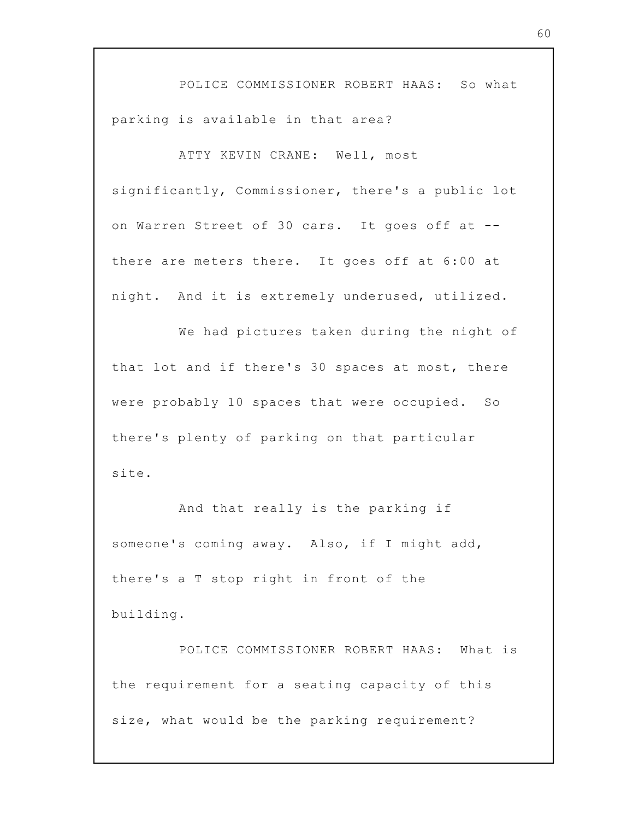POLICE COMMISSIONER ROBERT HAAS: So what parking is available in that area?

ATTY KEVIN CRANE: Well, most significantly, Commissioner, there's a public lot on Warren Street of 30 cars. It goes off at - there are meters there. It goes off at 6:00 at night. And it is extremely underused, utilized.

We had pictures taken during the night of that lot and if there's 30 spaces at most, there were probably 10 spaces that were occupied. So there's plenty of parking on that particular site.

And that really is the parking if someone's coming away. Also, if I might add, there's a T stop right in front of the building.

POLICE COMMISSIONER ROBERT HAAS: What is the requirement for a seating capacity of this size, what would be the parking requirement?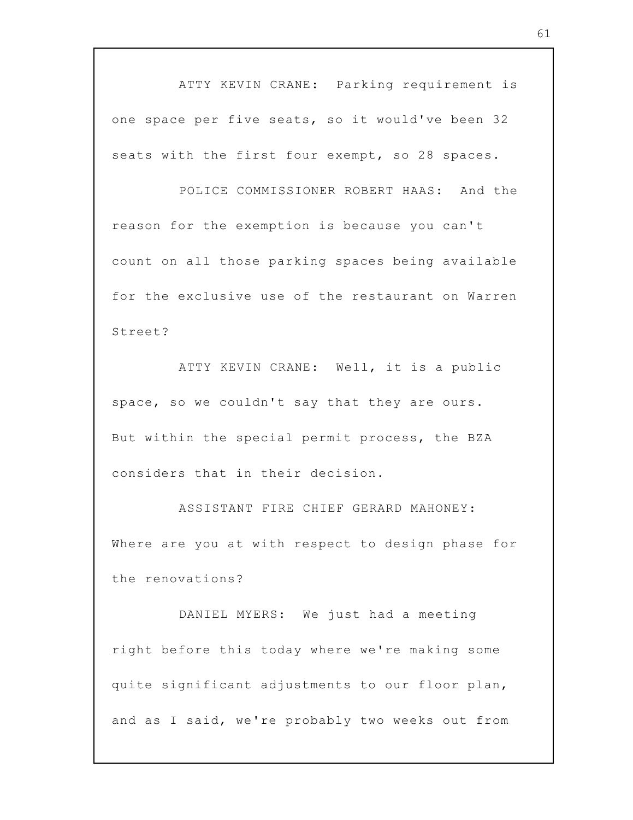ATTY KEVIN CRANE: Parking requirement is one space per five seats, so it would've been 32 seats with the first four exempt, so 28 spaces.

POLICE COMMISSIONER ROBERT HAAS: And the reason for the exemption is because you can't count on all those parking spaces being available for the exclusive use of the restaurant on Warren Street?

ATTY KEVIN CRANE: Well, it is a public space, so we couldn't say that they are ours. But within the special permit process, the BZA considers that in their decision.

ASSISTANT FIRE CHIEF GERARD MAHONEY: Where are you at with respect to design phase for the renovations?

DANIEL MYERS: We just had a meeting right before this today where we're making some quite significant adjustments to our floor plan, and as I said, we're probably two weeks out from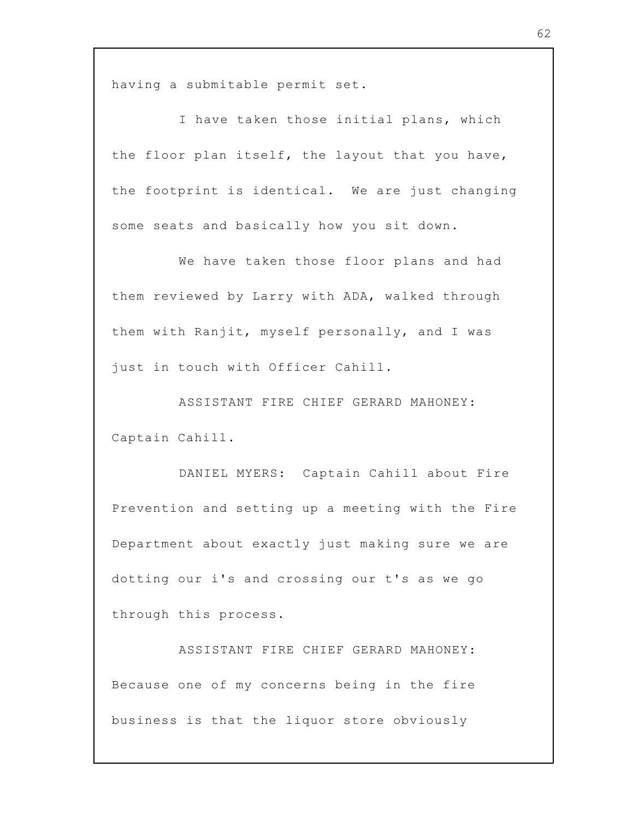having a submitable permit set.

I have taken those initial plans, which the floor plan itself, the layout that you have, the footprint is identical. We are just changing some seats and basically how you sit down.

We have taken those floor plans and had them reviewed by Larry with ADA, walked through them with Ranjit, myself personally, and I was just in touch with Officer Cahill.

ASSISTANT FIRE CHIEF GERARD MAHONEY: Captain Cahill.

DANIEL MYERS: Captain Cahill about Fire Prevention and setting up a meeting with the Fire Department about exactly just making sure we are dotting our i's and crossing our t's as we go through this process.

ASSISTANT FIRE CHIEF GERARD MAHONEY: Because one of my concerns being in the fire business is that the liquor store obviously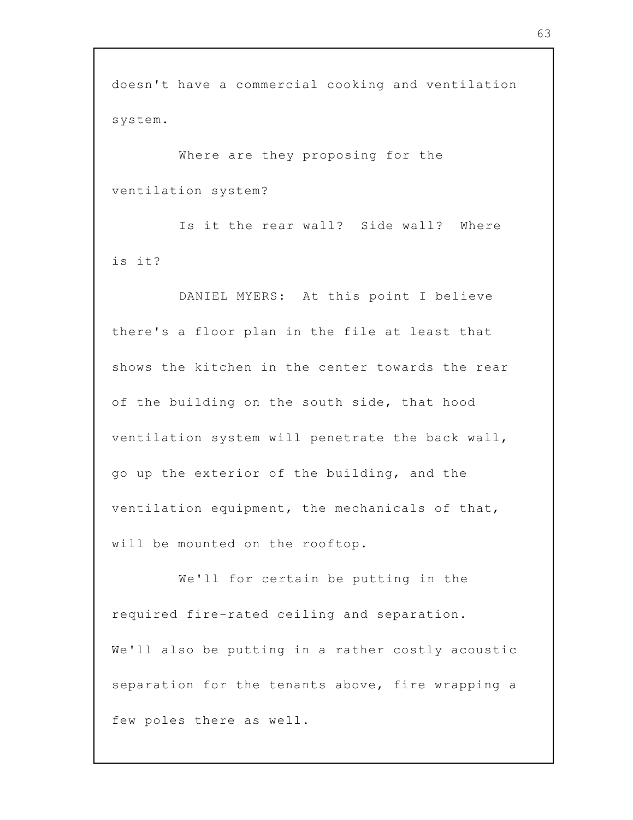doesn't have a commercial cooking and ventilation system.

Where are they proposing for the ventilation system?

Is it the rear wall? Side wall? Where is it?

DANIEL MYERS: At this point I believe there's a floor plan in the file at least that shows the kitchen in the center towards the rear of the building on the south side, that hood ventilation system will penetrate the back wall, go up the exterior of the building, and the ventilation equipment, the mechanicals of that, will be mounted on the rooftop.

We'll for certain be putting in the required fire-rated ceiling and separation. We'll also be putting in a rather costly acoustic separation for the tenants above, fire wrapping a few poles there as well.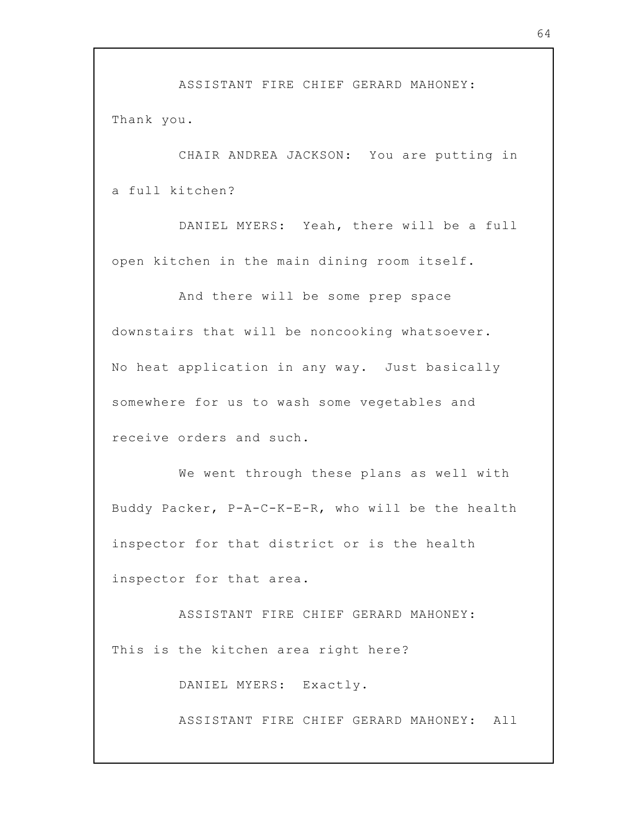ASSISTANT FIRE CHIEF GERARD MAHONEY: Thank you.

CHAIR ANDREA JACKSON: You are putting in a full kitchen?

DANIEL MYERS: Yeah, there will be a full open kitchen in the main dining room itself.

And there will be some prep space downstairs that will be noncooking whatsoever. No heat application in any way. Just basically somewhere for us to wash some vegetables and receive orders and such.

We went through these plans as well with Buddy Packer, P-A-C-K-E-R, who will be the health inspector for that district or is the health inspector for that area.

ASSISTANT FIRE CHIEF GERARD MAHONEY: This is the kitchen area right here?

DANIEL MYERS: Exactly.

ASSISTANT FIRE CHIEF GERARD MAHONEY: All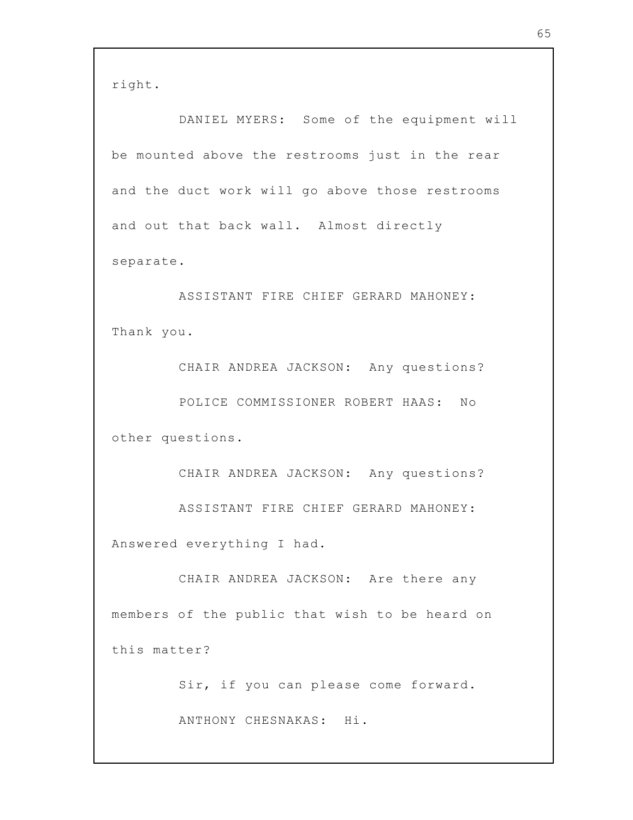right.

DANIEL MYERS: Some of the equipment will be mounted above the restrooms just in the rear and the duct work will go above those restrooms and out that back wall. Almost directly separate.

ASSISTANT FIRE CHIEF GERARD MAHONEY: Thank you.

CHAIR ANDREA JACKSON: Any questions? POLICE COMMISSIONER ROBERT HAAS: No other questions.

CHAIR ANDREA JACKSON: Any questions? ASSISTANT FIRE CHIEF GERARD MAHONEY: Answered everything I had.

CHAIR ANDREA JACKSON: Are there any members of the public that wish to be heard on this matter?

Sir, if you can please come forward.

ANTHONY CHESNAKAS: Hi.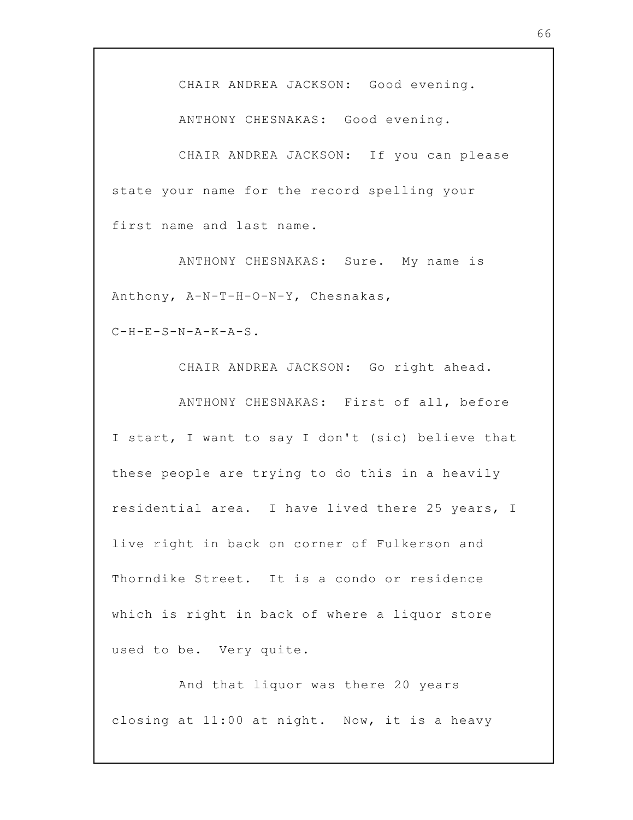CHAIR ANDREA JACKSON: Good evening.

ANTHONY CHESNAKAS: Good evening.

CHAIR ANDREA JACKSON: If you can please state your name for the record spelling your first name and last name.

ANTHONY CHESNAKAS: Sure. My name is Anthony, A-N-T-H-O-N-Y, Chesnakas,

 $C-H-E-S-N-A-K-A-S$ .

CHAIR ANDREA JACKSON: Go right ahead.

ANTHONY CHESNAKAS: First of all, before I start, I want to say I don't (sic) believe that these people are trying to do this in a heavily residential area. I have lived there 25 years, I live right in back on corner of Fulkerson and Thorndike Street. It is a condo or residence which is right in back of where a liquor store used to be. Very quite.

And that liquor was there 20 years closing at 11:00 at night. Now, it is a heavy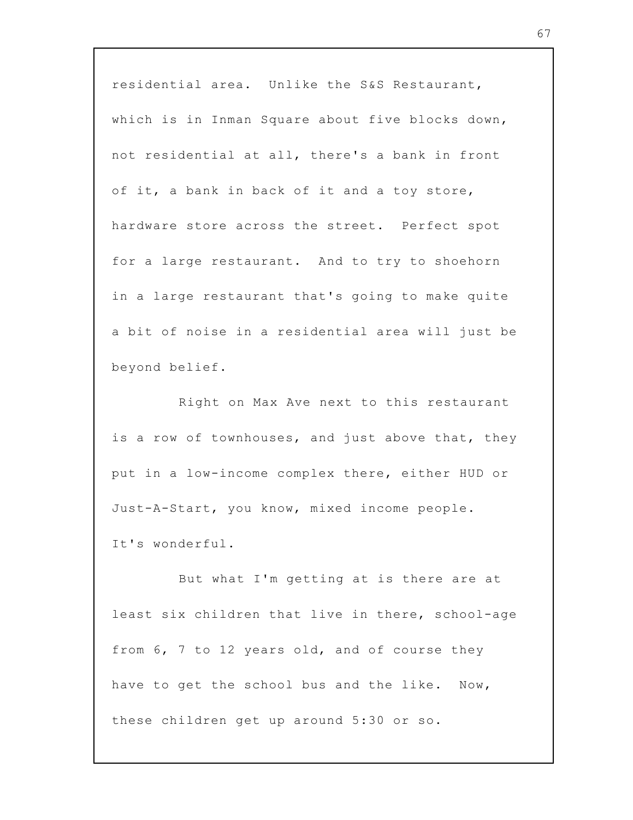residential area. Unlike the S&S Restaurant, which is in Inman Square about five blocks down, not residential at all, there's a bank in front of it, a bank in back of it and a toy store, hardware store across the street. Perfect spot for a large restaurant. And to try to shoehorn in a large restaurant that's going to make quite a bit of noise in a residential area will just be beyond belief.

Right on Max Ave next to this restaurant is a row of townhouses, and just above that, they put in a low-income complex there, either HUD or Just-A-Start, you know, mixed income people. It's wonderful.

But what I'm getting at is there are at least six children that live in there, school-age from 6, 7 to 12 years old, and of course they have to get the school bus and the like. Now, these children get up around 5:30 or so.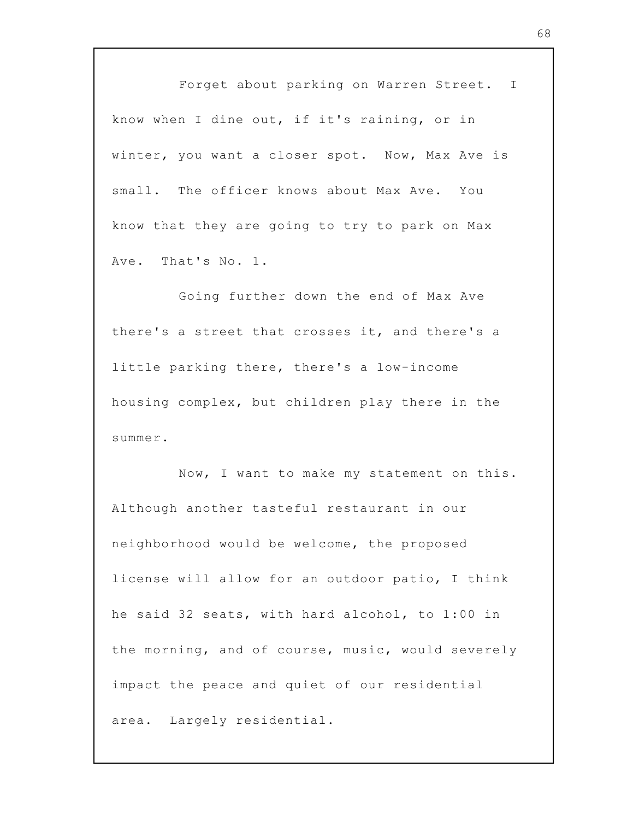Forget about parking on Warren Street. I know when I dine out, if it's raining, or in winter, you want a closer spot. Now, Max Ave is small. The officer knows about Max Ave. You know that they are going to try to park on Max Ave. That's No. 1.

Going further down the end of Max Ave there's a street that crosses it, and there's a little parking there, there's a low-income housing complex, but children play there in the summer.

Now, I want to make my statement on this. Although another tasteful restaurant in our neighborhood would be welcome, the proposed license will allow for an outdoor patio, I think he said 32 seats, with hard alcohol, to 1:00 in the morning, and of course, music, would severely impact the peace and quiet of our residential area. Largely residential.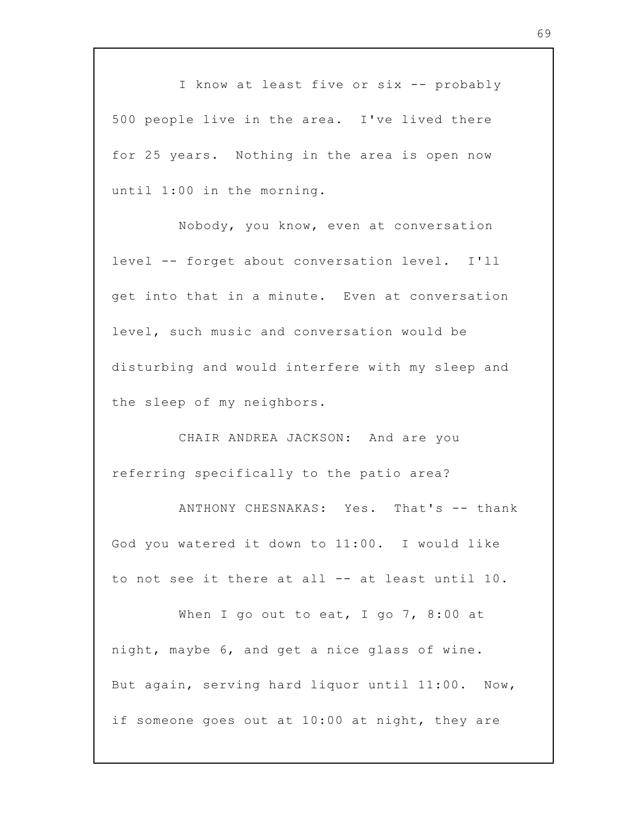I know at least five or six -- probably 500 people live in the area. I've lived there for 25 years. Nothing in the area is open now until 1:00 in the morning.

Nobody, you know, even at conversation level -- forget about conversation level. I'll get into that in a minute. Even at conversation level, such music and conversation would be disturbing and would interfere with my sleep and the sleep of my neighbors.

CHAIR ANDREA JACKSON: And are you referring specifically to the patio area?

ANTHONY CHESNAKAS: Yes. That's -- thank God you watered it down to 11:00. I would like to not see it there at all -- at least until 10.

When I go out to eat, I go 7, 8:00 at night, maybe 6, and get a nice glass of wine. But again, serving hard liquor until 11:00. Now, if someone goes out at 10:00 at night, they are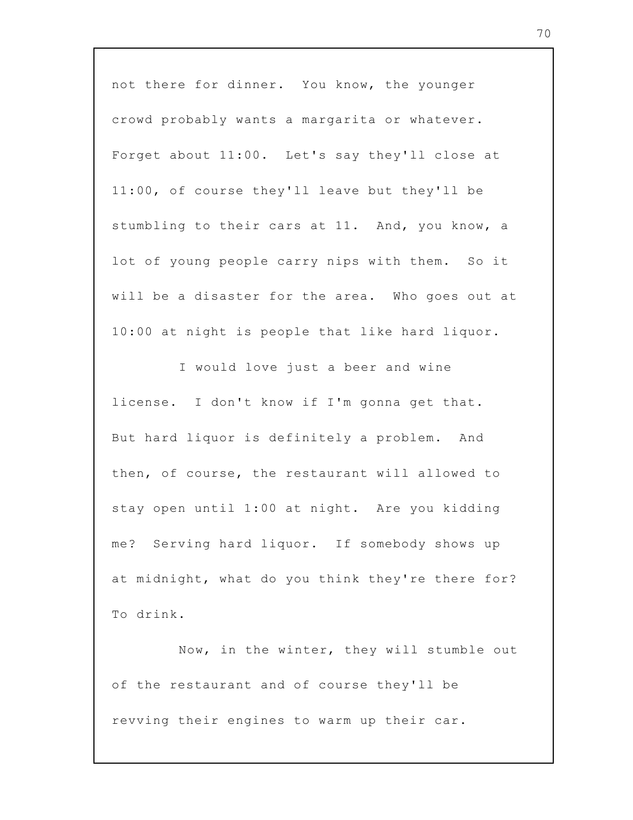not there for dinner. You know, the younger crowd probably wants a margarita or whatever. Forget about 11:00. Let's say they'll close at 11:00, of course they'll leave but they'll be stumbling to their cars at 11. And, you know, a lot of young people carry nips with them. So it will be a disaster for the area. Who goes out at 10:00 at night is people that like hard liquor.

I would love just a beer and wine license. I don't know if I'm gonna get that. But hard liquor is definitely a problem. And then, of course, the restaurant will allowed to stay open until 1:00 at night. Are you kidding me? Serving hard liquor. If somebody shows up at midnight, what do you think they're there for? To drink.

Now, in the winter, they will stumble out of the restaurant and of course they'll be revving their engines to warm up their car.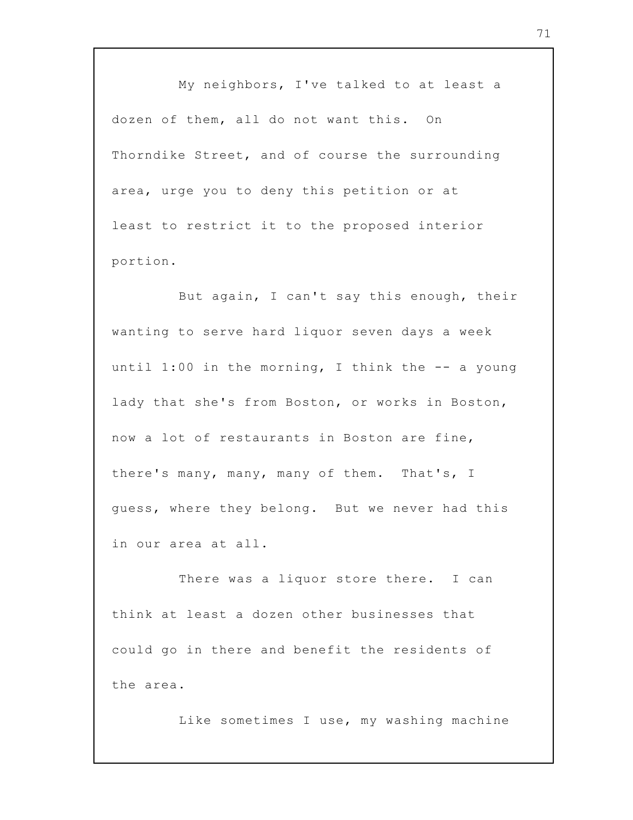My neighbors, I've talked to at least a dozen of them, all do not want this. On Thorndike Street, and of course the surrounding area, urge you to deny this petition or at least to restrict it to the proposed interior portion.

But again, I can't say this enough, their wanting to serve hard liquor seven days a week until 1:00 in the morning, I think the  $-$ - a young lady that she's from Boston, or works in Boston, now a lot of restaurants in Boston are fine, there's many, many, many of them. That's, I guess, where they belong. But we never had this in our area at all.

There was a liquor store there. I can think at least a dozen other businesses that could go in there and benefit the residents of the area.

Like sometimes I use, my washing machine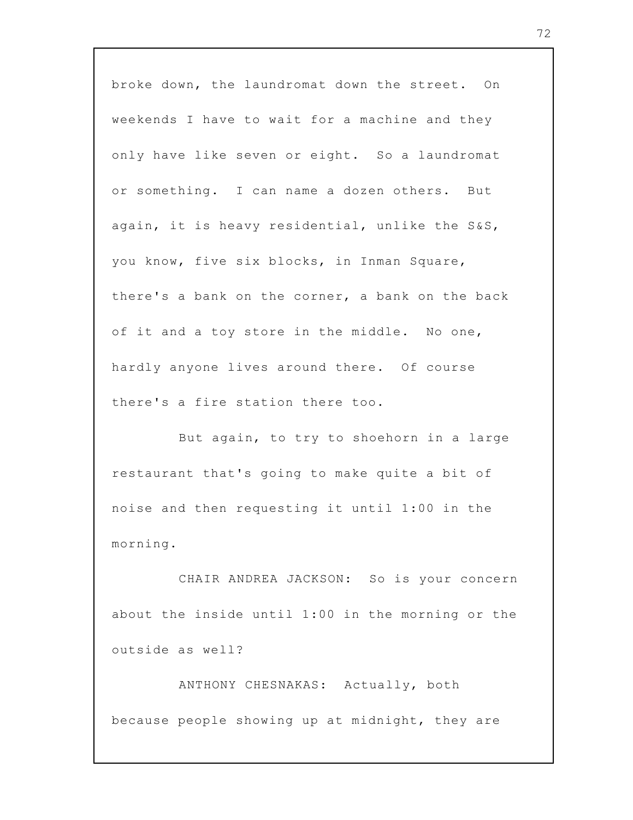broke down, the laundromat down the street. On weekends I have to wait for a machine and they only have like seven or eight. So a laundromat or something. I can name a dozen others. But again, it is heavy residential, unlike the S&S, you know, five six blocks, in Inman Square, there's a bank on the corner, a bank on the back of it and a toy store in the middle. No one, hardly anyone lives around there. Of course there's a fire station there too.

But again, to try to shoehorn in a large restaurant that's going to make quite a bit of noise and then requesting it until 1:00 in the morning.

CHAIR ANDREA JACKSON: So is your concern about the inside until 1:00 in the morning or the outside as well?

ANTHONY CHESNAKAS: Actually, both because people showing up at midnight, they are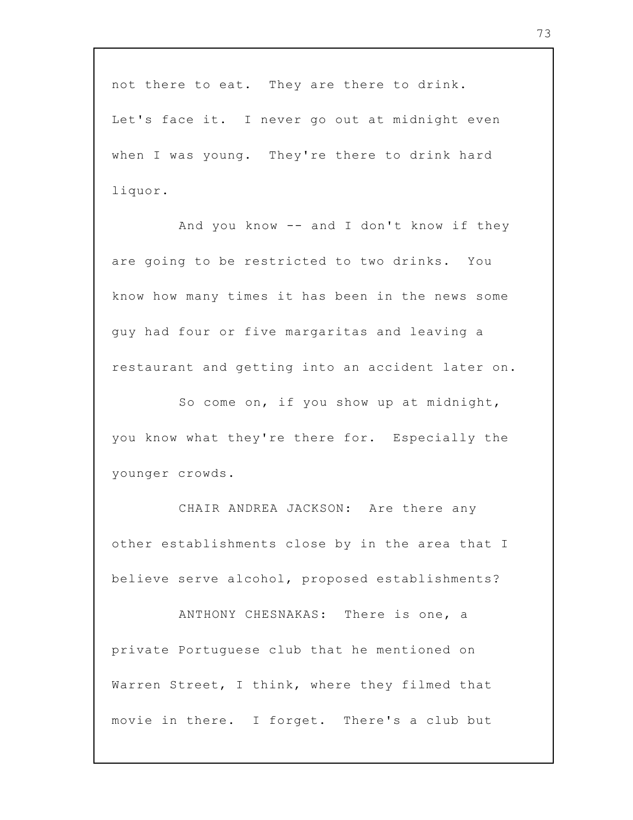not there to eat. They are there to drink. Let's face it. I never go out at midnight even when I was young. They're there to drink hard liquor.

And you know -- and I don't know if they are going to be restricted to two drinks. You know how many times it has been in the news some guy had four or five margaritas and leaving a restaurant and getting into an accident later on.

So come on, if you show up at midnight, you know what they're there for. Especially the younger crowds.

CHAIR ANDREA JACKSON: Are there any other establishments close by in the area that I believe serve alcohol, proposed establishments?

ANTHONY CHESNAKAS: There is one, a private Portuguese club that he mentioned on Warren Street, I think, where they filmed that movie in there. I forget. There's a club but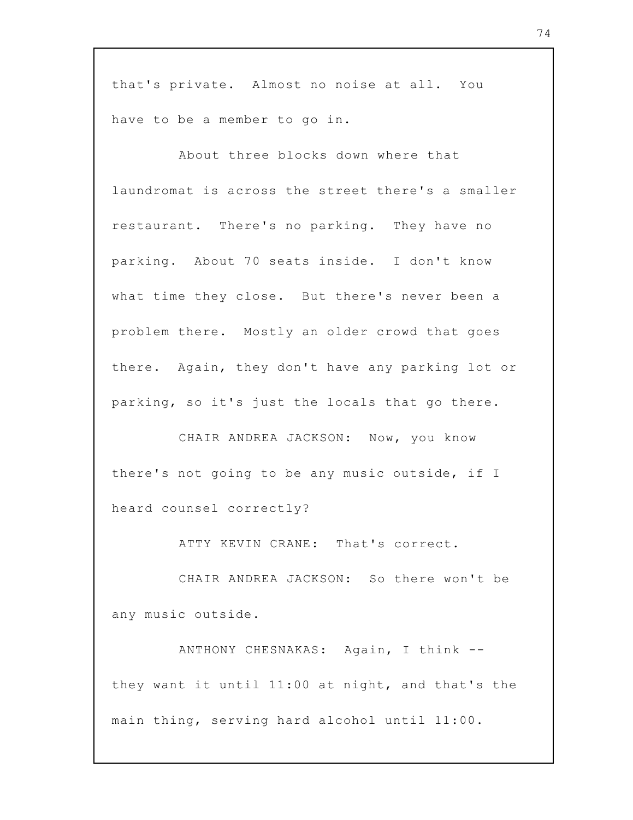that's private. Almost no noise at all. You have to be a member to go in.

About three blocks down where that laundromat is across the street there's a smaller restaurant. There's no parking. They have no parking. About 70 seats inside. I don't know what time they close. But there's never been a problem there. Mostly an older crowd that goes there. Again, they don't have any parking lot or parking, so it's just the locals that go there.

CHAIR ANDREA JACKSON: Now, you know there's not going to be any music outside, if I heard counsel correctly?

ATTY KEVIN CRANE: That's correct.

CHAIR ANDREA JACKSON: So there won't be any music outside.

ANTHONY CHESNAKAS: Again, I think - they want it until 11:00 at night, and that's the main thing, serving hard alcohol until 11:00.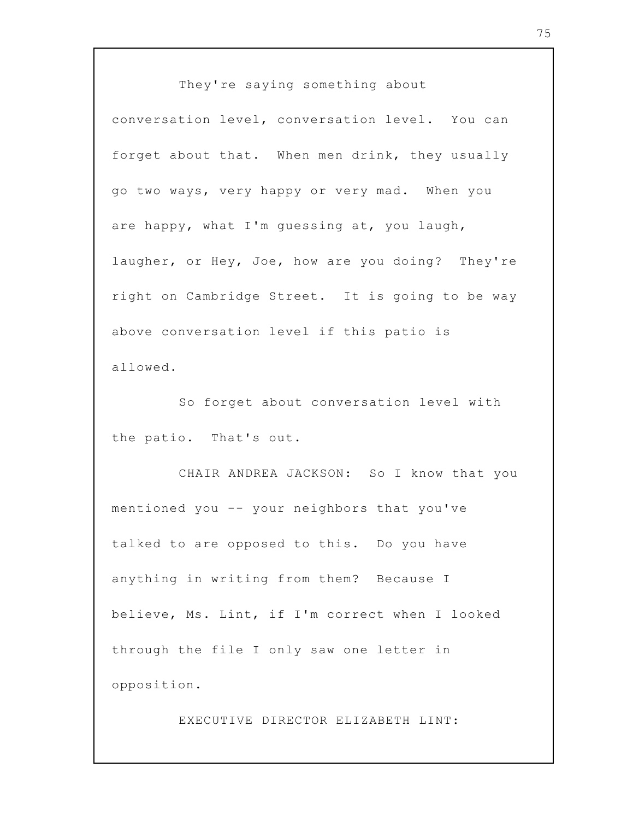They're saying something about conversation level, conversation level. You can forget about that. When men drink, they usually go two ways, very happy or very mad. When you are happy, what I'm guessing at, you laugh, laugher, or Hey, Joe, how are you doing? They're right on Cambridge Street. It is going to be way above conversation level if this patio is allowed.

So forget about conversation level with the patio. That's out.

CHAIR ANDREA JACKSON: So I know that you mentioned you -- your neighbors that you've talked to are opposed to this. Do you have anything in writing from them? Because I believe, Ms. Lint, if I'm correct when I looked through the file I only saw one letter in opposition.

EXECUTIVE DIRECTOR ELIZABETH LINT: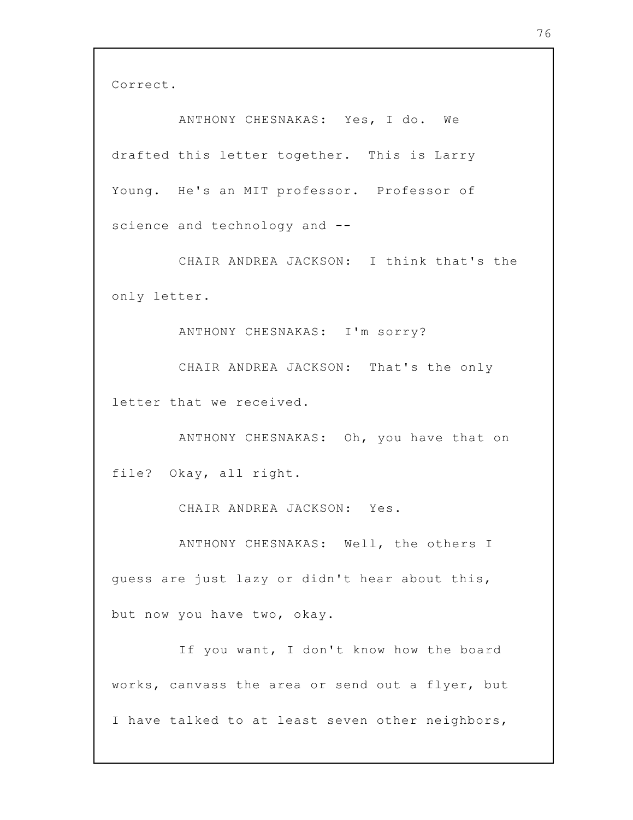Correct.

ANTHONY CHESNAKAS: Yes, I do. We drafted this letter together. This is Larry Young. He's an MIT professor. Professor of science and technology and --

CHAIR ANDREA JACKSON: I think that's the only letter.

ANTHONY CHESNAKAS: I'm sorry?

CHAIR ANDREA JACKSON: That's the only letter that we received.

ANTHONY CHESNAKAS: Oh, you have that on file? Okay, all right.

CHAIR ANDREA JACKSON: Yes.

ANTHONY CHESNAKAS: Well, the others I guess are just lazy or didn't hear about this, but now you have two, okay.

If you want, I don't know how the board works, canvass the area or send out a flyer, but I have talked to at least seven other neighbors,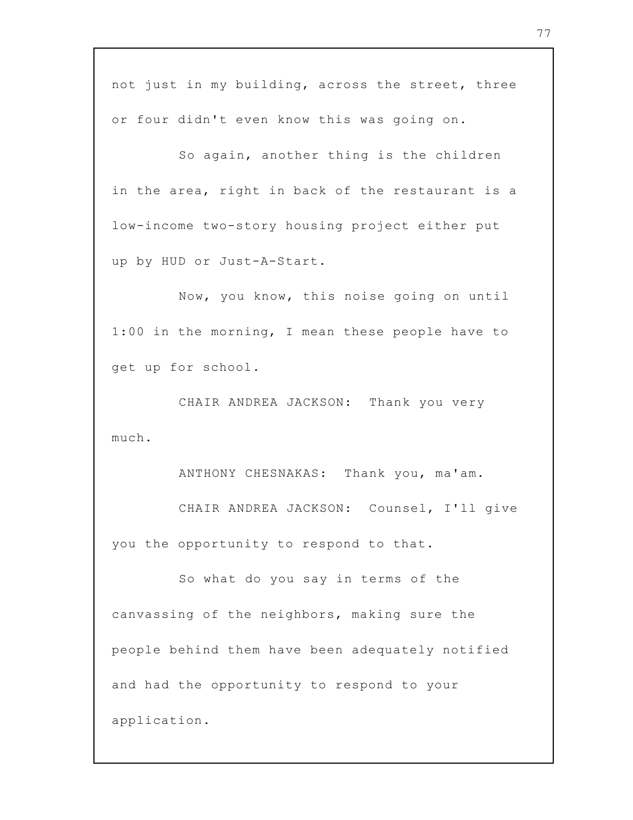not just in my building, across the street, three or four didn't even know this was going on.

So again, another thing is the children in the area, right in back of the restaurant is a low-income two-story housing project either put up by HUD or Just-A-Start.

Now, you know, this noise going on until 1:00 in the morning, I mean these people have to get up for school.

CHAIR ANDREA JACKSON: Thank you very much.

ANTHONY CHESNAKAS: Thank you, ma'am.

CHAIR ANDREA JACKSON: Counsel, I'll give you the opportunity to respond to that.

So what do you say in terms of the canvassing of the neighbors, making sure the people behind them have been adequately notified and had the opportunity to respond to your application.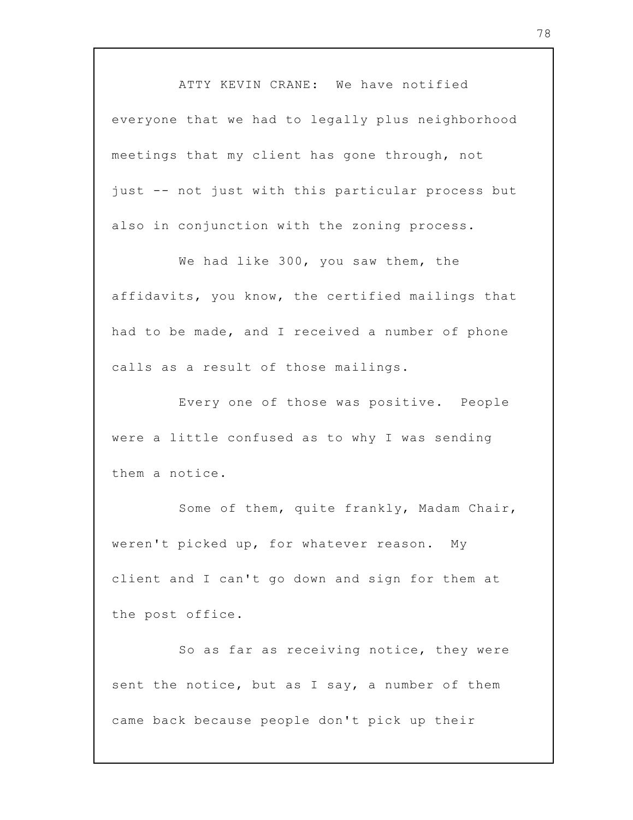ATTY KEVIN CRANE: We have notified everyone that we had to legally plus neighborhood meetings that my client has gone through, not just -- not just with this particular process but also in conjunction with the zoning process.

We had like 300, you saw them, the affidavits, you know, the certified mailings that had to be made, and I received a number of phone calls as a result of those mailings.

Every one of those was positive. People were a little confused as to why I was sending them a notice.

Some of them, quite frankly, Madam Chair, weren't picked up, for whatever reason. My client and I can't go down and sign for them at the post office.

So as far as receiving notice, they were sent the notice, but as I say, a number of them came back because people don't pick up their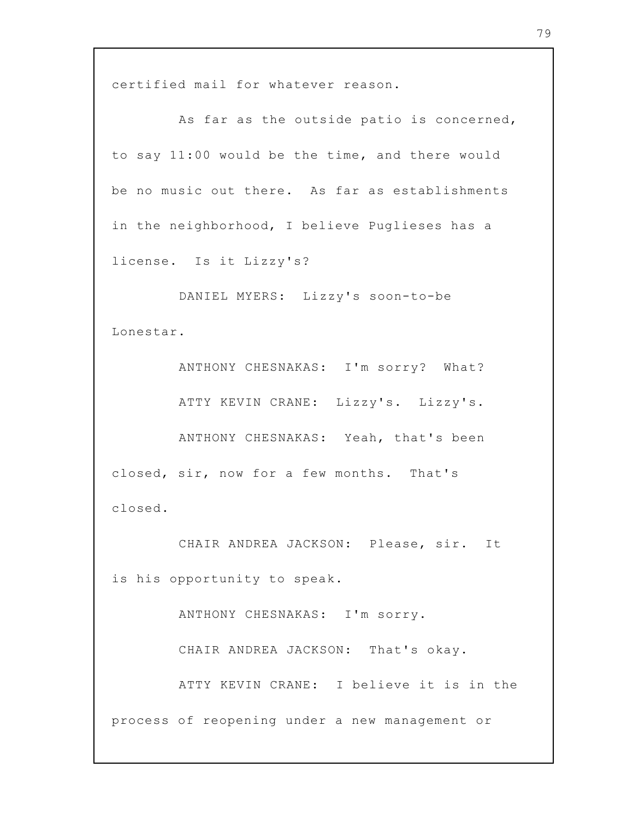certified mail for whatever reason.

As far as the outside patio is concerned, to say 11:00 would be the time, and there would be no music out there. As far as establishments in the neighborhood, I believe Puglieses has a license. Is it Lizzy's?

DANIEL MYERS: Lizzy's soon-to-be Lonestar.

ANTHONY CHESNAKAS: I'm sorry? What? ATTY KEVIN CRANE: Lizzy's. Lizzy's. ANTHONY CHESNAKAS: Yeah, that's been closed, sir, now for a few months. That's closed.

CHAIR ANDREA JACKSON: Please, sir. It is his opportunity to speak.

ANTHONY CHESNAKAS: I'm sorry.

CHAIR ANDREA JACKSON: That's okay.

ATTY KEVIN CRANE: I believe it is in the

process of reopening under a new management or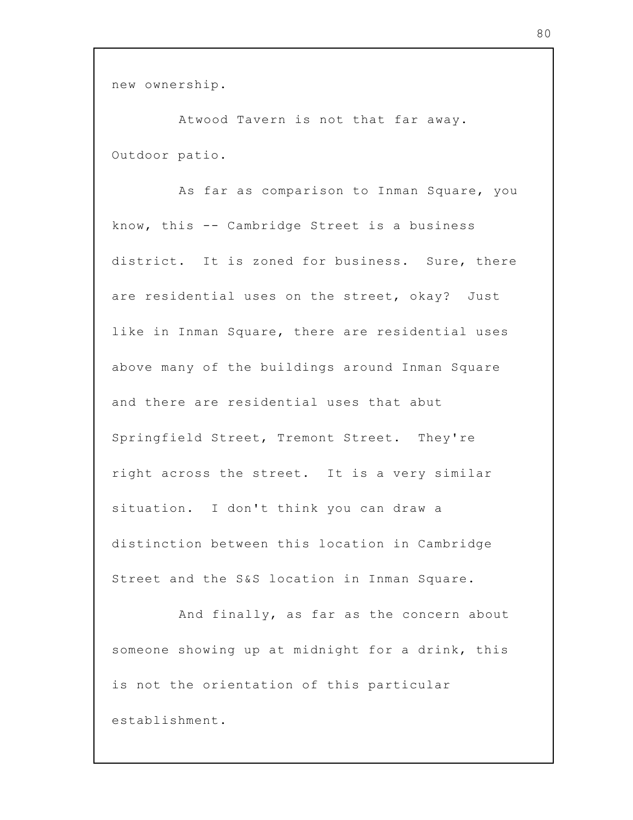new ownership.

Atwood Tavern is not that far away. Outdoor patio.

As far as comparison to Inman Square, you know, this -- Cambridge Street is a business district. It is zoned for business. Sure, there are residential uses on the street, okay? Just like in Inman Square, there are residential uses above many of the buildings around Inman Square and there are residential uses that abut Springfield Street, Tremont Street. They're right across the street. It is a very similar situation. I don't think you can draw a distinction between this location in Cambridge Street and the S&S location in Inman Square.

And finally, as far as the concern about someone showing up at midnight for a drink, this is not the orientation of this particular establishment.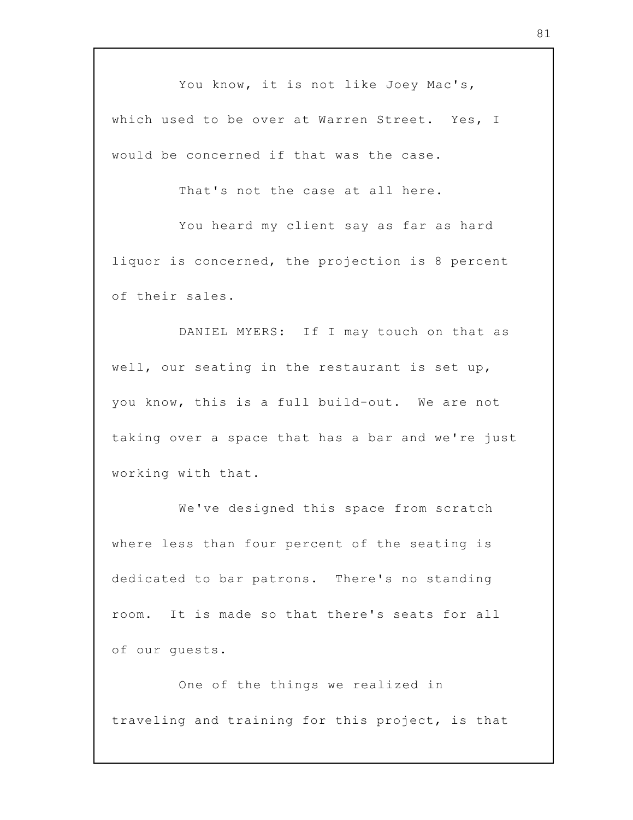You know, it is not like Joey Mac's, which used to be over at Warren Street. Yes, I would be concerned if that was the case.

That's not the case at all here.

You heard my client say as far as hard liquor is concerned, the projection is 8 percent of their sales.

DANIEL MYERS: If I may touch on that as well, our seating in the restaurant is set up, you know, this is a full build-out. We are not taking over a space that has a bar and we're just working with that.

We've designed this space from scratch where less than four percent of the seating is dedicated to bar patrons. There's no standing room. It is made so that there's seats for all of our guests.

One of the things we realized in traveling and training for this project, is that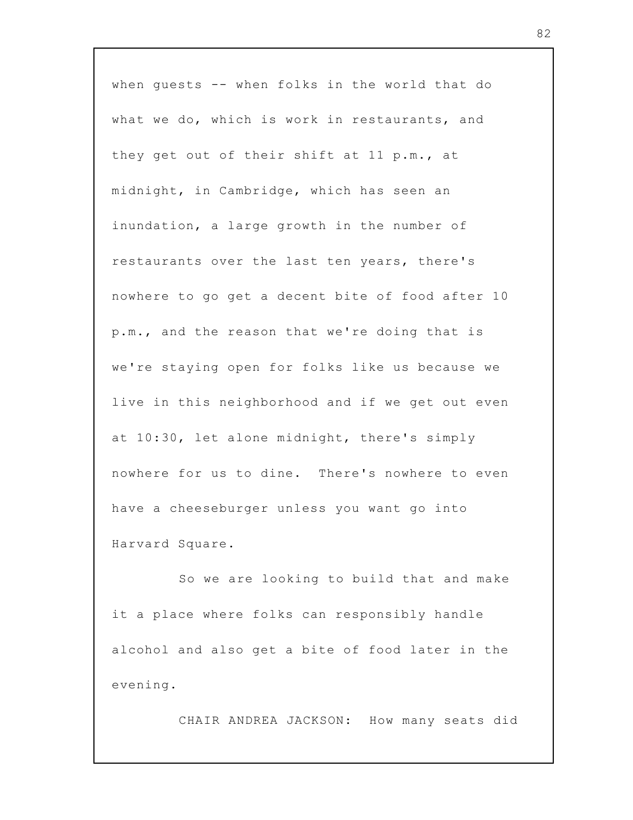when guests -- when folks in the world that do what we do, which is work in restaurants, and they get out of their shift at 11 p.m., at midnight, in Cambridge, which has seen an inundation, a large growth in the number of restaurants over the last ten years, there's nowhere to go get a decent bite of food after 10 p.m., and the reason that we're doing that is we're staying open for folks like us because we live in this neighborhood and if we get out even at 10:30, let alone midnight, there's simply nowhere for us to dine. There's nowhere to even have a cheeseburger unless you want go into Harvard Square.

So we are looking to build that and make it a place where folks can responsibly handle alcohol and also get a bite of food later in the evening.

CHAIR ANDREA JACKSON: How many seats did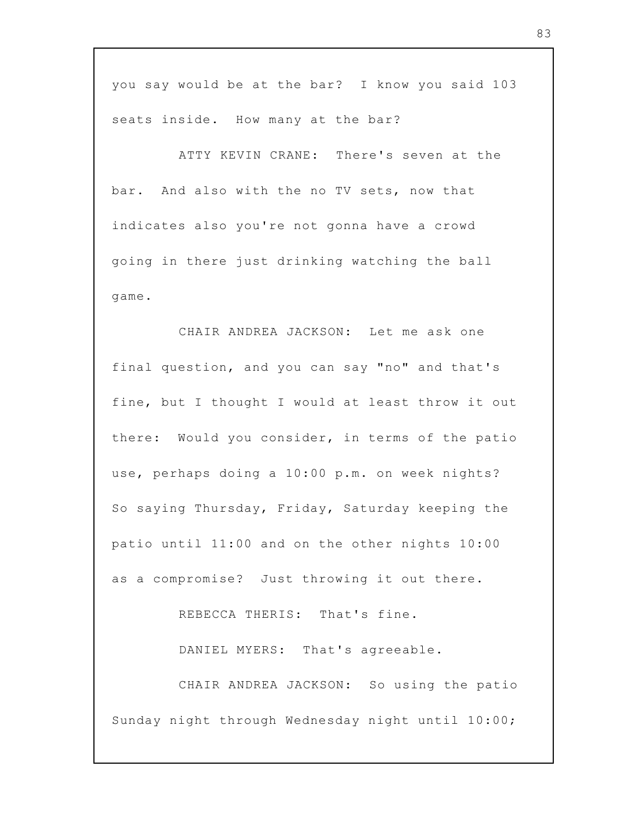you say would be at the bar? I know you said 103 seats inside. How many at the bar?

ATTY KEVIN CRANE: There's seven at the bar. And also with the no TV sets, now that indicates also you're not gonna have a crowd going in there just drinking watching the ball game.

CHAIR ANDREA JACKSON: Let me ask one final question, and you can say "no" and that's fine, but I thought I would at least throw it out there: Would you consider, in terms of the patio use, perhaps doing a 10:00 p.m. on week nights? So saying Thursday, Friday, Saturday keeping the patio until 11:00 and on the other nights 10:00 as a compromise? Just throwing it out there.

REBECCA THERIS: That's fine.

DANIEL MYERS: That's agreeable.

CHAIR ANDREA JACKSON: So using the patio Sunday night through Wednesday night until 10:00;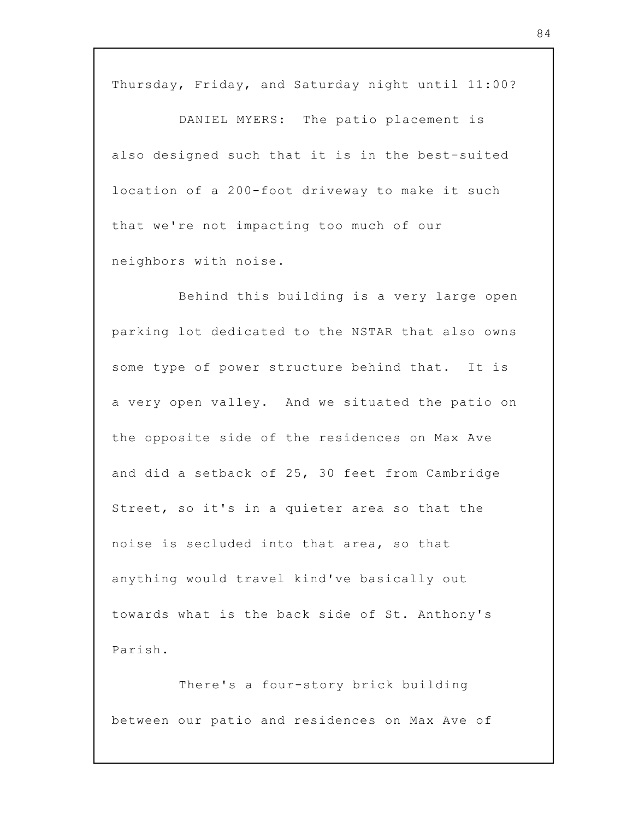Thursday, Friday, and Saturday night until 11:00?

DANIEL MYERS: The patio placement is also designed such that it is in the best-suited location of a 200-foot driveway to make it such that we're not impacting too much of our neighbors with noise.

Behind this building is a very large open parking lot dedicated to the NSTAR that also owns some type of power structure behind that. It is a very open valley. And we situated the patio on the opposite side of the residences on Max Ave and did a setback of 25, 30 feet from Cambridge Street, so it's in a quieter area so that the noise is secluded into that area, so that anything would travel kind've basically out towards what is the back side of St. Anthony's Parish.

There's a four-story brick building between our patio and residences on Max Ave of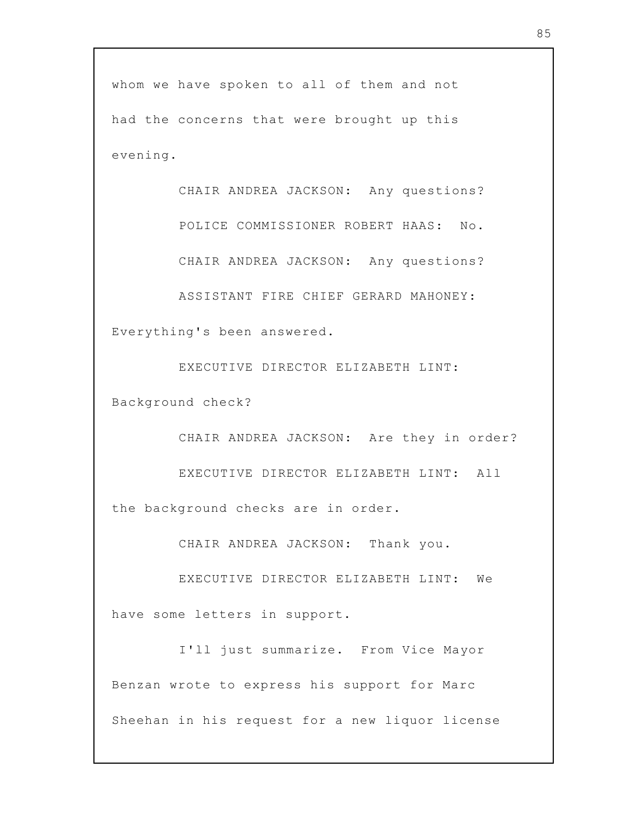whom we have spoken to all of them and not had the concerns that were brought up this evening.

CHAIR ANDREA JACKSON: Any questions?

POLICE COMMISSIONER ROBERT HAAS: No.

CHAIR ANDREA JACKSON: Any questions?

ASSISTANT FIRE CHIEF GERARD MAHONEY: Everything's been answered.

EXECUTIVE DIRECTOR ELIZABETH LINT: Background check?

CHAIR ANDREA JACKSON: Are they in order?

EXECUTIVE DIRECTOR ELIZABETH LINT: All the background checks are in order.

CHAIR ANDREA JACKSON: Thank you.

EXECUTIVE DIRECTOR ELIZABETH LINT: We have some letters in support.

I'll just summarize. From Vice Mayor Benzan wrote to express his support for Marc Sheehan in his request for a new liquor license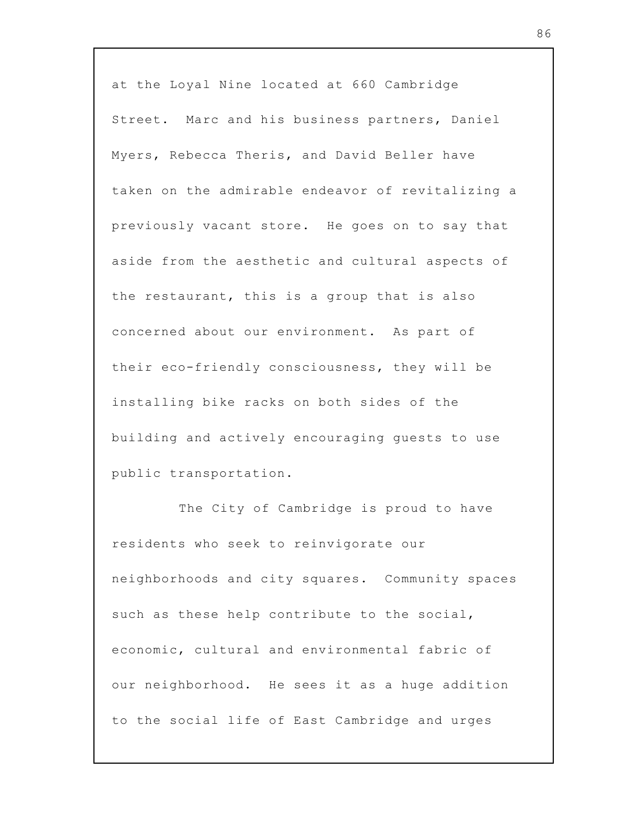at the Loyal Nine located at 660 Cambridge Street. Marc and his business partners, Daniel Myers, Rebecca Theris, and David Beller have taken on the admirable endeavor of revitalizing a previously vacant store. He goes on to say that aside from the aesthetic and cultural aspects of the restaurant, this is a group that is also concerned about our environment. As part of their eco-friendly consciousness, they will be installing bike racks on both sides of the building and actively encouraging guests to use public transportation.

The City of Cambridge is proud to have residents who seek to reinvigorate our neighborhoods and city squares. Community spaces such as these help contribute to the social, economic, cultural and environmental fabric of our neighborhood. He sees it as a huge addition to the social life of East Cambridge and urges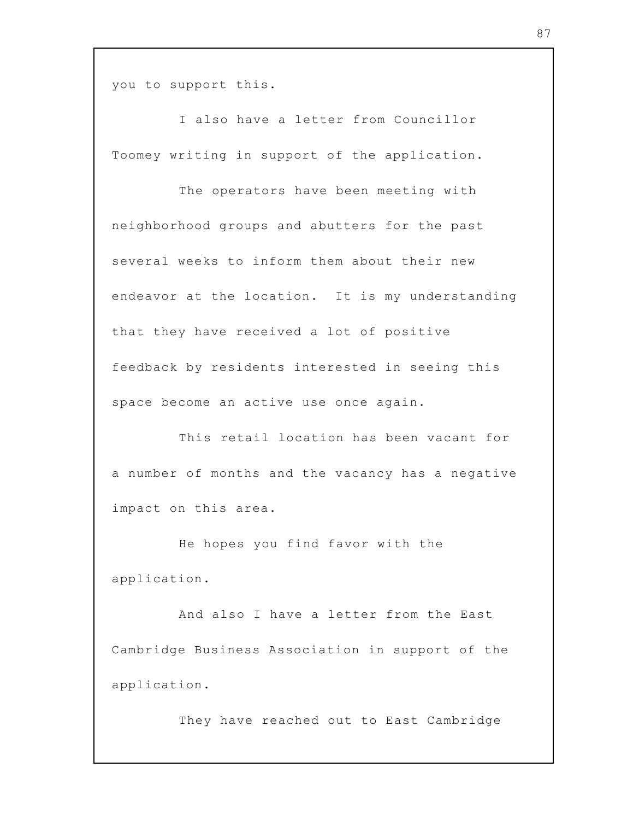you to support this.

I also have a letter from Councillor Toomey writing in support of the application.

The operators have been meeting with neighborhood groups and abutters for the past several weeks to inform them about their new endeavor at the location. It is my understanding that they have received a lot of positive feedback by residents interested in seeing this space become an active use once again.

This retail location has been vacant for a number of months and the vacancy has a negative impact on this area.

He hopes you find favor with the application.

And also I have a letter from the East Cambridge Business Association in support of the application.

They have reached out to East Cambridge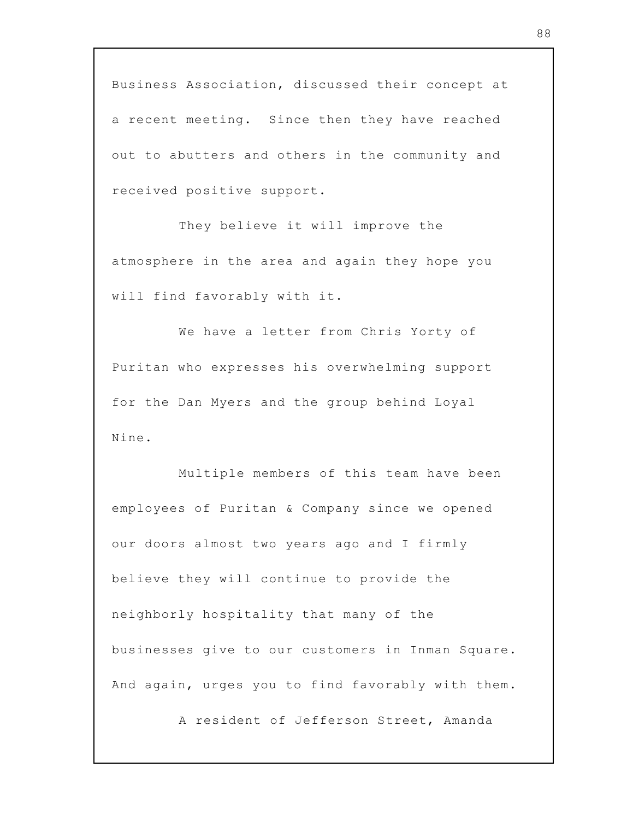Business Association, discussed their concept at a recent meeting. Since then they have reached out to abutters and others in the community and received positive support.

They believe it will improve the atmosphere in the area and again they hope you will find favorably with it.

We have a letter from Chris Yorty of Puritan who expresses his overwhelming support for the Dan Myers and the group behind Loyal Nine.

Multiple members of this team have been employees of Puritan & Company since we opened our doors almost two years ago and I firmly believe they will continue to provide the neighborly hospitality that many of the businesses give to our customers in Inman Square. And again, urges you to find favorably with them.

A resident of Jefferson Street, Amanda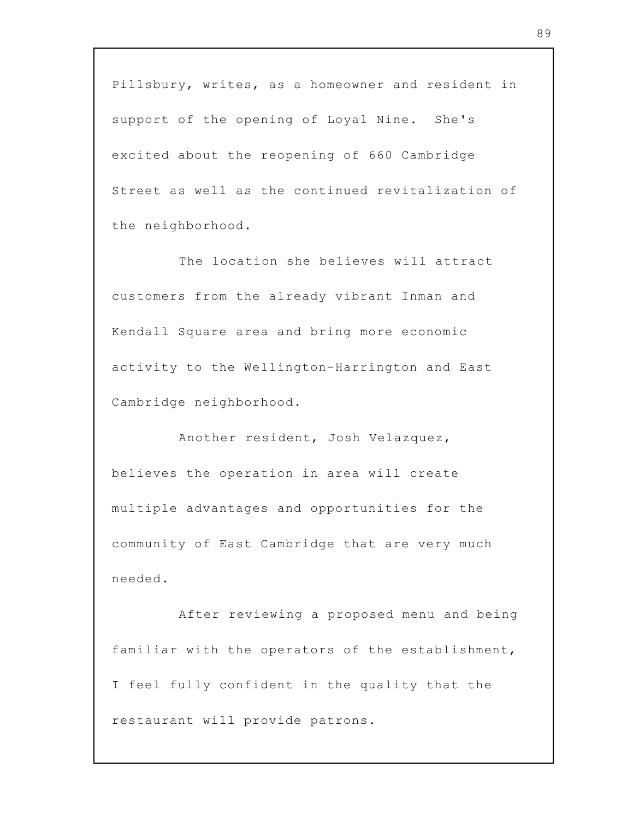Pillsbury, writes, as a homeowner and resident in support of the opening of Loyal Nine. She's excited about the reopening of 660 Cambridge Street as well as the continued revitalization of the neighborhood.

The location she believes will attract customers from the already vibrant Inman and Kendall Square area and bring more economic activity to the Wellington-Harrington and East Cambridge neighborhood.

Another resident, Josh Velazquez, believes the operation in area will create multiple advantages and opportunities for the community of East Cambridge that are very much needed.

After reviewing a proposed menu and being familiar with the operators of the establishment, I feel fully confident in the quality that the restaurant will provide patrons.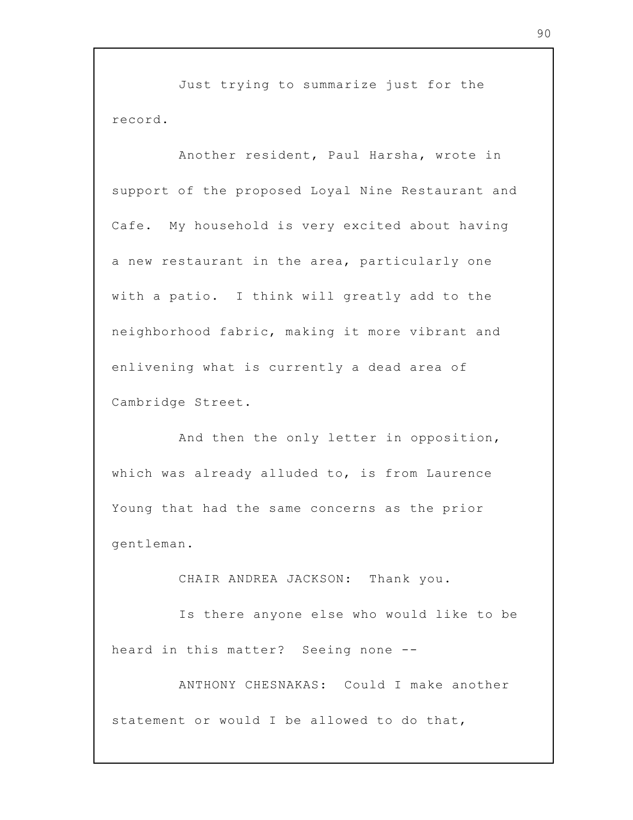Just trying to summarize just for the record.

Another resident, Paul Harsha, wrote in support of the proposed Loyal Nine Restaurant and Cafe. My household is very excited about having a new restaurant in the area, particularly one with a patio. I think will greatly add to the neighborhood fabric, making it more vibrant and enlivening what is currently a dead area of Cambridge Street.

And then the only letter in opposition, which was already alluded to, is from Laurence Young that had the same concerns as the prior gentleman.

CHAIR ANDREA JACKSON: Thank you.

Is there anyone else who would like to be heard in this matter? Seeing none --

ANTHONY CHESNAKAS: Could I make another statement or would I be allowed to do that,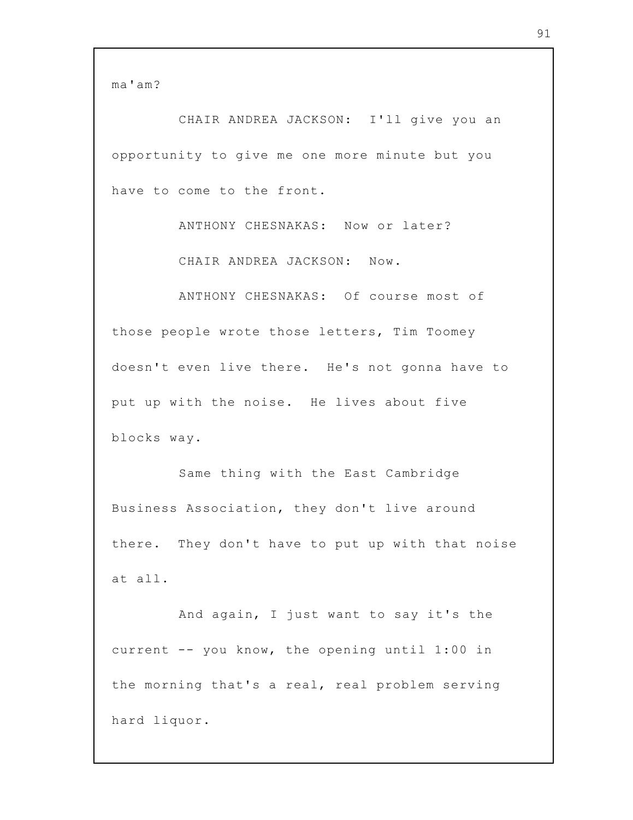ma'am?

CHAIR ANDREA JACKSON: I'll give you an opportunity to give me one more minute but you have to come to the front.

> ANTHONY CHESNAKAS: Now or later? CHAIR ANDREA JACKSON: Now.

ANTHONY CHESNAKAS: Of course most of those people wrote those letters, Tim Toomey doesn't even live there. He's not gonna have to put up with the noise. He lives about five blocks way.

Same thing with the East Cambridge Business Association, they don't live around there. They don't have to put up with that noise at all.

And again, I just want to say it's the current -- you know, the opening until 1:00 in the morning that's a real, real problem serving hard liquor.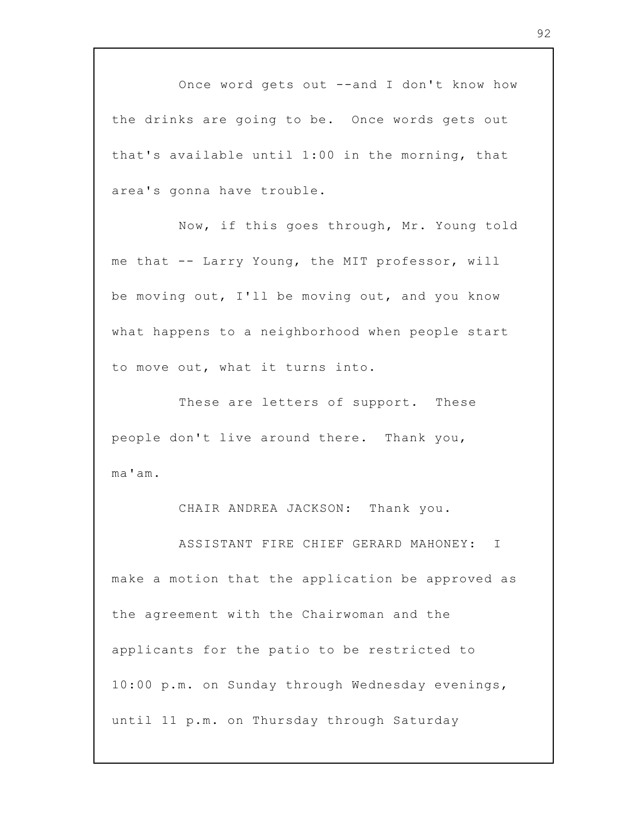Once word gets out --and I don't know how the drinks are going to be. Once words gets out that's available until 1:00 in the morning, that area's gonna have trouble.

Now, if this goes through, Mr. Young told me that -- Larry Young, the MIT professor, will be moving out, I'll be moving out, and you know what happens to a neighborhood when people start to move out, what it turns into.

These are letters of support. These people don't live around there. Thank you, ma'am.

CHAIR ANDREA JACKSON: Thank you.

ASSISTANT FIRE CHIEF GERARD MAHONEY: I make a motion that the application be approved as the agreement with the Chairwoman and the applicants for the patio to be restricted to 10:00 p.m. on Sunday through Wednesday evenings, until 11 p.m. on Thursday through Saturday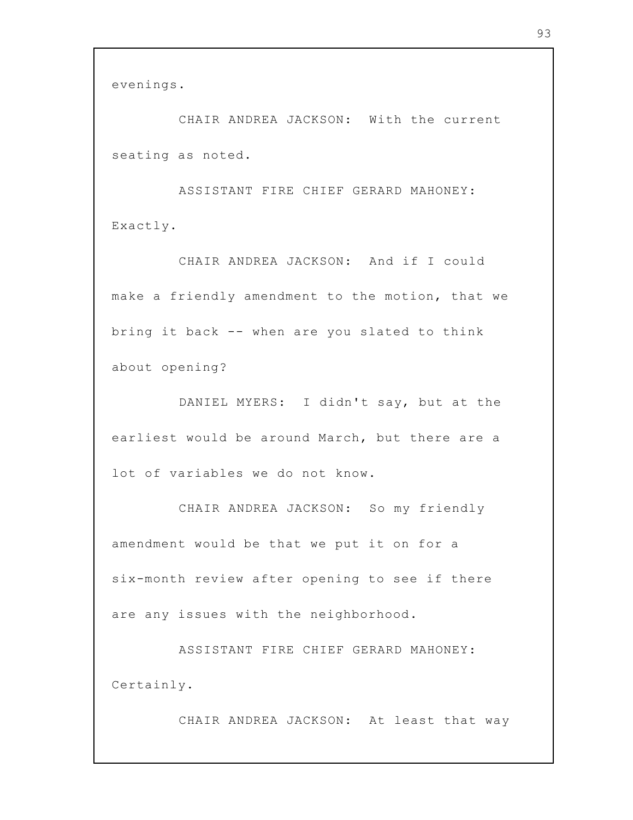evenings.

CHAIR ANDREA JACKSON: With the current seating as noted.

ASSISTANT FIRE CHIEF GERARD MAHONEY: Exactly.

CHAIR ANDREA JACKSON: And if I could make a friendly amendment to the motion, that we bring it back -- when are you slated to think about opening?

DANIEL MYERS: I didn't say, but at the earliest would be around March, but there are a lot of variables we do not know.

CHAIR ANDREA JACKSON: So my friendly amendment would be that we put it on for a six-month review after opening to see if there are any issues with the neighborhood.

ASSISTANT FIRE CHIEF GERARD MAHONEY: Certainly.

CHAIR ANDREA JACKSON: At least that way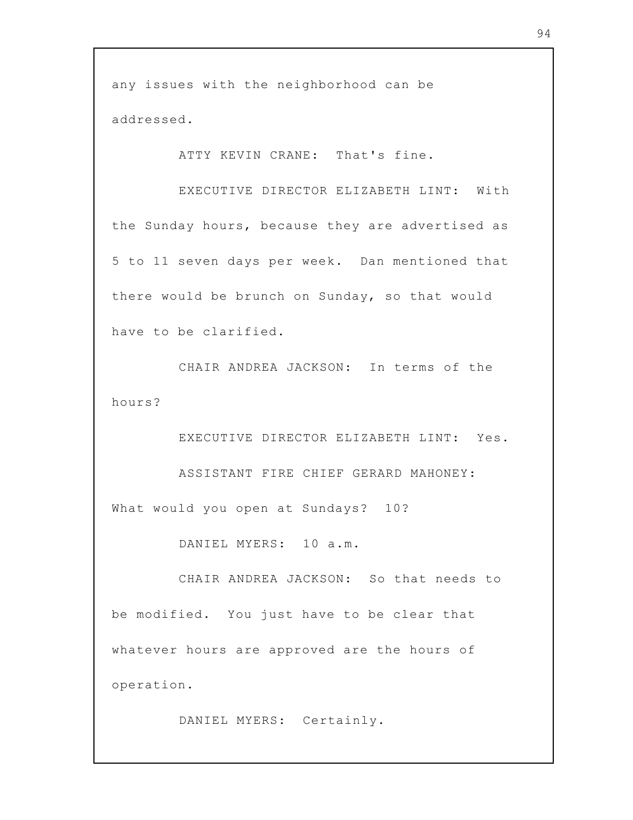any issues with the neighborhood can be addressed.

ATTY KEVIN CRANE: That's fine.

EXECUTIVE DIRECTOR ELIZABETH LINT: With the Sunday hours, because they are advertised as 5 to 11 seven days per week. Dan mentioned that there would be brunch on Sunday, so that would have to be clarified.

CHAIR ANDREA JACKSON: In terms of the hours?

EXECUTIVE DIRECTOR ELIZABETH LINT: Yes. ASSISTANT FIRE CHIEF GERARD MAHONEY: What would you open at Sundays? 10?

DANIEL MYERS: 10 a.m.

CHAIR ANDREA JACKSON: So that needs to be modified. You just have to be clear that whatever hours are approved are the hours of operation.

DANIEL MYERS: Certainly.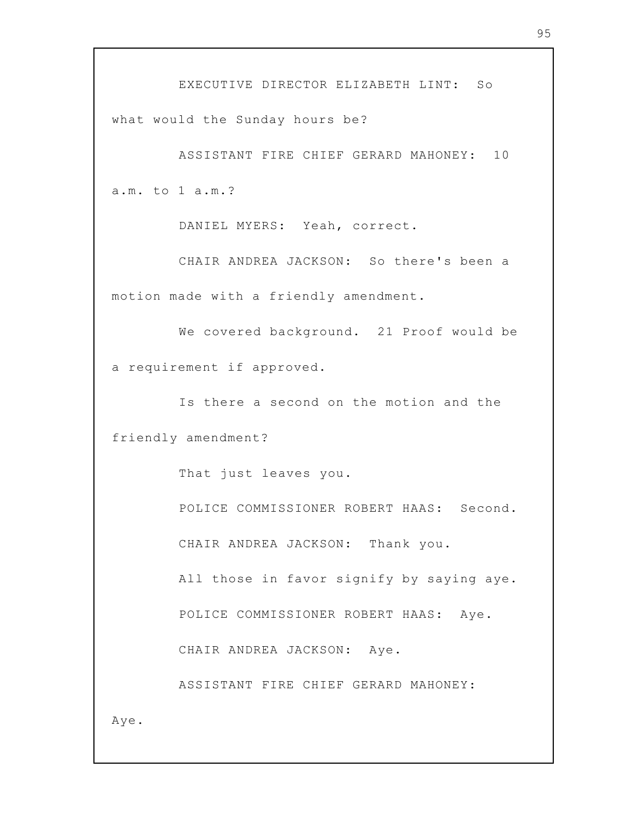EXECUTIVE DIRECTOR ELIZABETH LINT: So what would the Sunday hours be?

ASSISTANT FIRE CHIEF GERARD MAHONEY: 10 a.m. to 1 a.m.?

DANIEL MYERS: Yeah, correct.

CHAIR ANDREA JACKSON: So there's been a motion made with a friendly amendment.

We covered background. 21 Proof would be a requirement if approved.

Is there a second on the motion and the friendly amendment?

That just leaves you.

POLICE COMMISSIONER ROBERT HAAS: Second. CHAIR ANDREA JACKSON: Thank you.

All those in favor signify by saying aye.

POLICE COMMISSIONER ROBERT HAAS: Aye.

CHAIR ANDREA JACKSON: Aye.

ASSISTANT FIRE CHIEF GERARD MAHONEY:

Aye.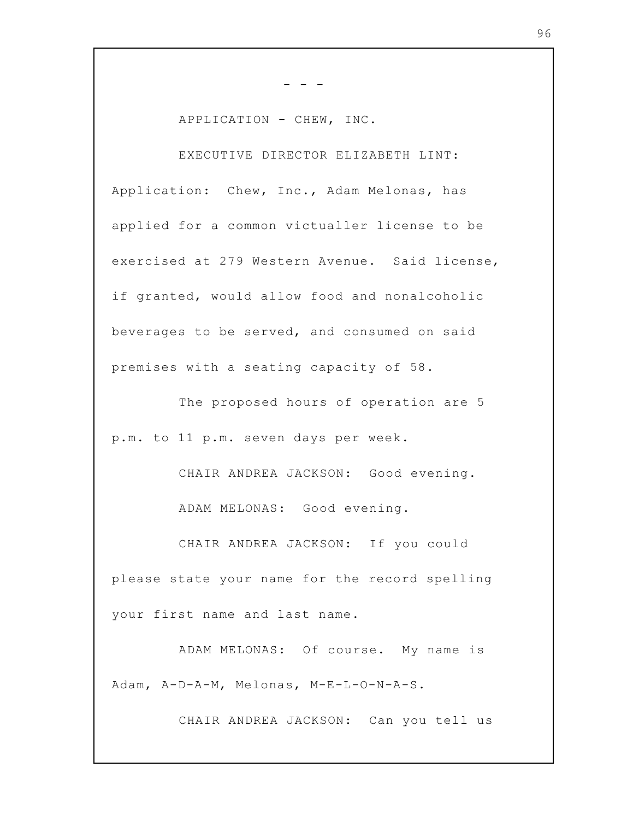APPLICATION - CHEW, INC.

- - -

EXECUTIVE DIRECTOR ELIZABETH LINT: Application: Chew, Inc., Adam Melonas, has applied for a common victualler license to be exercised at 279 Western Avenue. Said license, if granted, would allow food and nonalcoholic beverages to be served, and consumed on said premises with a seating capacity of 58.

The proposed hours of operation are 5 p.m. to 11 p.m. seven days per week.

CHAIR ANDREA JACKSON: Good evening. ADAM MELONAS: Good evening.

CHAIR ANDREA JACKSON: If you could please state your name for the record spelling your first name and last name.

ADAM MELONAS: Of course. My name is Adam, A-D-A-M, Melonas, M-E-L-O-N-A-S.

CHAIR ANDREA JACKSON: Can you tell us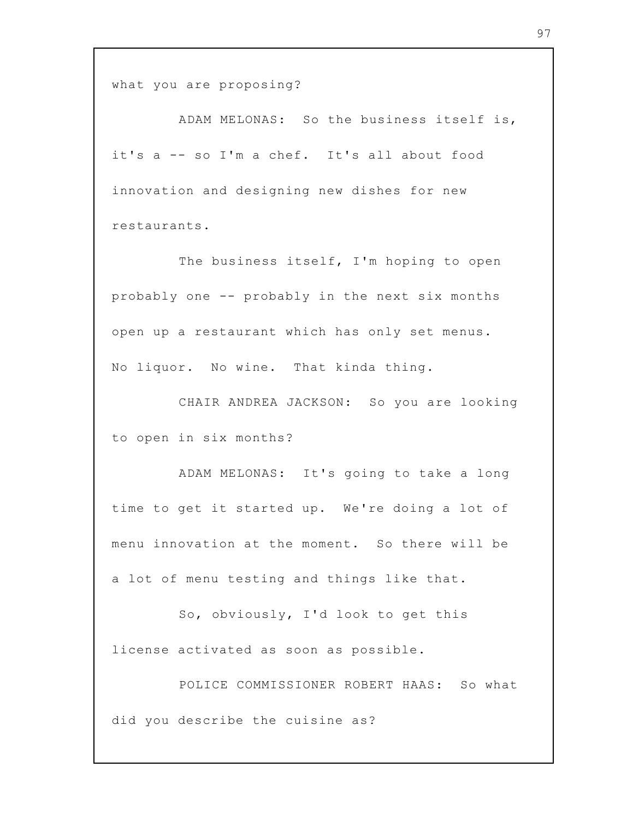what you are proposing?

ADAM MELONAS: So the business itself is, it's a -- so I'm a chef. It's all about food innovation and designing new dishes for new restaurants.

The business itself, I'm hoping to open probably one -- probably in the next six months open up a restaurant which has only set menus. No liquor. No wine. That kinda thing.

CHAIR ANDREA JACKSON: So you are looking to open in six months?

ADAM MELONAS: It's going to take a long time to get it started up. We're doing a lot of menu innovation at the moment. So there will be a lot of menu testing and things like that.

So, obviously, I'd look to get this license activated as soon as possible.

POLICE COMMISSIONER ROBERT HAAS: So what did you describe the cuisine as?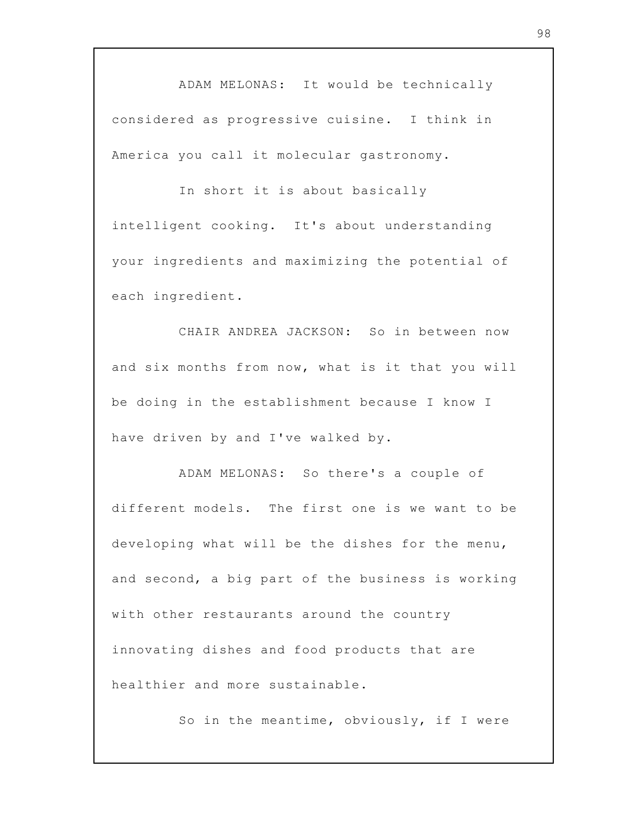ADAM MELONAS: It would be technically considered as progressive cuisine. I think in America you call it molecular gastronomy.

In short it is about basically intelligent cooking. It's about understanding your ingredients and maximizing the potential of each ingredient.

CHAIR ANDREA JACKSON: So in between now and six months from now, what is it that you will be doing in the establishment because I know I have driven by and I've walked by.

ADAM MELONAS: So there's a couple of different models. The first one is we want to be developing what will be the dishes for the menu, and second, a big part of the business is working with other restaurants around the country innovating dishes and food products that are healthier and more sustainable.

So in the meantime, obviously, if I were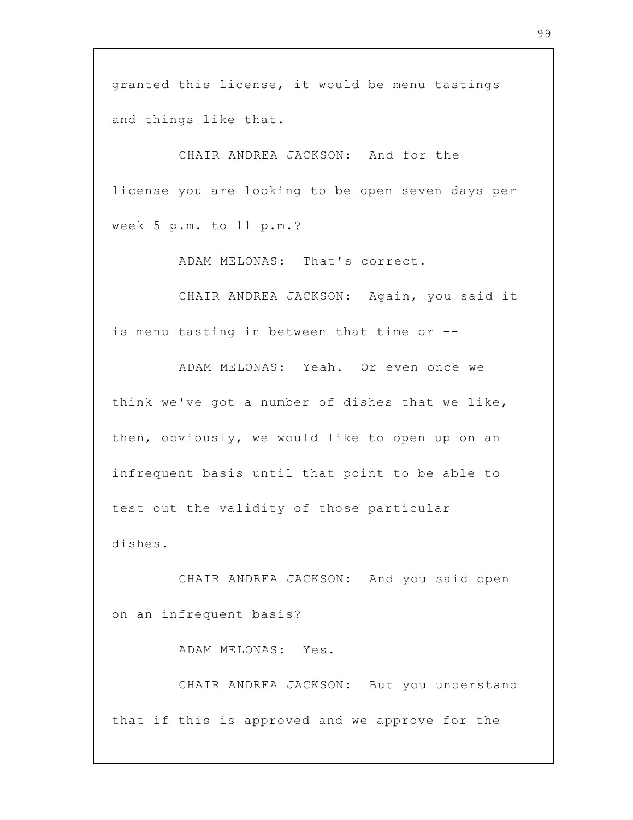granted this license, it would be menu tastings and things like that.

CHAIR ANDREA JACKSON: And for the license you are looking to be open seven days per week 5 p.m. to 11 p.m.?

ADAM MELONAS: That's correct.

CHAIR ANDREA JACKSON: Again, you said it is menu tasting in between that time or --

ADAM MELONAS: Yeah. Or even once we think we've got a number of dishes that we like, then, obviously, we would like to open up on an infrequent basis until that point to be able to test out the validity of those particular dishes.

CHAIR ANDREA JACKSON: And you said open on an infrequent basis?

ADAM MELONAS: Yes.

CHAIR ANDREA JACKSON: But you understand that if this is approved and we approve for the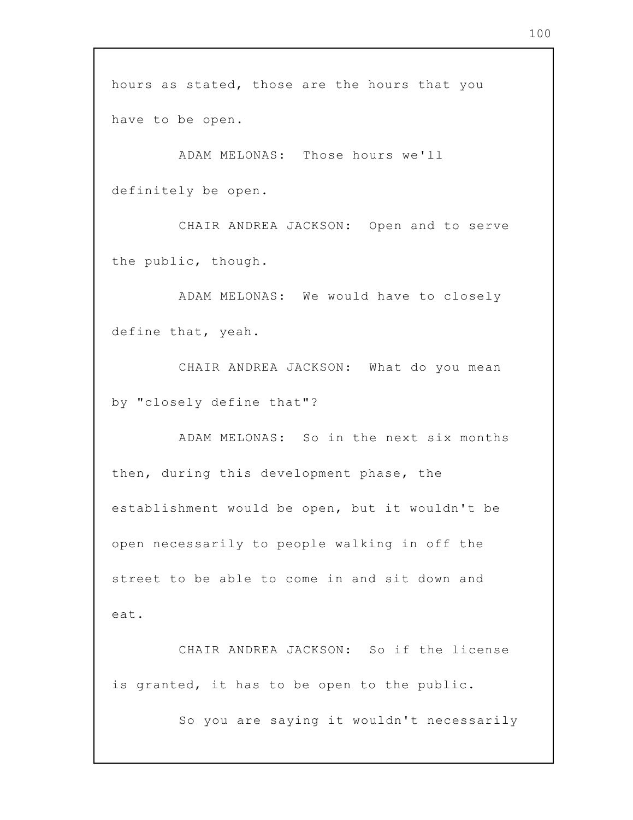hours as stated, those are the hours that you have to be open.

ADAM MELONAS: Those hours we'll definitely be open.

CHAIR ANDREA JACKSON: Open and to serve the public, though.

ADAM MELONAS: We would have to closely define that, yeah.

CHAIR ANDREA JACKSON: What do you mean by "closely define that"?

ADAM MELONAS: So in the next six months then, during this development phase, the establishment would be open, but it wouldn't be open necessarily to people walking in off the street to be able to come in and sit down and eat.

CHAIR ANDREA JACKSON: So if the license is granted, it has to be open to the public.

So you are saying it wouldn't necessarily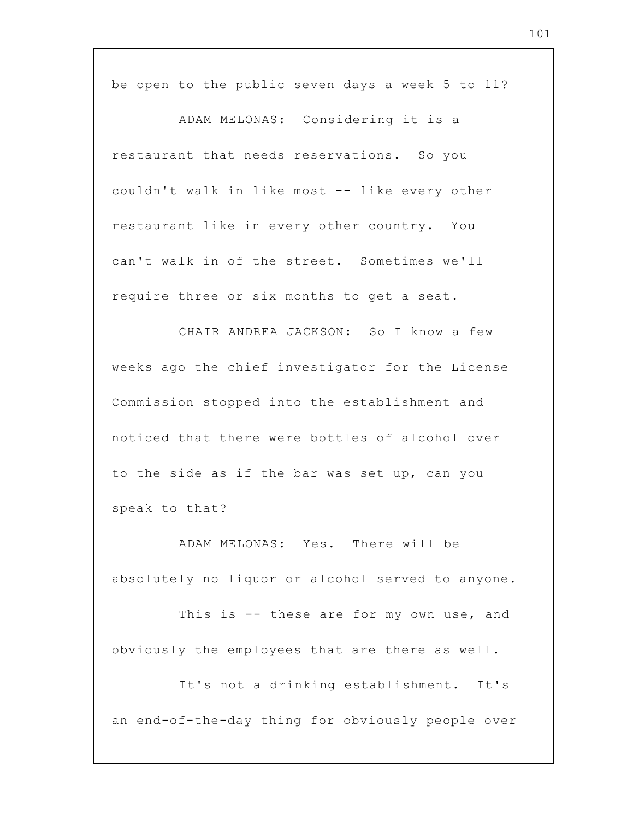be open to the public seven days a week 5 to 11?

ADAM MELONAS: Considering it is a restaurant that needs reservations. So you couldn't walk in like most -- like every other restaurant like in every other country. You can't walk in of the street. Sometimes we'll require three or six months to get a seat.

CHAIR ANDREA JACKSON: So I know a few weeks ago the chief investigator for the License Commission stopped into the establishment and noticed that there were bottles of alcohol over to the side as if the bar was set up, can you speak to that?

ADAM MELONAS: Yes. There will be absolutely no liquor or alcohol served to anyone.

This is -- these are for my own use, and obviously the employees that are there as well.

It's not a drinking establishment. It's an end-of-the-day thing for obviously people over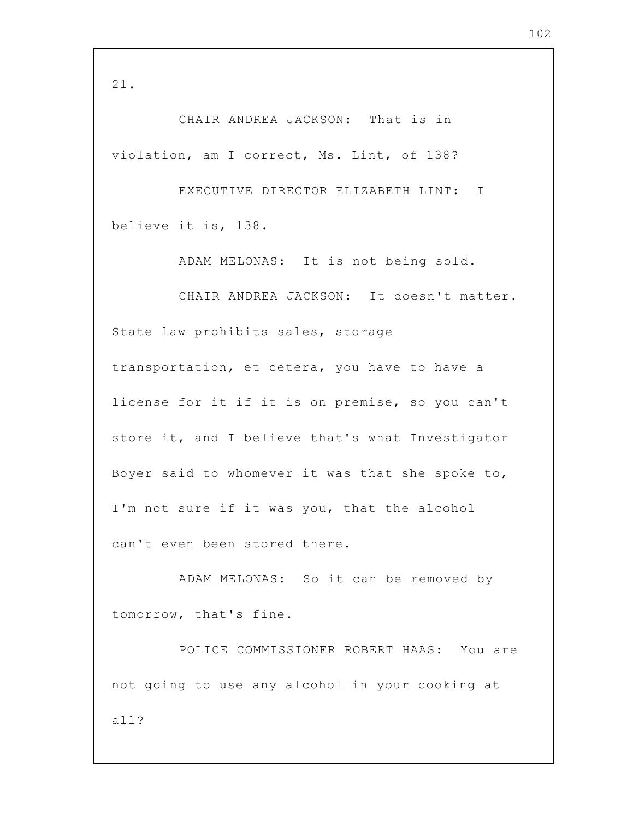21.

CHAIR ANDREA JACKSON: That is in violation, am I correct, Ms. Lint, of 138?

EXECUTIVE DIRECTOR ELIZABETH LINT: I believe it is, 138.

ADAM MELONAS: It is not being sold.

CHAIR ANDREA JACKSON: It doesn't matter. State law prohibits sales, storage transportation, et cetera, you have to have a license for it if it is on premise, so you can't store it, and I believe that's what Investigator Boyer said to whomever it was that she spoke to, I'm not sure if it was you, that the alcohol can't even been stored there.

ADAM MELONAS: So it can be removed by tomorrow, that's fine.

POLICE COMMISSIONER ROBERT HAAS: You are not going to use any alcohol in your cooking at all?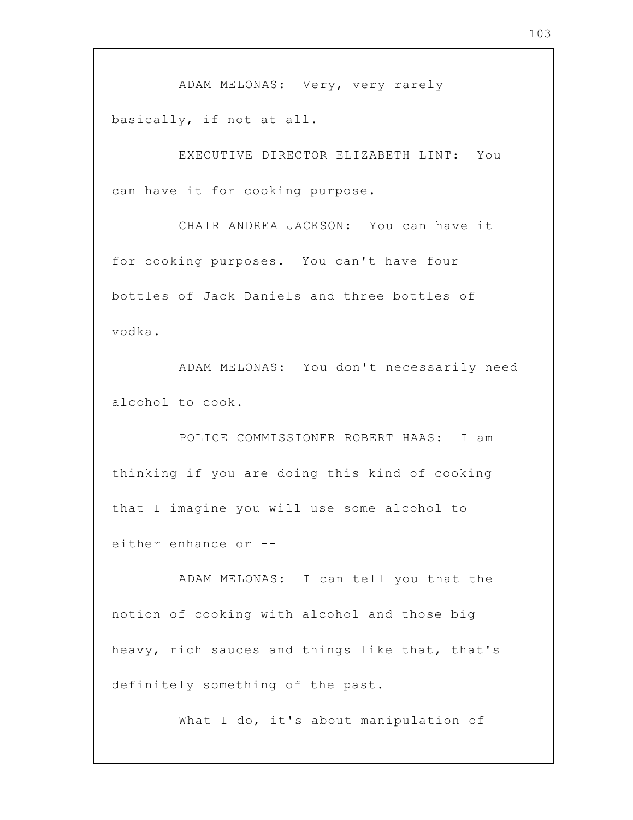ADAM MELONAS: Very, very rarely basically, if not at all.

EXECUTIVE DIRECTOR ELIZABETH LINT: You can have it for cooking purpose.

CHAIR ANDREA JACKSON: You can have it for cooking purposes. You can't have four bottles of Jack Daniels and three bottles of vodka.

ADAM MELONAS: You don't necessarily need alcohol to cook.

POLICE COMMISSIONER ROBERT HAAS: I am thinking if you are doing this kind of cooking that I imagine you will use some alcohol to either enhance or --

ADAM MELONAS: I can tell you that the notion of cooking with alcohol and those big heavy, rich sauces and things like that, that's definitely something of the past.

What I do, it's about manipulation of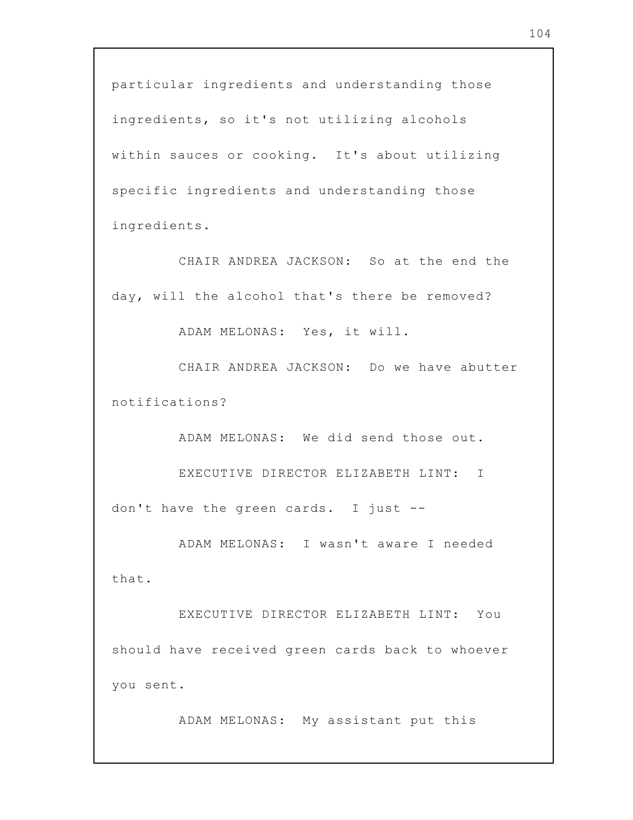particular ingredients and understanding those ingredients, so it's not utilizing alcohols within sauces or cooking. It's about utilizing specific ingredients and understanding those ingredients.

CHAIR ANDREA JACKSON: So at the end the day, will the alcohol that's there be removed?

ADAM MELONAS: Yes, it will.

CHAIR ANDREA JACKSON: Do we have abutter notifications?

ADAM MELONAS: We did send those out.

EXECUTIVE DIRECTOR ELIZABETH LINT: I don't have the green cards. I just --

ADAM MELONAS: I wasn't aware I needed that.

EXECUTIVE DIRECTOR ELIZABETH LINT: You should have received green cards back to whoever you sent.

ADAM MELONAS: My assistant put this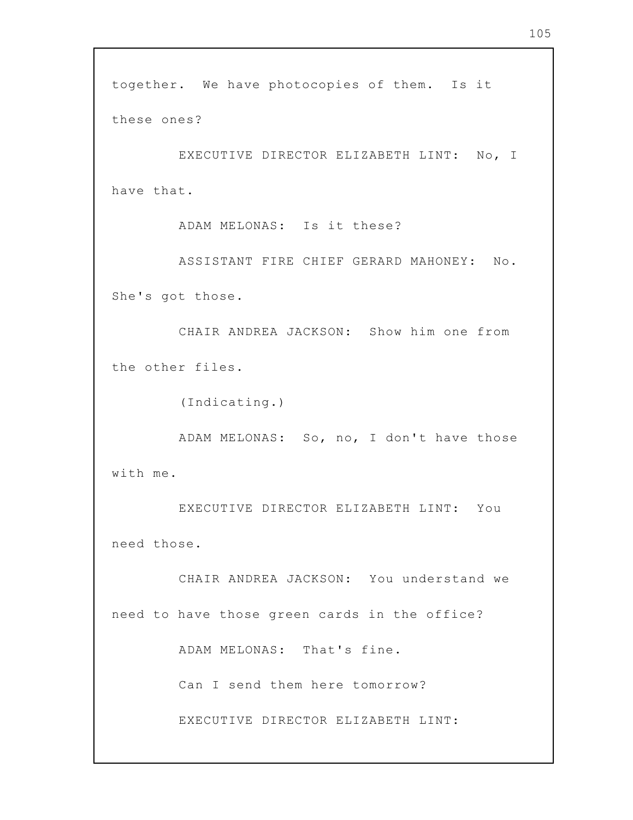together. We have photocopies of them. Is it these ones? EXECUTIVE DIRECTOR ELIZABETH LINT: No, I have that. ADAM MELONAS: Is it these? ASSISTANT FIRE CHIEF GERARD MAHONEY: No. She's got those. CHAIR ANDREA JACKSON: Show him one from the other files. (Indicating.) ADAM MELONAS: So, no, I don't have those with me. EXECUTIVE DIRECTOR ELIZABETH LINT: You need those. CHAIR ANDREA JACKSON: You understand we need to have those green cards in the office? ADAM MELONAS: That's fine. Can I send them here tomorrow? EXECUTIVE DIRECTOR ELIZABETH LINT: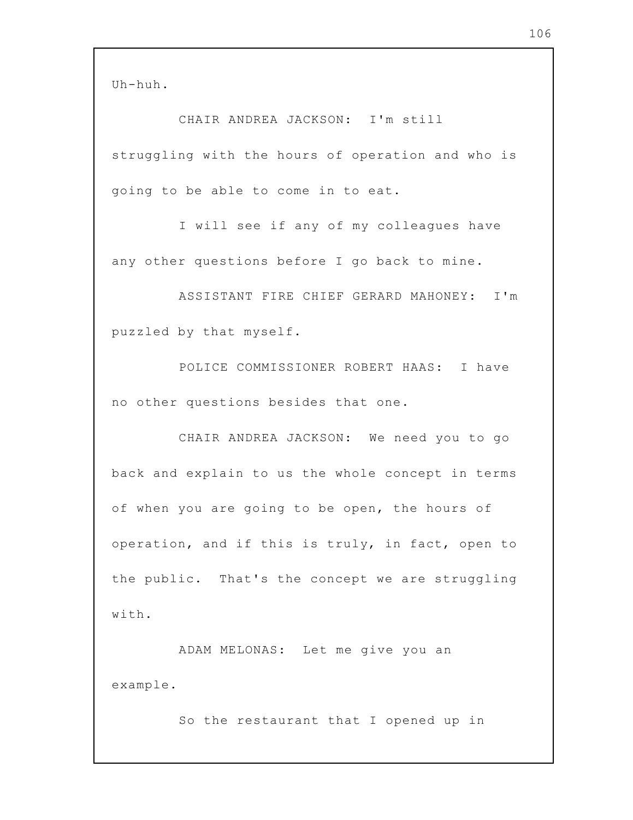CHAIR ANDREA JACKSON: I'm still struggling with the hours of operation and who is going to be able to come in to eat.

I will see if any of my colleagues have any other questions before I go back to mine.

ASSISTANT FIRE CHIEF GERARD MAHONEY: I'm puzzled by that myself.

POLICE COMMISSIONER ROBERT HAAS: I have no other questions besides that one.

CHAIR ANDREA JACKSON: We need you to go back and explain to us the whole concept in terms of when you are going to be open, the hours of operation, and if this is truly, in fact, open to the public. That's the concept we are struggling with.

ADAM MELONAS: Let me give you an example.

So the restaurant that I opened up in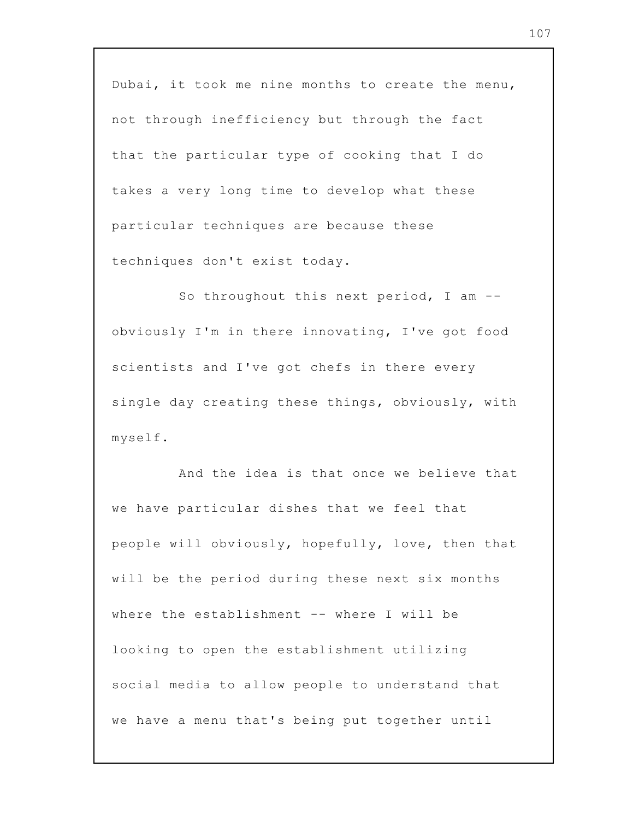Dubai, it took me nine months to create the menu, not through inefficiency but through the fact that the particular type of cooking that I do takes a very long time to develop what these particular techniques are because these techniques don't exist today.

So throughout this next period, I am -obviously I'm in there innovating, I've got food scientists and I've got chefs in there every single day creating these things, obviously, with myself.

And the idea is that once we believe that we have particular dishes that we feel that people will obviously, hopefully, love, then that will be the period during these next six months where the establishment -- where I will be looking to open the establishment utilizing social media to allow people to understand that we have a menu that's being put together until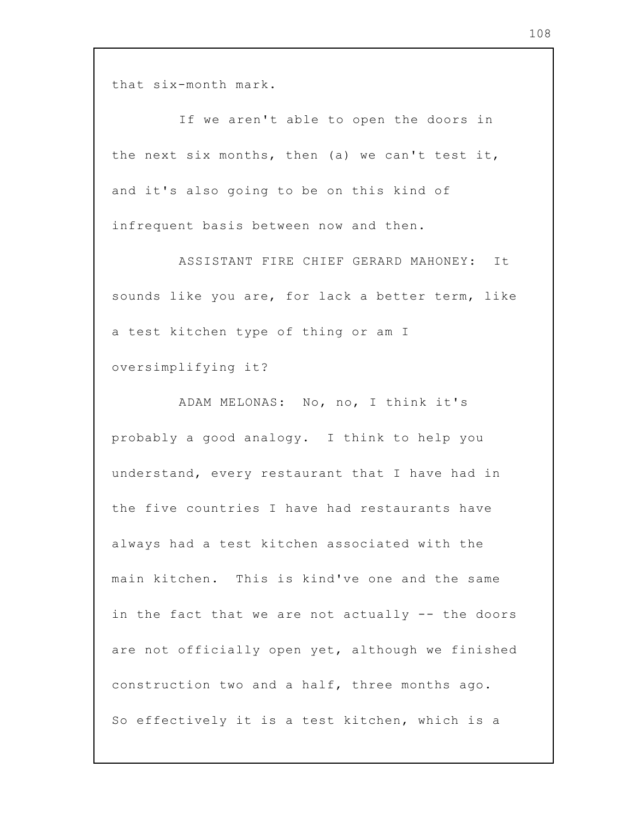that six-month mark.

If we aren't able to open the doors in the next six months, then (a) we can't test it, and it's also going to be on this kind of infrequent basis between now and then.

ASSISTANT FIRE CHIEF GERARD MAHONEY: It sounds like you are, for lack a better term, like a test kitchen type of thing or am I oversimplifying it?

ADAM MELONAS: No, no, I think it's probably a good analogy. I think to help you understand, every restaurant that I have had in the five countries I have had restaurants have always had a test kitchen associated with the main kitchen. This is kind've one and the same in the fact that we are not actually -- the doors are not officially open yet, although we finished construction two and a half, three months ago. So effectively it is a test kitchen, which is a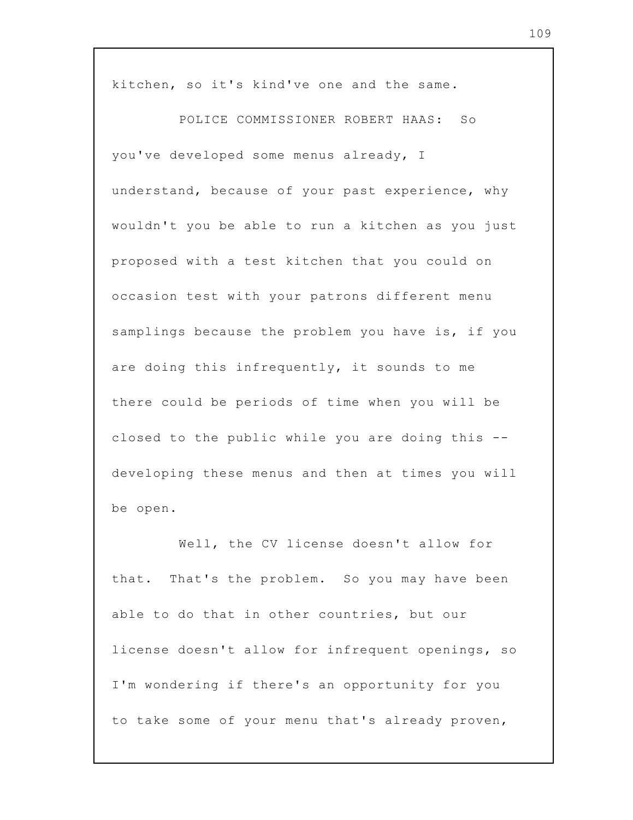kitchen, so it's kind've one and the same.

POLICE COMMISSIONER ROBERT HAAS: So you've developed some menus already, I understand, because of your past experience, why wouldn't you be able to run a kitchen as you just proposed with a test kitchen that you could on occasion test with your patrons different menu samplings because the problem you have is, if you are doing this infrequently, it sounds to me there could be periods of time when you will be closed to the public while you are doing this - developing these menus and then at times you will be open.

Well, the CV license doesn't allow for that. That's the problem. So you may have been able to do that in other countries, but our license doesn't allow for infrequent openings, so I'm wondering if there's an opportunity for you to take some of your menu that's already proven,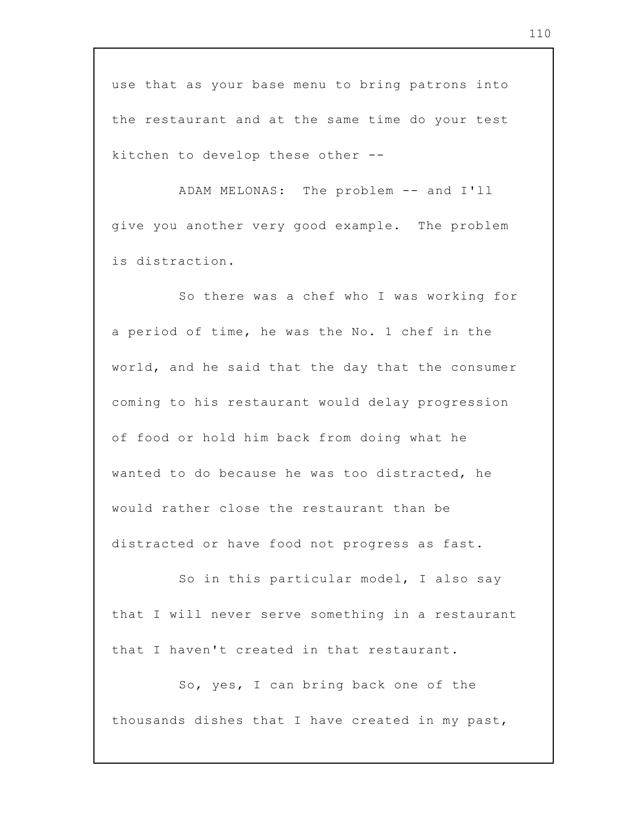use that as your base menu to bring patrons into the restaurant and at the same time do your test kitchen to develop these other --

ADAM MELONAS: The problem -- and I'll give you another very good example. The problem is distraction.

So there was a chef who I was working for a period of time, he was the No. 1 chef in the world, and he said that the day that the consumer coming to his restaurant would delay progression of food or hold him back from doing what he wanted to do because he was too distracted, he would rather close the restaurant than be distracted or have food not progress as fast.

So in this particular model, I also say that I will never serve something in a restaurant that I haven't created in that restaurant.

So, yes, I can bring back one of the thousands dishes that I have created in my past,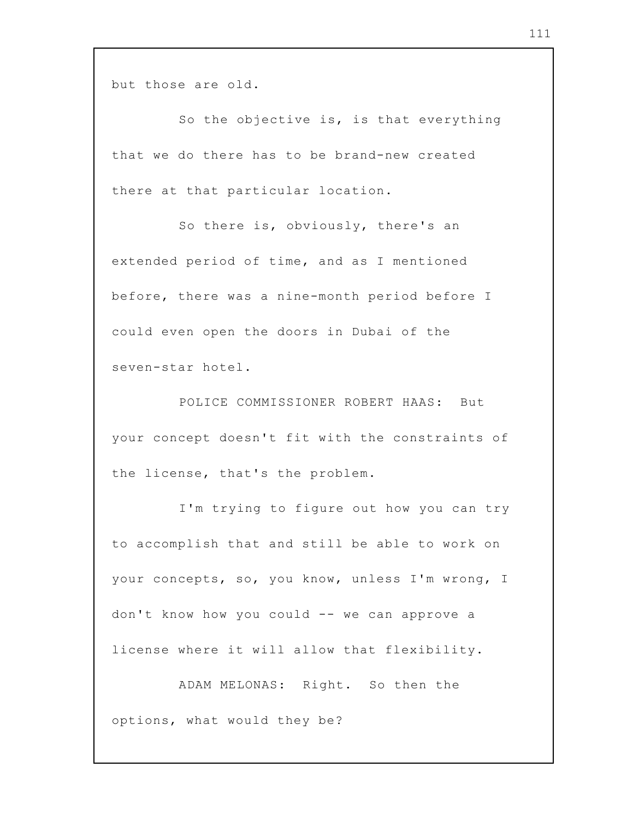but those are old.

So the objective is, is that everything that we do there has to be brand-new created there at that particular location.

So there is, obviously, there's an extended period of time, and as I mentioned before, there was a nine-month period before I could even open the doors in Dubai of the seven-star hotel.

POLICE COMMISSIONER ROBERT HAAS: But your concept doesn't fit with the constraints of the license, that's the problem.

I'm trying to figure out how you can try to accomplish that and still be able to work on your concepts, so, you know, unless I'm wrong, I don't know how you could -- we can approve a license where it will allow that flexibility.

ADAM MELONAS: Right. So then the options, what would they be?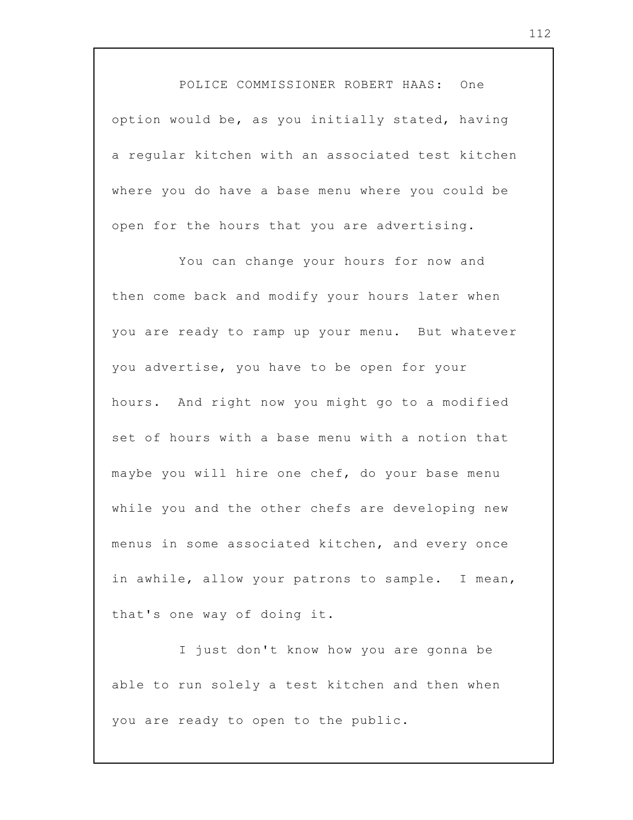POLICE COMMISSIONER ROBERT HAAS: One option would be, as you initially stated, having a regular kitchen with an associated test kitchen where you do have a base menu where you could be open for the hours that you are advertising.

You can change your hours for now and then come back and modify your hours later when you are ready to ramp up your menu. But whatever you advertise, you have to be open for your hours. And right now you might go to a modified set of hours with a base menu with a notion that maybe you will hire one chef, do your base menu while you and the other chefs are developing new menus in some associated kitchen, and every once in awhile, allow your patrons to sample. I mean, that's one way of doing it.

I just don't know how you are gonna be able to run solely a test kitchen and then when you are ready to open to the public.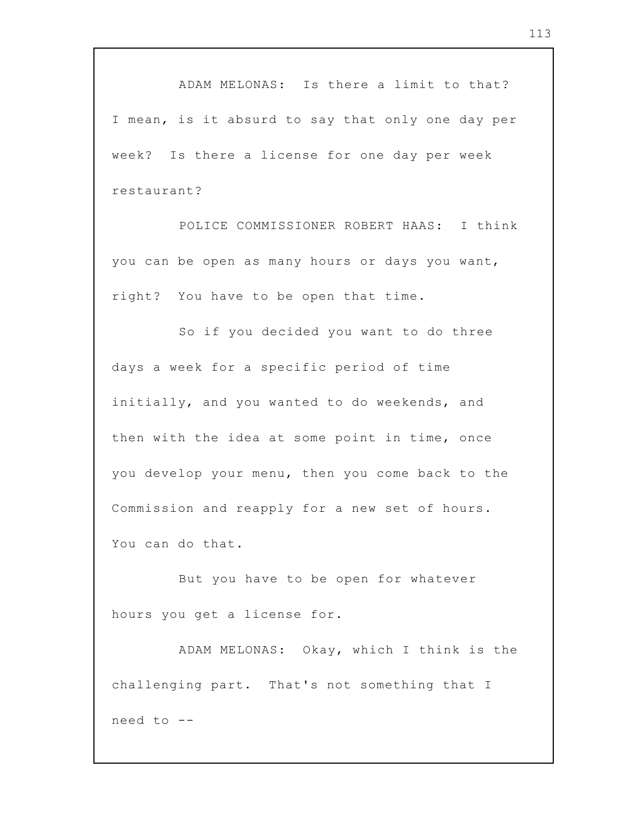ADAM MELONAS: Is there a limit to that? I mean, is it absurd to say that only one day per week? Is there a license for one day per week restaurant?

POLICE COMMISSIONER ROBERT HAAS: I think you can be open as many hours or days you want, right? You have to be open that time.

So if you decided you want to do three days a week for a specific period of time initially, and you wanted to do weekends, and then with the idea at some point in time, once you develop your menu, then you come back to the Commission and reapply for a new set of hours. You can do that.

But you have to be open for whatever hours you get a license for.

ADAM MELONAS: Okay, which I think is the challenging part. That's not something that I need to --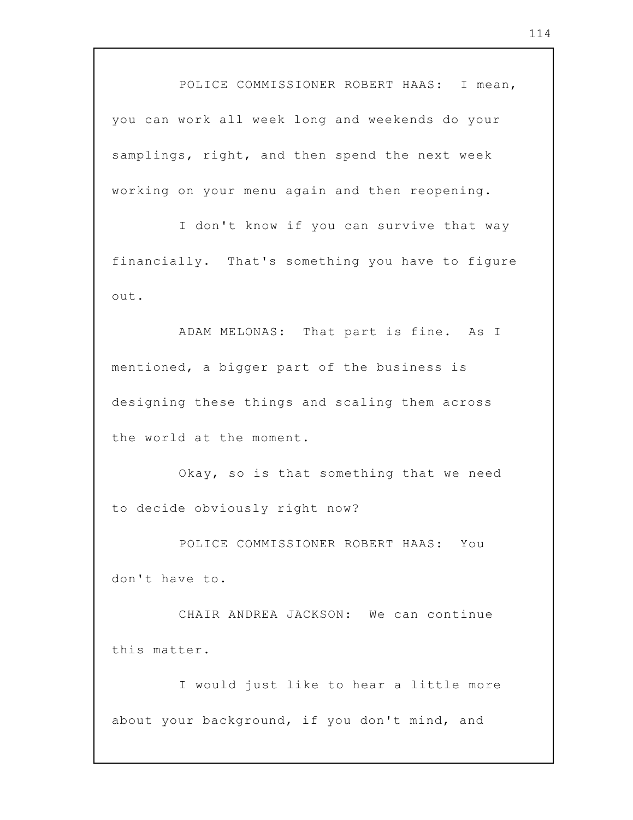POLICE COMMISSIONER ROBERT HAAS: I mean, you can work all week long and weekends do your samplings, right, and then spend the next week working on your menu again and then reopening.

I don't know if you can survive that way financially. That's something you have to figure out.

ADAM MELONAS: That part is fine. As I mentioned, a bigger part of the business is designing these things and scaling them across the world at the moment.

Okay, so is that something that we need to decide obviously right now?

POLICE COMMISSIONER ROBERT HAAS: You don't have to.

CHAIR ANDREA JACKSON: We can continue this matter.

I would just like to hear a little more about your background, if you don't mind, and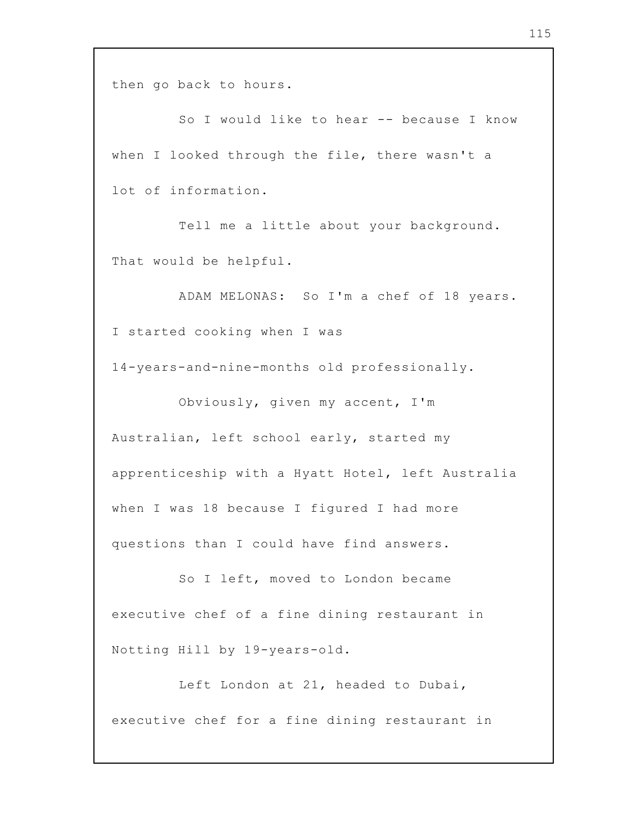then go back to hours.

So I would like to hear -- because I know when I looked through the file, there wasn't a lot of information.

Tell me a little about your background. That would be helpful.

ADAM MELONAS: So I'm a chef of 18 years. I started cooking when I was

14-years-and-nine-months old professionally.

Obviously, given my accent, I'm Australian, left school early, started my apprenticeship with a Hyatt Hotel, left Australia when I was 18 because I figured I had more questions than I could have find answers.

So I left, moved to London became executive chef of a fine dining restaurant in Notting Hill by 19-years-old.

Left London at 21, headed to Dubai, executive chef for a fine dining restaurant in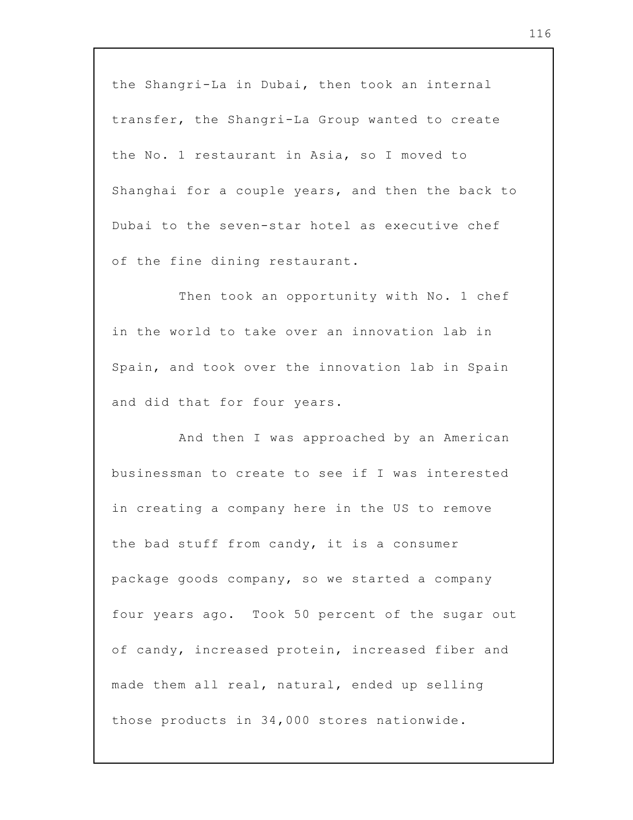the Shangri-La in Dubai, then took an internal transfer, the Shangri-La Group wanted to create the No. 1 restaurant in Asia, so I moved to Shanghai for a couple years, and then the back to Dubai to the seven-star hotel as executive chef of the fine dining restaurant.

Then took an opportunity with No. 1 chef in the world to take over an innovation lab in Spain, and took over the innovation lab in Spain and did that for four years.

And then I was approached by an American businessman to create to see if I was interested in creating a company here in the US to remove the bad stuff from candy, it is a consumer package goods company, so we started a company four years ago. Took 50 percent of the sugar out of candy, increased protein, increased fiber and made them all real, natural, ended up selling those products in 34,000 stores nationwide.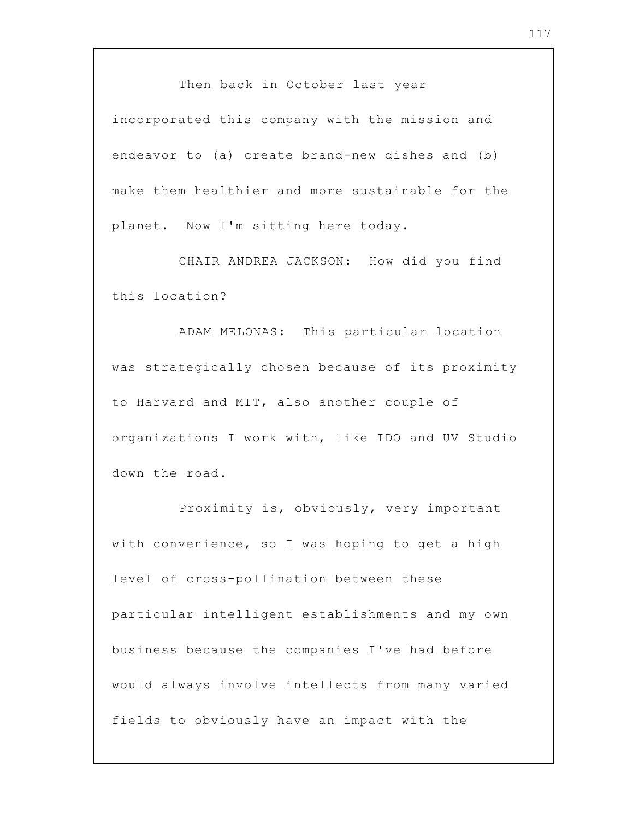Then back in October last year

incorporated this company with the mission and endeavor to (a) create brand-new dishes and (b) make them healthier and more sustainable for the planet. Now I'm sitting here today.

CHAIR ANDREA JACKSON: How did you find this location?

ADAM MELONAS: This particular location was strategically chosen because of its proximity to Harvard and MIT, also another couple of organizations I work with, like IDO and UV Studio down the road.

Proximity is, obviously, very important with convenience, so I was hoping to get a high level of cross-pollination between these particular intelligent establishments and my own business because the companies I've had before would always involve intellects from many varied fields to obviously have an impact with the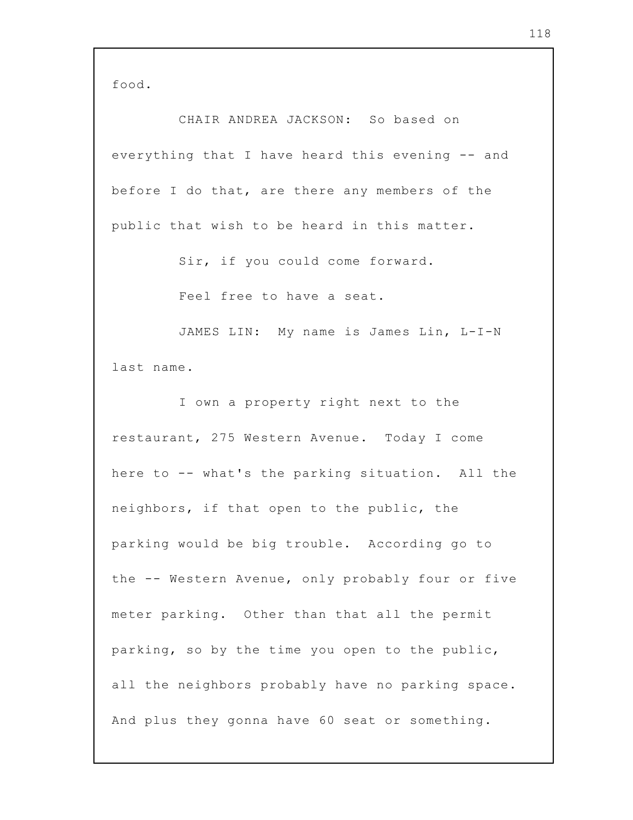food.

CHAIR ANDREA JACKSON: So based on everything that I have heard this evening -- and before I do that, are there any members of the public that wish to be heard in this matter.

Sir, if you could come forward.

Feel free to have a seat.

JAMES LIN: My name is James Lin, L-I-N last name.

I own a property right next to the restaurant, 275 Western Avenue. Today I come here to -- what's the parking situation. All the neighbors, if that open to the public, the parking would be big trouble. According go to the -- Western Avenue, only probably four or five meter parking. Other than that all the permit parking, so by the time you open to the public, all the neighbors probably have no parking space. And plus they gonna have 60 seat or something.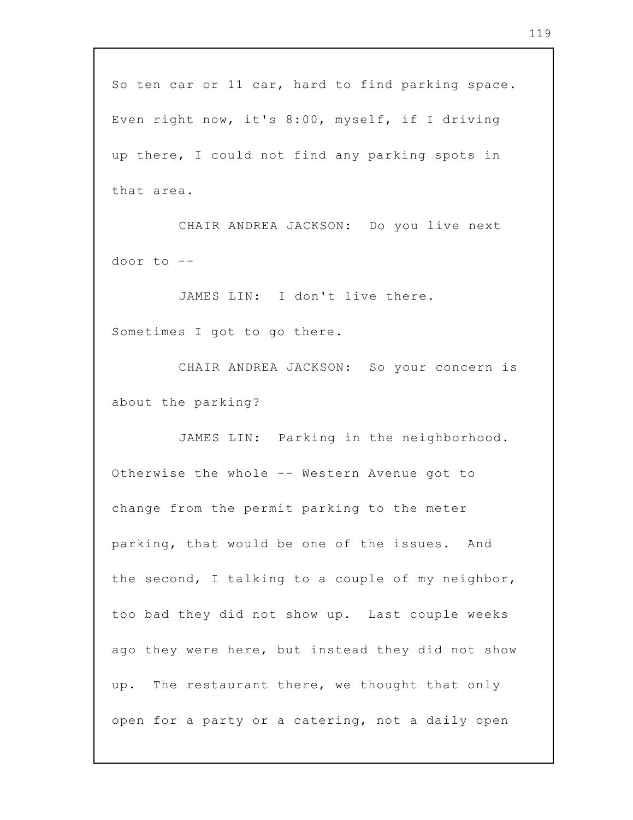So ten car or 11 car, hard to find parking space. Even right now, it's 8:00, myself, if I driving up there, I could not find any parking spots in that area.

CHAIR ANDREA JACKSON: Do you live next door to --

JAMES LIN: I don't live there. Sometimes I got to go there.

CHAIR ANDREA JACKSON: So your concern is about the parking?

JAMES LIN: Parking in the neighborhood. Otherwise the whole -- Western Avenue got to change from the permit parking to the meter parking, that would be one of the issues. And the second, I talking to a couple of my neighbor, too bad they did not show up. Last couple weeks ago they were here, but instead they did not show up. The restaurant there, we thought that only open for a party or a catering, not a daily open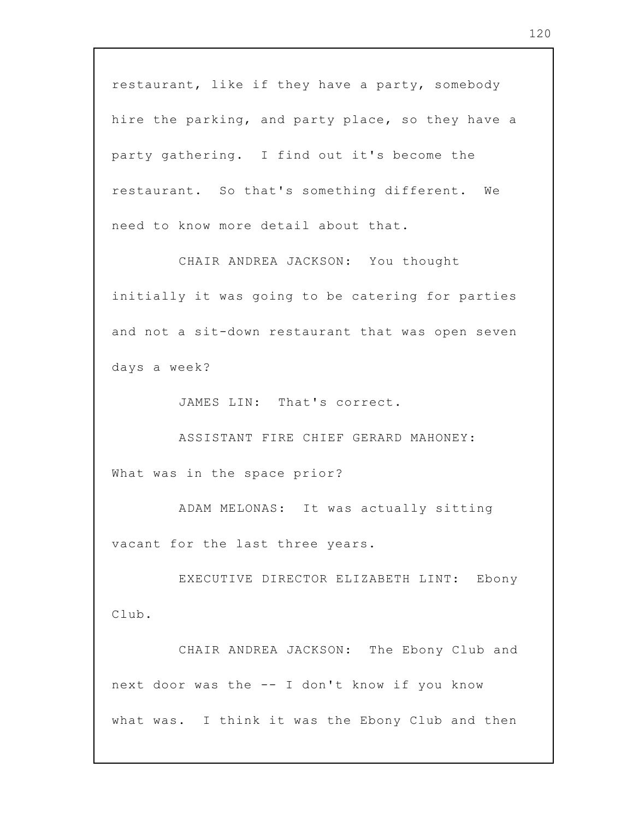restaurant, like if they have a party, somebody hire the parking, and party place, so they have a party gathering. I find out it's become the restaurant. So that's something different. We need to know more detail about that.

CHAIR ANDREA JACKSON: You thought initially it was going to be catering for parties and not a sit-down restaurant that was open seven days a week?

JAMES LIN: That's correct.

ASSISTANT FIRE CHIEF GERARD MAHONEY: What was in the space prior?

ADAM MELONAS: It was actually sitting vacant for the last three years.

EXECUTIVE DIRECTOR ELIZABETH LINT: Ebony Club.

CHAIR ANDREA JACKSON: The Ebony Club and next door was the -- I don't know if you know what was. I think it was the Ebony Club and then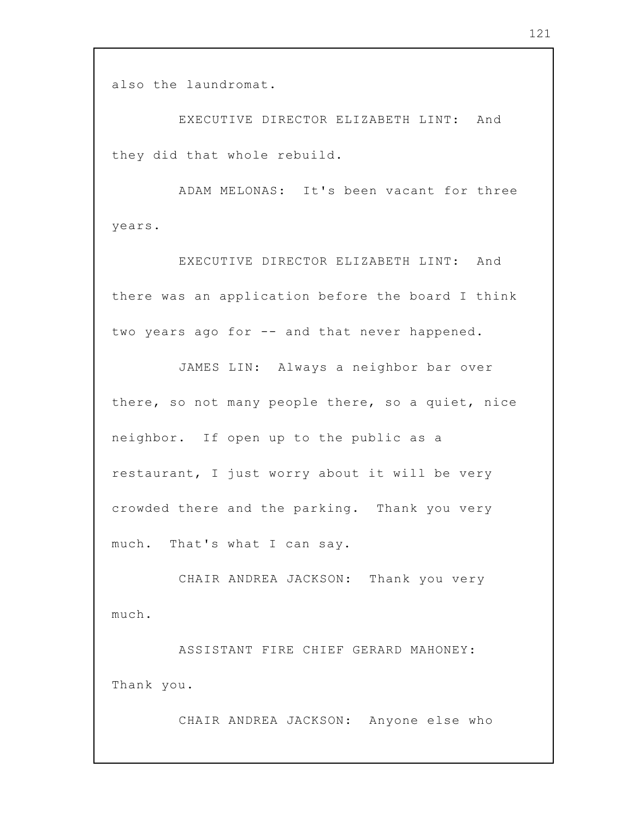also the laundromat.

EXECUTIVE DIRECTOR ELIZABETH LINT: And they did that whole rebuild.

ADAM MELONAS: It's been vacant for three years.

EXECUTIVE DIRECTOR ELIZABETH LINT: And there was an application before the board I think two years ago for -- and that never happened.

JAMES LIN: Always a neighbor bar over there, so not many people there, so a quiet, nice neighbor. If open up to the public as a restaurant, I just worry about it will be very crowded there and the parking. Thank you very much. That's what I can say.

CHAIR ANDREA JACKSON: Thank you very much.

ASSISTANT FIRE CHIEF GERARD MAHONEY: Thank you.

CHAIR ANDREA JACKSON: Anyone else who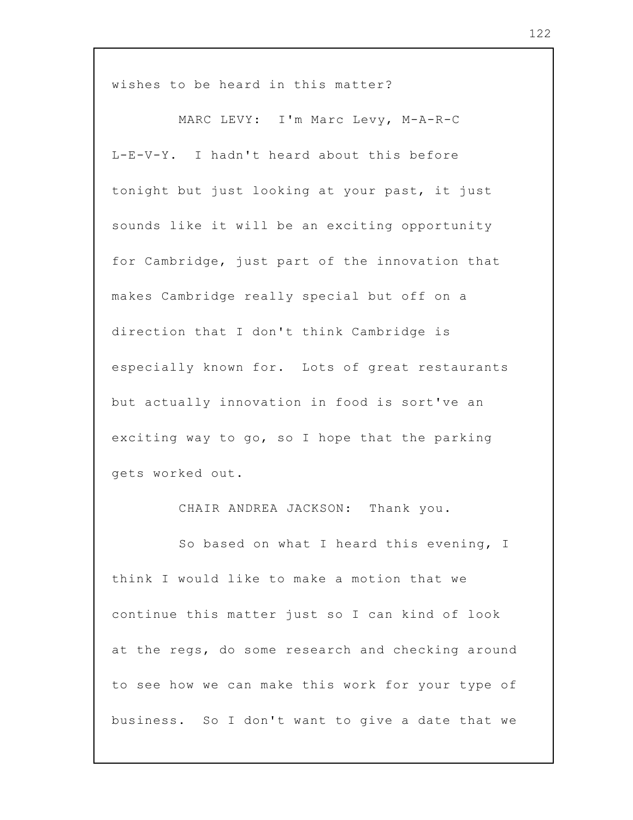wishes to be heard in this matter?

MARC LEVY: I'm Marc Levy, M-A-R-C L-E-V-Y. I hadn't heard about this before tonight but just looking at your past, it just sounds like it will be an exciting opportunity for Cambridge, just part of the innovation that makes Cambridge really special but off on a direction that I don't think Cambridge is especially known for. Lots of great restaurants but actually innovation in food is sort've an exciting way to go, so I hope that the parking gets worked out.

CHAIR ANDREA JACKSON: Thank you.

So based on what I heard this evening, I think I would like to make a motion that we continue this matter just so I can kind of look at the regs, do some research and checking around to see how we can make this work for your type of business. So I don't want to give a date that we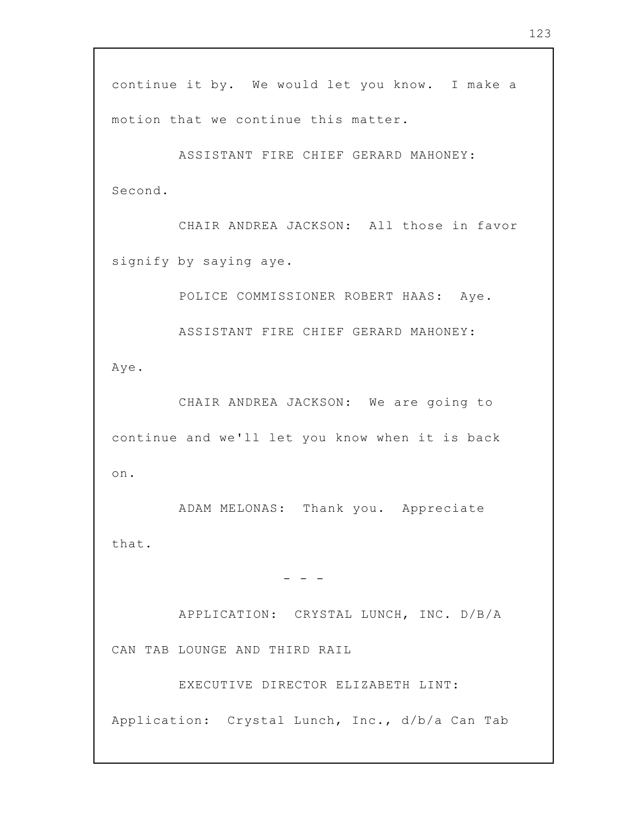continue it by. We would let you know. I make a motion that we continue this matter.

ASSISTANT FIRE CHIEF GERARD MAHONEY: Second.

CHAIR ANDREA JACKSON: All those in favor signify by saying aye.

POLICE COMMISSIONER ROBERT HAAS: Aye.

ASSISTANT FIRE CHIEF GERARD MAHONEY:

Aye.

CHAIR ANDREA JACKSON: We are going to continue and we'll let you know when it is back on.

ADAM MELONAS: Thank you. Appreciate that.

- - -

APPLICATION: CRYSTAL LUNCH, INC. D/B/A CAN TAB LOUNGE AND THIRD RAIL

EXECUTIVE DIRECTOR ELIZABETH LINT:

Application: Crystal Lunch, Inc., d/b/a Can Tab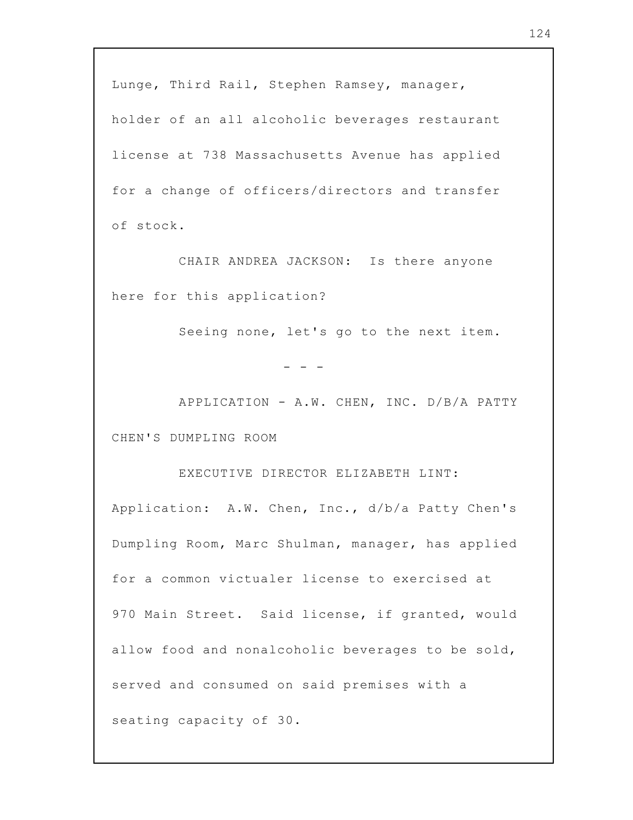Lunge, Third Rail, Stephen Ramsey, manager, holder of an all alcoholic beverages restaurant license at 738 Massachusetts Avenue has applied for a change of officers/directors and transfer of stock.

CHAIR ANDREA JACKSON: Is there anyone here for this application?

Seeing none, let's go to the next item.

- - -

APPLICATION - A.W. CHEN, INC. D/B/A PATTY CHEN'S DUMPLING ROOM

EXECUTIVE DIRECTOR ELIZABETH LINT:

Application: A.W. Chen, Inc., d/b/a Patty Chen's Dumpling Room, Marc Shulman, manager, has applied for a common victualer license to exercised at 970 Main Street. Said license, if granted, would allow food and nonalcoholic beverages to be sold, served and consumed on said premises with a seating capacity of 30.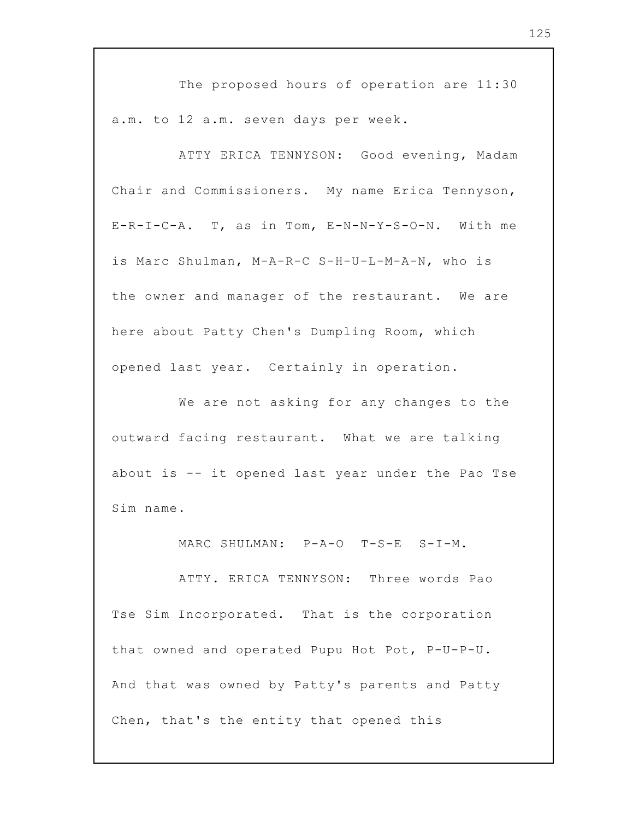The proposed hours of operation are 11:30 a.m. to 12 a.m. seven days per week.

ATTY ERICA TENNYSON: Good evening, Madam Chair and Commissioners. My name Erica Tennyson, E-R-I-C-A. T, as in Tom, E-N-N-Y-S-O-N. With me is Marc Shulman, M-A-R-C S-H-U-L-M-A-N, who is the owner and manager of the restaurant. We are here about Patty Chen's Dumpling Room, which opened last year. Certainly in operation.

We are not asking for any changes to the outward facing restaurant. What we are talking about is -- it opened last year under the Pao Tse Sim name.

MARC SHULMAN: P-A-O T-S-E S-I-M.

ATTY. ERICA TENNYSON: Three words Pao Tse Sim Incorporated. That is the corporation that owned and operated Pupu Hot Pot, P-U-P-U. And that was owned by Patty's parents and Patty Chen, that's the entity that opened this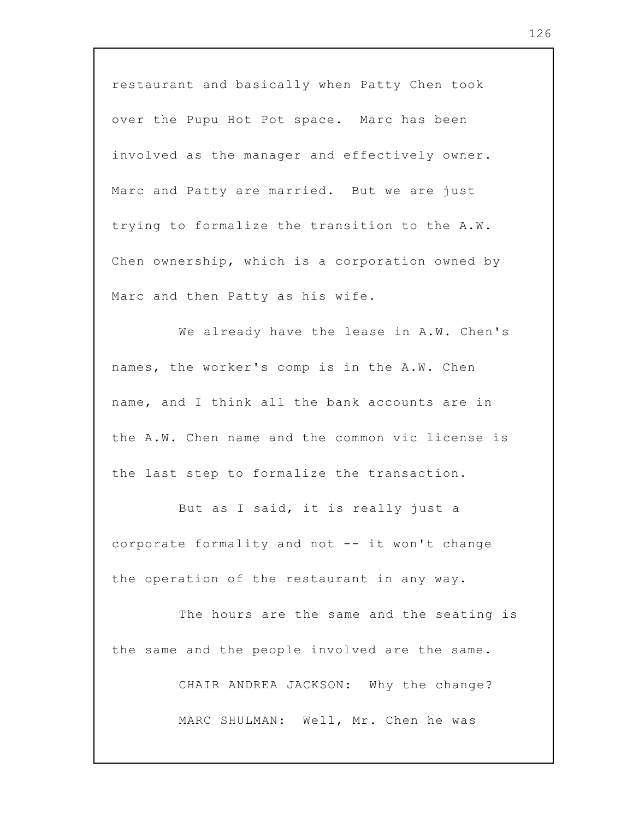restaurant and basically when Patty Chen took over the Pupu Hot Pot space. Marc has been involved as the manager and effectively owner. Marc and Patty are married. But we are just trying to formalize the transition to the A.W. Chen ownership, which is a corporation owned by Marc and then Patty as his wife.

We already have the lease in A.W. Chen's names, the worker's comp is in the A.W. Chen name, and I think all the bank accounts are in the A.W. Chen name and the common vic license is the last step to formalize the transaction.

But as I said, it is really just a corporate formality and not -- it won't change the operation of the restaurant in any way.

The hours are the same and the seating is the same and the people involved are the same.

CHAIR ANDREA JACKSON: Why the change?

MARC SHULMAN: Well, Mr. Chen he was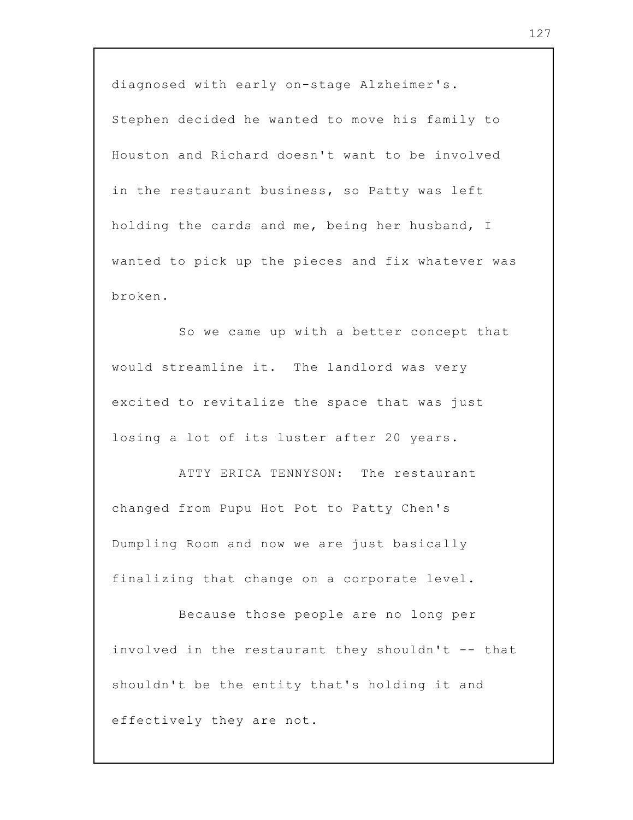diagnosed with early on-stage Alzheimer's. Stephen decided he wanted to move his family to Houston and Richard doesn't want to be involved in the restaurant business, so Patty was left holding the cards and me, being her husband, I wanted to pick up the pieces and fix whatever was broken.

So we came up with a better concept that would streamline it. The landlord was very excited to revitalize the space that was just losing a lot of its luster after 20 years.

ATTY ERICA TENNYSON: The restaurant changed from Pupu Hot Pot to Patty Chen's Dumpling Room and now we are just basically finalizing that change on a corporate level.

Because those people are no long per involved in the restaurant they shouldn't -- that shouldn't be the entity that's holding it and effectively they are not.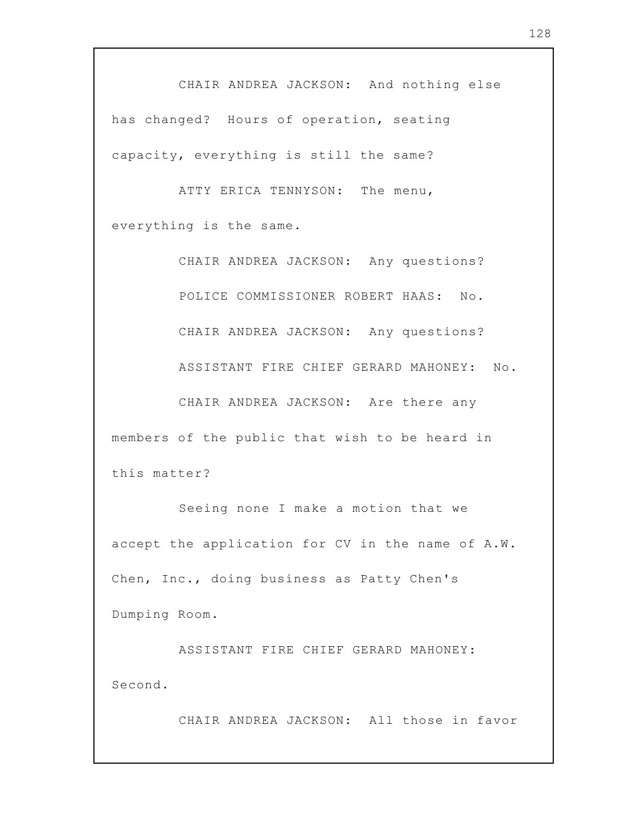CHAIR ANDREA JACKSON: And nothing else has changed? Hours of operation, seating capacity, everything is still the same?

ATTY ERICA TENNYSON: The menu, everything is the same.

CHAIR ANDREA JACKSON: Any questions? POLICE COMMISSIONER ROBERT HAAS: No. CHAIR ANDREA JACKSON: Any questions? ASSISTANT FIRE CHIEF GERARD MAHONEY: No. CHAIR ANDREA JACKSON: Are there any members of the public that wish to be heard in this matter?

Seeing none I make a motion that we accept the application for CV in the name of A.W. Chen, Inc., doing business as Patty Chen's Dumping Room.

ASSISTANT FIRE CHIEF GERARD MAHONEY: Second.

CHAIR ANDREA JACKSON: All those in favor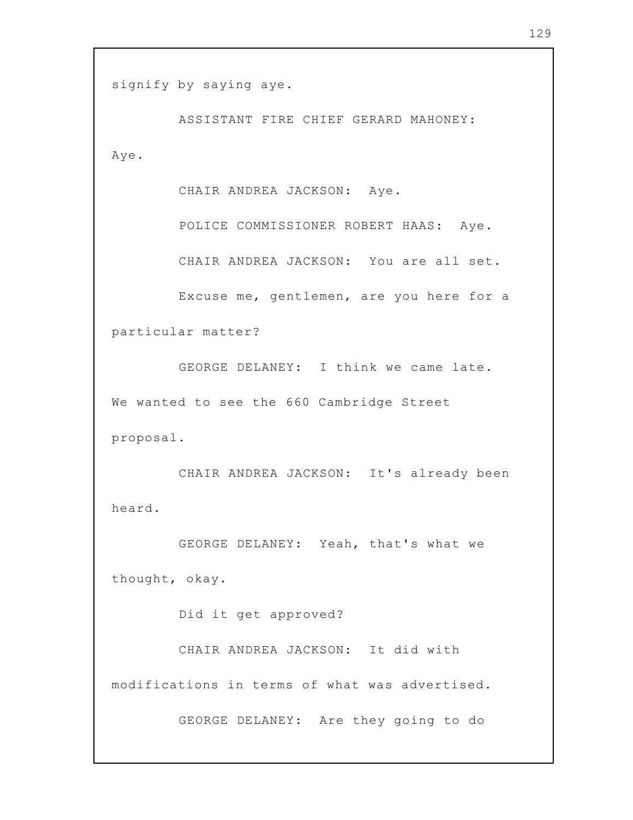```
signify by saying aye.
```
ASSISTANT FIRE CHIEF GERARD MAHONEY: Aye.

CHAIR ANDREA JACKSON: Aye.

POLICE COMMISSIONER ROBERT HAAS: Aye.

CHAIR ANDREA JACKSON: You are all set.

Excuse me, gentlemen, are you here for a particular matter?

GEORGE DELANEY: I think we came late. We wanted to see the 660 Cambridge Street proposal.

CHAIR ANDREA JACKSON: It's already been heard.

GEORGE DELANEY: Yeah, that's what we thought, okay.

Did it get approved?

CHAIR ANDREA JACKSON: It did with modifications in terms of what was advertised.

GEORGE DELANEY: Are they going to do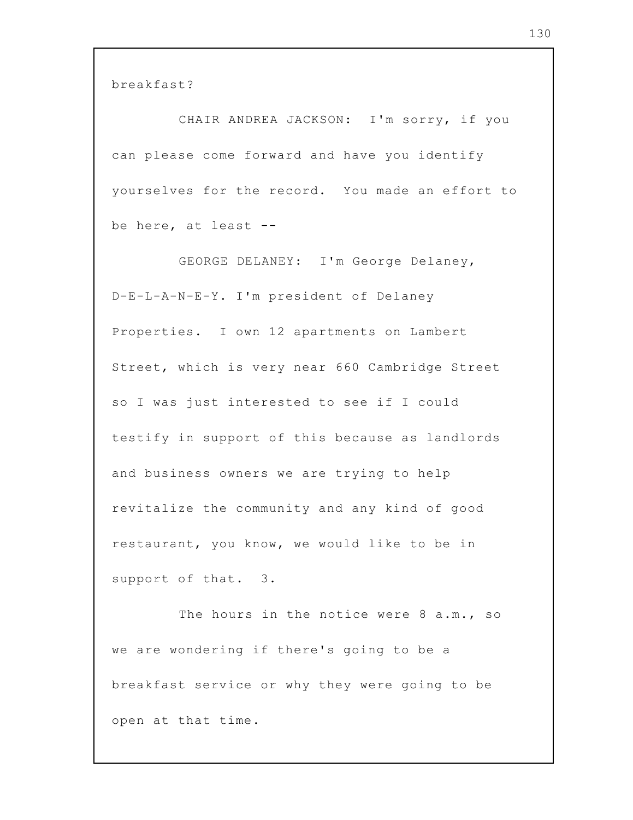breakfast?

CHAIR ANDREA JACKSON: I'm sorry, if you can please come forward and have you identify yourselves for the record. You made an effort to be here, at least --

GEORGE DELANEY: I'm George Delaney, D-E-L-A-N-E-Y. I'm president of Delaney Properties. I own 12 apartments on Lambert Street, which is very near 660 Cambridge Street so I was just interested to see if I could testify in support of this because as landlords and business owners we are trying to help revitalize the community and any kind of good restaurant, you know, we would like to be in support of that. 3.

The hours in the notice were 8 a.m., so we are wondering if there's going to be a breakfast service or why they were going to be open at that time.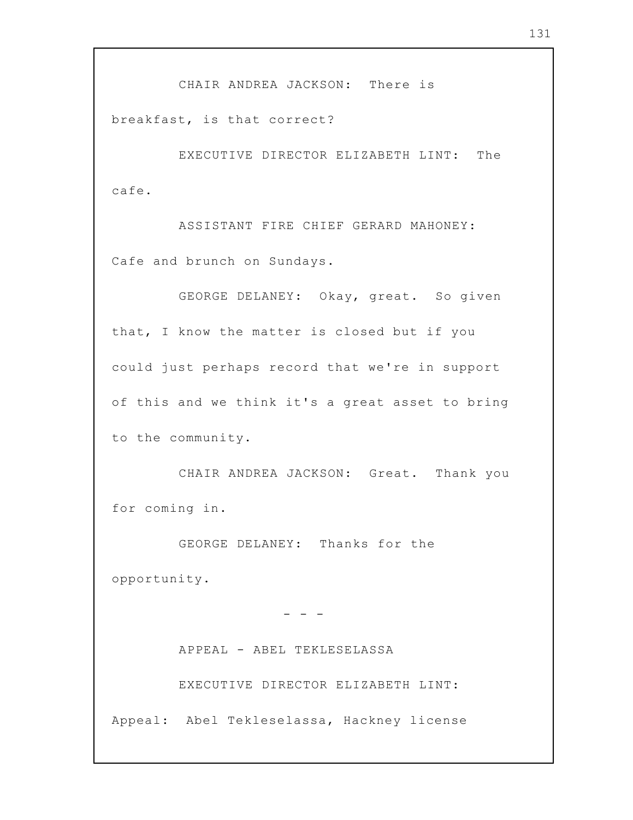CHAIR ANDREA JACKSON: There is

breakfast, is that correct?

EXECUTIVE DIRECTOR ELIZABETH LINT: The cafe.

ASSISTANT FIRE CHIEF GERARD MAHONEY: Cafe and brunch on Sundays.

GEORGE DELANEY: Okay, great. So given that, I know the matter is closed but if you could just perhaps record that we're in support of this and we think it's a great asset to bring to the community.

CHAIR ANDREA JACKSON: Great. Thank you for coming in.

GEORGE DELANEY: Thanks for the opportunity.

APPEAL - ABEL TEKLESELASSA EXECUTIVE DIRECTOR ELIZABETH LINT: Appeal: Abel Tekleselassa, Hackney license

- - -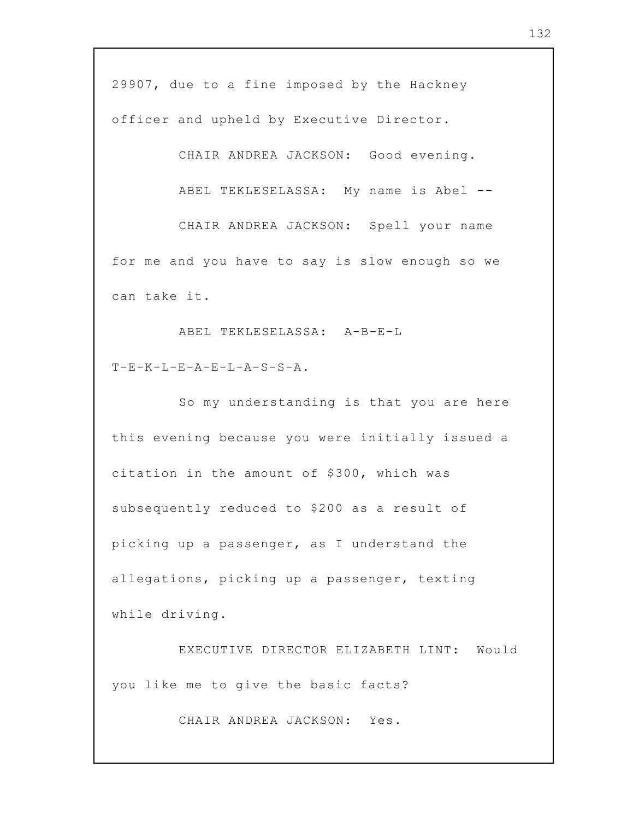29907, due to a fine imposed by the Hackney officer and upheld by Executive Director.

CHAIR ANDREA JACKSON: Good evening.

ABEL TEKLESELASSA: My name is Abel --

CHAIR ANDREA JACKSON: Spell your name for me and you have to say is slow enough so we can take it.

ABEL TEKLESELASSA: A-B-E-L  $T-F-K-T-E-R-A-F-T-P-A-S-S-A$ .

So my understanding is that you are here this evening because you were initially issued a citation in the amount of \$300, which was subsequently reduced to \$200 as a result of picking up a passenger, as I understand the allegations, picking up a passenger, texting while driving.

EXECUTIVE DIRECTOR ELIZABETH LINT: Would you like me to give the basic facts?

CHAIR ANDREA JACKSON: Yes.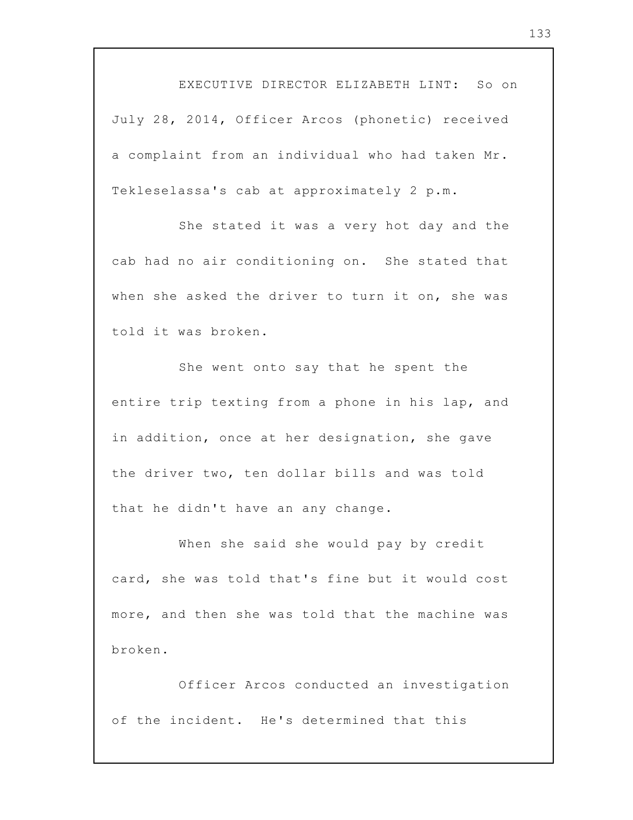EXECUTIVE DIRECTOR ELIZABETH LINT: So on July 28, 2014, Officer Arcos (phonetic) received a complaint from an individual who had taken Mr. Tekleselassa's cab at approximately 2 p.m.

She stated it was a very hot day and the cab had no air conditioning on. She stated that when she asked the driver to turn it on, she was told it was broken.

She went onto say that he spent the entire trip texting from a phone in his lap, and in addition, once at her designation, she gave the driver two, ten dollar bills and was told that he didn't have an any change.

When she said she would pay by credit card, she was told that's fine but it would cost more, and then she was told that the machine was broken.

Officer Arcos conducted an investigation of the incident. He's determined that this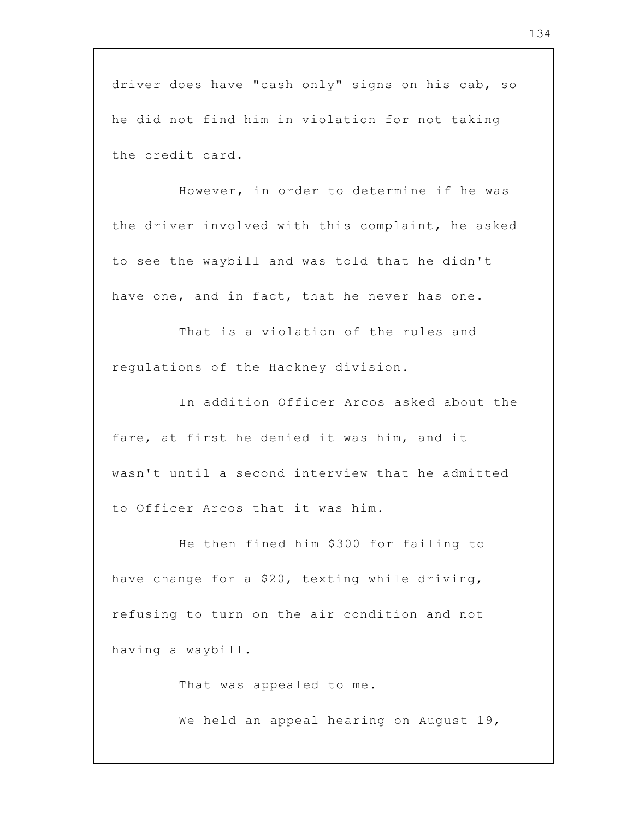driver does have "cash only" signs on his cab, so he did not find him in violation for not taking the credit card.

However, in order to determine if he was the driver involved with this complaint, he asked to see the waybill and was told that he didn't have one, and in fact, that he never has one.

That is a violation of the rules and regulations of the Hackney division.

In addition Officer Arcos asked about the fare, at first he denied it was him, and it wasn't until a second interview that he admitted to Officer Arcos that it was him.

He then fined him \$300 for failing to have change for a \$20, texting while driving, refusing to turn on the air condition and not having a waybill.

That was appealed to me.

We held an appeal hearing on August 19,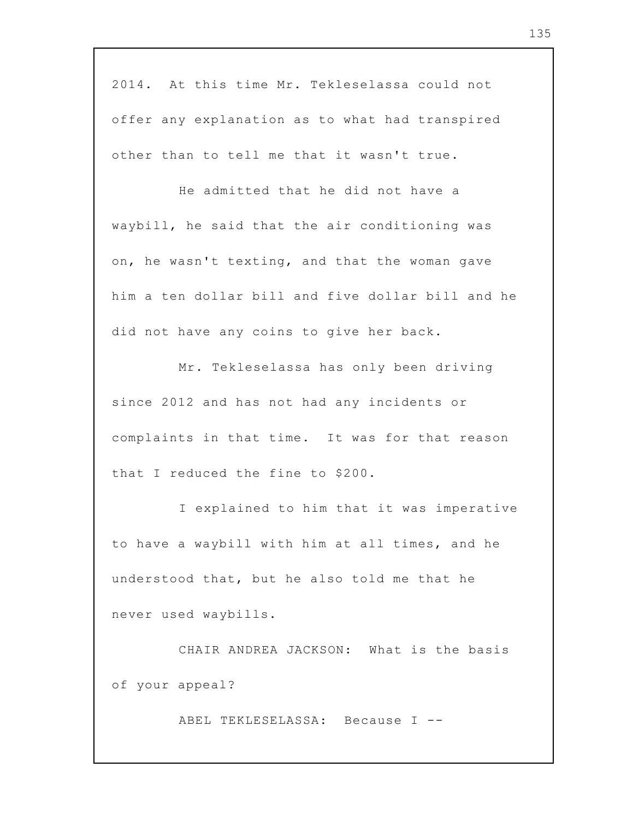2014. At this time Mr. Tekleselassa could not offer any explanation as to what had transpired other than to tell me that it wasn't true.

He admitted that he did not have a waybill, he said that the air conditioning was on, he wasn't texting, and that the woman gave him a ten dollar bill and five dollar bill and he did not have any coins to give her back.

Mr. Tekleselassa has only been driving since 2012 and has not had any incidents or complaints in that time. It was for that reason that I reduced the fine to \$200.

I explained to him that it was imperative to have a waybill with him at all times, and he understood that, but he also told me that he never used waybills.

CHAIR ANDREA JACKSON: What is the basis of your appeal?

ABEL TEKLESELASSA: Because I --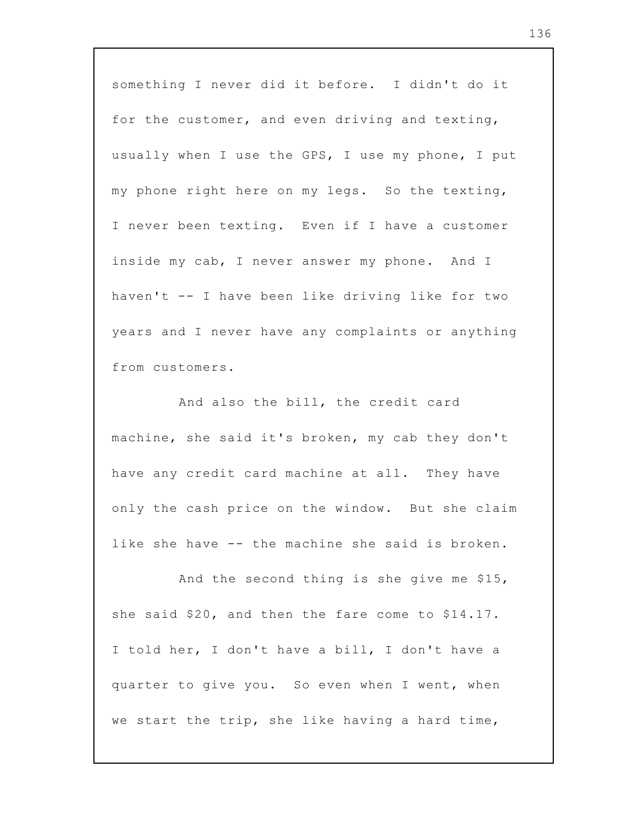something I never did it before. I didn't do it for the customer, and even driving and texting, usually when I use the GPS, I use my phone, I put my phone right here on my legs. So the texting, I never been texting. Even if I have a customer inside my cab, I never answer my phone. And I haven't -- I have been like driving like for two years and I never have any complaints or anything from customers.

And also the bill, the credit card machine, she said it's broken, my cab they don't have any credit card machine at all. They have only the cash price on the window. But she claim like she have -- the machine she said is broken.

And the second thing is she give me \$15, she said \$20, and then the fare come to \$14.17. I told her, I don't have a bill, I don't have a quarter to give you. So even when I went, when we start the trip, she like having a hard time,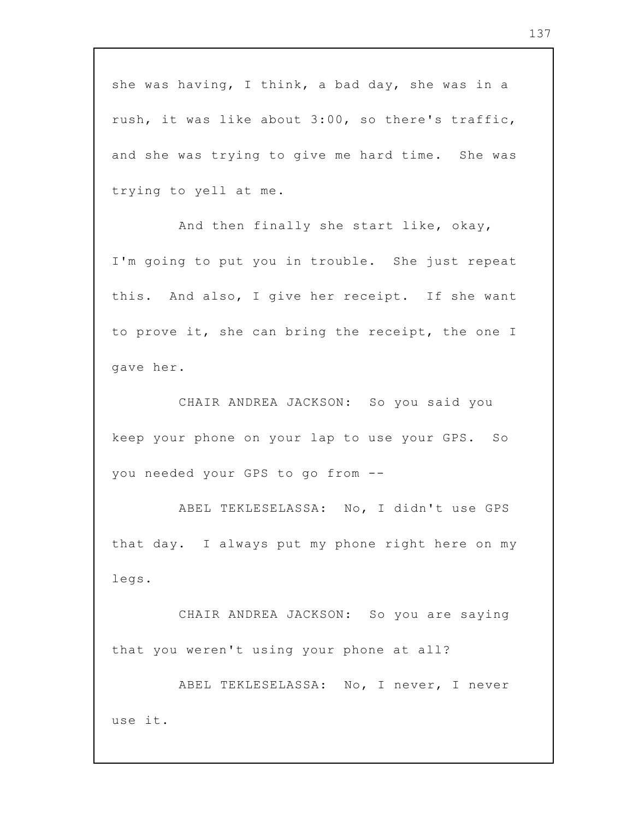she was having, I think, a bad day, she was in a rush, it was like about 3:00, so there's traffic, and she was trying to give me hard time. She was trying to yell at me.

And then finally she start like, okay, I'm going to put you in trouble. She just repeat this. And also, I give her receipt. If she want to prove it, she can bring the receipt, the one I gave her.

CHAIR ANDREA JACKSON: So you said you keep your phone on your lap to use your GPS. So you needed your GPS to go from --

ABEL TEKLESELASSA: No, I didn't use GPS that day. I always put my phone right here on my legs.

CHAIR ANDREA JACKSON: So you are saying that you weren't using your phone at all?

ABEL TEKLESELASSA: No, I never, I never use it.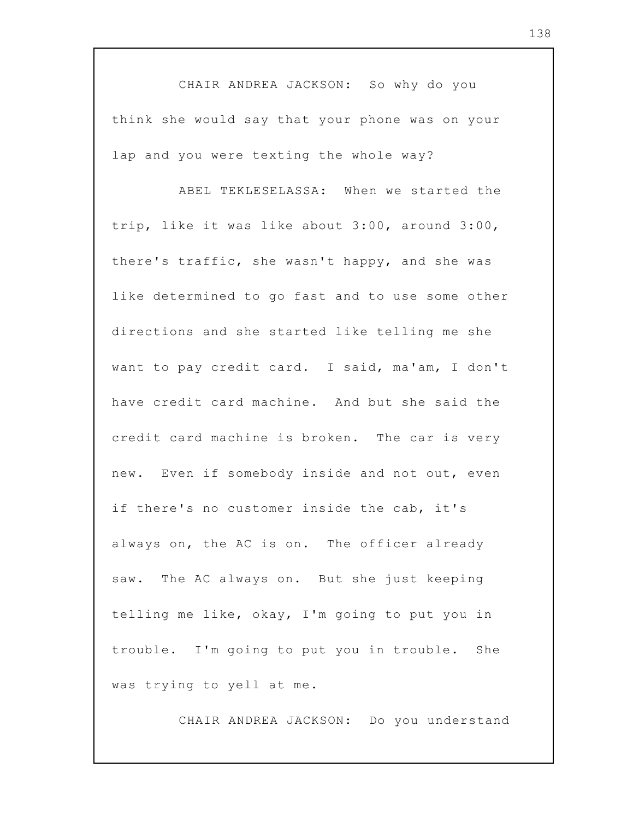CHAIR ANDREA JACKSON: So why do you think she would say that your phone was on your lap and you were texting the whole way?

ABEL TEKLESELASSA: When we started the trip, like it was like about 3:00, around 3:00, there's traffic, she wasn't happy, and she was like determined to go fast and to use some other directions and she started like telling me she want to pay credit card. I said, ma'am, I don't have credit card machine. And but she said the credit card machine is broken. The car is very new. Even if somebody inside and not out, even if there's no customer inside the cab, it's always on, the AC is on. The officer already saw. The AC always on. But she just keeping telling me like, okay, I'm going to put you in trouble. I'm going to put you in trouble. She was trying to yell at me.

CHAIR ANDREA JACKSON: Do you understand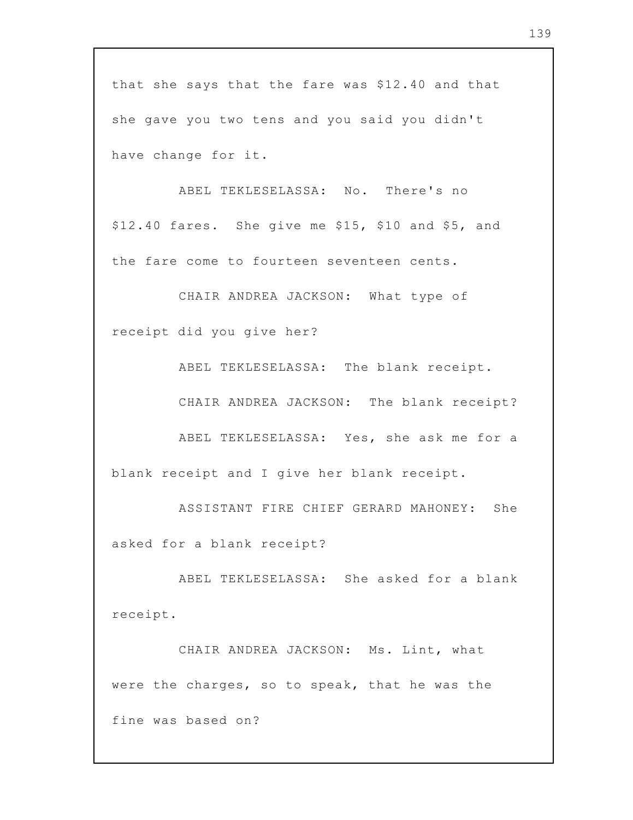that she says that the fare was \$12.40 and that she gave you two tens and you said you didn't have change for it.

ABEL TEKLESELASSA: No. There's no \$12.40 fares. She give me \$15, \$10 and \$5, and the fare come to fourteen seventeen cents.

CHAIR ANDREA JACKSON: What type of receipt did you give her?

ABEL TEKLESELASSA: The blank receipt.

CHAIR ANDREA JACKSON: The blank receipt?

ABEL TEKLESELASSA: Yes, she ask me for a blank receipt and I give her blank receipt.

ASSISTANT FIRE CHIEF GERARD MAHONEY: She asked for a blank receipt?

ABEL TEKLESELASSA: She asked for a blank receipt.

CHAIR ANDREA JACKSON: Ms. Lint, what were the charges, so to speak, that he was the fine was based on?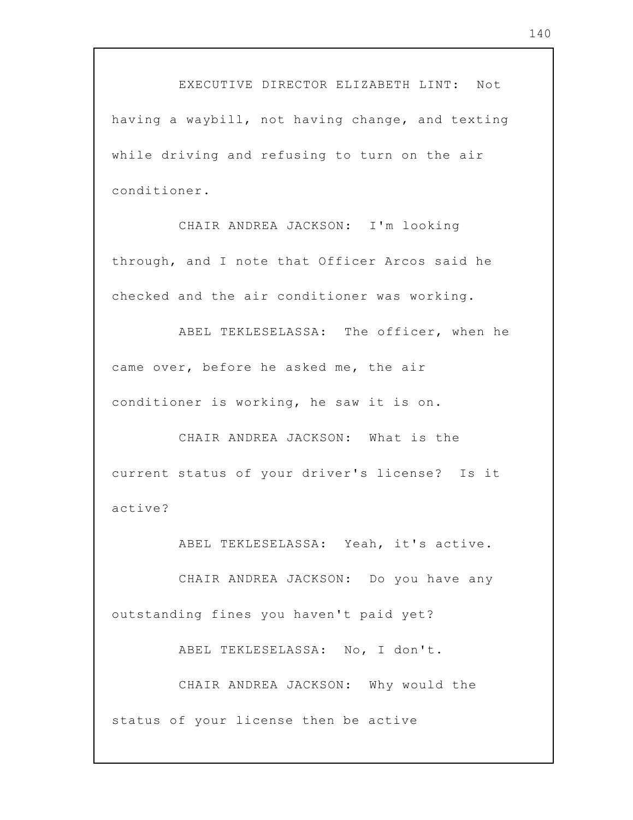EXECUTIVE DIRECTOR ELIZABETH LINT: Not having a waybill, not having change, and texting while driving and refusing to turn on the air conditioner.

CHAIR ANDREA JACKSON: I'm looking through, and I note that Officer Arcos said he checked and the air conditioner was working.

ABEL TEKLESELASSA: The officer, when he came over, before he asked me, the air conditioner is working, he saw it is on.

CHAIR ANDREA JACKSON: What is the current status of your driver's license? Is it active?

ABEL TEKLESELASSA: Yeah, it's active.

CHAIR ANDREA JACKSON: Do you have any outstanding fines you haven't paid yet?

ABEL TEKLESELASSA: No, I don't.

CHAIR ANDREA JACKSON: Why would the status of your license then be active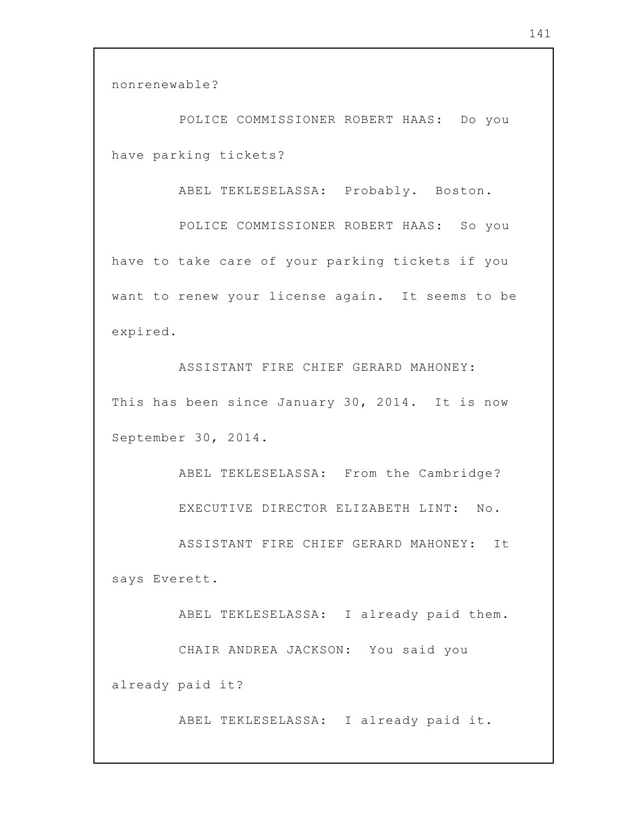nonrenewable?

POLICE COMMISSIONER ROBERT HAAS: Do you have parking tickets?

ABEL TEKLESELASSA: Probably. Boston.

POLICE COMMISSIONER ROBERT HAAS: So you have to take care of your parking tickets if you want to renew your license again. It seems to be expired.

ASSISTANT FIRE CHIEF GERARD MAHONEY: This has been since January 30, 2014. It is now September 30, 2014.

ABEL TEKLESELASSA: From the Cambridge? EXECUTIVE DIRECTOR ELIZABETH LINT: No.

ASSISTANT FIRE CHIEF GERARD MAHONEY: It says Everett.

ABEL TEKLESELASSA: I already paid them. CHAIR ANDREA JACKSON: You said you already paid it?

ABEL TEKLESELASSA: I already paid it.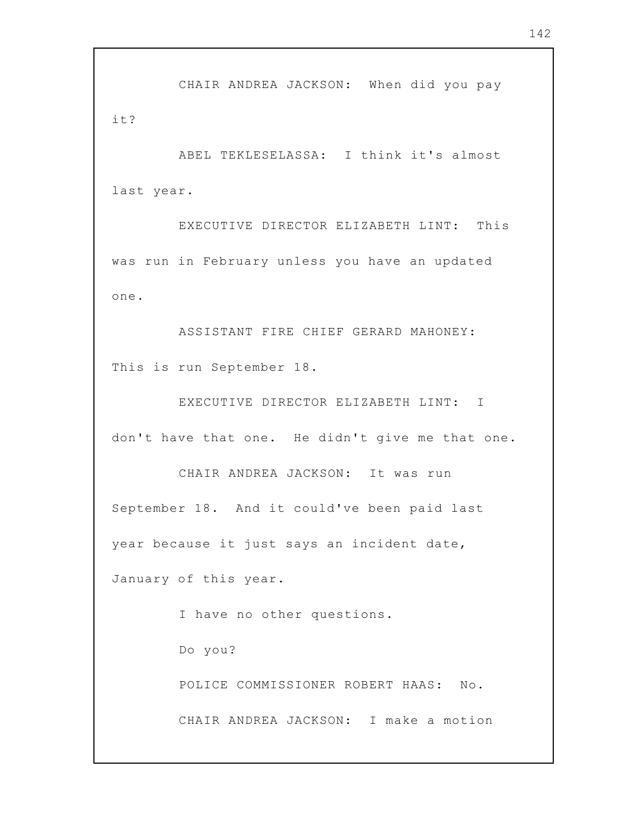CHAIR ANDREA JACKSON: When did you pay it?

ABEL TEKLESELASSA: I think it's almost last year.

EXECUTIVE DIRECTOR ELIZABETH LINT: This was run in February unless you have an updated one.

ASSISTANT FIRE CHIEF GERARD MAHONEY: This is run September 18.

EXECUTIVE DIRECTOR ELIZABETH LINT: I don't have that one. He didn't give me that one.

CHAIR ANDREA JACKSON: It was run September 18. And it could've been paid last year because it just says an incident date, January of this year.

I have no other questions.

Do you?

POLICE COMMISSIONER ROBERT HAAS: No.

CHAIR ANDREA JACKSON: I make a motion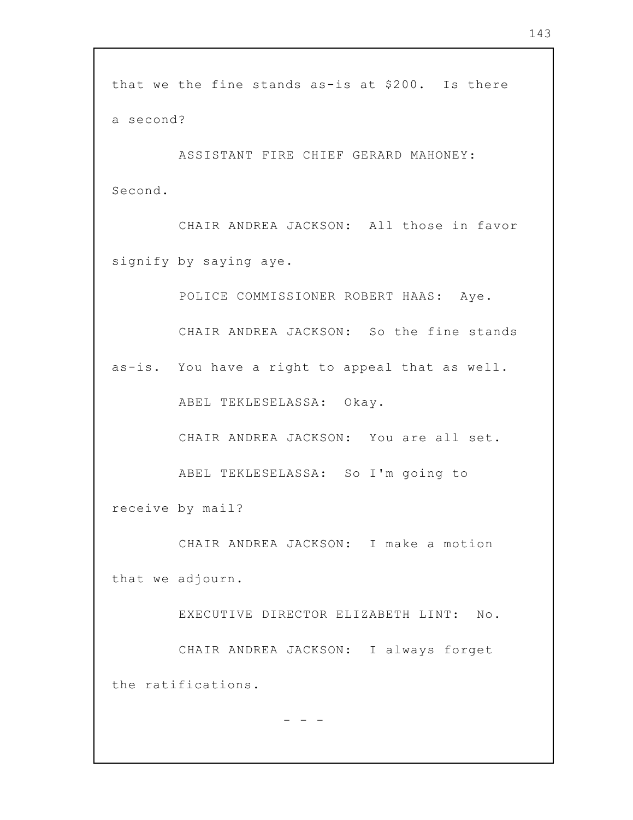that we the fine stands as-is at \$200. Is there a second?

ASSISTANT FIRE CHIEF GERARD MAHONEY: Second.

CHAIR ANDREA JACKSON: All those in favor signify by saying aye.

POLICE COMMISSIONER ROBERT HAAS: Aye. CHAIR ANDREA JACKSON: So the fine stands as-is. You have a right to appeal that as well. ABEL TEKLESELASSA: Okay. CHAIR ANDREA JACKSON: You are all set. ABEL TEKLESELASSA: So I'm going to

receive by mail?

CHAIR ANDREA JACKSON: I make a motion that we adjourn.

EXECUTIVE DIRECTOR ELIZABETH LINT: No. CHAIR ANDREA JACKSON: I always forget the ratifications.

- - -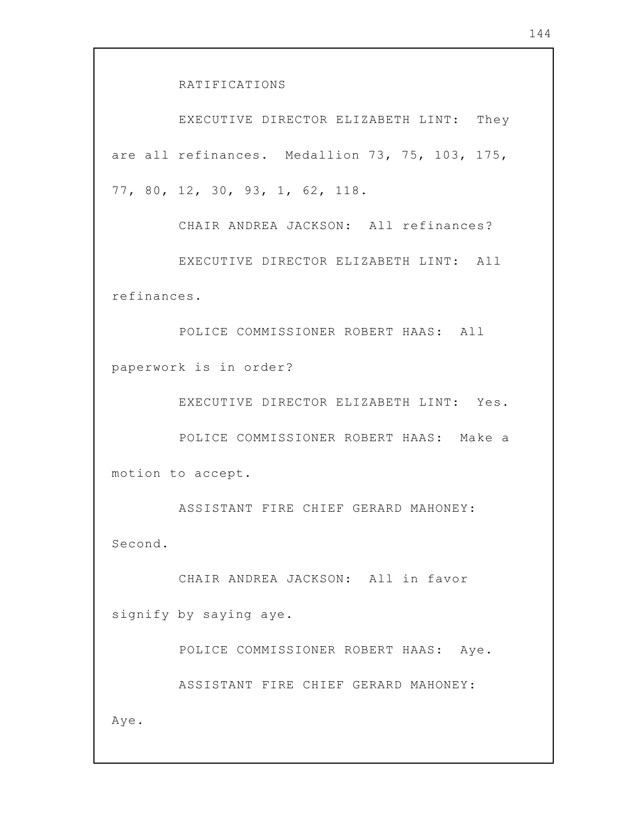RATIFICATIONS

EXECUTIVE DIRECTOR ELIZABETH LINT: They are all refinances. Medallion 73, 75, 103, 175, 77, 80, 12, 30, 93, 1, 62, 118.

CHAIR ANDREA JACKSON: All refinances? EXECUTIVE DIRECTOR ELIZABETH LINT: All refinances.

POLICE COMMISSIONER ROBERT HAAS: All paperwork is in order?

EXECUTIVE DIRECTOR ELIZABETH LINT: Yes.

POLICE COMMISSIONER ROBERT HAAS: Make a motion to accept.

ASSISTANT FIRE CHIEF GERARD MAHONEY: Second.

CHAIR ANDREA JACKSON: All in favor signify by saying aye.

POLICE COMMISSIONER ROBERT HAAS: Aye.

ASSISTANT FIRE CHIEF GERARD MAHONEY:

Aye.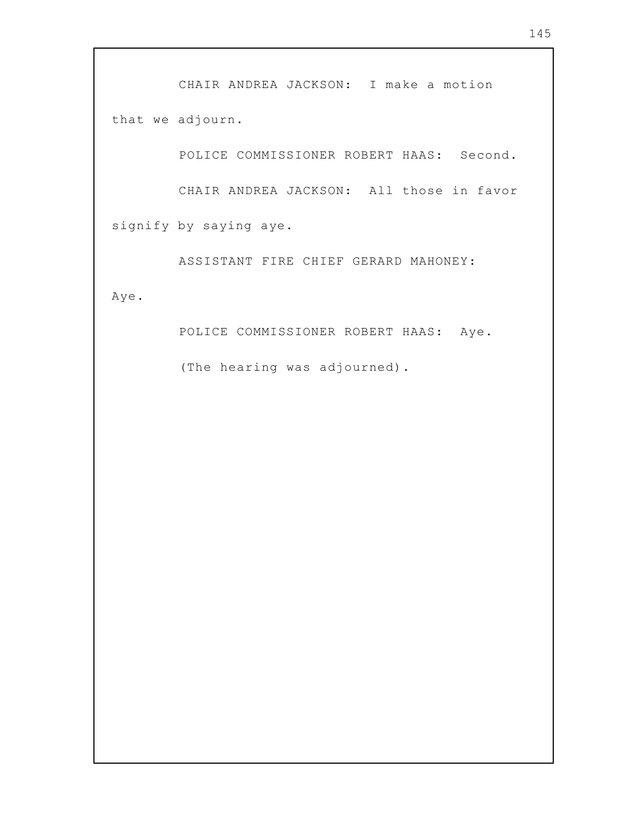CHAIR ANDREA JACKSON: I make a motion that we adjourn.

POLICE COMMISSIONER ROBERT HAAS: Second.

CHAIR ANDREA JACKSON: All those in favor signify by saying aye.

ASSISTANT FIRE CHIEF GERARD MAHONEY:

Aye.

POLICE COMMISSIONER ROBERT HAAS: Aye.

(The hearing was adjourned).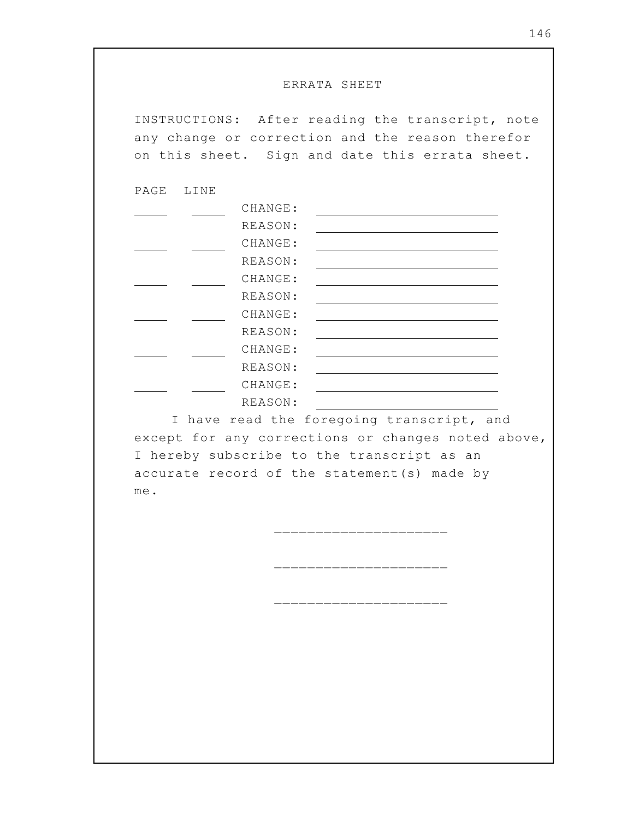## ERRATA SHEET

INSTRUCTIONS: After reading the transcript, note any change or correction and the reason therefor on this sheet. Sign and date this errata sheet.

PAGE LINE

| CHANGE: |  |
|---------|--|
| REASON: |  |
| CHANGE: |  |
| REASON: |  |
| CHANGE: |  |
| REASON: |  |
| CHANGE: |  |
| REASON: |  |
| CHANGE: |  |
| REASON: |  |
| CHANGE: |  |
| REASON: |  |

I have read the foregoing transcript, and except for any corrections or changes noted above, I hereby subscribe to the transcript as an accurate record of the statement(s) made by me.

\_\_\_\_\_\_\_\_\_\_\_\_\_\_\_\_

\_\_\_\_\_\_\_\_\_\_\_

\_\_\_\_\_\_\_\_\_\_\_\_\_\_\_\_\_\_\_\_\_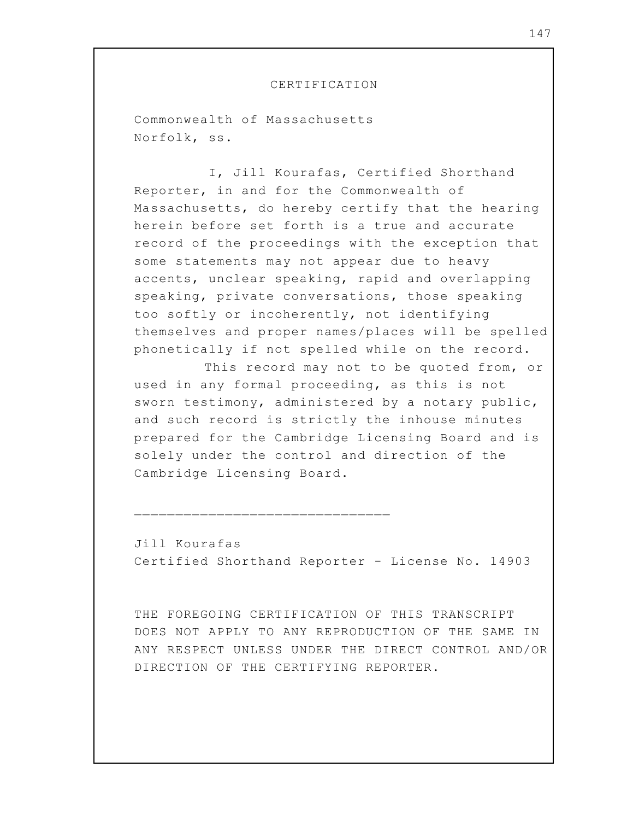## CERTIFICATION

Commonwealth of Massachusetts Norfolk, ss.

I, Jill Kourafas, Certified Shorthand Reporter, in and for the Commonwealth of Massachusetts, do hereby certify that the hearing herein before set forth is a true and accurate record of the proceedings with the exception that some statements may not appear due to heavy accents, unclear speaking, rapid and overlapping speaking, private conversations, those speaking too softly or incoherently, not identifying themselves and proper names/places will be spelled phonetically if not spelled while on the record.

This record may not to be quoted from, or used in any formal proceeding, as this is not sworn testimony, administered by a notary public, and such record is strictly the inhouse minutes prepared for the Cambridge Licensing Board and is solely under the control and direction of the Cambridge Licensing Board.

Jill Kourafas Certified Shorthand Reporter - License No. 14903

\_\_\_\_\_\_\_\_\_\_\_\_\_\_\_\_\_\_\_\_\_\_\_\_\_\_\_\_\_\_\_

THE FOREGOING CERTIFICATION OF THIS TRANSCRIPT DOES NOT APPLY TO ANY REPRODUCTION OF THE SAME IN ANY RESPECT UNLESS UNDER THE DIRECT CONTROL AND/OR DIRECTION OF THE CERTIFYING REPORTER.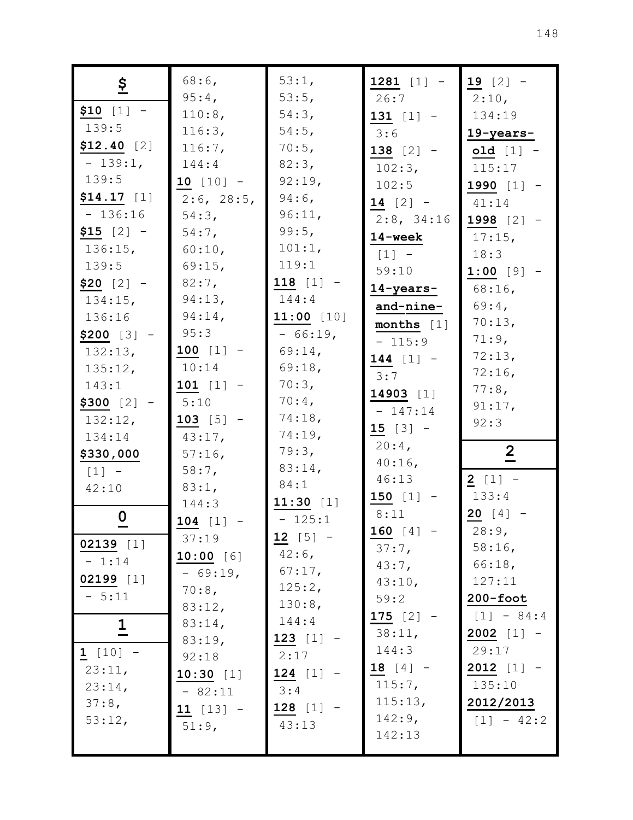| $\frac{5}{2}$           | $68:6$ ,           | 53:1,                 | $1281$ [1] -             | $19$ [2] -        |
|-------------------------|--------------------|-----------------------|--------------------------|-------------------|
| $$10$ [1] -             | 95:4,              | 53:5,                 | 26:7                     | 2:10,             |
| 139:5                   | 110:8,<br>116:3,   | 54:3,<br>$54:5$ ,     | $131$ [1] -              | 134:19            |
| $$12.40$ [2]            | 116:7,             | 70:5,                 | 3:6                      | 19-years-         |
| $-139:1$ ,              | 144:4              | 82:3,                 | $138 [2] -$              | $old [1] -$       |
| 139:5                   | $10 [10] -$        | 92:19,                | $102:3$ ,                | 115:17            |
| $$14.17$ [1]            | 2:6, 28:5,         | $94:6$ ,              | 102:5                    | 1990 $[1]$ -      |
| $-136:16$               | 54:3,              | 96:11,                | $14 [2] -$<br>2:8, 34:16 | 41:14             |
| $$15 [2] -$             | $54:7$ ,           | 99:5,                 | 14-week                  | 1998 $[2] -$      |
| 136:15,                 | 60:10,             | 101:1,                |                          | $17:15$ ,<br>18:3 |
| 139:5                   | $69:15$ ,          | 119:1                 | $[1] -$<br>59:10         | $1:00$ [9] -      |
| $$20$ [2] -             | $82:7$ ,           | $118$ [1] -           | 14-years-                | $68:16$ ,         |
| $134:15$ ,              | 94:13,             | 144:4                 | and-nine-                | $69:4$ ,          |
| 136:16                  | $94:14$ ,          | $11:00$ [10]          | months $[1]$             | 70:13,            |
| $$200$ [3] -            | 95:3               | $-66:19,$             | $-115:9$                 | 71:9,             |
| 132:13,                 | $100$ [1] -        | $69:14$ ,             | $144$ [1] -              | 72:13,            |
| 135:12,                 | 10:14              | 69:18,                | 3:7                      | $72:16$ ,         |
| 143:1                   | $101$ [1] -        | 70:3,                 | 14903 $[1]$              | 77:8,             |
| $$300 [2] -$            | 5:10               | $70:4$ ,              | $-147:14$                | 91:17,            |
| 132:12,                 | $103$ [5] -        | 74:18,                | $15 [3] -$               | 92:3              |
| 134:14                  | $43:17$ ,          | $74:19$ ,             | $20:4$ ,                 |                   |
| \$330,000               | $57:16$ ,          | 79:3,                 | $40:16$ ,                | $\overline{2}$    |
| $[1]$ -                 | $58:7$ ,           | $83:14$ ,             | 46:13                    | $2 [1] -$         |
| 42:10                   | $83:1$ ,           | 84:1                  | $150$ [1] -              | 133:4             |
| $\mathbf 0$             | 144:3              | 11:30 $[1]$           | 8:11                     | $20 [4] -$        |
|                         | $104$ [1] -        | $-125:1$              | 160 $[4]$ -              | 28:9,             |
| $02139$ [1]             | 37:19              | $12 [5] -$            | 37:7,                    | 58:16,            |
| $-1:14$                 | 10:00 [6]          | $42:6$ ,<br>$67:17$ , | 43:7,                    | 66:18,            |
| 02199 [1]               | $-69:19,$          | 125:2,                | 43:10,                   | 127:11            |
| $-5:11$                 | $70:8$ ,<br>83:12, | 130:8,                | 59:2                     | $200 - foot$      |
|                         | 83:14,             | 144:4                 | $175 [2] -$              | $[1] - 84:4$      |
| $\overline{\mathsf{I}}$ | 83:19,             | $123$ [1] -           | 38:11,                   | $2002$ [1] -      |
| $1 [10] -$              | 92:18              | 2:17                  | 144:3                    | 29:17             |
| 23:11,                  | $10:30$ [1]        | $124$ [1] -           | $18 [4] -$               | $2012$ [1] -      |
| 23:14,                  | $-82:11$           | 3:4                   | 115:7,                   | 135:10            |
| 37:8,                   | $11 [13] -$        | $128$ [1] -           | 115:13,                  | 2012/2013         |
| 53:12,                  | 51:9,              | 43:13                 | $142:9$ ,                | $[1] - 42:2$      |
|                         |                    |                       |                          |                   |
|                         |                    |                       | 142:13                   |                   |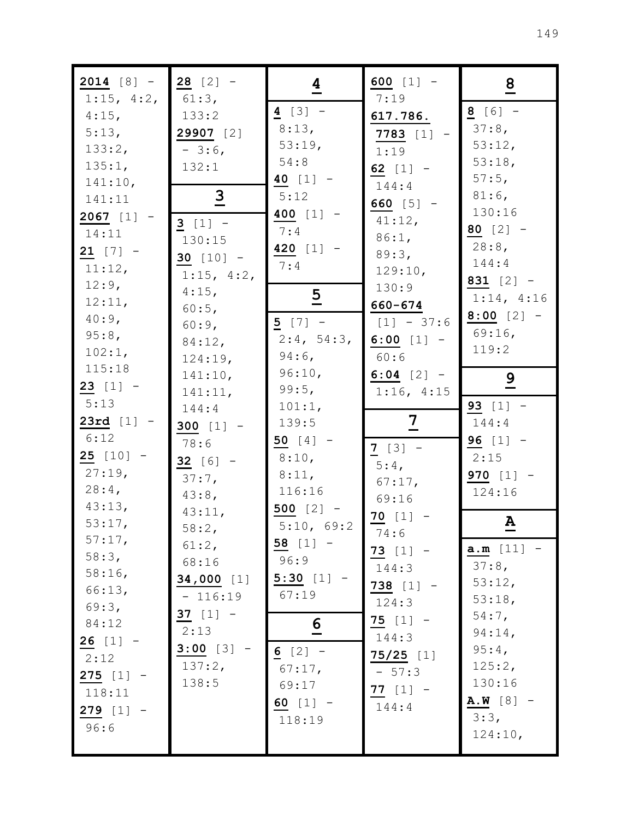| $2014 [8] -$<br>1:15, 4:2, | $28 [2] -$<br>$61:3$ , | $\overline{4}$     | 600 $[1] -$<br>7:19    | $\overline{8}$     |
|----------------------------|------------------------|--------------------|------------------------|--------------------|
| $4:15$ ,                   | 133:2                  | $4 [3] -$          | 617.786.               | $8 [6] -$          |
| 5:13,                      | 29907 [2]              | 8:13,              | <b>7783</b> [1]        | 37:8,              |
| 133:2,                     | $-3:6$                 | 53:19,             | 1:19                   | 53:12,             |
| 135:1,                     | 132:1                  | 54:8<br>40 $[1]$ - | 62 $[1]$ -             | 53:18,<br>$57:5$ , |
| 141:10,                    | $\overline{3}$         | 5:12               | 144:4                  | $81:6$ ,           |
| 141:11                     |                        | 400 $[1]$ -        | 660 $[5]$ -            | 130:16             |
| $2067$ [1]<br>14:11        | $3 [1] -$              | 7:4                | 41:12,                 | 80 $[2] -$         |
| $21$ [7] -                 | 130:15                 | 420 $[1]$ -        | 86:1,                  | $28:8$ ,           |
| 11:12,                     | $30 [10] -$            | 7:4                | 89:3,<br>129:10,       | 144:4              |
| 12:9,                      | 1:15, 4:2,             |                    | 130:9                  | 831 $[2]$ -        |
| 12:11,                     | $4:15$ ,               | $\overline{5}$     | 660-674                | 1:14, 4:16         |
| $40:9$ ,                   | 60:5,<br>60:9,         | $5 [7] -$          | $[1] - 37:6$           | $8:00$ [2] -       |
| 95:8,                      | 84:12,                 | 2:4, 54:3,         | 6:00 $[1]$ -           | 69:16              |
| 102:1,                     | 124:19,                | $94:6$ ,           | 60:6                   | 119:2              |
| 115:18                     | 141:10,                | 96:10,             | $6:04$ [2] -           | $\overline{9}$     |
| $23$ [1] -                 | 141:11,                | 99:5,              | 1:16, 4:15             |                    |
| 5:13                       | 144:4                  | 101:1,             |                        | 93 $[1]$ -         |
| 23rd [1]                   | 300 $[1]$ -            | 139:5              | $\overline{2}$         | 144:4              |
| 6:12                       | 78:6                   | 50 $[4]$ -         | $7 [3] -$              | 96 $[1]$ -         |
| $25$ [10] -<br>$27:19$ ,   | 32 $[6]$ -             | 8:10,              | $5:4$ ,                | 2:15               |
| $28:4$ ,                   | 37:7,                  | 8:11,<br>116:16    | 67:17,                 | 970 $[1]$ -        |
| 43:13,                     | 43:8,                  | 500 $[2]$ -        | 69:16                  | 124:16             |
| 53:17,                     | 43:11,                 | 5:10, 69:2         | $70$ [1] -             | ${\bf A}$          |
| 57:17,                     | 58:2,<br>61:2,         | $58$ [1] -         | 74:6                   |                    |
| 58:3,                      | 68:16                  | 96:9               | $73$ [1] -             | $a.m [11] -$       |
| $58:16$ ,                  | 34,000 [1]             | $5:30$ [1] -       | 144:3                  | 37:8,              |
| 66:13,                     | $-116:19$              | 67:19              | $738$ [1] -            | 53:12,<br>53:18,   |
| 69:3,                      | 37 $[1] -$             |                    | 124:3                  | $54:7$ ,           |
| 84:12                      | 2:13                   | $\frac{6}{1}$      | $75 [1] -$             | $94:14$ ,          |
| $26 [1] -$                 | $3:00$ [3] -           | $6 [2] -$          | 144:3                  | $95:4$ ,           |
| 2:12                       | 137:2,                 | 67:17,             | $75/25$ [1]<br>$-57:3$ | 125:2,             |
| $275$ [1] -                | 138:5                  | 69:17              | 77 $[1]$ -             | 130:16             |
| 118:11                     |                        | 60 $[1]$ -         | 144:4                  | $A.W [8] -$        |
| $279$ [1] -                |                        | 118:19             |                        | 3:3,               |
| 96:6                       |                        |                    |                        | 124:10,            |
|                            |                        |                    |                        |                    |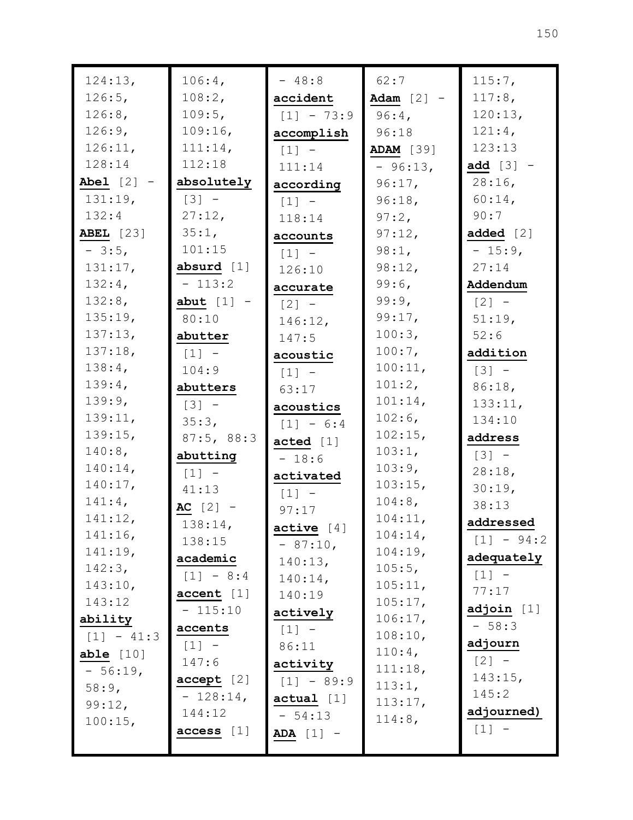| 124:13,              | 106:4,              | $-48:8$             | 62:7               | 115:7,              |
|----------------------|---------------------|---------------------|--------------------|---------------------|
| $126:5$ ,            | 108:2,              | accident            | Adam $[2]$ -       | 117:8,              |
| 126:8,               | 109:5,              | $[1] - 73:9$        | $96:4$ ,           | 120:13,             |
| 126:9,               | 109:16,             | accomplish          | 96:18              | 121:4,              |
| 126:11,              | 111:14,             | $[1]$ -             | <b>ADAM</b> [39]   | 123:13              |
| 128:14               | 112:18              | 111:14              | $-96:13,$          | add $[3]$ -         |
| Abel $[2]$ -         | absolutely          | according           | $96:17$ ,          | $28:16$ ,           |
| 131:19,              | $[3] -$             | $[1]$ -             | 96:18,             | $60:14$ ,           |
| 132:4                | 27:12,              | 118:14              | 97:2,              | 90:7                |
| <b>ABEL</b> [23]     | 35:1,               | accounts            | 97:12,             | added $[2]$         |
| $-3:5,$              | 101:15              | $\lceil 1 \rceil$ - | 98:1,              | $-15:9,$            |
| 131:17,              | absurd $[1]$        | 126:10              | 98:12,             | 27:14               |
| 132:4,               | $-113:2$            | accurate            | 99:6,              | Addendum            |
| 132:8,               | abut $[1]$ -        | $\lceil 2 \rceil$ - | 99:9,              | $[2] -$             |
| 135:19,              | 80:10               | 146:12,             | 99:17,             | 51:19,              |
| 137:13,              | abutter             | 147:5               | 100:3,             | 52:6                |
| 137:18,              | $\lceil 1 \rceil$ - | acoustic            | $100:7$ ,          | addition            |
| 138:4,               | 104:9               | $\lceil 1 \rceil$ - | 100:11,            | $\lceil 3 \rceil$ - |
| 139:4,               | abutters            | 63:17               | 101:2,             | 86:18,              |
| 139:9,               | $[3] -$             | acoustics           | 101:14,            | 133:11,             |
| 139:11,              | 35:3,               | $[1] - 6:4$         | $102:6$ ,          | 134:10              |
| 139:15,              | 87:5, 88:3          | acted [1]           | 102:15,            | address             |
| 140:8,               | abutting            | $-18:6$             | 103:1,             | $[3] -$             |
| $140:14$ ,           | $[1]$ -             | activated           | 103:9,             | 28:18,              |
| 140:17,              | 41:13               | $[1] -$             | 103:15,            | 30:19,              |
| $141:4$ ,            | AC $[2]$ -          | 97:17               | 104:8,             | 38:13               |
| 141:12,              | $138:14$ ,          | active [4]          | 104:11,            | addressed           |
| 141:16,              | 138:15              | $-87:10$ ,          | 104:14,            | $[1] - 94:2$        |
| 141:19,              | academic            | 140:13,             | 104:19,            | adequately          |
| 142:3,               | $[1] - 8:4$         | $140:14$ ,          | 105:5,             | $[1] -$             |
| 143:10,<br>143:12    | accent [1]          | 140:19              | 105:11,            | 77:17               |
|                      | $-115:10$           | actively            | 105:17,            | adjoin [1]          |
| ability              | accents             | $[1] -$             | 106:17,<br>108:10, | $-58:3$             |
| $[1] - 41:3$         | $[1] -$             | 86:11               | $110:4$ ,          | adjourn             |
| able $[10]$          | 147:6               | activity            | 111:18,            | $[2] -$             |
| $-56:19,$            | accept [2]          | $[1] - 89:9$        | 113:1,             | 143:15,             |
| 58:9,                | $-128:14,$          | $actual$ [1]        | 113:17,            | 145:2               |
| 99:12,<br>$100:15$ , | 144:12              | $-54:13$            | 114:8,             | adjourned)          |
|                      | access [1]          | $ADA [1] -$         |                    | $[1] -$             |
|                      |                     |                     |                    |                     |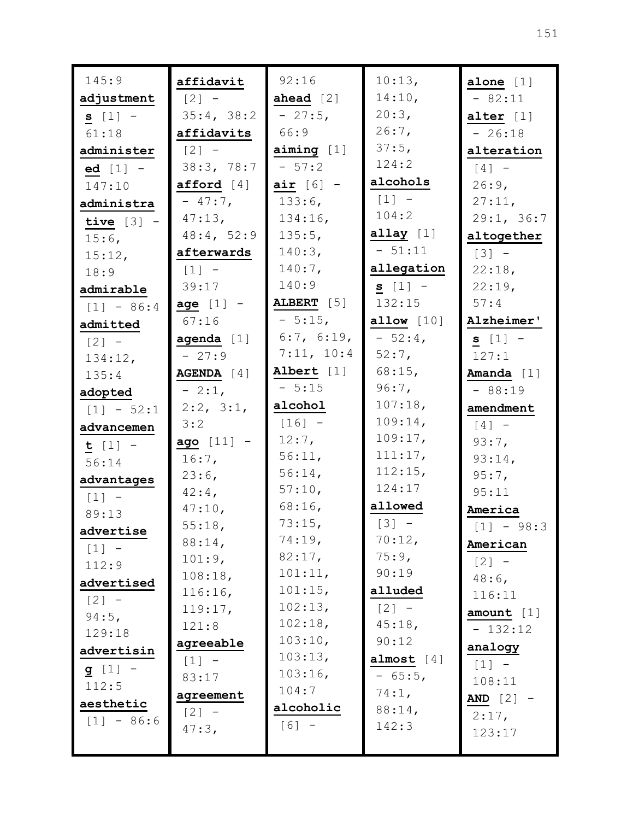| 145:9        | affidavit       | 92:16              | 10:13,          | alone $[1]$  |
|--------------|-----------------|--------------------|-----------------|--------------|
| adjustment   | $[2] -$         | ahead $[2]$        | 14:10,          | $-82:11$     |
| $s [1] -$    | 35:4, 38:2      | $-27:5,$           | 20:3,           | alter $[1]$  |
| 61:18        | affidavits      | 66:9               | $26:7$ ,        | $-26:18$     |
| administer   | $[2] -$         | $\min_{g}$ [1]     | 37:5,           | alteration   |
| $ed [1] -$   | 38:3, 78:7      | $-57:2$            | 124:2           | $[4]$ -      |
| 147:10       | afford $[4]$    | air $[6]$ -        | alcohols        | $26:9$ ,     |
| administra   | $-47:7$ ,       | $133:6$ ,          | $[1] -$         | 27:11,       |
| tive $[3]$ - | $47:13$ ,       | 134:16,            | 104:2           | 29:1, 36:7   |
| $15:6$ ,     | 48:4, 52:9      | 135:5,             | $allay$ [1]     | altogether   |
| 15:12,       | afterwards      | 140:3,             | $-51:11$        | $[3] -$      |
| 18:9         | $[1] -$         | $140:7$ ,          | allegation      | 22:18,       |
| admirable    | 39:17           | 140:9              | $s [1] -$       | 22:19,       |
| $[1] - 86:4$ | age $[1]$ -     | ALBERT [5]         | 132:15          | 57:4         |
| admitted     | 67:16           | $-5:15,$           | allow $[10]$    | Alzheimer'   |
| $[2] -$      | agenda $[1]$    | 6:7, 6:19,         | $-52:4$         | $s$ [1] -    |
| 134:12,      | $-27:9$         | 7:11, 10:4         | $52:7$ ,        | 127:1        |
| 135:4        | AGENDA [4]      | Albert [1]         | $68:15$ ,       | Amanda [1]   |
| adopted      | $-2:1$ ,        | $-5:15$            | $96:7$ ,        | $-88:19$     |
| $[1] - 52:1$ | $2:2$ , $3:1$ , | alcohol            | 107:18,         | amendment    |
| advancemen   | 3:2             | $[16] -$           | 109:14,         | $[4]$ -      |
| $t [1] -$    | ago [11] -      | $12:7$ ,           | 109:17,         | 93:7,        |
| 56:14        | $16:7$ ,        | 56:11,             | 111:17,         | 93:14,       |
| advantages   | 23:6,           | 56:14,             | 112:15,         | 95:7,        |
| $[1]$ -      | $42:4$ ,        | 57:10,             | 124:17          | 95:11        |
| 89:13        | 47:10,          | $68:16$ ,          | allowed         | America      |
| advertise    | 55:18,          | 73:15,             | $[3] -$         | $[1] - 98:3$ |
| $[1]$ -      | 88:14,          | 74:19,             | 70:12,          | American     |
| 112:9        | 101:9,          | 82:17,             | 75:9,           | $[2] -$      |
| advertised   | 108:18,         | 101:11,            | 90:19           | $48:6$ ,     |
| $[2] -$      | 116:16,         | 101:15,            | alluded         | 116:11       |
| $94:5$ ,     | 119:17,         | 102:13,<br>102:18, | $[2] -$         | amount $[1]$ |
| 129:18       | 121:8           | 103:10,            | 45:18,          | $-132:12$    |
| advertisin   | agreeable       | 103:13,            | 90:12           | analogy      |
| $g [1] -$    | $[1] -$         | 103:16,            | almost $[4]$    | $[1] -$      |
| 112:5        | 83:17           | 104:7              | $-65:5,$        | 108:11       |
| aesthetic    | agreement       | alcoholic          | 74:1,           | AND $[2]$ -  |
| $[1] - 86:6$ | $[2] -$         | $[6] -$            | 88:14,<br>142:3 | $2:17$ ,     |
|              | 47:3,           |                    |                 | 123:17       |
|              |                 |                    |                 |              |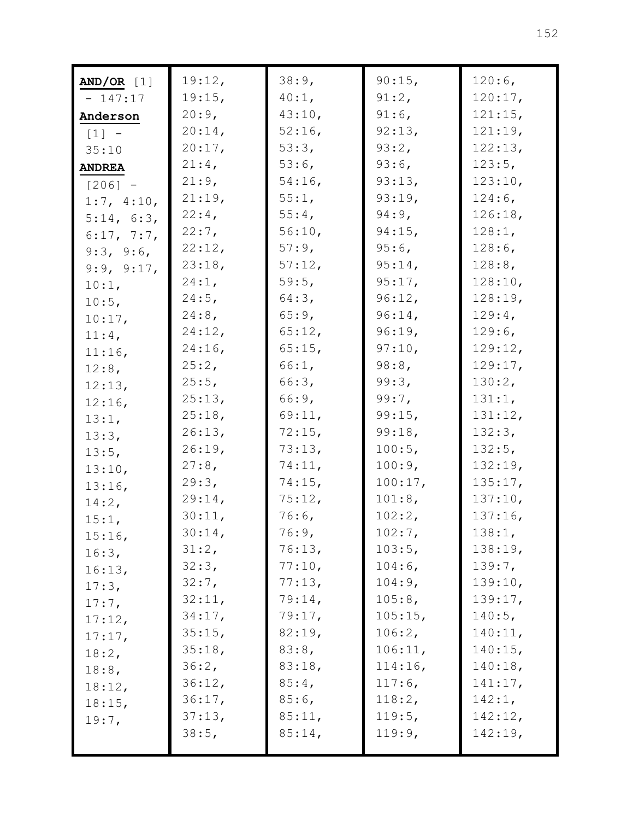| $AND/OR$ [1]  | 19:12,    | 38:9,     | 90:15,    | $120:6$ ,  |
|---------------|-----------|-----------|-----------|------------|
| $-147:17$     | 19:15,    | $40:1$ ,  | 91:2,     | 120:17,    |
| Anderson      | 20:9,     | 43:10,    | $91:6$ ,  | 121:15,    |
| $[1] -$       | $20:14$ , | $52:16$ , | 92:13,    | 121:19,    |
| 35:10         | 20:17,    | 53:3,     | 93:2,     | 122:13,    |
| <b>ANDREA</b> | $21:4$ ,  | $53:6$ ,  | $93:6$ ,  | $123:5$ ,  |
| $[206] -$     | 21:9,     | $54:16$ , | 93:13,    | 123:10,    |
| 1:7, 4:10,    | 21:19,    | 55:1,     | 93:19,    | $124:6$ ,  |
| 5:14, 6:3,    | $22:4$ ,  | 55:4,     | $94:9$ ,  | 126:18,    |
| 6:17, 7:7,    | $22:7$ ,  | 56:10,    | 94:15,    | 128:1,     |
| 9:3, 9:6,     | 22:12,    | 57:9,     | $95:6$ ,  | $128:6$ ,  |
| 9:9, 9:17,    | 23:18,    | 57:12,    | $95:14$ , | 128:8,     |
| 10:1,         | $24:1$ ,  | $59:5$ ,  | 95:17,    | 128:10,    |
| $10:5$ ,      | $24:5$ ,  | 64:3,     | 96:12,    | 128:19,    |
| 10:17,        | 24:8,     | 65:9,     | $96:14$ , | $129:4$ ,  |
| 11:4,         | 24:12,    | 65:12,    | 96:19,    | $129:6$ ,  |
| 11:16,        | $24:16$ , | 65:15,    | 97:10,    | 129:12,    |
| 12:8,         | 25:2,     | 66:1,     | 98:8,     | 129:17,    |
| 12:13,        | 25:5,     | 66:3,     | 99:3,     | 130:2,     |
| $12:16$ ,     | 25:13,    | 66:9,     | 99:7,     | 131:1,     |
| 13:1,         | 25:18,    | 69:11,    | 99:15,    | 131:12,    |
| 13:3,         | 26:13,    | 72:15,    | 99:18,    | 132:3,     |
| 13:5,         | 26:19,    | 73:13,    | 100:5,    | 132:5,     |
| 13:10,        | $27:8$ ,  | 74:11,    | 100:9,    | 132:19,    |
| 13:16,        | 29:3,     | 74:15,    | 100:17,   | 135:17,    |
| 14:2,         | 29:14,    | 75:12,    | 101:8,    | 137:10,    |
| 15:1,         | 30:11,    | $76:6$ ,  | 102:2,    | $137:16$ , |
| 15:16,        | $30:14$ , | 76:9,     | 102:7,    | 138:1,     |
| 16:3,         | 31:2,     | 76:13,    | 103:5,    | 138:19,    |
| 16:13,        | 32:3,     | 77:10,    | $104:6$ , | 139:7,     |
| 17:3,         | 32:7,     | 77:13,    | 104:9,    | 139:10,    |
| $17:7$ ,      | 32:11,    | 79:14,    | 105:8,    | 139:17,    |
| 17:12,        | 34:17,    | 79:17,    | 105:15,   | 140:5,     |
| 17:17,        | 35:15,    | 82:19,    | 106:2,    | 140:11,    |
| 18:2,         | 35:18,    | 83:8,     | 106:11,   | 140:15,    |
| 18:8,         | 36:2,     | 83:18,    | 114:16,   | 140:18,    |
| 18:12,        | 36:12,    | 85:4,     | $117:6$ , | 141:17,    |
| 18:15,        | 36:17,    | $85:6$ ,  | 118:2,    | 142:1,     |
| 19:7,         | 37:13,    | 85:11,    | 119:5,    | 142:12,    |
|               | 38:5,     | 85:14,    | 119:9,    | 142:19,    |
|               |           |           |           |            |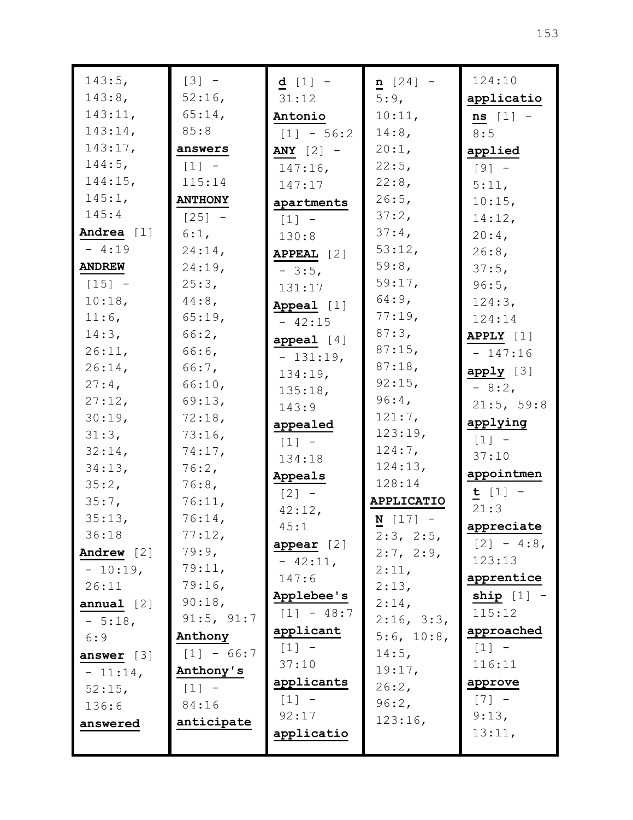| 143:5,        | $[3] -$             | $d [1] -$         | $n [24] -$        | 124:10        |
|---------------|---------------------|-------------------|-------------------|---------------|
| 143:8,        | $52:16$ ,           | 31:12             | 5:9,              | applicatio    |
| 143:11,       | 65:14,              | Antonio           | 10:11,            | $ns [1] -$    |
| 143:14,       | 85:8                | $[1] - 56:2$      | $14:8$ ,          | 8:5           |
| 143:17,       | answers             | ANY $[2]$ -       | 20:1,             | applied       |
| $144:5$ ,     | $\lceil 1 \rceil$ - | $147:16$ ,        | 22:5,             | $[9] -$       |
| 144:15,       | 115:14              | 147:17            | 22:8,             | 5:11,         |
| 145:1,        | <b>ANTHONY</b>      | apartments        | 26:5,             | 10:15,        |
| 145:4         | $[25] -$            | $[1] -$           | 37:2,             | 14:12,        |
| Andrea $[1]$  | 6:1,                | 130:8             | $37:4$ ,          | $20:4$ ,      |
| $-4:19$       | 24:14,              | <b>APPEAL</b> [2] | 53:12,            | $26:8$ ,      |
| <b>ANDREW</b> | 24:19,              | $-3:5,$           | 59:8,             | 37:5,         |
| $[15] -$      | 25:3,               | 131:17            | 59:17,            | 96:5,         |
| 10:18,        | $44:8$ ,            | Appeal [1]        | $64:9$ ,          | 124:3,        |
| $11:6$ ,      | 65:19,              | $-42:15$          | 77:19,            | 124:14        |
| 14:3,         | 66:2,               | appeal $[4]$      | 87:3,             | APPLY $[1]$   |
| 26:11,        | $66:6$ ,            | $-131:19,$        | 87:15,            | $-147:16$     |
| 26:14,        | 66:7,               | 134:19,           | 87:18,            | apply [3]     |
| $27:4$ ,      | 66:10,              | 135:18,           | 92:15,            | $-8:2$        |
| 27:12,        | 69:13,              | 143:9             | 96:4,             | 21:5, 59:8    |
| 30:19,        | 72:18,              | appealed          | 121:7,            | applying      |
| 31:3,         | $73:16$ ,           | $[1] -$           | 123:19,           | $[1] -$       |
| 32:14,        | 74:17,              | 134:18            | $124:7$ ,         | 37:10         |
| 34:13,        | 76:2,               | Appeals           | 124:13,           | appointmen    |
| 35:2,         | 76:8,               | $[2] -$           | 128:14            | $t [1] -$     |
| 35:7,         | 76:11,              | 42:12,            | <b>APPLICATIO</b> | 21:3          |
| 35:13,        | 76:14,              | 45:1              | $N$ [17] -        | appreciate    |
| 36:18         | 77:12,              | appear [2]        | 2:3, 2:5,         | $[2] - 4:8$ , |
| Andrew [2]    | 79:9,               | $-42:11,$         | 2:7, 2:9,         | 123:13        |
| $-10:19,$     | 79:11,              | 147:6             | 2:11,             | apprentice    |
| 26:11         | 79:16,              | Applebee's        | 2:13,             | ship $[1]$ -  |
| annual [2]    | 90:18,              | $[1] - 48:7$      | $2:14$ ,          | 115:12        |
| $-5:18$ ,     | 91:5, 91:7          | applicant         | 2:16, 3:3,        | approached    |
| 6:9           | Anthony             | $[1] -$           | 5:6, 10:8,        | $[1] -$       |
| answer $[3]$  | $[1] - 66:7$        | 37:10             | $14:5$ ,          | 116:11        |
| $-11:14,$     | Anthony's           | applicants        | 19:17,            | approve       |
| $52:15$ ,     | $[1] -$             | $[1]$ -           | 26:2,             | $[7] -$       |
| 136:6         | 84:16               | 92:17             | 96:2,             | 9:13,         |
| answered      | anticipate          | applicatio        | 123:16,           | 13:11,        |
|               |                     |                   |                   |               |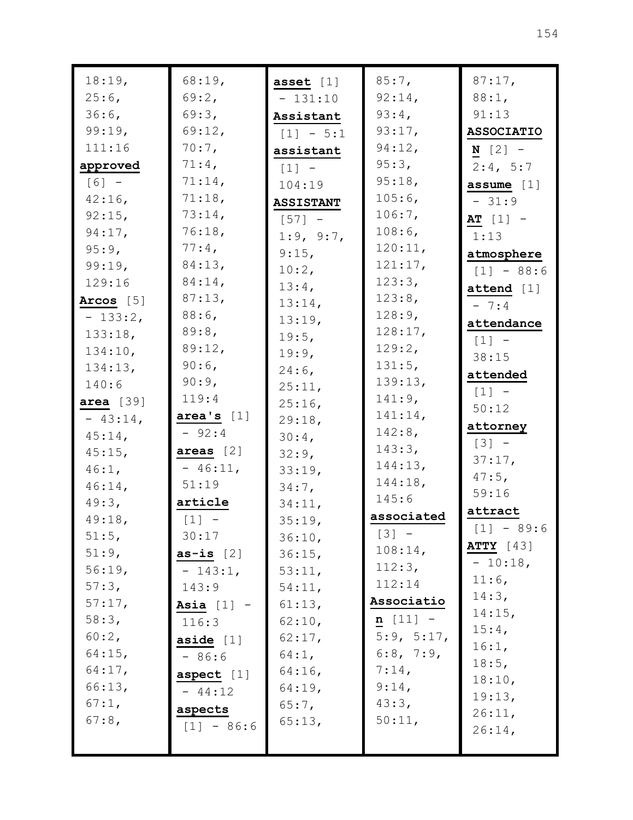| 18:19,      | 68:19,                              | asset $[1]$         | $85:7$ ,   | 87:17,            |
|-------------|-------------------------------------|---------------------|------------|-------------------|
| $25:6$ ,    | 69:2,                               | $-131:10$           | 92:14,     | $88:1$ ,          |
| $36:6$ ,    | 69:3,                               | Assistant           | 93:4,      | 91:13             |
| 99:19,      | $69:12$ ,                           | $[1] - 5:1$         | 93:17,     | <b>ASSOCIATIO</b> |
| 111:16      | $70:7$ ,                            | assistant           | 94:12,     | $N$ [2] $-$       |
| approved    | $71:4$ ,                            | $\lceil 1 \rceil$ - | 95:3,      | 2:4, 5:7          |
| $[6] -$     | 71:14,                              | 104:19              | 95:18,     | assume $[1]$      |
| $42:16$ ,   | 71:18,                              | <b>ASSISTANT</b>    | $105:6$ ,  | $-31:9$           |
| $92:15$ ,   | 73:14,                              | $[57] -$            | 106:7,     | $AT [1] -$        |
| $94:17$ ,   | 76:18,                              | 1:9, 9:7,           | $108:6$ ,  | 1:13              |
| $95:9$ ,    | $77:4$ ,                            | $9:15$ ,            | 120:11,    | atmosphere        |
| 99:19,      | 84:13,                              | $10:2$ ,            | 121:17,    | $[1] - 88:6$      |
| 129:16      | 84:14,                              | $13:4$ ,            | 123:3,     | attend [1]        |
| Arcos [5]   | 87:13,                              | 13:14,              | 123:8,     | $-7:4$            |
| $-133:2$ ,  | $88:6$ ,                            | 13:19,              | 128:9,     | attendance        |
| 133:18,     | $89:8$ ,                            | 19:5,               | 128:17,    | $[1]$ -           |
| 134:10,     | 89:12,                              | 19:9.               | 129:2,     | 38:15             |
| 134:13,     | $90:6$ ,                            | $24:6$ ,            | 131:5,     | attended          |
| 140:6       | 90:9,                               | 25:11,              | 139:13,    | $[1] -$           |
| area $[39]$ | 119:4                               | $25:16$ ,           | $141:9$ ,  | 50:12             |
| $-43:14$ ,  | area's [1]                          | 29:18,              | 141:14,    | attorney          |
| $45:14$ ,   | $-92:4$                             | $30:4$ ,            | $142:8$ ,  | $[3] -$           |
| $45:15$ ,   | areas $[2]$                         | 32:9,               | 143:3,     | 37:17,            |
| 46:1,       | $-46:11,$                           | 33:19,              | 144:13,    | $47:5$ ,          |
| $46:14$ ,   | 51:19                               | 34:7,               | 144:18,    | 59:16             |
| 49:3,       | article                             | 34:11,              | 145:6      | attract           |
| 49:18,      | $\begin{bmatrix} 1 \end{bmatrix}$ - | 35:19,              | associated | $[1] - 89:6$      |
| 51:5,       | 30:17                               | 36:10,              | $[3] -$    | <b>ATTY</b> [43]  |
| 51:9,       | as-is $[2]$                         | 36:15,              | 108:14,    | $-10:18$ ,        |
| 56:19,      | $-143:1,$                           | 53:11,              | 112:3,     | 11:6,             |
| 57:3,       | 143:9                               | 54:11,              | 112:14     | 14:3,             |
| $57:17$ ,   | Asia $[1]$ -                        | 61:13,              | Associatio | $14:15$ ,         |
| 58:3,       | 116:3                               | 62:10,              | $n$ [11] - | $15:4$ ,          |
| 60:2,       | aside $[1]$                         | $62:17$ ,           | 5:9, 5:17, | 16:1,             |
| $64:15$ ,   | $-86:6$                             | $64:1$ ,            | 6:8, 7:9,  | 18:5,             |
| $64:17$ ,   | aspect $[1]$                        | $64:16$ ,           | $7:14$ ,   | 18:10,            |
| 66:13,      | $-44:12$                            | 64:19,              | 9:14,      | 19:13,            |
| 67:1,       | aspects                             | $65:7$ ,            | 43:3,      | 26:11,            |
| $67:8$ ,    | $[1] - 86:6$                        | 65:13,              | 50:11,     | 26:14,            |
|             |                                     |                     |            |                   |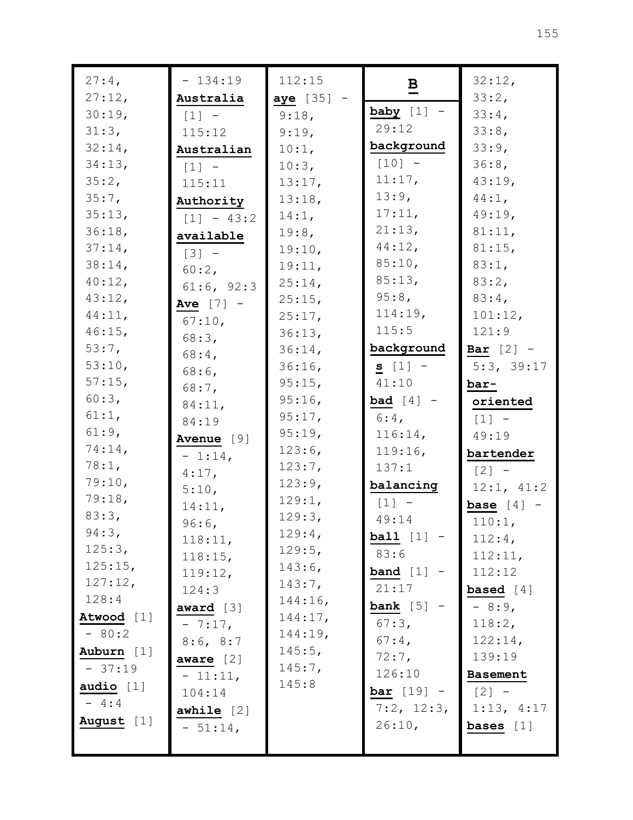| $27:4$ ,        | $-134:19$    | 112:15           | $\overline{B}$      | 32:12,              |
|-----------------|--------------|------------------|---------------------|---------------------|
| 27:12,          | Australia    | aye [35] -       |                     | 33:2,               |
| 30:19,          | $[1] -$      | 9:18,            | baby $[1]$ -        | 33:4,               |
| 31:3,           | 115:12       | 9:19,            | 29:12               | 33:8,               |
| $32:14$ ,       | Australian   | 10:1,            | background          | 33:9,               |
| 34:13,          | $[1]$ -      | 10:3,            | $[10] -$            | 36:8,               |
| 35:2,           | 115:11       | 13:17,           | 11:17,              | 43:19,              |
| 35:7,           | Authority    | 13:18,           | 13:9,               | $44:1$ ,            |
| 35:13,          | $[1] - 43:2$ | 14:1,            | 17:11,              | 49:19,              |
| 36:18,          | available    | 19:8,            | 21:13,              | 81:11,              |
| 37:14,          | $[3] -$      | 19:10,           | 44:12,              | 81:15,              |
| 38:14,          | $60:2$ ,     | 19:11,           | 85:10,              | 83:1,               |
| 40:12,          | 61:6, 92:3   | 25:14,           | 85:13,              | 83:2,               |
| 43:12,          | Ave $[7]$ -  | 25:15,           | $95:8$ ,            | $83:4$ ,            |
| 44:11,          | 67:10,       | 25:17,           | 114:19,             | 101:12,             |
| $46:15$ ,       | 68:3,        | 36:13,           | 115:5               | 121:9               |
| 53:7,           | $68:4$ ,     | 36:14,           | background          | <b>Bar</b> $[2]$ -  |
| 53:10,          | $68:6$ ,     | $36:16$ ,        | $s [1] -$           | 5:3, 39:17          |
| 57:15,          | $68:7$ ,     | 95:15,           | 41:10               | bar-                |
| 60:3,           | 84:11,       | $95:16$ ,        | bad $[4]$ -         | oriented            |
| 61:1,           | 84:19        | 95:17,           | $6:4$ ,             | $\lceil 1 \rceil$ - |
| 61:9,           | Avenue [9]   | 95:19,           | 116:14,             | 49:19               |
| 74:14,<br>78:1, | $-1:14,$     | 123:6,           | 119:16,             | bartender           |
| 79:10,          | $4:17$ ,     | 123:7,           | 137:1               | $[2] -$             |
| 79:18,          | 5:10,        | 123:9,           | balancing           | 12:1, 41:2          |
| 83:3,           | 14:11,       | 129:1,           | $[1]$ -             | base $[4]$ -        |
| 94:3,           | $96:6$ ,     | 129:3,           | 49:14               | 110:1,              |
| 125:3,          | 118:11,      | 129:4,<br>129:5, | ball $[1]$ -        | 112:4,              |
| 125:15,         | 118:15,      | $143:6$ ,        | 83:6                | 112:11,             |
| 127:12,         | 119:12,      | 143:7,           | band $[1]$ -        | 112:12              |
| 128:4           | 124:3        | 144:16,          | 21:17               | based $[4]$         |
| Atwood [1]      | award [3]    | 144:17,          | bank $[5]$ -        | $-8:9$              |
| $-80:2$         | $-7:17,$     | 144:19,          | 67:3,               | 118:2,              |
| Auburn [1]      | 8:6, 8:7     | $145:5$ ,        | $67:4$ ,            | 122:14,             |
| $-37:19$        | aware $[2]$  | 145:7,           | $72:7$ ,            | 139:19              |
| audio $[1]$     | $-11:11,$    | 145:8            | 126:10              | <b>Basement</b>     |
| $-4:4$          | 104:14       |                  | <b>bar</b> $[19]$ - | $[2] -$             |
|                 | awhile $[2]$ |                  | $7:2$ , $12:3$ ,    | 1:13, 4:17          |
| August [1]      | $-51:14,$    |                  | 26:10,              | bases $[1]$         |
|                 |              |                  |                     |                     |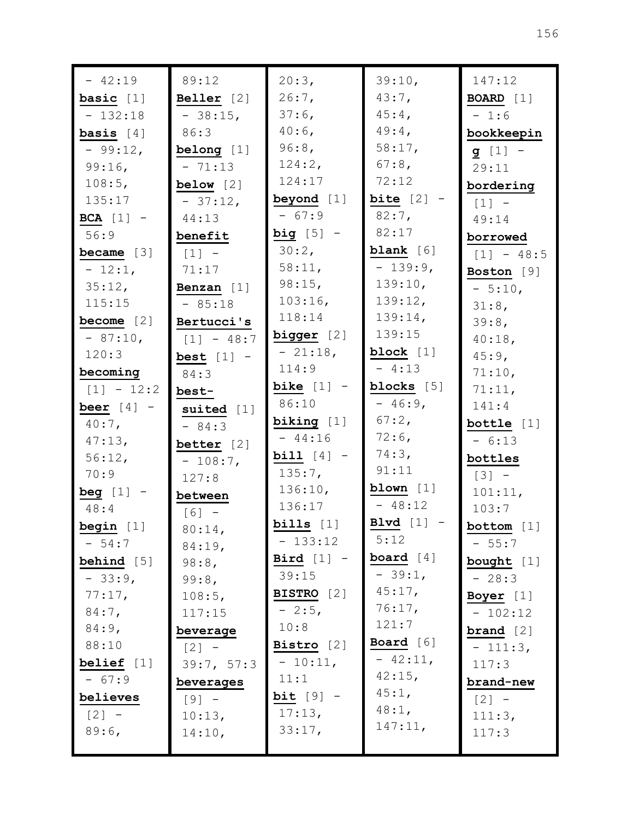| $-42:19$                             | 89:12               | 20:3,        | 39:10,              | 147:12                            |
|--------------------------------------|---------------------|--------------|---------------------|-----------------------------------|
| basic $[1]$                          | Beller $[2]$        | $26:7$ ,     | 43:7,               | <b>BOARD</b> $[1]$                |
| $-132:18$                            | $-38:15$ ,          | $37:6$ ,     | $45:4$ ,            | $-1:6$                            |
| basis $[4]$                          | 86:3                | $40:6$ ,     | $49:4$ ,            | bookkeepin                        |
| $-99:12,$                            | belong $[1]$        | 96:8,        | 58:17,              | $g [1] -$                         |
| 99:16,                               | $-71:13$            | 124:2,       | $67:8$ ,            | 29:11                             |
| 108:5,                               | below $[2]$         | 124:17       | 72:12               | bordering                         |
| 135:17                               | $-37:12,$           | beyond [1]   | bite $[2]$ -        | $[1] -$                           |
| BCA $[1]$ -                          | 44:13               | $-67:9$      | $82:7$ ,            | 49:14                             |
| 56:9                                 | benefit             | big $[5]$ -  | 82:17               | borrowed                          |
| became $[3]$                         | $[1]$ -             | 30:2,        | blank $[6]$         | $[1] - 48:5$                      |
| $-12:1,$                             | 71:17               | 58:11,       | $-139:9,$           | Boston [9]                        |
| 35:12,                               | Benzan $[1]$        | $98:15$ ,    | 139:10,             | $-5:10,$                          |
| 115:15                               | $-85:18$            | $103:16$ ,   | 139:12,             | 31:8,                             |
| become $[2]$                         | Bertucci's          | 118:14       | $139:14$ ,          | 39:8,                             |
| $-87:10,$                            | $[1] - 48:7$        | bigger [2]   | 139:15              | 40:18,                            |
| 120:3                                | best $[1]$ -        | $-21:18$ ,   | block $[1]$         | $45:9$ ,                          |
| becoming                             | 84:3                | 114:9        | $-4:13$             | 71:10,                            |
| $[1] - 12:2$                         | best-               | bike $[1]$ - | blocks [5]          | 71:11,                            |
| beer $[4]$ -                         | suited $[1]$        | 86:10        | $-46:9,$            | 141:4                             |
| $40:7$ ,                             | $-84:3$             | biking $[1]$ | $67:2$ ,            | bottle $[1]$                      |
| 47:13,                               | better $[2]$        | $-44:16$     | $72:6$ ,            | $-6:13$                           |
| 56:12,                               | $-108:7$ ,          | bill $[4]$ - | 74:3,               | bottles                           |
| 70:9                                 | 127:8               | $135:7$ ,    | 91:11               | $[3]$ –                           |
| $begin{bmatrix} 1 & - \end{bmatrix}$ | between             | 136:10,      | blown $[1]$         | 101:11,                           |
| 48:4                                 | $[6] -$             | 136:17       | $-48:12$            | 103:7                             |
| begin [1]                            | $80:14$ ,           | bills $[1]$  | Blvd $[1]$          | bottom [1]                        |
| $-54:7$                              | 84:19,              | $-133:12$    | 5:12                | $-55:7$                           |
| <b>behind</b> [5]                    | 98:8,               | Bird $[1]$ - | board $[4]$         | bought $[1]$                      |
| $-33:9,$                             | 99:8,               | 39:15        | $-39:1,$            | $-28:3$                           |
| 77:17,                               | 108:5,              | BISTRO [2]   | 45:17,              | Boyer [1]                         |
| $84:7$ ,                             | 117:15              | $-2:5,$      | 76:17,<br>121:7     | $-102:12$                         |
| $84:9$ ,                             | beverage            | 10:8         |                     | $\boldsymbol{\texttt{brand}}$ [2] |
| 88:10                                | $\lceil 2 \rceil$ - | Bistro $[2]$ | <b>Board</b> $[6]$  | $-111:3,$                         |
| belief $[1]$                         | 39:7, 57:3          | $-10:11,$    | $-42:11,$<br>42:15, | 117:3                             |
| $-67:9$                              | beverages           | 11:1         | $45:1$ ,            | brand-new                         |
| believes                             | $[9] -$             | $bit [9] -$  | 48:1,               | $[2] -$                           |
| $[2] -$                              | 10:13,              | 17:13,       | 147:11,             | 111:3,                            |
| 89:6,                                | 14:10,              | 33:17,       |                     | 117:3                             |
|                                      |                     |              |                     |                                   |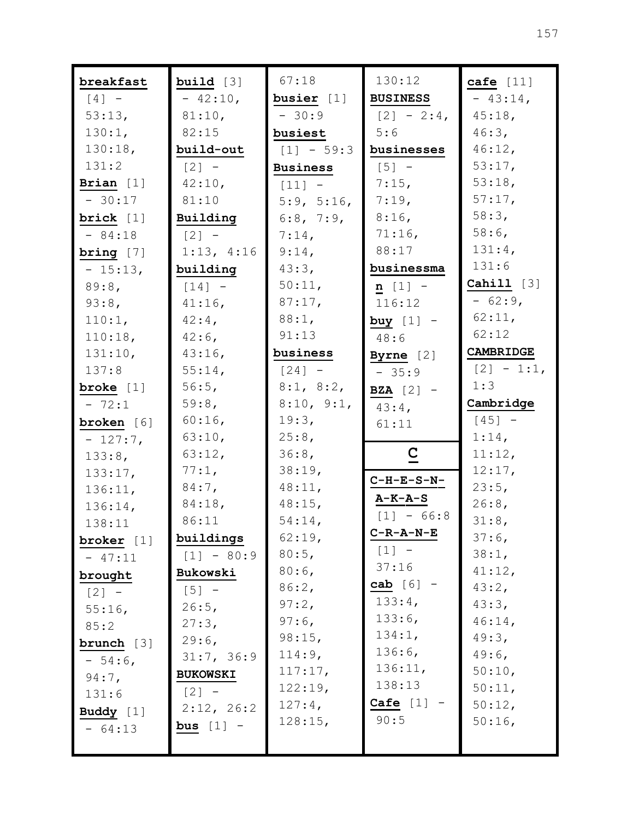| breakfast    | build $[3]$     | 67:18           | 130:12              | cafe $[11]$  |
|--------------|-----------------|-----------------|---------------------|--------------|
| $[4]$ -      | $-42:10,$       | busier [1]      | <b>BUSINESS</b>     | $-43:14$ ,   |
| 53:13,       | 81:10,          | $-30:9$         | $[2] - 2:4$         | 45:18,       |
| 130:1,       | 82:15           | busiest         | 5:6                 | 46:3,        |
| 130:18,      | build-out       | $[1] - 59:3$    | businesses          | $46:12$ ,    |
| 131:2        | $[2] -$         | <b>Business</b> | $[5] -$             | 53:17,       |
| Brian $[1]$  | 42:10,          | $[11]$ $-$      | 7:15,               | 53:18,       |
| $-30:17$     | 81:10           | 5:9, 5:16,      | 7:19,               | 57:17,       |
| brick $[1]$  | Building        | 6:8, 7:9,       | $8:16$ ,            | 58:3,        |
| $-84:18$     | $[2] -$         | $7:14$ ,        | $71:16$ ,           | $58:6$ ,     |
| bring $[7]$  | 1:13, 4:16      | $9:14$ ,        | 88:17               | 131:4,       |
| $-15:13,$    | building        | 43:3,           | businessma          | 131:6        |
| 89:8,        | $[14] -$        | 50:11,          | $n [1] -$           | Cahill [3]   |
| 93:8,        | $41:16$ ,       | 87:17,          | 116:12              | $-62:9$      |
| 110:1,       | $42:4$ ,        | 88:1,           | buy $[1]$ -         | 62:11,       |
| 110:18,      | $42:6$ ,        | 91:13           | 48:6                | 62:12        |
| 131:10,      | $43:16$ ,       | business        | Byrne $[2]$         | CAMBRIDGE    |
| 137:8        | 55:14,          | $[24] -$        | $-35:9$             | $[2] - 1:1,$ |
| broke $[1]$  | 56:5,           | 8:1, 8:2,       | <b>BZA</b> $[2]$ -  | 1:3          |
| $-72:1$      | 59:8,           | 8:10, 9:1,      | $43:4$ ,            | Cambridge    |
| broken [6]   | $60:16$ ,       | 19:3,           | 61:11               | $[45] -$     |
| $-127:7$ ,   | 63:10,          | 25:8,           |                     | 1:14,        |
| 133:8,       | 63:12,          | 36:8,           | $\overline{C}$      | 11:12,       |
| 133:17,      | 77:1,           | 38:19,          |                     | 12:17,       |
| 136:11,      | $84:7$ ,        | 48:11,          | $C-H-E-S-N-$        | 23:5,        |
| 136:14,      | $84:18$ ,       | $48:15$ ,       | $A-K-A-S$           | 26:8,        |
| 138:11       | 86:11           | 54:14,          | $[1] - 66:8$        | 31:8,        |
| broker $[1]$ | buildings       | 62:19,          | $C-R-A-N-E$         | 37:6,        |
| $-47:11$     | $[1] - 80:9$    | 80:5,           | $[1] -$             | 38:1,        |
| brought      | Bukowski        | $80:6$ ,        | 37:16               | 41:12,       |
| $[2] -$      | $[5] -$         | 86:2,           | cab $[6]$ -         | 43:2,        |
| $55:16$ ,    | 26:5,           | $97:2$ ,        | 133:4,              | 43:3,        |
| 85:2         | 27:3,           | $97:6$ ,        | 133:6,              | $46:14$ ,    |
| brunch $[3]$ | 29:6            | 98:15,          | 134:1,              | 49:3,        |
| $-54:6$      | 31:7, 36:9      | 114:9,          | $136:6$ ,           | $49:6$ ,     |
| $94:7$ ,     | <b>BUKOWSKI</b> | 117:17,         | 136:11,             | 50:10,       |
| 131:6        | $[2] -$         | 122:19,         | 138:13              | 50:11,       |
| Buddy $[1]$  | 2:12, 26:2      | $127:4$ ,       | $\texttt{Cafe}$ [1] | 50:12,       |
| $-64:13$     | bus $[1]$ -     | 128:15,         | 90:5                | 50:16,       |
|              |                 |                 |                     |              |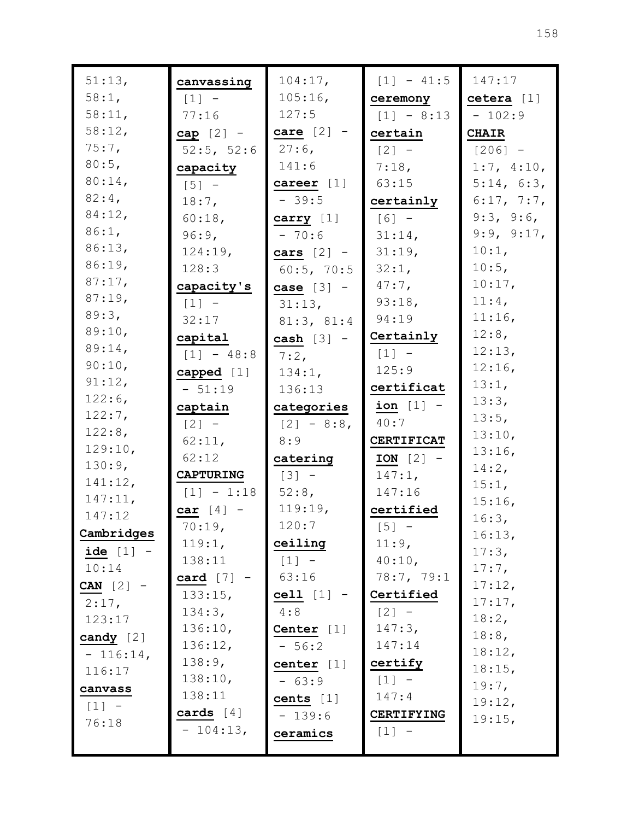| 51:13,            | canvassing          | $104:17$ ,          | $[1] - 41:5$                        | 147:17          |
|-------------------|---------------------|---------------------|-------------------------------------|-----------------|
| 58:1,             | $[1]$ -             | $105:16$ ,          | ceremony                            | cetera $[1]$    |
| 58:11,            | 77:16               | 127:5               | $[1] - 8:13$                        | $-102:9$        |
| 58:12,            | cap $[2]$ -         | care $[2]$ -        | certain                             | <b>CHAIR</b>    |
| $75:7$ ,          | 52:5, 52:6          | $27:6$ ,            | $\begin{bmatrix} 2 \end{bmatrix}$ - | $[206] -$       |
| 80:5,             | capacity            | 141:6               | 7:18,                               | 1:7, 4:10,      |
| 80:14,            | $\lceil 5 \rceil$ - | career $[1]$        | 63:15                               | 5:14, 6:3,      |
| $82:4$ ,          | $18:7$ ,            | $-39:5$             | certainly                           | 6:17, 7:7,      |
| 84:12,            | $60:18$ ,           | carry $[1]$         | $[6] -$                             | 9:3, 9:6,       |
| 86:1,             | 96:9,               | $-70:6$             | 31:14,                              | 9:9, 9:17,      |
| 86:13,            | 124:19,             | cars $[2]$ -        | 31:19,                              | 10:1,           |
| 86:19,            | 128:3               | $60:5$ , 70:5       | 32:1,                               | $10:5$ ,        |
| 87:17,            | capacity's          | case $[3]$ -        | $47:7$ ,                            | 10:17,          |
| 87:19,            | $[1] -$             | 31:13,              | 93:18,                              | $11:4$ ,        |
| 89:3,             | 32:17               | 81:3, 81:4          | 94:19                               | 11:16,          |
| 89:10,            | capital             | cash $[3]$ -        | Certainly                           | 12:8,           |
| 89:14,            | $[1] - 48:8$        | $7:2$ ,             | $[1] -$                             | 12:13,          |
| 90:10,            | capped [1]          | 134:1,              | 125:9                               | 12:16,          |
| 91:12,            | $-51:19$            | 136:13              | certificat                          | 13:1,           |
| 122:6,            | captain             | categories          | ion $[1]$ -                         | 13:3,           |
| 122:7,            | $[2] -$             | $[2] - 8:8$         | 40:7                                | 13:5,           |
| 122:8,            | 62:11,              | 8:9                 | <b>CERTIFICAT</b>                   | 13:10,          |
| 129:10,           | 62:12               | catering            | $ION [2] -$                         | 13:16,          |
| 130:9,            | <b>CAPTURING</b>    | $\lceil 3 \rceil$ - | 147:1,                              | $14:2$ ,        |
| 141:12,           | $[1] - 1:18$        | 52:8,               | 147:16                              | 15:1,           |
| 147:11,<br>147:12 | car $[4]$ -         | 119:19,             | certified                           | 15:16,          |
|                   | 70:19,              | 120:7               | $[5] -$                             | 16:3,           |
| Cambridges        | 119:1,              | ceiling             | 11:9,                               | 16:13,          |
| $ide [1] -$       | 138:11              | $[1] -$             | 40:10,                              | 17:3,           |
| 10:14             | card $[7]$ -        | 63:16               | 78:7, 79:1                          | $17:7$ ,        |
| CAN $[2]$ -       | 133:15,             | $cell [1] -$        | Certified                           | 17:12,          |
| 2:17,             | 134:3,              | 4:8                 | $[2] -$                             | 17:17,<br>18:2, |
| 123:17            | 136:10,             | Center $[1]$        | 147:3,                              | $18:8$ ,        |
| candy $[2]$       | 136:12,             | $-56:2$             | 147:14                              | 18:12,          |
| $-116:14,$        | 138:9,              | center $[1]$        | certify                             | 18:15,          |
| 116:17            | 138:10,             | $-63:9$             | $[1] -$                             | $19:7$ ,        |
| canvass           | 138:11              | cents $[1]$         | 147:4                               | 19:12,          |
| $[1] -$           | cards $[4]$         | $-139:6$            | CERTIFYING                          | 19:15,          |
| 76:18             | $-104:13,$          | ceramics            | $[1] -$                             |                 |
|                   |                     |                     |                                     |                 |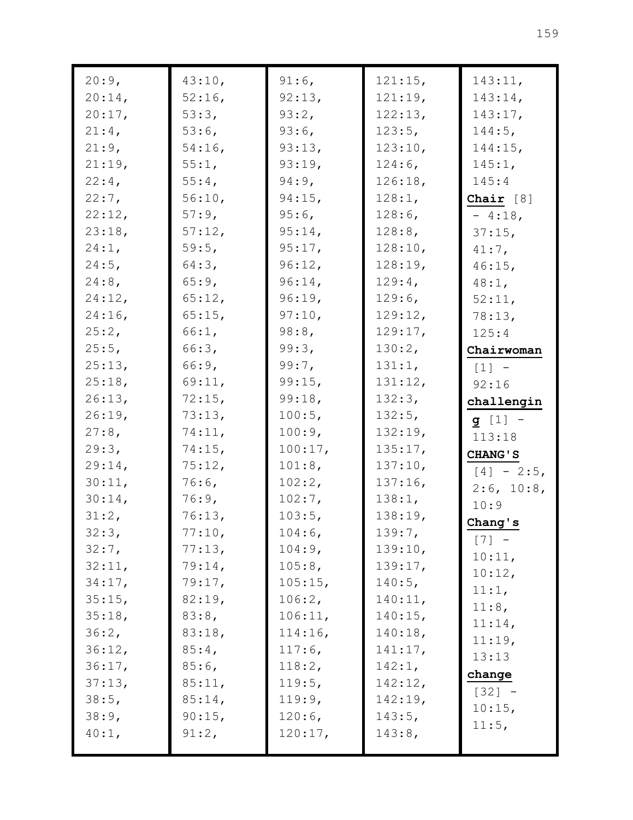| 20:9,     | 43:10,    | $91:6$ ,  | 121:15,    | 143:11,        |
|-----------|-----------|-----------|------------|----------------|
| $20:14$ , | $52:16$ , | 92:13,    | 121:19,    | $143:14$ ,     |
| 20:17,    | 53:3,     | $93:2$ ,  | 122:13,    | 143:17,        |
| $21:4$ ,  | $53:6$ ,  | $93:6$ ,  | $123:5$ ,  | $144:5$ ,      |
| 21:9,     | $54:16$ , | 93:13,    | 123:10,    | $144:15$ ,     |
| 21:19,    | $55:1$ ,  | 93:19,    | $124:6$ ,  | 145:1,         |
| $22:4$ ,  | $55:4$ ,  | $94:9$ ,  | 126:18,    | 145:4          |
| $22:7$ ,  | 56:10,    | $94:15$ , | 128:1,     | Chair $[8]$    |
| 22:12,    | $57:9$ ,  | $95:6$ ,  | $128:6$ ,  | $-4:18$ ,      |
| 23:18,    | 57:12,    | $95:14$ , | $128:8$ ,  | $37:15$ ,      |
| $24:1$ ,  | 59:5,     | 95:17,    | 128:10,    | 41:7,          |
| $24:5$ ,  | 64:3,     | 96:12,    | 128:19,    | $46:15$ ,      |
| $24:8$ ,  | 65:9,     | $96:14$ , | $129:4$ ,  | $48:1$ ,       |
| $24:12$ , | 65:12,    | 96:19,    | $129:6$ ,  | 52:11,         |
| $24:16$ , | $65:15$ , | 97:10,    | 129:12,    | 78:13,         |
| 25:2,     | $66:1$ ,  | 98:8      | 129:17,    | 125:4          |
| 25:5,     | 66:3,     | 99:3,     | 130:2,     | Chairwoman     |
| 25:13,    | 66:9,     | 99:7,     | 131:1,     | $[1]$ –        |
| 25:18,    | 69:11,    | 99:15,    | 131:12,    | 92:16          |
| 26:13,    | 72:15,    | 99:18,    | 132:3,     | challengin     |
| 26:19,    | 73:13,    | 100:5,    | 132:5,     | $g [1] -$      |
| 27:8,     | 74:11,    | 100:9,    | 132:19,    | 113:18         |
| 29:3,     | $74:15$ , | 100:17,   | 135:17,    | <b>CHANG'S</b> |
| 29:14,    | 75:12,    | 101:8,    | 137:10,    | $[4] - 2:5$    |
| 30:11,    | $76:6$ ,  | 102:2,    | $137:16$ , | 2:6, 10:8,     |
| $30:14$ , | $76:9$ ,  | $102:7$ , | 138:1,     | 10:9           |
| 31:2,     | 76:13,    | 103:5,    | 138:19,    | Chang's        |
| 32:3,     | 77:10,    | $104:6$ , | 139:7,     | $[7] -$        |
| 32:7,     | 77:13,    | 104:9,    | 139:10,    | 10:11,         |
| 32:11,    | 79:14,    | 105:8,    | 139:17,    | 10:12,         |
| 34:17,    | 79:17,    | 105:15,   | 140:5,     | 11:1,          |
| 35:15,    | 82:19,    | 106:2,    | 140:11,    | 11:8,          |
| 35:18,    | 83:8,     | 106:11,   | 140:15,    | 11:14,         |
| 36:2,     | 83:18,    | 114:16,   | 140:18,    | 11:19,         |
| 36:12,    | 85:4,     | $117:6$ , | 141:17,    | 13:13          |
| 36:17,    | $85:6$ ,  | 118:2,    | 142:1,     | change         |
| 37:13,    | 85:11,    | 119:5,    | 142:12,    | $[32] -$       |
| 38:5,     | 85:14,    | 119:9,    | 142:19,    | 10:15,         |
| 38:9,     | 90:15,    | 120:6,    | 143:5,     | 11:5,          |
| $40:1$ ,  | 91:2,     | 120:17,   | 143:8,     |                |
|           |           |           |            |                |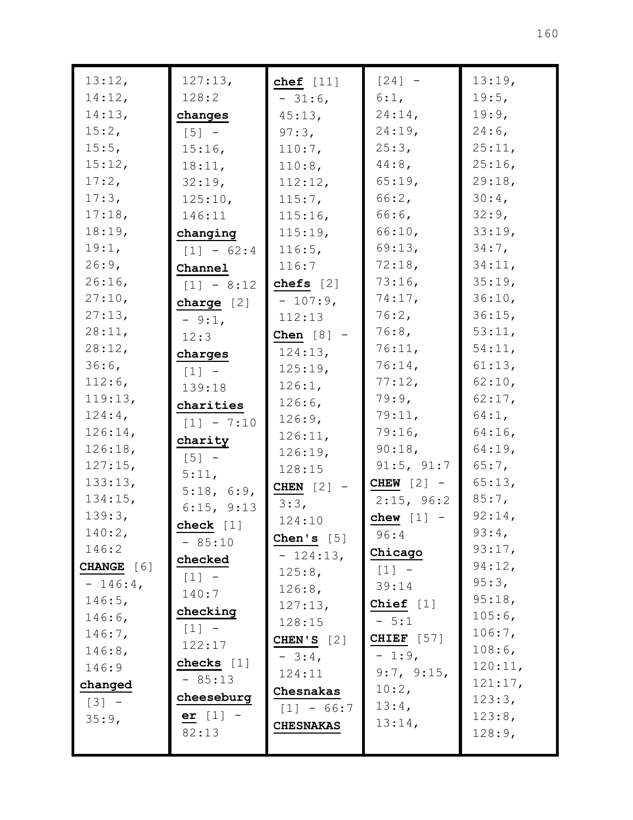| 13:12,     | 127:13,             | chef $[11]$      | $[24] -$          | 13:19,           |
|------------|---------------------|------------------|-------------------|------------------|
| 14:12,     | 128:2               | $-31:6$ ,        | 6:1,              | 19:5,            |
| 14:13,     | changes             | 45:13,           | $24:14$ ,         | 19:9,            |
| 15:2,      | $[5]$ –             | 97:3,            | $24:19$ ,         | $24:6$ ,         |
| 15:5,      | 15:16,              | $110:7$ ,        | 25:3,             | 25:11,           |
| 15:12,     | 18:11,              | 110:8,           | $44:8$ ,          | 25:16,           |
| 17:2,      | 32:19,              | 112:12,          | 65:19,            | 29:18,           |
| 17:3,      | 125:10,             | $115:7$ ,        | 66:2,             | 30:4,            |
| 17:18,     | 146:11              | $115:16$ ,       | 66:6,             | $32:9$ ,         |
| 18:19,     | changing            | 115:19,          | 66:10,            | 33:19,           |
| 19:1,      | $[1] - 62:4$        | 116:5,           | 69:13,            | $34:7$ ,         |
| 26:9,      | Channel             | 116:7            | 72:18,            | 34:11,           |
| 26:16      | $[1] - 8:12$        | chefs $[2]$      | 73:16,            | 35:19,           |
| 27:10,     | charge $[2]$        | $-107:9$ ,       | $74:17$ ,         | 36:10,           |
| 27:13,     | $-9:1$ ,            | 112:13           | 76:2,             | 36:15,           |
| 28:11,     | 12:3                | Chen $[8]$ -     | $76:8$ ,          | 53:11,           |
| 28:12,     | charges             | 124:13,          | 76:11,            | 54:11,           |
| $36:6$ ,   | $\lceil 1 \rceil$ - | 125:19,          | 76:14,            | 61:13,           |
| $112:6$ ,  | 139:18              | 126:1,           | 77:12,            | 62:10,           |
| 119:13,    | charities           | $126:6$ ,        | 79:9,             | $62:17$ ,        |
| $124:4$ ,  | $[1] - 7:10$        | 126:9,           | 79:11,            | $64:1$ ,         |
| 126:14,    | charity             | 126:11,          | $79:16$ ,         | $64:16$ ,        |
| 126:18,    | $[5]$ -             | 126:19,          | $90:18$ ,         | $64:19$ ,        |
| 127:15,    | 5:11,               | 128:15           | 91:5, 91:7        | $65:7$ ,         |
| 133:13,    | 5:18, 6:9,          | CHEN $[2]$       | CHEW $[2]$ -      | 65:13,           |
| 134:15,    | 6:15, 9:13          | 3:3,             | 2:15, 96:2        | $85:7$ ,         |
| 139:3,     | check $[1]$         | 124:10           | chew $[1]$ -      | 92:14,           |
| $140:2$ ,  | $-85:10$            | Chen's $[5]$     | 96:4              | $93:4$ ,         |
| 146:2      | checked             | $-124:13,$       | Chicago           | 93:17,           |
| CHANGE [6] | $[1] -$             | 125:8,           | $[1]$             | 94:12,           |
| $-146:4$ , | 140:7               | 126:8,           | 39:14             | 95:3,            |
| 146:5,     | checking            | 127:13,          | Chief $[1]$       | 95:18,           |
| $146:6$ ,  | $[1] -$             | 128:15           | $-5:1$            | $105:6$ ,        |
| $146:7$ ,  | 122:17              | CHEN'S $[2]$     | <b>CHIEF</b> [57] | 106:7,           |
| 146:8,     | checks $[1]$        | $-3:4$ ,         | $-1:9$ ,          | 108:6,           |
| 146:9      | $-85:13$            | 124:11           | 9:7, 9:15,        | 120:11,          |
| changed    | cheeseburg          | Chesnakas        | $10:2$ ,          | 121:17,          |
| $[3] -$    | er $[1]$ -          | $[1] - 66:7$     | $13:4$ ,          | 123:3,           |
| 35:9,      | 82:13               | <b>CHESNAKAS</b> | 13:14,            | 123:8,<br>128:9, |
|            |                     |                  |                   |                  |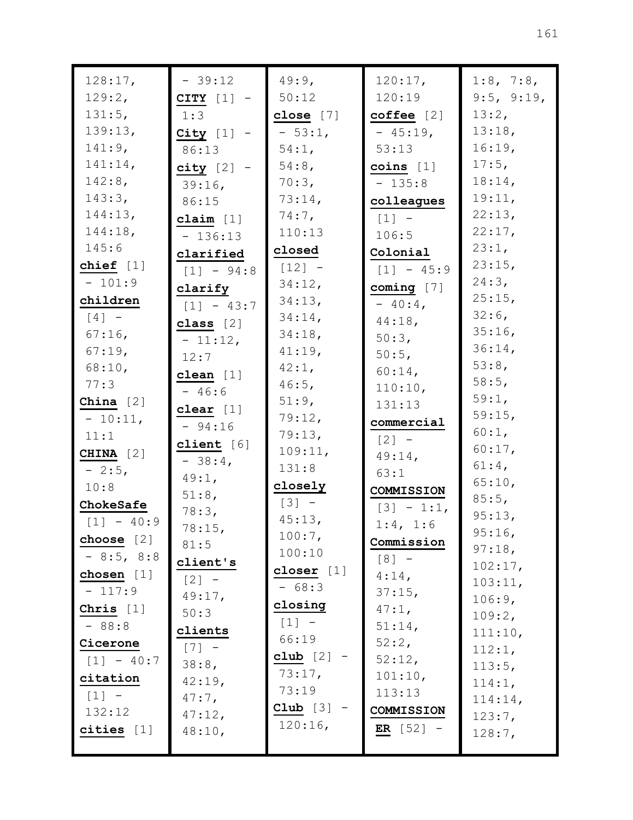| 128:17,      | $-39:12$          | 49:9,        | 120:17,            | 1:8, 7:8,            |
|--------------|-------------------|--------------|--------------------|----------------------|
| 129:2,       | CITY $[1]$ -      | 50:12        | 120:19             | 9:5, 9:19,           |
| 131:5,       | 1:3               | close $[7]$  | coffee [2]         | 13:2,                |
| 139:13,      | $City$ [1] -      | $-53:1$ ,    | $-45:19,$          | 13:18,               |
| 141:9,       | 86:13             | 54:1,        | 53:13              | 16:19,               |
| 141:14,      | $city$ [2] -      | $54:8$ ,     | $coins$ [1]        | $17:5$ ,             |
| 142:8,       | $39:16$ ,         | 70:3,        | $-135:8$           | 18:14,               |
| 143:3,       | 86:15             | $73:14$ ,    | colleagues         | 19:11,               |
| 144:13,      | claim $[1]$       | $74:7$ ,     | $[1]$ -            | 22:13,               |
| 144:18,      | $-136:13$         | 110:13       | 106:5              | 22:17,               |
| 145:6        | clarified         | closed       | Colonial           | 23:1,                |
| chief $[1]$  | $[1] - 94:8$      | $[12] -$     | $[1] - 45:9$       | 23:15,               |
| $-101:9$     | clarify           | 34:12,       | coming $[7]$       | 24:3,                |
| children     | $[1] - 43:7$      | 34:13,       | $-40:4$            | 25:15,               |
| $[4]$ -      | class $[2]$       | $34:14$ ,    | 44:18,             | $32:6$ ,             |
| $67:16$ ,    | $-11:12,$         | 34:18,       | 50:3,              | $35:16$ ,            |
| $67:19$ ,    | 12:7              | 41:19,       | 50:5,              | $36:14$ ,            |
| 68:10,       | clean $[1]$       | 42:1,        | $60:14$ ,          | 53:8,                |
| 77:3         | $-46:6$           | 46:5,        | 110:10,            | 58:5,                |
| China $[2]$  |                   | 51:9,        | 131:13             | 59:1,                |
| $-10:11,$    | clear $[1]$       | 79:12,       | commercial         | 59:15,               |
| 11:1         | $-94:16$          | 79:13,       | $[2] -$            | 60:1,                |
| CHINA [2]    | client $[6]$      | 109:11,      | $49:14$ ,          | 60:17,               |
| $-2:5$ ,     | $-38:4$           | 131:8        | 63:1               | 61:4,                |
| 10:8         | $49:1$ ,          | closely      | COMMISSION         | 65:10,               |
| ChokeSafe    | 51:8,             | $[3] -$      | $[3] - 1:1,$       | $85:5$ ,             |
| $[1] - 40:9$ | 78:3,             | 45:13,       | 1:4, 1:6           | 95:13,               |
| choose $[2]$ | 78:15,            | 100:7,       | Commission         | 95:16,               |
| $-8:5, 8:8$  | 81:5              | 100:10       | $[8] -$            | 97:18,               |
| chosen $[1]$ | client's          | closer $[1]$ | $4:14$ ,           | 102:17,              |
| $-117:9$     | $[2] -$<br>49:17, | $-68:3$      | $37:15$ ,          | 103:11,              |
| Chris $[1]$  | 50:3              | closing      | $47:1$ ,           | 106:9,               |
| $-88:8$      | clients           | $[1] -$      | 51:14,             | 109:2,               |
| Cicerone     | $[7]$ -           | 66:19        | 52:2,              | 111:10,              |
| $[1] - 40:7$ | 38:8,             | club $[2]$ - | 52:12,             | 112:1,               |
| citation     | 42:19,            | 73:17,       | 101:10,            | 113:5,               |
| $[1] -$      | $47:7$ ,          | 73:19        | 113:13             | 114:1,               |
| 132:12       | 47:12,            | Club $[3]$ - | COMMISSION         | 114:14,<br>$123:7$ , |
| cities $[1]$ | 48:10,            | 120:16,      | <b>ER</b> $[52]$ – | 128:7,               |
|              |                   |              |                    |                      |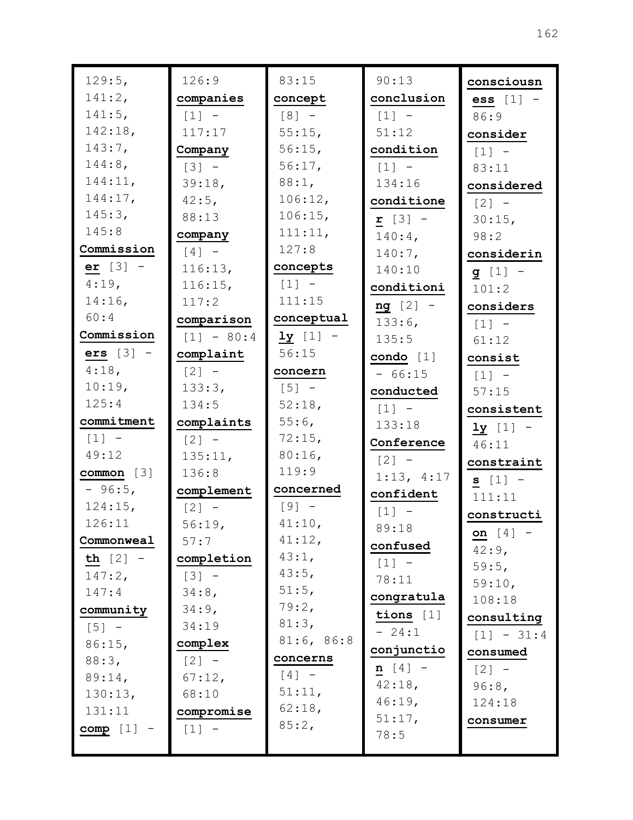| 129:5,            | 126:9               | 83:15               | 90:13               | consciousn           |
|-------------------|---------------------|---------------------|---------------------|----------------------|
| 141:2,            | companies           | concept             | conclusion          | $\textbf{ess}$ [1] - |
| 141:5,            | $\lceil 1 \rceil$ - | $[8] -$             | $[1]$ -             | 86:9                 |
| 142:18,           | 117:17              | 55:15,              | 51:12               | consider             |
| 143:7,            | Company             | 56:15,              | condition           | $[1] -$              |
| 144:8,            | $[3] -$             | 56:17,              | $[1]$ -             | 83:11                |
| 144:11,           | 39:18,              | 88:1,               | 134:16              | considered           |
| 144:17,           | $42:5$ ,            | 106:12,             | conditione          | $\lceil 2 \rceil$ -  |
| 145:3,            | 88:13               | 106:15,             | $r [3] -$           | 30:15,               |
| 145:8             | company             | 111:11,             | $140:4$ ,           | 98:2                 |
| Commission        | $\lceil 4 \rceil$ - | 127:8               | $140:7$ ,           | considerin           |
| er $[3]$ -        | 116:13,             | concepts            | 140:10              | $g [1] -$            |
| $4:19$ ,          | 116:15,             | $[1]$ -             | conditioni          | 101:2                |
| 14:16,            | 117:2               | 111:15              | $ng [2] -$          | considers            |
| 60:4              | comparison          | conceptual          | 133:6,              | $[1]$ -              |
| Commission        | $[1] - 80:4$        | $1y$ [1] -          | 135:5               | 61:12                |
| $ers [3] -$       | complaint           | 56:15               | condo $[1]$         | consist              |
| $4:18$ ,          | $[2] -$             | concern             | $-66:15$            | $\lceil 1 \rceil$ -  |
| 10:19,            | 133:3,              | $\lceil 5 \rceil$ – | conducted           | 57:15                |
| 125:4             | 134:5               | 52:18,              | $[1] -$             | consistent           |
| commitment        | complaints          | $55:6$ ,            | 133:18              | $1y$ [1] -           |
| $[1] -$           | $[2] -$             | 72:15,              | Conference          | 46:11                |
| 49:12             | 135:11,             | 80:16,              | $[2] -$             | constraint           |
| common [3]        | 136:8               | 119:9               | 1:13, 4:17          | $s [1] -$            |
| $-96:5,$          | complement          | concerned           | confident           | 111:11               |
| 124:15,           | $[2] -$             | $[9] -$             | $\lceil 1 \rceil$ - | constructi           |
| 126:11            | $56:19$ ,           | 41:10,              | 89:18               | on $[4]$ -           |
| Commonweal        | 57:7                | 41:12,              | confused            | $42:9$ ,             |
| <b>th</b> $[2]$ – | completion          | 43:1,               | $[1] -$             | 59:5,                |
| 147:2,            | $[3] -$             | 43:5,               | 78:11               | 59:10,               |
| 147:4             | $34:8$ ,            | 51:5,               | congratula          | 108:18               |
| community         | 34:9,               | 79:2,<br>81:3,      | tions $[1]$         | consulting           |
| $[5] -$           | 34:19               | 81:6, 86:8          | $-24:1$             | $[1] - 31:4$         |
| 86:15,            | complex             |                     | conjunctio          | consumed             |
| 88:3,             | $[2] -$             | concerns            | $n [4] -$           | $[2] -$              |
| 89:14,            | 67:12,              | $[4] -$<br>51:11,   | 42:18,              | 96:8,                |
| 130:13,           | 68:10               | $62:18$ ,           | 46:19,              | 124:18               |
| 131:11            | compromise          | 85:2,               | 51:17,              | consumer             |
| $comp [1] -$      | $[1] -$             |                     | 78:5                |                      |
|                   |                     |                     |                     |                      |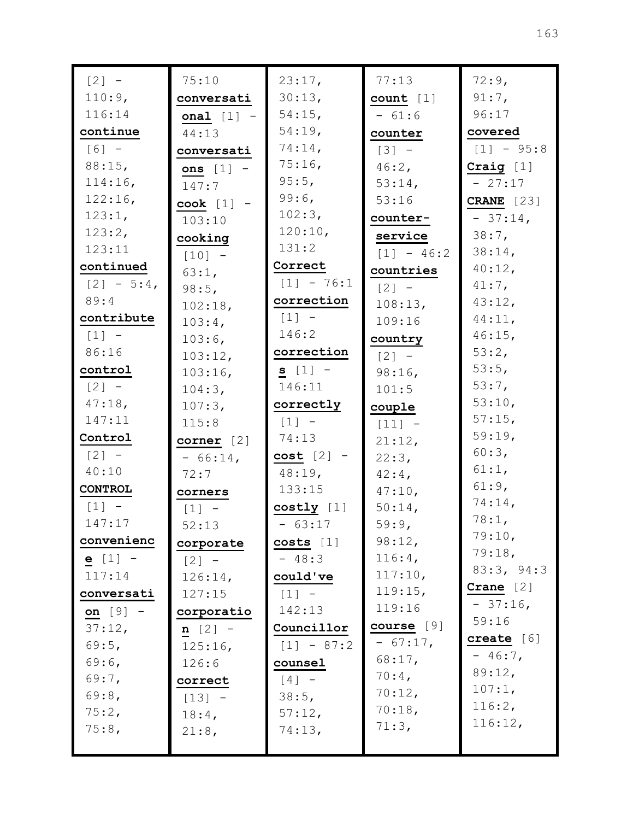| $\begin{bmatrix} 2 \end{bmatrix}$ - | 75:10         | 23:17,       | 77:13               | 72:9,             |
|-------------------------------------|---------------|--------------|---------------------|-------------------|
| 110:9,                              | conversati    | 30:13,       | count [1]           | $91:7$ ,          |
| 116:14                              | onal $[1]$ -  | $54:15$ ,    | $-61:6$             | 96:17             |
| continue                            | 44:13         | 54:19,       | counter             | covered           |
| $[6] -$                             | conversati    | 74:14,       | $\lceil 3 \rceil$ - | $[1] - 95:8$      |
| 88:15,                              | ons $[1]$ -   | 75:16,       | $46:2$ ,            | Craig $[1]$       |
| 114:16,                             | 147:7         | $95:5$ ,     | 53:14,              | $-27:17$          |
| 122:16,                             | $\cosh$ [1] - | $99:6$ ,     | 53:16               | <b>CRANE</b> [23] |
| $123:1$ ,                           | 103:10        | 102:3,       | counter-            | $-37:14,$         |
| 123:2,                              | cooking       | 120:10,      | service             | $38:7$ ,          |
| 123:11                              | $[10] -$      | 131:2        | $[1] - 46:2$        | $38:14$ ,         |
| continued                           | 63:1,         | Correct      | countries           | 40:12,            |
| $[2] - 5:4$                         | 98:5,         | $[1] - 76:1$ | $\lceil 2 \rceil$ - | $41:7$ ,          |
| 89:4                                | 102:18,       | correction   | 108:13,             | 43:12,            |
| contribute                          | $103:4$ ,     | $[1]$ -      | 109:16              | $44:11$ ,         |
| $[1]$ -                             | $103:6$ ,     | 146:2        | country             | $46:15$ ,         |
| 86:16                               | 103:12,       | correction   | $\lceil 2 \rceil$ - | 53:2,             |
| control                             | 103:16,       | $s [1] -$    | $98:16$ ,           | 53:5,             |
| $\lceil 2 \rceil$ -                 | 104:3,        | 146:11       | 101:5               | 53:7,             |
| 47:18,                              | 107:3,        | correctly    | couple              | 53:10,            |
| 147:11                              | 115:8         | $[1]$ -      | $[11] -$            | $57:15$ ,         |
| Control                             | corner $[2]$  | 74:13        | 21:12,              | 59:19,            |
| $[2] -$                             | $-66:14$ ,    | $cost$ [2] - | 22:3,               | 60:3,             |
| 40:10                               | 72:7          | $48:19$ ,    | $42:4$ ,            | 61:1,             |
| <b>CONTROL</b>                      | corners       | 133:15       | 47:10,              | $61:9$ ,          |
| $\lceil 1 \rceil$ -                 | $[1]$ -       | costly [1]   | 50:14,              | 74:14,            |
| 147:17                              | 52:13         | $-63:17$     | 59:9,               | 78:1,             |
| convenienc                          | corporate     | $costs$ [1]  | 98:12,              | 79:10,            |
| $e [1] -$                           | $[2] -$       | $-48:3$      | 116:4,              | 79:18,            |
| 117:14                              | 126:14,       | could've     | 117:10,             | 83:3, 94:3        |
| conversati                          | 127:15        | $[1] -$      | 119:15,             | Crane $[2]$       |
| on $[9] -$                          | corporatio    | 142:13       | 119:16              | $-37:16$ ,        |
| 37:12,                              | $n [2] -$     | Councillor   | course $[9]$        | 59:16             |
| 69:5,                               | 125:16,       | $[1] - 87:2$ | $-67:17$ ,          | create $[6]$      |
| $69:6$ ,                            | 126:6         | counsel      | 68:17,              | $-46:7$ ,         |
| $69:7$ ,                            | correct       | $[4] -$      | $70:4$ ,            | 89:12,            |
| 69:8,                               | $[13] -$      | 38:5,        | 70:12,              | 107:1,<br>116:2,  |
| 75:2,                               | $18:4$ ,      | 57:12,       | 70:18,              | 116:12,           |
| 75:8,                               | $21:8$ ,      | 74:13,       | 71:3,               |                   |
|                                     |               |              |                     |                   |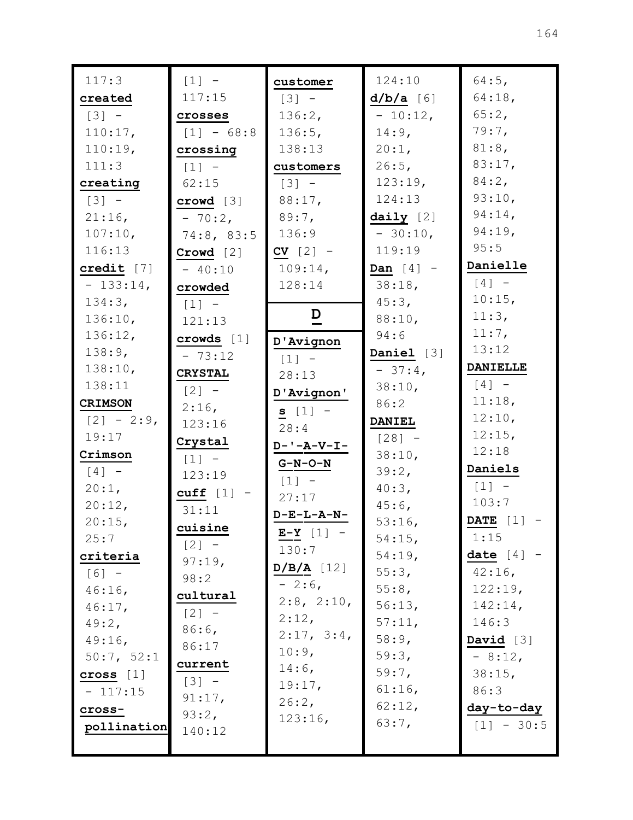| 117:3               | $[1] -$             | customer                     | 124:10               | 64:5,           |
|---------------------|---------------------|------------------------------|----------------------|-----------------|
| created             | 117:15              | $[3] -$                      | $d/b/a$ [6]          | 64:18,          |
| $\lceil 3 \rceil$ - | crosses             | 136:2,                       | $-10:12,$            | 65:2,           |
| 110:17,             | $[1] - 68:8$        | 136:5,                       | $14:9$ ,             | $79:7$ ,        |
| 110:19,             | crossing            | 138:13                       | $20:1$ ,             | $81:8$ ,        |
| 111:3               | $[1] -$             | customers                    | $26:5$ ,             | 83:17,          |
| creating            | 62:15               | $\lceil 3 \rceil$ -          | 123:19,              | $84:2$ ,        |
| $[3] -$             | crowd [3]           | $88:17$ ,                    | 124:13               | 93:10,          |
| $21:16$ ,           | $-70:2$             | $89:7$ ,                     | $\texttt{daily}$ [2] | $94:14$ ,       |
| 107:10,             | 74:8,83:5           | 136:9                        | $-30:10,$            | 94:19,          |
| 116:13              | Crowd [2]           | $CV [2] -$                   | 119:19               | 95:5            |
| credit $[7]$        | $-40:10$            | $109:14$ ,                   | Dan $[4]$ -          | Danielle        |
| $-133:14,$          | crowded             | 128:14                       | $38:18$ ,            | $[4]$ -         |
| 134:3,              | $[1]$ -             |                              | $45:3$ ,             | $10:15$ ,       |
| 136:10,             | 121:13              | $\overline{D}$               | 88:10,               | 11:3,           |
| 136:12,             | crows [1]           | D'Avignon                    | 94:6                 | $11:7$ ,        |
| 138:9,              | $-73:12$            | $[1] -$                      | Daniel [3]           | 13:12           |
| 138:10,             | <b>CRYSTAL</b>      | 28:13                        | $-37:4$              | <b>DANIELLE</b> |
| 138:11              | $\lceil 2 \rceil$ - | D'Avignon'                   | 38:10,               | $[4]$ -         |
| <b>CRIMSON</b>      | $2:16$ ,            | $s [1] -$                    | 86:2                 | 11:18,          |
| $[2] - 2:9$         | 123:16              | 28:4                         | <b>DANIEL</b>        | 12:10,          |
| 19:17               | Crystal             | $D - ' - A - V - I -$        | $[28] -$             | 12:15,          |
| Crimson             | $[1]$ -             | <b>G-N-O-N</b>               | 38:10,               | 12:18           |
| $\lceil 4 \rceil$ - | 123:19              | $[1] -$                      | 39:2,                | Daniels         |
| $20:1$ ,            | cuff $[1]$ -        | 27:17                        | $40:3$ ,             | $[1] -$         |
| 20:12,              | 31:11               | $D-E-L-A-N-$                 | $45:6$ ,             | 103:7           |
| 20:15,              | $c$ uisine          |                              | 53:16,               | DATE $[1]$ -    |
| 25:7                | $[2] -$             | $E-Y$ [1] -                  | $54:15$ ,            | 1:15            |
| criteria            | 97:19,              | 130:7                        | 54:19,               | date $[4]$ -    |
| $[6] -$             | 98:2                | $D/B/A$ [12]                 | 55:3,                | $42:16$ ,       |
| $46:16$ ,           | cultural            | $-2:6$ ,                     | 55:8,                | 122:19,         |
| $46:17$ ,           | $[2] -$             | $2:8$ , $2:10$ ,<br>$2:12$ , | 56:13,               | 142:14,         |
| 49:2,               | $86:6$ ,            |                              | 57:11,               | 146:3           |
| $49:16$ ,           | 86:17               | 2:17, 3:4,                   | 58:9,                | David $[3]$     |
| 50:7, 52:1          | current             | 10:9,<br>$14:6$ ,            | 59:3,                | $-8:12,$        |
| cross $[1]$         | $[3] -$             |                              | $59:7$ ,             | 38:15,          |
| $-117:15$           | 91:17,              | 19:17,<br>26:2,              | $61:16$ ,            | 86:3            |
| cross-              | 93:2,               | 123:16,                      | 62:12,               | day-to-day      |
| pollination         | 140:12              |                              | 63:7,                | $[1] - 30:5$    |
|                     |                     |                              |                      |                 |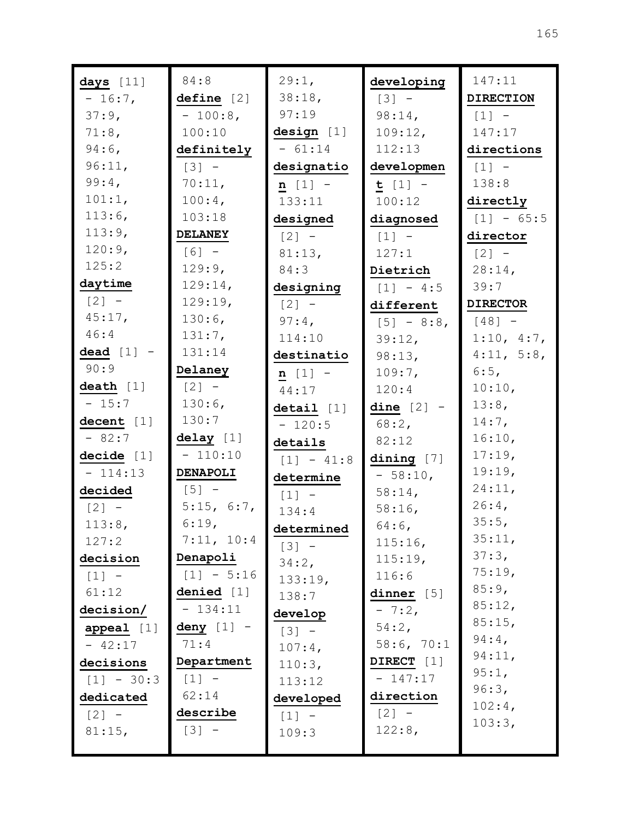| days [11]    | 84:8                    | 29:1,        | developing   | 147:11              |
|--------------|-------------------------|--------------|--------------|---------------------|
| $-16:7$ ,    | define [2]              | 38:18,       | $[3] -$      | <b>DIRECTION</b>    |
| $37:9$ ,     | $-100:8$ ,              | 97:19        | 98:14,       | $\lceil 1 \rceil$ - |
| 71:8,        | 100:10                  | design [1]   | 109:12,      | 147:17              |
| $94:6$ ,     | definitely              | $-61:14$     | 112:13       | directions          |
| 96:11,       | $[3] -$                 | designatio   | developmen   | $[1] -$             |
| 99:4,        | 70:11,                  | $n [1] -$    | $t [1] -$    | 138:8               |
| 101:1,       | $100:4$ ,               | 133:11       | 100:12       | directly            |
| 113:6,       | 103:18                  | designed     | diagnosed    | $[1] - 65:5$        |
| 113:9,       | <b>DELANEY</b>          | $[2]$ -      | $[1] -$      | director            |
| 120:9,       | $[6] -$                 | 81:13,       | 127:1        | $[2] -$             |
| 125:2        | 129:9,                  | 84:3         | Dietrich     | 28:14,              |
| daytime      | 129:14,                 | designing    | $[1] - 4:5$  | 39:7                |
| $[2] -$      | 129:19,                 | $[2] -$      | different    | <b>DIRECTOR</b>     |
| 45:17,       | $130:6$ ,               | $97:4$ ,     | $[5] - 8:8$  | $[48] -$            |
| 46:4         | 131:7,                  | 114:10       | 39:12,       | 1:10, 4:7,          |
| dead $[1]$ - | 131:14                  | destinatio   | 98:13,       | 4:11, 5:8,          |
| 90:9         | Delaney                 | $n [1] -$    | 109:7,       | 6:5,                |
| death $[1]$  | $[2] -$                 | 44:17        | 120:4        | 10:10,              |
| $-15:7$      | 130:6,                  | detail [1]   | dine $[2]$ - | 13:8,               |
| decent $[1]$ | 130:7                   | $-120:5$     | $68:2$ ,     | $14:7$ ,            |
| $-82:7$      | delay [1]               | details      | 82:12        | 16:10,              |
| decide [1]   | $-110:10$               | $[1] - 41:8$ | dining $[7]$ | 17:19,              |
| $-114:13$    | DENAPOLI                | determine    | $-58:10,$    | 19:19,              |
| decided      | $[5]$ –                 | $[1] -$      | 58:14,       | 24:11,              |
| $[2] -$      | 5:15, 6:7,              | 134:4        | $58:16$ ,    | $26:4$ ,            |
| 113:8,       | 6:19,                   | determined   | 64:6,        | 35:5,               |
| 127:2        | 7:11, 10:4              | $[3] -$      | 115:16,      | 35:11,              |
| decision     | Denapoli                | 34:2,        | 115:19,      | 37:3,               |
| $[1] -$      | $[1] - 5:16$            | 133:19,      | 116:6        | 75:19,              |
| 61:12        | denied $[1]$            | 138:7        | dinner $[5]$ | 85:9,               |
| decision/    | $-134:11$               | develop      | $-7:2,$      | 85:12,              |
| appeal $[1]$ | $\frac{deny}{dx}$ [1] - | $[3] -$      | 54:2,        | 85:15,              |
| $-42:17$     | 71:4                    | $107:4$ ,    | 58:6, 70:1   | $94:4$ ,            |
| decisions    | Department              | 110:3,       | DIRECT [1]   | 94:11,              |
| $[1] - 30:3$ | $[1] -$                 | 113:12       | $-147:17$    | 95:1,               |
| dedicated    | 62:14                   | developed    | direction    | 96:3,               |
| $[2] -$      | describe                | $[1] -$      | $[2] -$      | 102:4,              |
| 81:15,       | $[3] -$                 | 109:3        | 122:8,       | 103:3,              |
|              |                         |              |              |                     |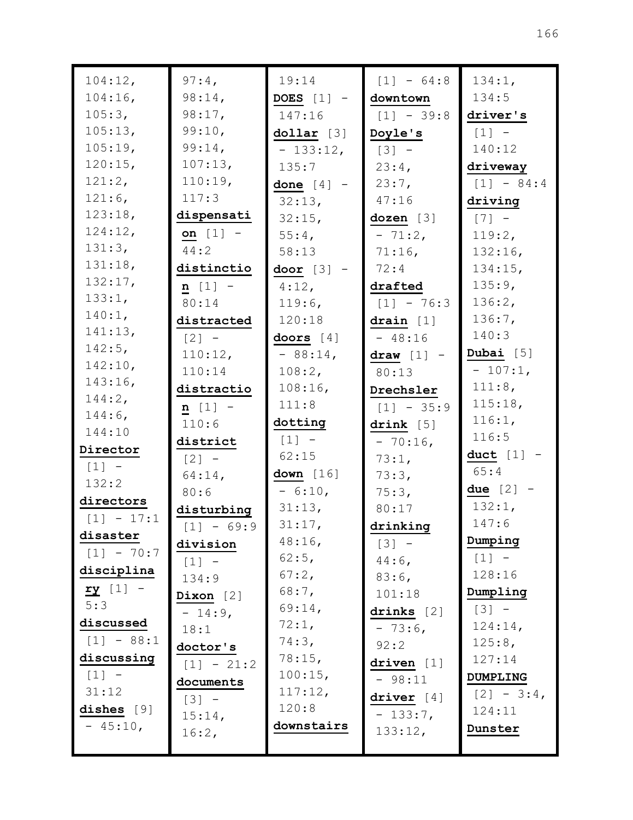| 104:12,                  | $97:4$ ,            | 19:14            | $[1] - 64:8$ | 134:1,              |
|--------------------------|---------------------|------------------|--------------|---------------------|
| $104:16$ ,               | 98:14,              | DOES $[1]$ -     | downtown     | 134:5               |
| 105:3,                   | 98:17,              | 147:16           | $[1] - 39:8$ | driver's            |
| 105:13,                  | 99:10,              | dollar [3]       | Doyle's      | $\lceil 1 \rceil$ - |
| 105:19,                  | 99:14,              | $-133:12,$       | $[3] -$      | 140:12              |
| 120:15,                  | 107:13,             | 135:7            | 23:4,        | driveway            |
| 121:2,                   | 110:19,             | done $[4]$ -     | 23:7,        | $[1] - 84:4$        |
| 121:6,                   | 117:3               | 32:13,           | 47:16        | driving             |
| 123:18,                  | dispensati          | $32:15$ ,        | dozen [3]    | $[7]$ -             |
| 124:12,                  | on $[1]$ -          | 55:4,            | $-71:2,$     | 119:2,              |
| 131:3,                   | 44:2                | 58:13            | $71:16$ ,    | 132:16,             |
| 131:18,                  | distinctio          | door $[3]$ -     | 72:4         | $134:15$ ,          |
| 132:17,                  | $n [1] -$           | $4:12$ ,         | drafted      | 135:9,              |
| 133:1,                   | 80:14               | $119:6$ ,        | $[1] - 76:3$ | 136:2,              |
| 140:1,                   | distracted          | 120:18           | drain $[1]$  | 136:7,              |
| 141:13,                  | $\lceil 2 \rceil$ - | doors $[4]$      | $-48:16$     | 140:3               |
| $142:5$ ,                | 110:12,             | $-88:14,$        | draw $[1]$ - | Dubai $[5]$         |
| 142:10,                  | 110:14              | 108:2,           | 80:13        | $-107:1,$           |
| 143:16,                  | distractio          | 108:16,          | Drechsler    | 111:8,              |
| 144:2,                   | $n [1] -$           | 111:8            | $[1] - 35:9$ | 115:18,             |
| $144:6$ ,<br>144:10      | 110:6               | dotting          | drink $[5]$  | 116:1,              |
|                          | district            | $[1]$ -          | $-70:16$ ,   | 116:5               |
| Director                 | $[2] -$             | 62:15            | 73:1,        | duct $[1]$ -        |
| $[1] -$<br>132:2         | $64:14$ ,           | down $[16]$      | 73:3,        | 65:4                |
| directors                | 80:6                | $-6:10,$         | 75:3,        | due $[2]$ -         |
|                          | disturbing          | 31:13,           | 80:17        | 132:1,              |
| $[1] - 17:1$             | $[1] - 69:9$        | 31:17,           | drinking     | 147:6               |
| disaster<br>$[1] - 70:7$ | division            | 48:16,           | $[3] -$      | Dumping             |
|                          | $[1] -$             | $62:5$ ,         | $44:6$ ,     | $[1] -$             |
| disciplina               | 134:9               | 67:2,            | $83:6$ ,     | 128:16              |
| $ry$ [1] -               | Dixon $[2]$         | $68:7$ ,         | 101:18       | Dumpling            |
| 5:3                      | $-14:9,$            | 69:14,           | drinks $[2]$ | $[3] -$             |
| discussed                | 18:1                | 72:1,            | $-73:6$      | 124:14,             |
| $[1] - 88:1$             | doctor's            | 74:3,            | 92:2         | 125:8,              |
| discussing               | $[1] - 21:2$        | 78:15,           | driven $[1]$ | 127:14              |
| $[1] -$                  | documents           | 100:15,          | $-98:11$     | <b>DUMPLING</b>     |
| 31:12                    | $[3]$ –             | 117:12,<br>120:8 | driver $[4]$ | $[2] - 3:4$         |
| dishes $[9]$             | 15:14,              | downstairs       | $-133:7,$    | 124:11              |
| $-45:10,$                | 16:2,               |                  | 133:12,      | Dunster             |
|                          |                     |                  |              |                     |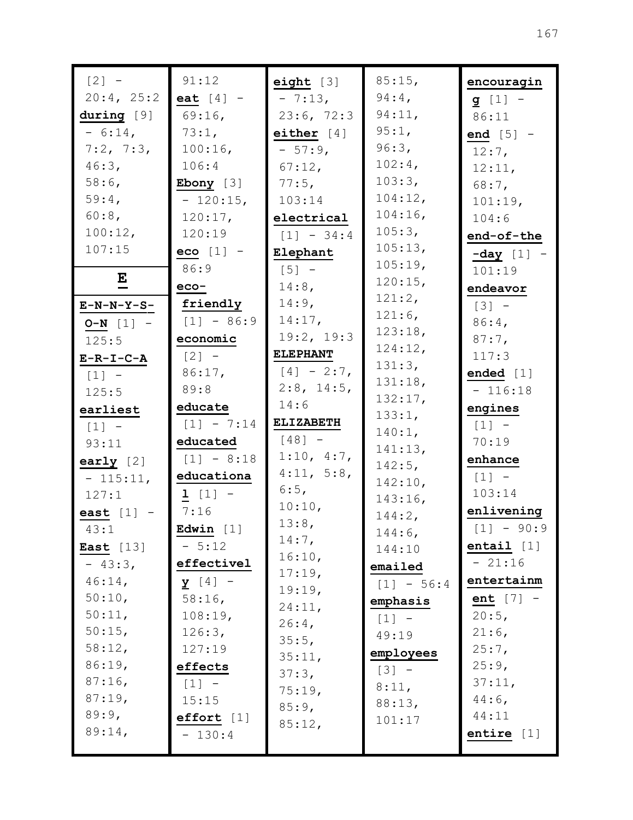| $[2] -$          | 91:12          | eight $[3]$      | 85:15,            | encouragin   |
|------------------|----------------|------------------|-------------------|--------------|
| 20:4, 25:2       | eat $[4]$ -    | $-7:13,$         | $94:4$ ,          | $g [1] -$    |
| during [9]       | $69:16$ ,      | 23:6, 72:3       | 94:11,            | 86:11        |
| $-6:14,$         | 73:1,          | either $[4]$     | 95:1,             | end $[5]$ -  |
| 7:2, 7:3,        | $100:16$ ,     | $-57:9$          | 96:3,             | $12:7$ ,     |
| 46:3,            | 106:4          | 67:12,           | $102:4$ ,         | 12:11,       |
| $58:6$ ,         | Ebony $[3]$    | $77:5$ ,         | 103:3,            | 68:7,        |
| 59:4,            | $-120:15,$     | 103:14           | 104:12,           | 101:19,      |
| $60:8$ ,         | 120:17,        | electrical       | 104:16,           | 104:6        |
| 100:12,          | 120:19         | $[1] - 34:4$     | 105:3,            | end-of-the   |
| 107:15           | $e$ co $[1]$ - | Elephant         | 105:13,           | $-day$ [1] - |
|                  | 86:9           | $[5]$ -          | 105:19,           | 101:19       |
| E                | $eco-$         | 14:8,            | 120:15,           | endeavor     |
| $E-N-N-Y-S-$     | friendly       | $14:9$ ,         | 121:2,            | $[3] -$      |
| $O-N$ [1] -      | $[1] - 86:9$   | 14:17,           | 121:6,            | $86:4$ ,     |
| 125:5            | economic       | 19:2, 19:3       | 123:18,           | $87:7$ ,     |
| $E-R-I-C-A$      | $[2] -$        | <b>ELEPHANT</b>  | 124:12,           | 117:3        |
| $[1] -$          | 86:17,         | $[4] - 2:7$      | 131:3,            | ended $[1]$  |
| 125:5            | 89:8           | $2:8$ , 14:5,    | 131:18,           | $-116:18$    |
| earliest         | educate        | 14:6             | 132:17,<br>133:1, | engines      |
| $[1]$ -          | $[1] - 7:14$   | <b>ELIZABETH</b> | 140:1,            | $[1] -$      |
| 93:11            | educated       | $[48] -$         | 141:13,           | 70:19        |
| early $[2]$      | $[1] - 8:18$   | 1:10, 4:7,       | $142:5$ ,         | enhance      |
| $-115:11,$       | educationa     | 4:11, 5:8,       | 142:10,           | $[1] -$      |
| 127:1            | $1 [1] -$      | 6:5,             | 143:16,           | 103:14       |
| east $[1]$ -     | 7:16           | 10:10,           | 144:2,            | enlivening   |
| 43:1             | Edwin $[1]$    | 13:8,            | 144:6,            | $[1] - 90:9$ |
| <b>East</b> [13] | $-5:12$        | $14:7$ ,         | 144:10            | entail $[1]$ |
| $-43:3,$         | effectivel     | 16:10,           | emailed           | $-21:16$     |
| $46:14$ ,        | $y [4] -$      | 17:19,           | $[1] - 56:4$      | entertainm   |
| 50:10,           | $58:16$ ,      | 19:19,           | emphasis          | ent $[7]$ -  |
| 50:11,           | 108:19,        | 24:11,           | $[1] -$           | 20:5,        |
| 50:15,           | 126:3,         | $26:4$ ,         | 49:19             | $21:6$ ,     |
| 58:12,           | 127:19         | 35:5,            | employees         | $25:7$ ,     |
| 86:19,           | effects        | 35:11,           | $[3] -$           | 25:9,        |
| $87:16$ ,        | $[1] -$        | 37:3,            | 8:11,             | 37:11,       |
| 87:19,           | 15:15          | 75:19,<br>85:9,  | 88:13,            | $44:6$ ,     |
| 89:9,            | effort [1]     |                  | 101:17            | 44:11        |
| 89:14,           | $-130:4$       | 85:12,           |                   | entire $[1]$ |
|                  |                |                  |                   |              |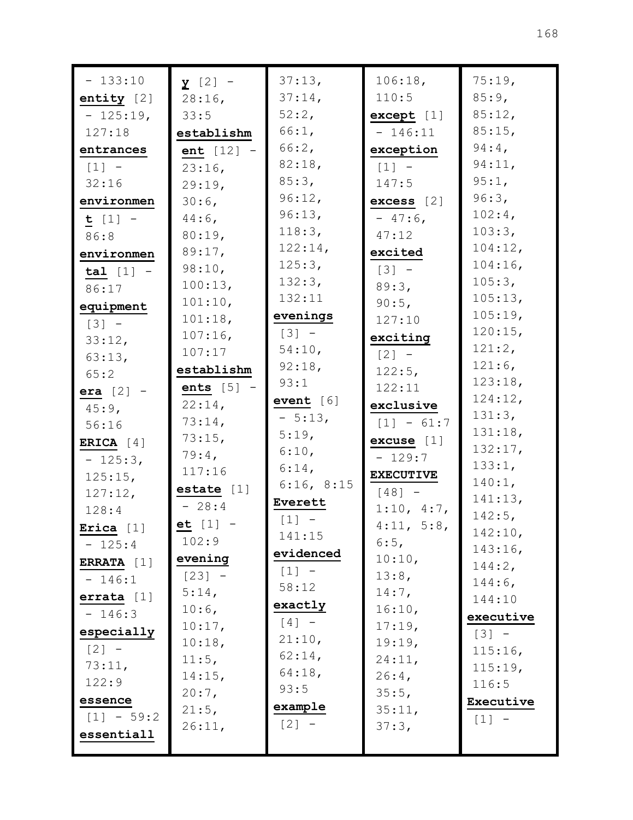| $-133:10$    | $\mathbf{y}$ [2] - | 37:13,      | 106:18,                             | 75:19,               |
|--------------|--------------------|-------------|-------------------------------------|----------------------|
| entity $[2]$ | $28:16$ ,          | $37:14$ ,   | 110:5                               | 85:9,                |
| $-125:19,$   | 33:5               | 52:2,       | except [1]                          | 85:12,               |
| 127:18       | establishm         | 66:1,       | $-146:11$                           | 85:15,               |
| entrances    | ent $[12]$ -       | 66:2,       | exception                           | $94:4$ ,             |
| $[1] -$      | $23:16$ ,          | 82:18,      | $[1]$ -                             | 94:11,               |
| 32:16        | 29:19,             | 85:3,       | 147:5                               | 95:1,                |
| environmen   | 30:6,              | 96:12,      | $excess$ [2]                        | 96:3,                |
| $t [1] -$    | $44:6$ ,           | 96:13,      | $-47:6$                             | $102:4$ ,            |
| 86:8         | 80:19,             | 118:3,      | 47:12                               | 103:3,               |
| environmen   | 89:17,             | 122:14,     | excited                             | 104:12,              |
| $tal [1] -$  | 98:10,             | 125:3,      | $\begin{bmatrix} 3 \end{bmatrix}$ - | $104:16$ ,           |
| 86:17        | 100:13,            | 132:3,      | 89:3,                               | 105:3,               |
| equipment    | 101:10,            | 132:11      | 90:5,                               | 105:13,              |
| $[3] -$      | 101:18,            | evenings    | 127:10                              | 105:19,              |
| 33:12,       | $107:16$ ,         | $[3] -$     | exciting                            | 120:15,              |
| 63:13,       | 107:17             | 54:10,      | $[2] -$                             | 121:2,               |
| 65:2         | establishm         | 92:18,      | $122:5$ ,                           | $121:6$ ,            |
| era $[2]$ -  | $ents [5] -$       | 93:1        | 122:11                              | 123:18,              |
| $45:9$ ,     | $22:14$ ,          | event $[6]$ | exclusive                           | 124:12,              |
| 56:16        | 73:14,             | $-5:13,$    | $[1] - 61:7$                        | 131:3,               |
| ERICA $[4]$  | 73:15,             | 5:19,       | excuse [1]                          | 131:18,              |
| $-125:3$ ,   | $79:4$ ,           | 6:10,       | $-129:7$                            | 132:17,              |
| 125:15,      | 117:16             | $6:14$ ,    | <b>EXECUTIVE</b>                    | 133:1,               |
| 127:12,      | estate $[1]$       | 6:16, 8:15  | $[48] -$                            | 140:1,               |
| 128:4        | $-28:4$            | Everett     | 1:10, 4:7,                          | 141:13,<br>$142:5$ , |
| Erica $[1]$  | et $[1] -$         | $[1] -$     | 4:11, 5:8,                          | 142:10,              |
| $-125:4$     | 102:9              | 141:15      | 6:5,                                | 143:16,              |
| ERRATA [1]   | evening            | evidenced   | 10:10,                              | 144:2,               |
| $-146:1$     | $[23] -$           | $[1] -$     | 13:8,                               | $144:6$ ,            |
| errata $[1]$ | 5:14,              | 58:12       | $14:7$ ,                            | 144:10               |
| $-146:3$     | $10:6$ ,           | exactly     | 16:10,                              | executive            |
| especially   | 10:17,             | $[4]$ -     | 17:19,                              | $\lceil 3 \rceil$ -  |
| $[2] -$      | 10:18,             | 21:10,      | 19:19,                              | 115:16,              |
| 73:11,       | 11:5,              | $62:14$ ,   | 24:11,                              | 115:19,              |
| 122:9        | 14:15,             | $64:18$ ,   | $26:4$ ,                            | 116:5                |
| essence      | $20:7$ ,           | 93:5        | 35:5,                               | Executive            |
| $[1] - 59:2$ | 21:5,              | example     | 35:11,                              | $[1] -$              |
| essentiall   | 26:11,             | $[2] -$     | 37:3,                               |                      |
|              |                    |             |                                     |                      |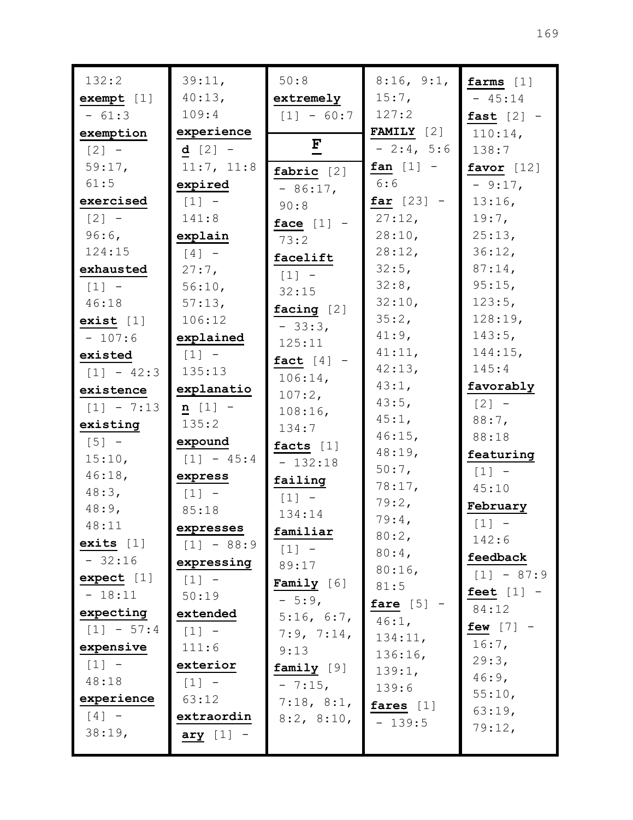| 132:2        | 39:11,              | 50:8         | 8:16, 9:1,          | farms $[1]$  |
|--------------|---------------------|--------------|---------------------|--------------|
| exempt [1]   | 40:13,              | extremely    | $15:7$ ,            | $-45:14$     |
| $-61:3$      | 109:4               | $[1] - 60:7$ | 127:2               | fast $[2]$ - |
| exemption    | experience          |              | <b>FAMILY</b> $[2]$ | $110:14$ ,   |
| $[2] -$      | <b>d</b> $[2]$ –    | $\mathbf{F}$ | $-2:4, 5:6$         | 138:7        |
| 59:17,       | 11:7, 11:8          | fabric $[2]$ | fan $[1]$ -         | favor $[12]$ |
| 61:5         | expired             | $-86:17$ ,   | 6:6                 | $-9:17$ ,    |
| exercised    | $[1] -$             | 90:8         | $far [23] -$        | 13:16,       |
| $[2] -$      | 141:8               | face $[1]$ - | 27:12,              | $19:7$ ,     |
| $96:6$ ,     | explain             | 73:2         | 28:10,              | 25:13,       |
| 124:15       | $\lceil 4 \rceil$ - | facelift     | 28:12,              | 36:12,       |
| exhausted    | $27:7$ ,            | $[1]$ -      | 32:5,               | 87:14,       |
| $[1]$ -      | 56:10,              | 32:15        | 32:8,               | 95:15,       |
| 46:18        | 57:13,              | facing [2]   | 32:10,              | 123:5,       |
| exist [1]    | 106:12              | $-33:3,$     | 35:2,               | 128:19,      |
| $-107:6$     | explained           | 125:11       | 41:9,               | 143:5,       |
| existed      | $[1] -$             | fact $[4]$ - | 41:11,              | 144:15,      |
| $[1] - 42:3$ | 135:13              | 106:14,      | 42:13,              | 145:4        |
| existence    | explanatio          | $107:2$ ,    | 43:1,               | favorably    |
| $[1] - 7:13$ | $n [1] -$           | $108:16$ ,   | 43:5,               | $[2] -$      |
| existing     | 135:2               | 134:7        | 45:1,               | $88:7$ ,     |
| $[5]$ -      | expound             | facts $[1]$  | 46:15,              | 88:18        |
| 15:10,       | $[1] - 45:4$        | $-132:18$    | 48:19,              | featuring    |
| 46:18,       | express             | failing      | $50:7$ ,            | $[1] -$      |
| 48:3,        | $[1] -$             | $[1]$ -      | 78:17,              | 45:10        |
| $48:9$ ,     | 85:18               | 134:14       | 79:2,               | February     |
| 48:11        | expresses           | familiar     | 79:4,               | $[1]$ -      |
| exits $[1]$  | $[1] - 88:9$        | $[1]$ -      | 80:2,<br>$80:4$ ,   | 142:6        |
| $-32:16$     | expressing          | 89:17        | 80:16,              | feedback     |
| expect [1]   | $[1] -$             | Family $[6]$ | 81:5                | $[1] - 87:9$ |
| $-18:11$     | 50:19               | $-5:9,$      | fare $[5]$          | feet $[1]$ - |
| expecting    | extended            | 5:16, 6:7,   | $46:1$ ,            | 84:12        |
| $[1] - 57:4$ | $[1] -$             | 7:9, 7:14,   | 134:11,             | few $[7]$ -  |
| expensive    | 111:6               | 9:13         | 136:16,             | $16:7$ ,     |
| $[1] -$      | exterior            | family [9]   | 139:1,              | 29:3,        |
| 48:18        | $[1] -$             | $-7:15,$     | 139:6               | $46:9$ ,     |
| experience   | 63:12               | 7:18, 8:1,   | fares $[1]$         | 55:10,       |
| $[4]$ $-$    | extraordin          | 8:2, 8:10,   | $-139:5$            | 63:19,       |
| 38:19,       | ary $[1]$ -         |              |                     | 79:12,       |
|              |                     |              |                     |              |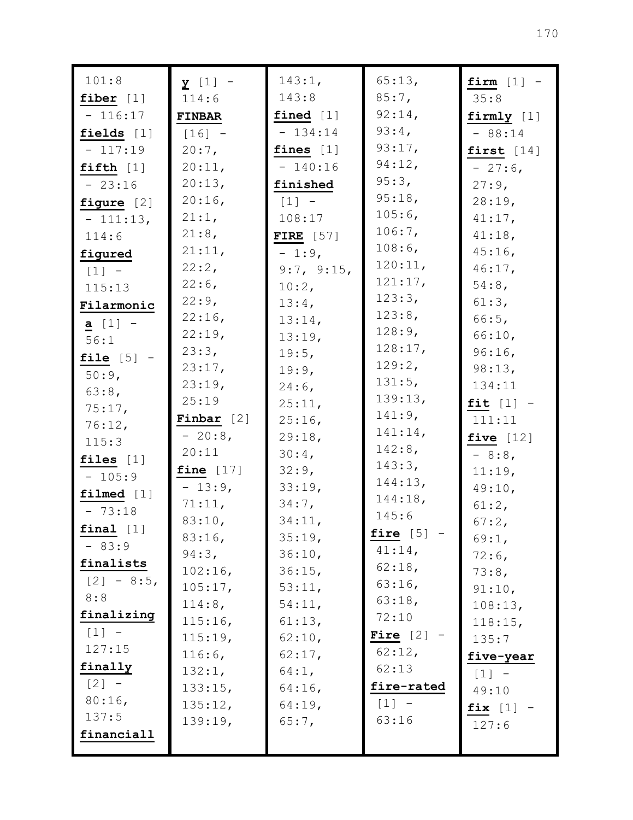| 101:8<br>143:1,<br>65:13,<br>$y$ [1] -                                | firm $[1]$ - |
|-----------------------------------------------------------------------|--------------|
| 143:8<br>$85:7$ ,<br>114:6<br>fiber $[1]$                             | 35:8         |
| 92:14,<br>$-116:17$<br>fined $[1]$<br><b>FINBAR</b>                   | firmly [1]   |
| 93:4,<br>$-134:14$<br>fields $[1]$<br>$[16] -$                        | $-88:14$     |
| 93:17,<br>$20:7$ ,<br>fines $[1]$<br>$-117:19$                        | first $[14]$ |
| 94:12,<br>20:11,<br>$-140:16$<br>fifth $[1]$                          | $-27:6$      |
| 95:3,<br>20:13,<br>finished<br>$-23:16$                               | $27:9$ ,     |
| 95:18,<br>20:16<br>$[1]$ -<br>figure $[2]$                            | 28:19,       |
| 105:6,<br>21:1,<br>108:17<br>$-111:13,$                               | $41:17$ ,    |
| 106:7,<br>21:8,<br>FIRE $[57]$<br>114:6                               | 41:18,       |
| 108:6,<br>21:11,<br>$-1:9$ ,<br>figured                               | $45:16$ ,    |
| 120:11,<br>22:2,<br>9:7, 9:15,<br>$\begin{bmatrix} 1 \end{bmatrix}$ - | $46:17$ ,    |
| 121:17,<br>$22:6$ ,<br>10:2,<br>115:13                                | $54:8$ ,     |
| 123:3,<br>22:9,<br>13:4,<br>Filarmonic                                | 61:3,        |
| 123:8,<br>22:16,<br>13:14,<br><b>a</b> $[1]$ -                        | 66:5,        |
| 128:9,<br>22:19,<br>13:19,<br>56:1                                    | 66:10,       |
| 128:17,<br>23:3,<br>19:5,<br>file $[5]$ -                             | 96:16,       |
| 129:2,<br>23:17,<br>19:9,<br>50:9,                                    | 98:13,       |
| 131:5,<br>23:19,<br>$24:6$ ,<br>63:8,                                 | 134:11       |
| 139:13,<br>25:19<br>25:11,<br>75:17,                                  | fit $[1]$ -  |
| 141:9,<br>Finbar $[2]$<br>25:16,<br>76:12,                            | 111:11       |
| $141:14$ ,<br>$-20:8$ ,<br>29:18,<br>115:3                            | five $[12]$  |
| 142:8,<br>20:11<br>$30:4$ ,<br>files $[1]$                            | $-8:8$       |
| 143:3,<br>fine $[17]$<br>32:9,<br>$-105:9$                            | 11:19,       |
| 144:13,<br>$-13:9,$<br>33:19,<br>$filmed$ [1]                         | 49:10,       |
| 144:18,<br>71:11,<br>$34:7$ ,<br>$-73:18$                             | 61:2,        |
| 145:6<br>83:10,<br>34:11,<br>$final$ [1]                              | 67:2,        |
| fire $[5]$<br>83:16,<br>35:19,<br>$-83:9$                             | 69:1,        |
| $41:14$ ,<br>94:3,<br>36:10,<br>finalists                             | $72:6$ ,     |
| $62:18$ ,<br>$102:16$ ,<br>36:15,<br>$[2] - 8:5$                      | 73:8,        |
| 63:16<br>105:17,<br>53:11,<br>8:8                                     | 91:10,       |
| 63:18,<br>114:8,<br>54:11,<br>finalizing                              | 108:13,      |
| 72:10<br>115:16,<br>61:13,<br>$\lceil 1 \rceil$ -                     | 118:15,      |
| Fire $[2]$<br>115:19,<br>62:10,<br>127:15                             | 135:7        |
| 62:12,<br>116:6,<br>62:17,                                            | five-year    |
| finally<br>62:13<br>132:1,<br>64:1,                                   | $[1] -$      |
| $[2] -$<br>fire-rated<br>133:15,<br>$64:16$ ,<br>80:16                | 49:10        |
| $[1]$ -<br>135:12,<br>$64:19$ ,<br>137:5                              | fix $[1]$ -  |
| 63:16<br>139:19,<br>65:7,<br>financiall                               | 127:6        |
|                                                                       |              |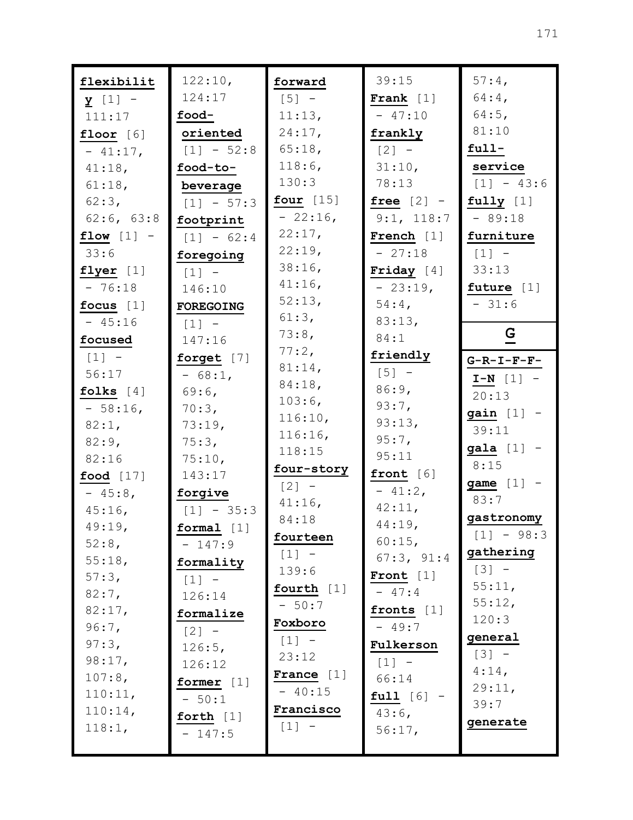| flexibilit   | 122:10,             | forward             | 39:15               | 57:4,                 |
|--------------|---------------------|---------------------|---------------------|-----------------------|
| $y$ [1] -    | 124:17              | $\lceil 5 \rceil$ – | Frank $[1]$         | $64:4$ ,              |
| 111:17       | food-               | 11:13,              | $-47:10$            | $64:5$ ,              |
| floor $[6]$  | oriented            | 24:17,              | frankly             | 81:10                 |
| $-41:17,$    | $[1] - 52:8$        | 65:18,              | $\lceil 2 \rceil$ - | $full-$               |
| 41:18,       | food-to-            | 118:6,              | 31:10,              | service               |
| 61:18,       | beverage            | 130:3               | 78:13               | $[1] - 43:6$          |
| $62:3$ ,     | $[1] - 57:3$        | four $[15]$         | free $[2]$ -        | fully $[1]$           |
| 62:6, 63:8   | footprint           | $-22:16$ ,          | 9:1, 118:7          | $-89:18$              |
| flow $[1]$ - | $[1] - 62:4$        | 22:17,              | French $[1]$        | furniture             |
| 33:6         | foregoing           | 22:19,              | $-27:18$            | $\lceil 1 \rceil$ -   |
| flyer $[1]$  | $\lceil 1 \rceil$ - | $38:16$ ,           | Friday $[4]$        | 33:13                 |
| $-76:18$     | 146:10              | $41:16$ ,           | $-23:19,$           | future [1]            |
| focus $[1]$  | <b>FOREGOING</b>    | 52:13,              | $54:4$ ,            | $-31:6$               |
| $-45:16$     | $[1]$ -             | 61:3,               | 83:13,              |                       |
| focused      | 147:16              | 73:8,               | 84:1                | $\mathbf{G}$          |
| $[1] -$      | forget [7]          | 77:2,               | friendly            | $G-R-I-F-F-$          |
| 56:17        | $-68:1$ ,           | 81:14,              | $[5] -$             | $I-N$ [1] -           |
| folks $[4]$  | $69:6$ ,            | 84:18,              | 86:9,               | 20:13                 |
| $-58:16$     | 70:3,               | 103:6,              | 93:7,               |                       |
| 82:1,        | 73:19,              | 116:10,             | 93:13,              | $gain$ [1] -<br>39:11 |
| $82:9$ ,     | 75:3,               | 116:16,             | 95:7,               |                       |
| 82:16        | 75:10,              | 118:15              | 95:11               | $gala$ $[1]$ -        |
| food $[17]$  | 143:17              | four-story          | front [6]           | 8:15                  |
| $-45:8$      | forgive             | $[2] -$             | $-41:2$ ,           | game $[1]$ -          |
| $45:16$ ,    | $[1] - 35:3$        | $41:16$ ,           | 42:11,              | 83:7                  |
| 49:19,       | formal [1]          | 84:18               | 44:19,              | gastronomy            |
| $52:8$ ,     | $-147:9$            | fourteen            | $60:15$ ,           | $[1] - 98:3$          |
| 55:18,       | formality           | $[1] -$             | 67:3, 91:4          | gathering             |
| 57:3,        | $[1] -$             | 139:6               | Front $[1]$         | $[3] -$               |
| $82:7$ ,     | 126:14              | fourth [1]          | $-47:4$             | 55:11,                |
| 82:17,       | formalize           | $-50:7$             | fronts $[1]$        | 55:12,                |
| 96:7,        | $\lceil 2 \rceil$ - | Foxboro             | $-49:7$             | 120:3                 |
| 97:3,        | 126:5,              | $[1] -$             | Fulkerson           | general               |
| 98:17,       | 126:12              | 23:12               | $[1] -$             | $[3] -$               |
| 107:8,       | former $[1]$        | France $[1]$        | 66:14               | $4:14$ ,              |
| 110:11,      | $-50:1$             | $-40:15$            | $full [6] -$        | 29:11,                |
| 110:14,      | forth $[1]$         | Francisco           | $43:6$ ,            | 39:7                  |
| 118:1,       | $-147:5$            | $[1] -$             | 56:17,              | generate              |
|              |                     |                     |                     |                       |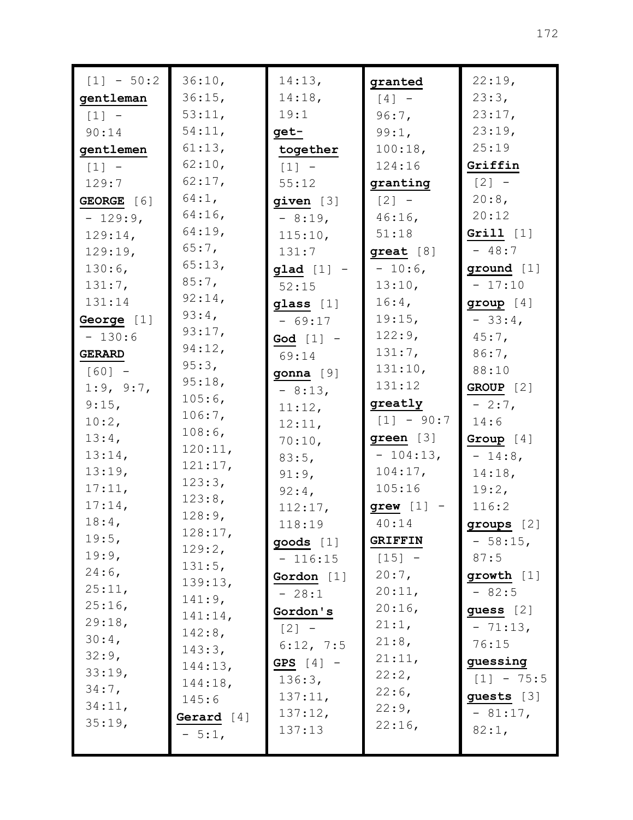| $[1] - 50:2$  | 36:10,            | 14:13,       | granted       | 22:19,       |
|---------------|-------------------|--------------|---------------|--------------|
| gentleman     | 36:15,            | 14:18,       | $[4]$ -       | 23:3,        |
| $[1] -$       | 53:11,            | 19:1         | $96:7$ ,      | 23:17,       |
| 90:14         | 54:11,            | get-         | 99:1,         | 23:19,       |
| gentlemen     | 61:13,            | together     | 100:18,       | 25:19        |
| $[1] -$       | 62:10,            | $[1] -$      | 124:16        | Griffin      |
| 129:7         | 62:17,            | 55:12        | granting      | $[2] -$      |
| GEORGE [6]    | 64:1,             | given [3]    | $[2]$ -       | 20:8,        |
| $-129:9$ ,    | $64:16$ ,         | $-8:19,$     | $46:16$ ,     | 20:12        |
| 129:14,       | 64:19,            | 115:10,      | 51:18         | Grill $[1]$  |
| 129:19,       | $65:7$ ,          | 131:7        | $great [8]$   | $-48:7$      |
| 130:6,        | 65:13,            | $glad [1] -$ | $-10:6$ ,     | ground [1]   |
| 131:7,        | 85:7,             | 52:15        | 13:10,        | $-17:10$     |
| 131:14        | 92:14,            | glass [1]    | $16:4$ ,      | group $[4]$  |
| George [1]    | $93:4$ ,          | $-69:17$     | 19:15,        | $-33:4$      |
| $-130:6$      | 93:17,            | God $[1]$ -  | 122:9,        | $45:7$ ,     |
| <b>GERARD</b> | 94:12,            | 69:14        | 131:7,        | 86:7,        |
| $[60] -$      | 95:3,             | gonna [9]    | 131:10,       | 88:10        |
| 1:9, 9:7,     | 95:18,            | $-8:13,$     | 131:12        | GROUP [2]    |
| 9:15,         | 105:6,            | 11:12,       | greatly       | $-2:7$ ,     |
| 10:2,         | 106:7,            | 12:11,       | $[1] - 90:7$  | 14:6         |
| $13:4$ ,      | 108:6,            | 70:10,       | green [3]     | Group $[4]$  |
| 13:14,        | 120:11,           | 83:5,        | $-104:13,$    | $-14:8$ ,    |
| 13:19,        | 121:17,           | 91:9,        | $104:17$ ,    | 14:18,       |
| 17:11,        | 123:3,            | $92:4$ ,     | 105:16        | 19:2,        |
| $17:14$ ,     | 123:8,            | 112:17,      | $green$ [1] - | 116:2        |
| $18:4$ ,      | 128:9,            | 118:19       | 40:14         | groups [2]   |
| 19:5,         | 128:17,           | goods [1]    | GRIFFIN       | $-58:15,$    |
| 19:9,         | 129:2,            | $-116:15$    | $[15] -$      | 87:5         |
| $24:6$ ,      | 131:5,            | Gordon $[1]$ | $20:7$ ,      | growth $[1]$ |
| 25:11,        | 139:13,           | $-28:1$      | 20:11,        | $-82:5$      |
| 25:16,        | 141:9,            | Gordon's     | 20:16         | guess $[2]$  |
| 29:18,        | 141:14,           | $[2] -$      | 21:1,         | $-71:13,$    |
| $30:4$ ,      | 142:8,            | 6:12, 7:5    | 21:8,         | 76:15        |
| 32:9,         | 143:3,<br>144:13, | GPS $[4]$ -  | 21:11,        | guessing     |
| 33:19,        | 144:18,           | 136:3,       | 22:2,         | $[1] - 75:5$ |
| 34:7,         | 145:6             | 137:11,      | $22:6$ ,      | guests [3]   |
| 34:11,        | Gerard $[4]$      | 137:12,      | 22:9,         | $-81:17$ ,   |
| 35:19,        | $-5:1,$           | 137:13       | 22:16,        | 82:1,        |
|               |                   |              |               |              |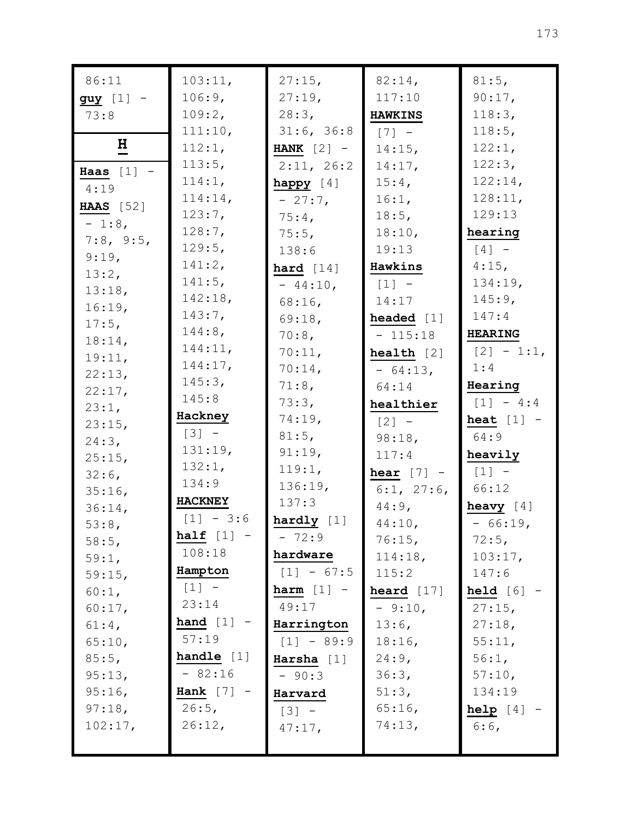| 86:11            | 103:11,        | 27:15,       | 82:14,                | 81:5,          |
|------------------|----------------|--------------|-----------------------|----------------|
| $guy$ [1] -      | 106:9,         | 27:19,       | 117:10                | $90:17$ ,      |
| 73:8             | 109:2,         | 28:3,        | <b>HAWKINS</b>        | 118:3,         |
|                  | 111:10,        | 31:6, 36:8   | $[7] -$               | 118:5,         |
| $\mathbf H$      | 112:1,         | HANK $[2]$ - | $14:15$ ,             | 122:1,         |
| Haas $[1]$ -     | 113:5,         | 2:11, 26:2   | 14:17,                | 122:3,         |
| 4:19             | 114:1,         | happy $[4]$  | $15:4$ ,              | 122:14,        |
|                  | 114:14,        | $-27:7$      | 16:1,                 | 128:11,        |
| <b>HAAS</b> [52] | 123:7,         | $75:4$ ,     | 18:5,                 | 129:13         |
| $-1:8$ ,         | 128:7,         | $75:5$ ,     | 18:10,                | hearing        |
| 7:8, 9:5,        | 129:5,         | 138:6        | 19:13                 | $[4]$ -        |
| 9:19,            | 141:2,         | hard $[14]$  | Hawkins               | $4:15$ ,       |
| 13:2,            | 141:5,         | $-44:10,$    | $[1] -$               | 134:19,        |
| 13:18,           | 142:18,        | $68:16$ ,    | 14:17                 | $145:9$ ,      |
| 16:19,           | 143:7,         | 69:18,       | headed $[1]$          | 147:4          |
| $17:5$ ,         | $144:8$ ,      | $70:8$ ,     | $-115:18$             | <b>HEARING</b> |
| 18:14,           | 144:11,        | 70:11,       | $\textbf{health}$ [2] | $[2] - 1:1,$   |
| 19:11,           | 144:17,        | $70:14$ ,    | $-64:13,$             | 1:4            |
| 22:13,           | 145:3,         | 71:8,        | 64:14                 | Hearing        |
| 22:17,           | 145:8          | 73:3,        | healthier             | $[1] - 4:4$    |
| 23:1,<br>23:15,  | Hackney        | 74:19,       | $\lceil 2 \rceil$ -   | heat $[1]$ -   |
| 24:3,            | $[3] -$        | 81:5,        | 98:18,                | 64:9           |
| 25:15,           | 131:19,        | 91:19,       | 117:4                 | heavily        |
| $32:6$ ,         | 132:1,         | 119:1,       | hear $[7]$ -          | $[1]$ -        |
| $35:16$ ,        | 134:9          | 136:19,      | 6:1, 27:6,            | 66:12          |
| $36:14$ ,        | <b>HACKNEY</b> | 137:3        | $44:9$ ,              | heavy $[4]$    |
| 53:8,            | $[1] - 3:6$    | hardly $[1]$ | $44:10$ ,             | $-66:19,$      |
| 58:5,            | half $[1]$     | $-72:9$      | 76:15,                | 72:5,          |
| 59:1,            | 108:18         | hardware     | 114:18,               | 103:17,        |
| 59:15,           | Hampton        | $[1] - 67:5$ | 115:2                 | 147:6          |
| 60:1,            | $[1] -$        | harm $[1]$ - | heard $[17]$          | held $[6]$ -   |
| 60:17,           | 23:14          | 49:17        | $-9:10,$              | 27:15,         |
| $61:4$ ,         | hand $[1]$     | Harrington   | $13:6$ ,              | 27:18,         |
| 65:10,           | 57:19          | $[1] - 89:9$ | $18:16$ ,             | 55:11,         |
| $85:5$ ,         | handle $[1]$   | Harsha $[1]$ | $24:9$ ,              | 56:1,          |
| 95:13,           | $-82:16$       | $-90:3$      | 36:3,                 | 57:10,         |
| $95:16$ ,        | Hank $[7]$ -   | Harvard      | 51:3,                 | 134:19         |
| 97:18,           | 26:5,          | $[3] -$      | $65:16$ ,             | $help [4] -$   |
| 102:17,          | 26:12,         | $47:17$ ,    | 74:13,                | $6:6$ ,        |
|                  |                |              |                       |                |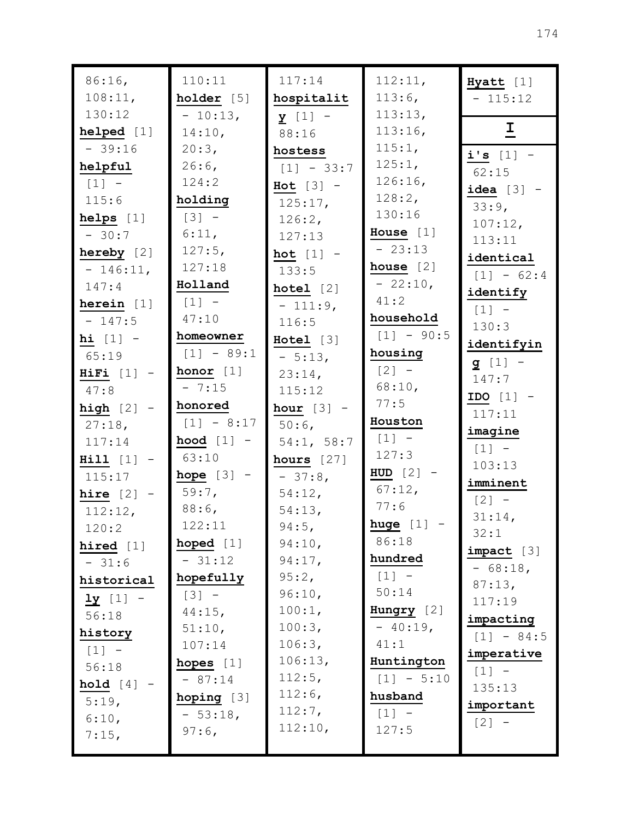| $86:16$ ,               | 110:11                  | 117:14           | 112:11,             | Hyatt [1]      |
|-------------------------|-------------------------|------------------|---------------------|----------------|
| 108:11,                 | holder [5]              | hospitalit       | $113:6$ ,           | $-115:12$      |
| 130:12                  | $-10:13,$               | $y$ [1] -        | 113:13,             |                |
| helped [1]              | 14:10,                  | 88:16            | 113:16,             | $\overline{1}$ |
| $-39:16$                | 20:3,                   | hostess          | 115:1,              | i's $[1]$ -    |
| helpful                 | $26:6$ ,                | $[1] - 33:7$     | 125:1,              | 62:15          |
| $[1]$ -                 | 124:2                   | $Hot [3] -$      | 126:16,             | $ideal [3] -$  |
| 115:6                   | holding                 | $125:17$ ,       | 128:2,              | 33:9,          |
| helps $[1]$             | $[3] -$                 | 126:2,           | 130:16              | $107:12$ ,     |
| $-30:7$                 | 6:11,                   | 127:13           | House $[1]$         | 113:11         |
| hereby $[2]$            | 127:5,                  | hot $[1]$ -      | $-23:13$            | identical      |
| $-146:11,$              | 127:18                  | 133:5            | house $[2]$         | $[1] - 62:4$   |
| 147:4                   | Holland                 | hotel [2]        | $-22:10$ ,          | identify       |
| herein $[1]$            | $[1]$ -                 | $-111:9,$        | 41:2                | $[1] -$        |
| $-147:5$                | 47:10                   | 116:5            | household           | 130:3          |
| hi $[1]$ -              | homeowner               | Hotel [3]        | $[1] - 90:5$        | identifyin     |
| 65:19                   | $[1] - 89:1$            | $-5:13,$         | housing             | $g [1] -$      |
| $\textbf{HiFi}$ $[1]$ - | honor [1]               | $23:14$ ,        | $[2] -$             | 147:7          |
| 47:8                    | $-7:15$                 | 115:12           | 68:10,              | IDO $[1]$ -    |
| high $[2]$ -            | honored                 | hour $[3]$ -     | 77:5                | 117:11         |
| $27:18$ ,               | $[1] - 8:17$            | $50:6$ ,         | Houston             | imagine        |
| 117:14                  | hood $[1]$ -            | 54:1, 58:7       | $[1] -$<br>127:3    | $[1]$ -        |
| $Hill [1] -$            | 63:10                   | hours $[27]$     | HUD $[2]$ -         | 103:13         |
| 115:17                  | hope $[3]$ -            | $-37:8$          | $67:12$ ,           | imminent       |
| hire $[2]$ -            | $59:7$ ,                | 54:12,           | 77:6                | $[2] -$        |
| 112:12,                 | $88:6$ ,                | 54:13,           | huge $[1]$ -        | 31:14,         |
| 120:2                   | 122:11                  | $94:5$ ,         | 86:18               | 32:1           |
| hired $[1]$             | hoped $[1]$<br>$-31:12$ | 94:10,<br>94:17, | hundred             | impect [3]     |
| $-31:6$                 | hopefully               | 95:2,            | $\lceil 1 \rceil$ - | $-68:18,$      |
| historical              | $[3] -$                 | 96:10,           | 50:14               | 87:13,         |
| $\frac{1y}{1}$ [1] -    | $44:15$ ,               | 100:1,           | Hungry $[2]$        | 117:19         |
| 56:18                   | 51:10,                  | 100:3,           | $-40:19,$           | impacting      |
| history                 | 107:14                  | 106:3,           | 41:1                | $[1] - 84:5$   |
| $[1] -$<br>56:18        | hopes $[1]$             | 106:13,          | Huntington          | imperative     |
| hold $[4]$ -            | $-87:14$                | 112:5,           | $[1] - 5:10$        | $[1] -$        |
| 5:19,                   | hoping $[3]$            | $112:6$ ,        | husband             | 135:13         |
| 6:10,                   | $-53:18$ ,              | 112:7,           | $[1] -$             | important      |
| 7:15,                   | $97:6$ ,                | 112:10,          | 127:5               | $[2] -$        |
|                         |                         |                  |                     |                |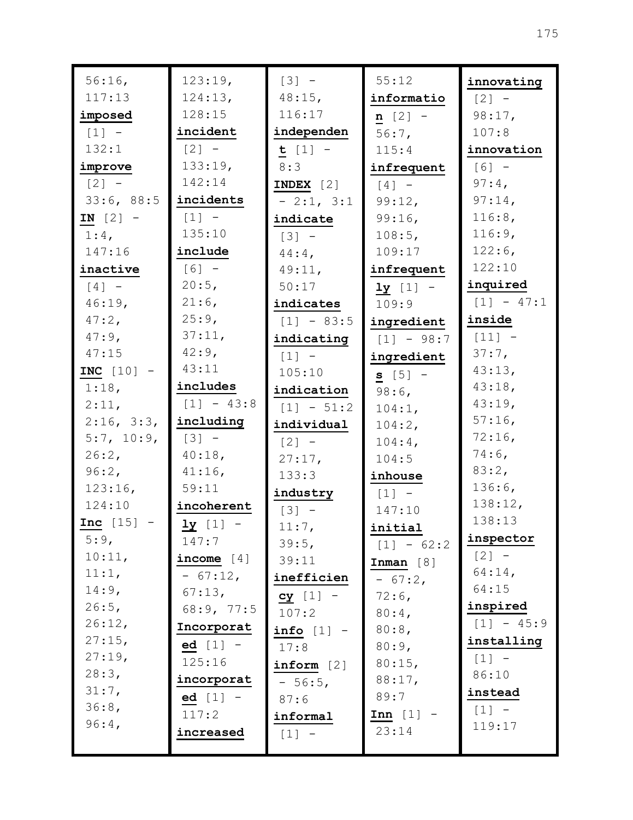| 124:13,<br>117:13<br>$48:15$ ,<br>informatio<br>$[2] -$<br>128:15<br>116:17<br>imposed<br>98:17,<br>$n [2] -$<br>$[1] -$<br>incident<br>independen<br>107:8<br>$56:7$ ,<br>132:1<br>$[2] -$<br>$t [1] -$<br>innovation<br>115:4<br>133:19,<br>$[6] -$<br>improve<br>8:3<br>infrequent<br>142:14<br>$[2] -$<br>$97:4$ ,<br>INDEX $[2]$<br>$\lceil 4 \rceil$ -<br>33:6, 88:5<br>incidents<br>$97:14$ ,<br>$-2:1, 3:1$<br>99:12,<br>116:8,<br>$[1] -$<br>$IN [2] -$<br>99:16,<br>indicate<br>135:10<br>116:9,<br>$1:4$ ,<br>108:5,<br>$[3] -$<br>$122:6$ ,<br>include<br>147:16<br>109:17<br>$44:4$ ,<br>122:10<br>$[6] -$<br>inactive<br>infrequent<br>49:11,<br>20:5,<br>inquired<br>$[4]$ -<br>50:17<br>$1y [1] -$<br>$21:6$ ,<br>$[1] - 47:1$<br>$46:19$ ,<br>109:9<br>indicates<br>25:9,<br>inside<br>$47:2$ ,<br>$[1] - 83:5$<br>ingredient<br>37:11,<br>$47:9$ ,<br>$[11] -$<br>indicating<br>$[1] - 98:7$<br>$42:9$ ,<br>47:15<br>$37:7$ ,<br>$[1] -$<br>ingredient<br>43:11<br>43:13,<br>INC $[10]$ -<br>105:10<br>$s [5] -$<br>includes<br>43:18,<br>$1:18$ ,<br>indication<br>$98:6$ ,<br>43:19,<br>$[1] - 43:8$<br>2:11,<br>$[1] - 51:2$<br>104:1,<br>$57:16$ ,<br>2:16, 3:3,<br>including<br>individual<br>104:2,<br>72:16,<br>5:7, 10:9,<br>$[3] -$<br>$[2] -$<br>$104:4$ ,<br>$74:6$ ,<br>26:2,<br>40:18,<br>27:17,<br>104:5<br>83:2,<br>96:2,<br>$41:16$ ,<br>133:3<br>inhouse<br>136:6,<br>59:11<br>123:16,<br>industry<br>$[1] -$<br>138:12,<br>124:10<br>incoherent<br>147:10<br>$[3] -$<br>138:13<br><b>Inc</b> $[15]$ -<br>$1y$ [1] -<br>$11:7$ ,<br>initial<br>inspector<br>5:9,<br>147:7<br>39:5,<br>$[1] - 62:2$<br>$[2] -$<br>10:11,<br>income $[4]$<br>39:11<br>Inman [8]<br>$64:14$ ,<br>11:1,<br>$-67:12,$<br>inefficien<br>$-67:2,$<br>64:15<br>$14:9$ ,<br>67:13,<br>$cy [1] -$<br>$72:6$ ,<br>inspired<br>26:5,<br>68:9, 77:5<br>107:2<br>$80:4$ ,<br>$[1] - 45:9$<br>26:12,<br>Incorporat<br>80:8,<br>info $[1]$ -<br>27:15,<br>installing<br>ed $[1]$ -<br>80:9,<br>17:8<br>27:19,<br>$[1] -$<br>125:16<br>80:15,<br>inform [2]<br>28:3,<br>86:10<br>incorporat<br>88:17,<br>$-56:5,$<br>31:7,<br>instead<br>89:7<br>$ed [1] -$<br>87:6<br>36:8,<br>$[1] -$<br>117:2<br>$Inn [1] -$<br>informal<br>$96:4$ ,<br>119:17<br>23:14<br>increased<br>$[1]$ - | 56:16 | 123:19, | $[3] -$ | 55:12 | innovating |
|--------------------------------------------------------------------------------------------------------------------------------------------------------------------------------------------------------------------------------------------------------------------------------------------------------------------------------------------------------------------------------------------------------------------------------------------------------------------------------------------------------------------------------------------------------------------------------------------------------------------------------------------------------------------------------------------------------------------------------------------------------------------------------------------------------------------------------------------------------------------------------------------------------------------------------------------------------------------------------------------------------------------------------------------------------------------------------------------------------------------------------------------------------------------------------------------------------------------------------------------------------------------------------------------------------------------------------------------------------------------------------------------------------------------------------------------------------------------------------------------------------------------------------------------------------------------------------------------------------------------------------------------------------------------------------------------------------------------------------------------------------------------------------------------------------------------------------------------------------------------------------------------------------------------------------------------------------------------------------------------------------------------------------------------------------------------------------------------------------------------------------------------------------------------------------------------------------------------------------------------------------------------------------------|-------|---------|---------|-------|------------|
|                                                                                                                                                                                                                                                                                                                                                                                                                                                                                                                                                                                                                                                                                                                                                                                                                                                                                                                                                                                                                                                                                                                                                                                                                                                                                                                                                                                                                                                                                                                                                                                                                                                                                                                                                                                                                                                                                                                                                                                                                                                                                                                                                                                                                                                                                      |       |         |         |       |            |
|                                                                                                                                                                                                                                                                                                                                                                                                                                                                                                                                                                                                                                                                                                                                                                                                                                                                                                                                                                                                                                                                                                                                                                                                                                                                                                                                                                                                                                                                                                                                                                                                                                                                                                                                                                                                                                                                                                                                                                                                                                                                                                                                                                                                                                                                                      |       |         |         |       |            |
|                                                                                                                                                                                                                                                                                                                                                                                                                                                                                                                                                                                                                                                                                                                                                                                                                                                                                                                                                                                                                                                                                                                                                                                                                                                                                                                                                                                                                                                                                                                                                                                                                                                                                                                                                                                                                                                                                                                                                                                                                                                                                                                                                                                                                                                                                      |       |         |         |       |            |
|                                                                                                                                                                                                                                                                                                                                                                                                                                                                                                                                                                                                                                                                                                                                                                                                                                                                                                                                                                                                                                                                                                                                                                                                                                                                                                                                                                                                                                                                                                                                                                                                                                                                                                                                                                                                                                                                                                                                                                                                                                                                                                                                                                                                                                                                                      |       |         |         |       |            |
|                                                                                                                                                                                                                                                                                                                                                                                                                                                                                                                                                                                                                                                                                                                                                                                                                                                                                                                                                                                                                                                                                                                                                                                                                                                                                                                                                                                                                                                                                                                                                                                                                                                                                                                                                                                                                                                                                                                                                                                                                                                                                                                                                                                                                                                                                      |       |         |         |       |            |
|                                                                                                                                                                                                                                                                                                                                                                                                                                                                                                                                                                                                                                                                                                                                                                                                                                                                                                                                                                                                                                                                                                                                                                                                                                                                                                                                                                                                                                                                                                                                                                                                                                                                                                                                                                                                                                                                                                                                                                                                                                                                                                                                                                                                                                                                                      |       |         |         |       |            |
|                                                                                                                                                                                                                                                                                                                                                                                                                                                                                                                                                                                                                                                                                                                                                                                                                                                                                                                                                                                                                                                                                                                                                                                                                                                                                                                                                                                                                                                                                                                                                                                                                                                                                                                                                                                                                                                                                                                                                                                                                                                                                                                                                                                                                                                                                      |       |         |         |       |            |
|                                                                                                                                                                                                                                                                                                                                                                                                                                                                                                                                                                                                                                                                                                                                                                                                                                                                                                                                                                                                                                                                                                                                                                                                                                                                                                                                                                                                                                                                                                                                                                                                                                                                                                                                                                                                                                                                                                                                                                                                                                                                                                                                                                                                                                                                                      |       |         |         |       |            |
|                                                                                                                                                                                                                                                                                                                                                                                                                                                                                                                                                                                                                                                                                                                                                                                                                                                                                                                                                                                                                                                                                                                                                                                                                                                                                                                                                                                                                                                                                                                                                                                                                                                                                                                                                                                                                                                                                                                                                                                                                                                                                                                                                                                                                                                                                      |       |         |         |       |            |
|                                                                                                                                                                                                                                                                                                                                                                                                                                                                                                                                                                                                                                                                                                                                                                                                                                                                                                                                                                                                                                                                                                                                                                                                                                                                                                                                                                                                                                                                                                                                                                                                                                                                                                                                                                                                                                                                                                                                                                                                                                                                                                                                                                                                                                                                                      |       |         |         |       |            |
|                                                                                                                                                                                                                                                                                                                                                                                                                                                                                                                                                                                                                                                                                                                                                                                                                                                                                                                                                                                                                                                                                                                                                                                                                                                                                                                                                                                                                                                                                                                                                                                                                                                                                                                                                                                                                                                                                                                                                                                                                                                                                                                                                                                                                                                                                      |       |         |         |       |            |
|                                                                                                                                                                                                                                                                                                                                                                                                                                                                                                                                                                                                                                                                                                                                                                                                                                                                                                                                                                                                                                                                                                                                                                                                                                                                                                                                                                                                                                                                                                                                                                                                                                                                                                                                                                                                                                                                                                                                                                                                                                                                                                                                                                                                                                                                                      |       |         |         |       |            |
|                                                                                                                                                                                                                                                                                                                                                                                                                                                                                                                                                                                                                                                                                                                                                                                                                                                                                                                                                                                                                                                                                                                                                                                                                                                                                                                                                                                                                                                                                                                                                                                                                                                                                                                                                                                                                                                                                                                                                                                                                                                                                                                                                                                                                                                                                      |       |         |         |       |            |
|                                                                                                                                                                                                                                                                                                                                                                                                                                                                                                                                                                                                                                                                                                                                                                                                                                                                                                                                                                                                                                                                                                                                                                                                                                                                                                                                                                                                                                                                                                                                                                                                                                                                                                                                                                                                                                                                                                                                                                                                                                                                                                                                                                                                                                                                                      |       |         |         |       |            |
|                                                                                                                                                                                                                                                                                                                                                                                                                                                                                                                                                                                                                                                                                                                                                                                                                                                                                                                                                                                                                                                                                                                                                                                                                                                                                                                                                                                                                                                                                                                                                                                                                                                                                                                                                                                                                                                                                                                                                                                                                                                                                                                                                                                                                                                                                      |       |         |         |       |            |
|                                                                                                                                                                                                                                                                                                                                                                                                                                                                                                                                                                                                                                                                                                                                                                                                                                                                                                                                                                                                                                                                                                                                                                                                                                                                                                                                                                                                                                                                                                                                                                                                                                                                                                                                                                                                                                                                                                                                                                                                                                                                                                                                                                                                                                                                                      |       |         |         |       |            |
|                                                                                                                                                                                                                                                                                                                                                                                                                                                                                                                                                                                                                                                                                                                                                                                                                                                                                                                                                                                                                                                                                                                                                                                                                                                                                                                                                                                                                                                                                                                                                                                                                                                                                                                                                                                                                                                                                                                                                                                                                                                                                                                                                                                                                                                                                      |       |         |         |       |            |
|                                                                                                                                                                                                                                                                                                                                                                                                                                                                                                                                                                                                                                                                                                                                                                                                                                                                                                                                                                                                                                                                                                                                                                                                                                                                                                                                                                                                                                                                                                                                                                                                                                                                                                                                                                                                                                                                                                                                                                                                                                                                                                                                                                                                                                                                                      |       |         |         |       |            |
|                                                                                                                                                                                                                                                                                                                                                                                                                                                                                                                                                                                                                                                                                                                                                                                                                                                                                                                                                                                                                                                                                                                                                                                                                                                                                                                                                                                                                                                                                                                                                                                                                                                                                                                                                                                                                                                                                                                                                                                                                                                                                                                                                                                                                                                                                      |       |         |         |       |            |
|                                                                                                                                                                                                                                                                                                                                                                                                                                                                                                                                                                                                                                                                                                                                                                                                                                                                                                                                                                                                                                                                                                                                                                                                                                                                                                                                                                                                                                                                                                                                                                                                                                                                                                                                                                                                                                                                                                                                                                                                                                                                                                                                                                                                                                                                                      |       |         |         |       |            |
|                                                                                                                                                                                                                                                                                                                                                                                                                                                                                                                                                                                                                                                                                                                                                                                                                                                                                                                                                                                                                                                                                                                                                                                                                                                                                                                                                                                                                                                                                                                                                                                                                                                                                                                                                                                                                                                                                                                                                                                                                                                                                                                                                                                                                                                                                      |       |         |         |       |            |
|                                                                                                                                                                                                                                                                                                                                                                                                                                                                                                                                                                                                                                                                                                                                                                                                                                                                                                                                                                                                                                                                                                                                                                                                                                                                                                                                                                                                                                                                                                                                                                                                                                                                                                                                                                                                                                                                                                                                                                                                                                                                                                                                                                                                                                                                                      |       |         |         |       |            |
|                                                                                                                                                                                                                                                                                                                                                                                                                                                                                                                                                                                                                                                                                                                                                                                                                                                                                                                                                                                                                                                                                                                                                                                                                                                                                                                                                                                                                                                                                                                                                                                                                                                                                                                                                                                                                                                                                                                                                                                                                                                                                                                                                                                                                                                                                      |       |         |         |       |            |
|                                                                                                                                                                                                                                                                                                                                                                                                                                                                                                                                                                                                                                                                                                                                                                                                                                                                                                                                                                                                                                                                                                                                                                                                                                                                                                                                                                                                                                                                                                                                                                                                                                                                                                                                                                                                                                                                                                                                                                                                                                                                                                                                                                                                                                                                                      |       |         |         |       |            |
|                                                                                                                                                                                                                                                                                                                                                                                                                                                                                                                                                                                                                                                                                                                                                                                                                                                                                                                                                                                                                                                                                                                                                                                                                                                                                                                                                                                                                                                                                                                                                                                                                                                                                                                                                                                                                                                                                                                                                                                                                                                                                                                                                                                                                                                                                      |       |         |         |       |            |
|                                                                                                                                                                                                                                                                                                                                                                                                                                                                                                                                                                                                                                                                                                                                                                                                                                                                                                                                                                                                                                                                                                                                                                                                                                                                                                                                                                                                                                                                                                                                                                                                                                                                                                                                                                                                                                                                                                                                                                                                                                                                                                                                                                                                                                                                                      |       |         |         |       |            |
|                                                                                                                                                                                                                                                                                                                                                                                                                                                                                                                                                                                                                                                                                                                                                                                                                                                                                                                                                                                                                                                                                                                                                                                                                                                                                                                                                                                                                                                                                                                                                                                                                                                                                                                                                                                                                                                                                                                                                                                                                                                                                                                                                                                                                                                                                      |       |         |         |       |            |
|                                                                                                                                                                                                                                                                                                                                                                                                                                                                                                                                                                                                                                                                                                                                                                                                                                                                                                                                                                                                                                                                                                                                                                                                                                                                                                                                                                                                                                                                                                                                                                                                                                                                                                                                                                                                                                                                                                                                                                                                                                                                                                                                                                                                                                                                                      |       |         |         |       |            |
|                                                                                                                                                                                                                                                                                                                                                                                                                                                                                                                                                                                                                                                                                                                                                                                                                                                                                                                                                                                                                                                                                                                                                                                                                                                                                                                                                                                                                                                                                                                                                                                                                                                                                                                                                                                                                                                                                                                                                                                                                                                                                                                                                                                                                                                                                      |       |         |         |       |            |
|                                                                                                                                                                                                                                                                                                                                                                                                                                                                                                                                                                                                                                                                                                                                                                                                                                                                                                                                                                                                                                                                                                                                                                                                                                                                                                                                                                                                                                                                                                                                                                                                                                                                                                                                                                                                                                                                                                                                                                                                                                                                                                                                                                                                                                                                                      |       |         |         |       |            |
|                                                                                                                                                                                                                                                                                                                                                                                                                                                                                                                                                                                                                                                                                                                                                                                                                                                                                                                                                                                                                                                                                                                                                                                                                                                                                                                                                                                                                                                                                                                                                                                                                                                                                                                                                                                                                                                                                                                                                                                                                                                                                                                                                                                                                                                                                      |       |         |         |       |            |
|                                                                                                                                                                                                                                                                                                                                                                                                                                                                                                                                                                                                                                                                                                                                                                                                                                                                                                                                                                                                                                                                                                                                                                                                                                                                                                                                                                                                                                                                                                                                                                                                                                                                                                                                                                                                                                                                                                                                                                                                                                                                                                                                                                                                                                                                                      |       |         |         |       |            |
|                                                                                                                                                                                                                                                                                                                                                                                                                                                                                                                                                                                                                                                                                                                                                                                                                                                                                                                                                                                                                                                                                                                                                                                                                                                                                                                                                                                                                                                                                                                                                                                                                                                                                                                                                                                                                                                                                                                                                                                                                                                                                                                                                                                                                                                                                      |       |         |         |       |            |
|                                                                                                                                                                                                                                                                                                                                                                                                                                                                                                                                                                                                                                                                                                                                                                                                                                                                                                                                                                                                                                                                                                                                                                                                                                                                                                                                                                                                                                                                                                                                                                                                                                                                                                                                                                                                                                                                                                                                                                                                                                                                                                                                                                                                                                                                                      |       |         |         |       |            |
|                                                                                                                                                                                                                                                                                                                                                                                                                                                                                                                                                                                                                                                                                                                                                                                                                                                                                                                                                                                                                                                                                                                                                                                                                                                                                                                                                                                                                                                                                                                                                                                                                                                                                                                                                                                                                                                                                                                                                                                                                                                                                                                                                                                                                                                                                      |       |         |         |       |            |
|                                                                                                                                                                                                                                                                                                                                                                                                                                                                                                                                                                                                                                                                                                                                                                                                                                                                                                                                                                                                                                                                                                                                                                                                                                                                                                                                                                                                                                                                                                                                                                                                                                                                                                                                                                                                                                                                                                                                                                                                                                                                                                                                                                                                                                                                                      |       |         |         |       |            |
|                                                                                                                                                                                                                                                                                                                                                                                                                                                                                                                                                                                                                                                                                                                                                                                                                                                                                                                                                                                                                                                                                                                                                                                                                                                                                                                                                                                                                                                                                                                                                                                                                                                                                                                                                                                                                                                                                                                                                                                                                                                                                                                                                                                                                                                                                      |       |         |         |       |            |
|                                                                                                                                                                                                                                                                                                                                                                                                                                                                                                                                                                                                                                                                                                                                                                                                                                                                                                                                                                                                                                                                                                                                                                                                                                                                                                                                                                                                                                                                                                                                                                                                                                                                                                                                                                                                                                                                                                                                                                                                                                                                                                                                                                                                                                                                                      |       |         |         |       |            |
|                                                                                                                                                                                                                                                                                                                                                                                                                                                                                                                                                                                                                                                                                                                                                                                                                                                                                                                                                                                                                                                                                                                                                                                                                                                                                                                                                                                                                                                                                                                                                                                                                                                                                                                                                                                                                                                                                                                                                                                                                                                                                                                                                                                                                                                                                      |       |         |         |       |            |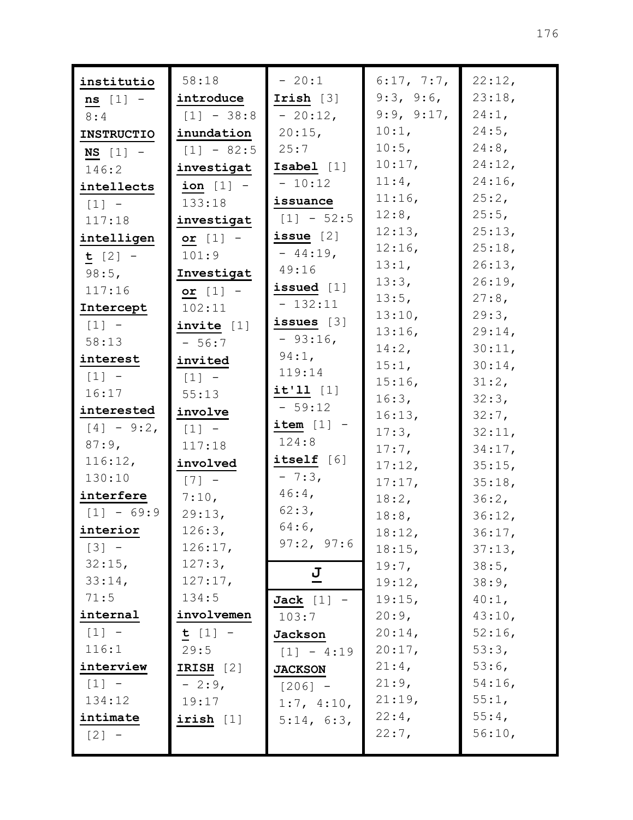| institutio        | 58:18        | $-20:1$        | 6:17, 7:7,         | 22:12,           |
|-------------------|--------------|----------------|--------------------|------------------|
| $ns$ [1] -        | introduce    | Irish $[3]$    | 9:3, 9:6,          | 23:18,           |
| 8:4               | $[1] - 38:8$ | $-20:12$ ,     | 9:9, 9:17,         | 24:1,            |
| <b>INSTRUCTIO</b> | inundation   | 20:15,         | 10:1,              | $24:5$ ,         |
| $NS$ [1] -        | $[1] - 82:5$ | 25:7           | 10:5,              | $24:8$ ,         |
| 146:2             | investigat   | Isabel [1]     | 10:17,             | 24:12,           |
| intellects        | ion $[1]$ -  | $-10:12$       | $11:4$ ,           | $24:16$ ,        |
| $[1] -$           | 133:18       | issuance       | 11:16,             | 25:2,            |
| 117:18            | investigat   | $[1] - 52:5$   | 12:8,              | 25:5,            |
| intelligen        | or $[1]$ -   | issue $[2]$    | 12:13,             | 25:13,           |
| $t [2] -$         | 101:9        | $-44:19$ ,     | 12:16,             | 25:18,           |
| 98:5,             | Investigat   | 49:16          | 13:1,              | 26:13,           |
| 117:16            | or $[1]$ -   | issued $[1]$   | 13:3,              | 26:19,           |
| Intercept         | 102:11       | $-132:11$      | 13:5,              | 27:8,            |
| $[1] -$           | invite $[1]$ | issues $[3]$   | 13:10,             | 29:3,            |
| 58:13             | $-56:7$      | $-93:16$ ,     | 13:16,             | 29:14,           |
| interest          | invited      | 94:1,          | 14:2,              | 30:11,           |
| $[1] -$           | $[1]$ -      | 119:14         | 15:1,              | $30:14$ ,        |
| 16:17             | 55:13        | $it'11$ [1]    | 15:16,             | 31:2,            |
| interested        | involve      | $-59:12$       | 16:3,              | 32:3,            |
| $[4] - 9:2$       | $[1] -$      | item $[1]$ -   | 16:13,             | 32:7,            |
| 87:9,             | 117:18       | 124:8          | 17:3,              | 32:11,           |
| 116:12,           | involved     | itself [6]     | $17:7$ ,<br>17:12, | 34:17,<br>35:15, |
| 130:10            | $[7]$ -      | $-7:3,$        | 17:17,             | 35:18,           |
| interfere         | 7:10,        | $46:4$ ,       | 18:2,              | 36:2,            |
| $[1] - 69:9$      | 29:13,       | 62:3,          | $18:8$ ,           | 36:12,           |
| interior          | 126:3,       | $64:6$ ,       | 18:12,             | 36:17,           |
| $[3] -$           | 126:17,      | 97:2, 97:6     | 18:15,             | 37:13,           |
| 32:15,            | 127:3,       |                | 19:7,              | 38:5,            |
| 33:14,            | 127:17,      | $\overline{a}$ | 19:12,             | 38:9,            |
| 71:5              | 134:5        | Jack $[1]$ -   | 19:15,             | $40:1$ ,         |
| internal          | involvemen   | 103:7          | 20:9,              | 43:10,           |
| $[1] -$           | $t [1] -$    | Jackson        | 20:14,             | 52:16            |
| 116:1             | 29:5         | $[1] - 4:19$   | 20:17,             | 53:3,            |
| interview         | IRISH $[2]$  | <b>JACKSON</b> | $21:4$ ,           | $53:6$ ,         |
| $[1] -$           | $-2:9,$      | $[206] -$      | 21:9,              | $54:16$ ,        |
| 134:12            | 19:17        | 1:7, 4:10,     | 21:19,             | 55:1,            |
| intimate          | irish [1]    | 5:14, 6:3,     | 22:4,              | 55:4,            |
| [2]               |              |                | 22:7,              | 56:10,           |
|                   |              |                |                    |                  |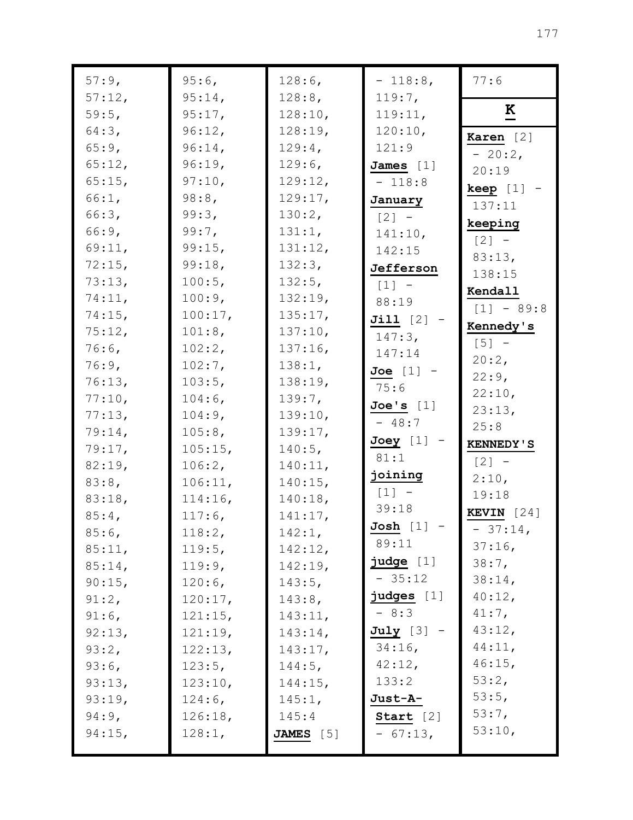| 57:9,     | $95:6$ ,  | 128:6,     | $-118:8$ ,   | 77:6                |
|-----------|-----------|------------|--------------|---------------------|
| 57:12,    | 95:14,    | 128:8,     | 119:7,       |                     |
| 59:5,     | 95:17,    | 128:10,    | 119:11,      | K                   |
| 64:3,     | 96:12,    | 128:19,    | 120:10,      | Karen [2]           |
| 65:9,     | $96:14$ , | 129:4,     | 121:9        | $-20:2$ ,           |
| 65:12,    | 96:19,    | $129:6$ ,  | James $[1]$  | 20:19               |
| 65:15,    | 97:10,    | 129:12,    | $-118:8$     | $keep [1] -$        |
| 66:1,     | 98:8,     | 129:17,    | January      | 137:11              |
| 66:3,     | 99:3,     | 130:2,     | $[2] -$      | keeping             |
| 66:9,     | 99:7,     | 131:1,     | 141:10,      | $[2] -$             |
| 69:11,    | 99:15,    | 131:12,    | 142:15       | 83:13,              |
| 72:15,    | 99:18,    | 132:3,     | Jefferson    | 138:15              |
| 73:13,    | 100:5,    | 132:5,     | $[1] -$      | Kendall             |
| 74:11,    | 100:9,    | 132:19,    | 88:19        | $[1] - 89:8$        |
| 74:15,    | 100:17,   | 135:17,    | $Jill [2] -$ |                     |
| 75:12,    | 101:8,    | 137:10,    | 147:3,       | Kennedy's           |
| $76:6$ ,  | 102:2,    | 137:16,    | 147:14       | $[5]$ -             |
| 76:9,     | $102:7$ , | 138:1,     | Joe $[1]$ -  | 20:2,               |
| 76:13,    | 103:5,    | 138:19,    | 75:6         | 22:9,               |
| 77:10,    | $104:6$ , | 139:7,     | Joe's [1]    | 22:10,              |
| 77:13,    | 104:9,    | 139:10,    | $-48:7$      | 23:13,<br>25:8      |
| 79:14,    | 105:8,    | 139:17,    | Joey [1] -   |                     |
| 79:17,    | 105:15,   | $140:5$ ,  | 81:1         | <b>KENNEDY'S</b>    |
| 82:19,    | 106:2,    | 140:11,    | joining      | $[2] -$             |
| 83:8,     | 106:11,   | 140:15,    | $[1]$ -      | 2:10,               |
| 83:18,    | 114:16,   | 140:18,    | 39:18        | 19:18               |
| 85:4,     | $117:6$ , | 141:17,    |              | <b>KEVIN</b> $[24]$ |
| $85:6$ ,  | 118:2,    | 142:1,     | $Josh$ [1]   | $-37:14,$           |
| 85:11,    | 119:5,    | 142:12,    | 89:11        | $37:16$ ,           |
| $85:14$ , | 119:9,    | 142:19,    | judge [1]    | $38:7$ ,            |
| 90:15,    | $120:6$ , | $143:5$ ,  | $-35:12$     | 38:14,              |
| 91:2,     | 120:17,   | $143:8$ ,  | judges [1]   | 40:12,              |
| $91:6$ ,  | 121:15,   | 143:11,    | $-8:3$       | $41:7$ ,            |
| 92:13,    | 121:19,   | $143:14$ , | $July [3] -$ | 43:12,              |
| 93:2,     | 122:13,   | 143:17,    | $34:16$ ,    | 44:11,              |
| $93:6$ ,  | 123:5,    | $144:5$ ,  | 42:12,       | 46:15,              |
| 93:13,    | 123:10,   | 144:15,    | 133:2        | 53:2,               |
| 93:19,    | $124:6$ , | 145:1,     | Just-A-      | 53:5,               |
| $94:9$ ,  | 126:18,   | 145:4      | Start $[2]$  | 53:7,               |
| 94:15,    | 128:1,    | JAMES [5]  | $-67:13,$    | 53:10,              |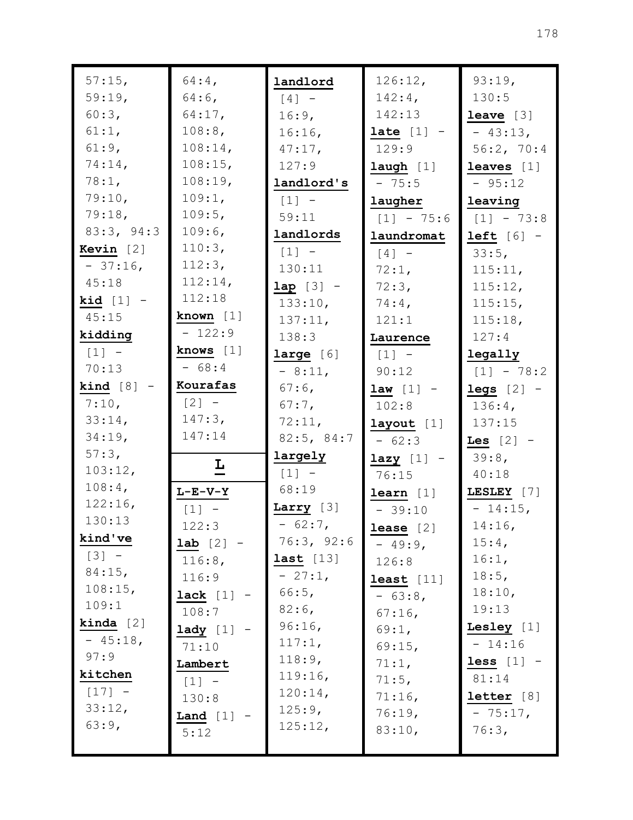| 57:15,              | $64:4$ ,                | landlord            | 126:12,        | 93:19,             |
|---------------------|-------------------------|---------------------|----------------|--------------------|
| 59:19,              | $64:6$ ,                | $[4]$ -             | $142:4$ ,      | 130:5              |
| 60:3,               | $64:17$ ,               | 16:9,               | 142:13         | <b>leave</b> $[3]$ |
| 61:1,               | 108:8,                  | 16:16,              | late $[1]$ -   | $-43:13,$          |
| 61:9,               | $108:14$ ,              | $47:17$ ,           | 129:9          | 56:2, 70:4         |
| 74:14,              | 108:15,                 | 127:9               | $l$ augh $[1]$ | leaves $[1]$       |
| 78:1,               | 108:19,                 | landlord's          | $-75:5$        | $-95:12$           |
| 79:10,              | 109:1,                  | $\lceil 1 \rceil$ - | laugher        | leaving            |
| 79:18,              | 109:5,                  | 59:11               | $[1] - 75:6$   | $[1] - 73:8$       |
| 83:3, 94:3          | 109:6,                  | landlords           | laundromat     | $left [ 6]$ -      |
| Kevin $[2]$         | 110:3,                  | $[1] -$             | $[4]$ -        | 33:5,              |
| $-37:16$ ,          | 112:3,                  | 130:11              | 72:1,          | 115:11,            |
| 45:18               | 112:14,                 | $lap [3] -$         | 72:3,          | 115:12,            |
| kid $[1]$ -         | 112:18                  | 133:10,             | $74:4$ ,       | 115:15,            |
| 45:15               | known $[1]$             | 137:11,             | 121:1          | 115:18,            |
| kidding             | $-122:9$                | 138:3               | Laurence       | 127:4              |
| $\lceil 1 \rceil$ - | knows $[1]$             | large [6]           | $[1] -$        | legally            |
| 70:13               | $-68:4$                 | $-8:11,$            | 90:12          | $[1] - 78:2$       |
| $\text{kind}$ [8]   | Kourafas                | $67:6$ ,            | $law [1] -$    | $legs$ [2] -       |
| 7:10,               | $[2] -$                 | $67:7$ ,            | 102:8          | $136:4$ ,          |
| 33:14,              | 147:3,                  | 72:11,              | layout [1]     | 137:15             |
| 34:19,              | 147:14                  | 82:5, 84:7          | $-62:3$        | Les $[2]$ -        |
| 57:3,               |                         | largely             | $lazy [1] -$   | $39:8$ ,           |
| 103:12,             | $\overline{\mathbf{r}}$ | $[1] -$             | 76:15          | 40:18              |
| $108:4$ ,           | $L-E-V-Y$               | 68:19               | learn [1]      | LESLEY [7]         |
| 122:16,             | $[1]$ -                 | Larry $[3]$         | $-39:10$       | $-14:15,$          |
| 130:13              | 122:3                   | $-62:7$ ,           | $lease [2]$    | $14:16$ ,          |
| kind've             | <b>lab</b> $[2]$ -      | 76:3, 92:6          | $-49:9$        | $15:4$ ,           |
| $[3] -$             | 116:8,                  | last [13]           | 126:8          | 16:1,              |
| 84:15,              | 116:9                   | $-27:1$ ,           | least $[11]$   | 18:5,              |
| 108:15,             | lack [1]                | 66:5,               | $-63:8$        | 18:10,             |
| 109:1               | 108:7                   | $82:6$ ,            | $67:16$ ,      | 19:13              |
| <b>kinda</b> $[2]$  | $\mathtt{lady}$ [1]     | 96:16,              | 69:1,          | Lesley $[1]$       |
| $-45:18$ ,          | 71:10                   | 117:1,              | 69:15,         | $-14:16$           |
| 97:9                | Lambert                 | 118:9,              | 71:1,          | less $[1]$ -       |
| kitchen             | $[1] -$                 | 119:16,             | 71:5,          | 81:14              |
| $[17] -$            | 130:8                   | 120:14,             | 71:16,         | letter [8]         |
| 33:12,              | Land $[1]$              | 125:9,              | 76:19,         | $-75:17,$          |
| 63:9,               | 5:12                    | 125:12,             | 83:10,         | 76:3,              |
|                     |                         |                     |                |                    |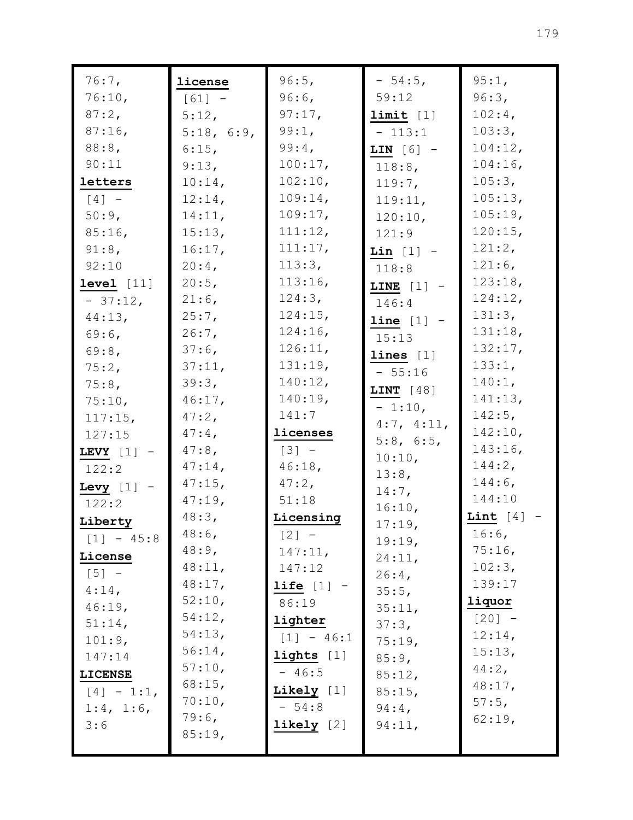| $76:7$ ,       | license    | 96:5,                 | $-54:5$ ,    | 95:1,        |
|----------------|------------|-----------------------|--------------|--------------|
| 76:10,         | $[61] -$   | $96:6$ ,              | 59:12        | 96:3,        |
| 87:2,          | $5:12$ ,   | 97:17,                | limit [1]    | $102:4$ ,    |
| $87:16$ ,      | 5:18, 6:9, | 99:1,                 | $-113:1$     | 103:3,       |
| 88:8,          | $6:15$ ,   | 99:4,                 | LIN $[6]$ -  | 104:12,      |
| 90:11          | 9:13,      | 100:17,               | 118:8,       | $104:16$ ,   |
| letters        | $10:14$ ,  | 102:10,               | $119:7$ ,    | 105:3,       |
| $[4]$ -        | 12:14,     | 109:14,               | 119:11,      | 105:13,      |
| 50:9,          | 14:11,     | 109:17,               | 120:10,      | 105:19,      |
| $85:16$ ,      | 15:13,     | 111:12,               | 121:9        | 120:15,      |
| $91:8$ ,       | 16:17,     | 111:17,               | Lin $[1]$ -  | 121:2,       |
| 92:10          | $20:4$ ,   | 113:3,                | 118:8        | $121:6$ ,    |
| level [11]     | $20:5$ ,   | $113:16$ ,            | LINE $[1]$ - | 123:18,      |
| $-37:12$ ,     | $21:6$ ,   | 124:3,                | 146:4        | 124:12,      |
| 44:13,         | $25:7$ ,   | $124:15$ ,            | $line [1]$ - | 131:3,       |
| $69:6$ ,       | $26:7$ ,   | 124:16,               | 15:13        | 131:18,      |
| 69:8,          | $37:6$ ,   | 126:11,               | lines [1]    | 132:17,      |
| 75:2,          | 37:11,     | 131:19,               | $-55:16$     | 133:1,       |
| $75:8$ ,       | 39:3,      | 140:12,               | LINT $[48]$  | $140:1$ ,    |
| 75:10,         | $46:17$ ,  | 140:19,               | $-1:10,$     | 141:13,      |
| 117:15,        | $47:2$ ,   | 141:7                 | 4:7, 4:11,   | $142:5$ ,    |
| 127:15         | $47:4$ ,   | licenses              | 5:8, 6:5,    | 142:10,      |
| LEVY $[1]$ -   | $47:8$ ,   | $[3] -$               | 10:10,       | $143:16$ ,   |
| 122:2          | $47:14$ ,  | 46:18,                | 13:8,        | 144:2,       |
| Levy $[1]$ -   | $47:15$ ,  | $47:2$ ,              | $14:7$ ,     | $144:6$ ,    |
| 122:2          | $47:19$ ,  | 51:18                 | 16:10,       | 144:10       |
| Liberty        | 48:3,      | Licensing             | 17:19,       | Lint $[4]$ - |
| $[1] - 45:8$   | $48:6$ ,   | $[2] -$               | 19:19,       | $16:6$ ,     |
| License        | $48:9$ ,   | 147:11,               | 24:11,       | 75:16,       |
| $[5] -$        | 48:11,     | 147:12                | $26:4$ ,     | 102:3,       |
| $4:14$ ,       | 48:17,     | $\text{life}$ $[1]$ - | 35:5,        | 139:17       |
| 46:19,         | 52:10,     | 86:19                 | 35:11,       | liquor       |
| 51:14,         | 54:12,     | lighter               | 37:3,        | $[20] -$     |
| 101:9,         | 54:13,     | $[1] - 46:1$          | 75:19,       | 12:14,       |
| 147:14         | 56:14,     | lights $[1]$          | 85:9,        | 15:13,       |
| <b>LICENSE</b> | 57:10,     | $-46:5$               | 85:12,       | $44:2$ ,     |
| $[4] - 1:1,$   | 68:15,     | Likely $[1]$          | 85:15,       | 48:17,       |
| 1:4, 1:6,      | 70:10,     | $-54:8$               | $94:4$ ,     | 57:5,        |
| 3:6            | 79:6,      | linkely [2]           | 94:11,       | 62:19,       |
|                | 85:19,     |                       |              |              |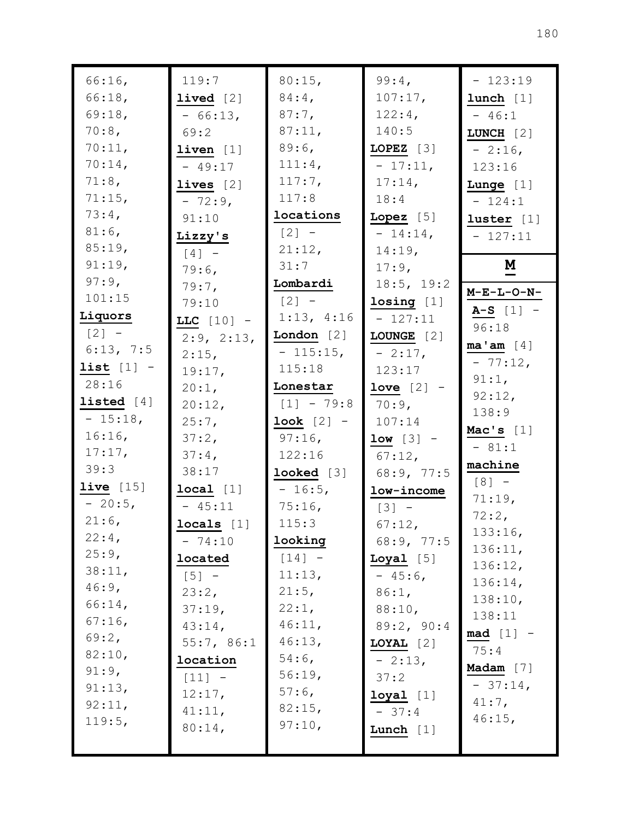| 66:16,       | 119:7              | 80:15,                  | 99:4,              | $-123:19$                |
|--------------|--------------------|-------------------------|--------------------|--------------------------|
| 66:18,       | <b>lived</b> $[2]$ | $84:4$ ,                | 107:17,            | lunch [1]                |
| 69:18,       | $-66:13,$          | $87:7$ ,                | 122:4,             | $-46:1$                  |
| 70:8,        | 69:2               | 87:11,                  | 140:5              | LUNCH $[2]$              |
| 70:11,       | liven [1]          | $89:6$ ,                | LOPEZ $[3]$        | $-2:16$ ,                |
| 70:14,       | $-49:17$           | 111:4,                  | $-17:11,$          | 123:16                   |
| 71:8,        | lives $[2]$        | 117:7,                  | $17:14$ ,          | Lunge $[1]$              |
| 71:15,       | $-72:9$ ,          | 117:8                   | 18:4               | $-124:1$                 |
| $73:4$ ,     | 91:10              | locations               | $Lopez$ [5]        | luster $[1]$             |
| $81:6$ ,     | Lizzy's            | $[2] -$                 | $-14:14,$          | $-127:11$                |
| 85:19,       | $[4]$ -            | 21:12,                  | 14:19,             |                          |
| 91:19,       | 79:6,              | 31:7                    | 17:9,              | $\underline{\mathbf{M}}$ |
| 97:9,        | $79:7$ ,           | Lombardi                | 18:5, 19:2         |                          |
| 101:15       | 79:10              | $[2] -$                 | losing [1]         | $M-E-L-O-N-$             |
| Liquors      | LLC $[10]$ -       | 1:13, 4:16              | $-127:11$          | $A-S [1] -$              |
| $[2] -$      | 2:9, 2:13,         | London $[2]$            | LOUNGE [2]         | 96:18                    |
| 6:13, 7:5    | $2:15$ ,           | $-115:15,$              | $-2:17,$           | ma' am [4]               |
| list $[1]$ - | 19:17,             | 115:18                  | 123:17             | $-77:12,$                |
| 28:16        | $20:1$ ,           | Lonestar                | love $[2]$ -       | 91:1,                    |
| listed $[4]$ | 20:12,             | $[1] - 79:8$            | $70:9$ ,           | 92:12,                   |
| $-15:18$ ,   | $25:7$ ,           | $\textbf{look}$ $[2]$ - | 107:14             | 138:9                    |
| 16:16,       | 37:2,              | $97:16$ ,               | $low [3] -$        | Mac's $[1]$              |
| 17:17,       | 37:4,              | 122:16                  | $67:12$ ,          | $-81:1$                  |
| 39:3         | 38:17              | $looked [3]$            | 68:9, 77:5         | machine                  |
| live $[15]$  | local [1]          | $-16:5,$                | low-income         | $[8] -$                  |
| $-20:5,$     | $-45:11$           | 75:16                   | $[3] -$            | 71:19,                   |
| $21:6$ ,     | locals [1]         | 115:3                   | $67:12$ ,          | 72:2,                    |
| 22:4,        | $-74:10$           | looking                 | 68:9, 77:5         | 133:16,                  |
| 25:9,        | located            | $[14] -$                | $\text{Logal}$ [5] | 136:11,<br>136:12,       |
| 38:11,       | $[5] -$            | 11:13,                  | $-45:6$ ,          | 136:14,                  |
| $46:9$ ,     | 23:2,              | 21:5,                   | 86:1,              | 138:10,                  |
| 66:14,       | 37:19,             | 22:1,                   | 88:10,             | 138:11                   |
| $67:16$ ,    | $43:14$ ,          | 46:11,                  | 89:2, 90:4         | $mod [1] -$              |
| 69:2,        | 55:7, 86:1         | 46:13,                  | LOYAL $[2]$        | 75:4                     |
| 82:10,       | location           | $54:6$ ,                | $-2:13,$           |                          |
| $91:9$ ,     | $[11] -$           | 56:19,                  | 37:2               | Madam $[7]$              |
| 91:13,       | 12:17,             | $57:6$ ,                | $1$ oyal $[1]$     | $-37:14,$                |
| 92:11,       | 41:11,             | 82:15,                  | $-37:4$            | $41:7$ ,                 |
| 119:5,       | $80:14$ ,          | 97:10,                  | Lunch $[1]$        | $46:15$ ,                |
|              |                    |                         |                    |                          |
|              |                    |                         |                    |                          |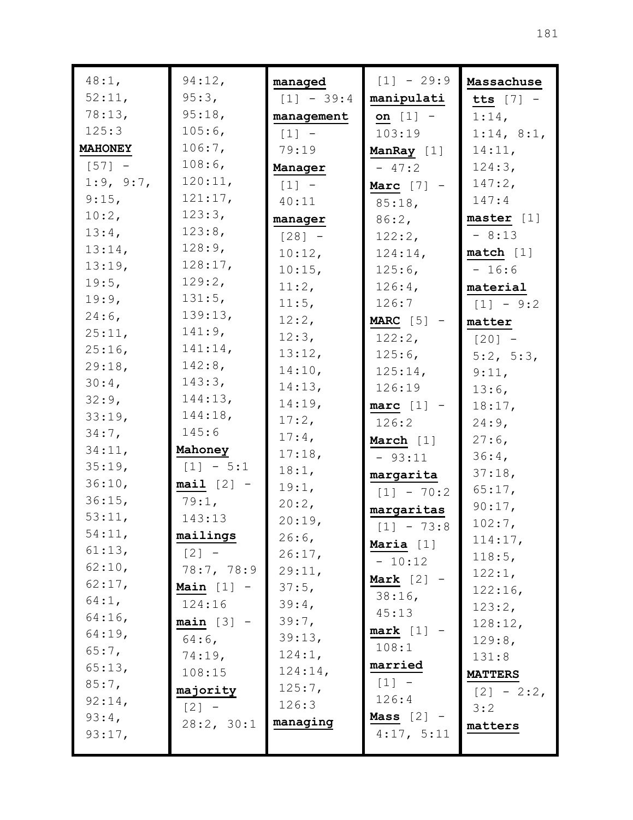| 48:1,                | 94:12,              | managed             | $[1] - 29:9$          | Massachuse     |
|----------------------|---------------------|---------------------|-----------------------|----------------|
| 52:11,               | 95:3,               | $[1] - 39:4$        | manipulati            | tts $[7]$ -    |
| 78:13,               | 95:18,              | management          | on $[1]$ -            | $1:14$ ,       |
| 125:3                | $105:6$ ,           | $[1]$ -             | 103:19                | 1:14, 8:1,     |
| <b>MAHONEY</b>       | 106:7,              | 79:19               | ManRay [1]            | 14:11,         |
| $\lceil 57 \rceil$ - | 108:6               | Manager             | $-47:2$               | 124:3,         |
| 1:9, 9:7,            | 120:11,             | $\lceil 1 \rceil$ - | Marc $[7]$ -          | 147:2,         |
| $9:15$ ,             | 121:17,             | 40:11               | $85:18$ ,             | 147:4          |
| $10:2$ ,             | 123:3,              | manager             | 86:2,                 | master [1]     |
| 13:4,                | 123:8,              | $[28] -$            | 122:2,                | $-8:13$        |
| 13:14,               | 128:9,              | 10:12,              | 124:14,               | match [1]      |
| 13:19,               | 128:17,             | 10:15,              | $125:6$ ,             | $-16:6$        |
| $19:5$ ,             | 129:2,              | 11:2,               | $126:4$ ,             | material       |
| 19:9,                | 131:5,              | 11:5,               | 126:7                 | $[1] - 9:2$    |
| $24:6$ ,             | 139:13,             | 12:2,               | MARC $[5]$ -          | matter         |
| 25:11,               | $141:9$ ,           | 12:3,               | $122:2$ ,             | $[20] -$       |
| $25:16$ ,            | 141:14,             | 13:12,              | $125:6$ ,             | 5:2, 5:3,      |
| 29:18,               | $142:8$ ,           | 14:10,              | 125:14,               | 9:11,          |
| $30:4$ ,             | 143:3,              | 14:13,              | 126:19                | $13:6$ ,       |
| 32:9,                | 144:13,             | 14:19,              | $\texttt{marc}$ [1] - | 18:17,         |
| 33:19,               | 144:18,             | 17:2,               | 126:2                 | 24:9,          |
| $34:7$ ,             | 145:6               | $17:4$ ,            | March [1]             | $27:6$ ,       |
| 34:11,               | Mahoney             | 17:18,              | $-93:11$              | 36:4,          |
| 35:19,               | $[1] - 5:1$         | 18:1,               | margarita             | 37:18,         |
| 36:10,               | $\text{mail}$ [2] - | 19:1,               | $[1] - 70:2$          | 65:17,         |
| $36:15$ ,            | 79:1,               | 20:2,               | margaritas            | 90:17,         |
| 53:11,               | 143:13              | 20:19,              |                       | $102:7$ ,      |
| 54:11,               | mailings            | $26:6$ ,            | $[1] - 73:8$          | 114:17,        |
| 61:13,               | $[2] -$             | 26:17,              | Maria $[1]$           | 118:5,         |
| 62:10,               | 78:7, 78:9          | 29:11,              | $-10:12$              | 122:1,         |
| $62:17$ ,            | Main $[1]$ -        | 37:5,               | Mark $[2]$            | 122:16,        |
| 64:1,                | 124:16              | 39:4,               | $38:16$ ,             | 123:2,         |
| $64:16$ ,            | $main [3] -$        | 39:7,               | 45:13                 | 128:12,        |
| $64:19$ ,            | $64:6$ ,            | 39:13,              | mark [1]              | 129:8,         |
| 65:7,                | 74:19,              | 124:1,              | 108:1                 | 131:8          |
| 65:13,               | 108:15              | 124:14,             | married               | <b>MATTERS</b> |
| 85:7,                | majority            | 125:7,              | $[1] -$               | $[2] - 2:2$    |
| $92:14$ ,            | $[2] -$             | 126:3               | 126:4                 | 3:2            |
| 93:4,                | 28:2, 30:1          | managing            | Mass $[2]$ -          | matters        |
| 93:17,               |                     |                     | 4:17, 5:11            |                |
|                      |                     |                     |                       |                |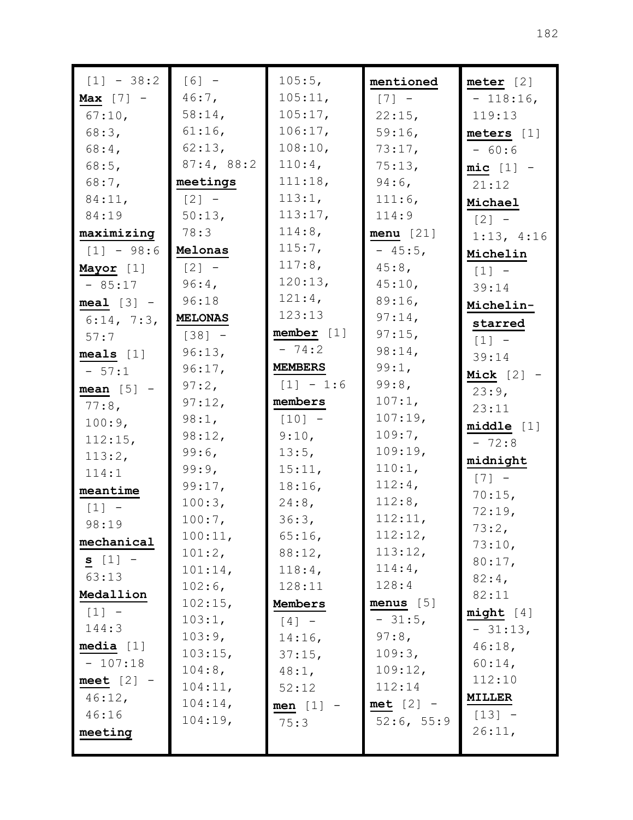| $[1] - 38:2$        | $[6] -$        | 105:5,         | mentioned   | meter [2]                           |
|---------------------|----------------|----------------|-------------|-------------------------------------|
| Max $[7]$ -         | $46:7$ ,       | 105:11,        | $[7] -$     | $-118:16,$                          |
| 67:10,              | $58:14$ ,      | 105:17,        | 22:15,      | 119:13                              |
| 68:3,               | $61:16$ ,      | 106:17,        | 59:16,      | meters [1]                          |
| $68:4$ ,            | 62:13,         | 108:10,        | 73:17,      | $-60:6$                             |
| 68:5,               | 87:4, 88:2     | $110:4$ ,      | 75:13,      | $mic [1] -$                         |
| $68:7$ ,            | meetings       | 111:18,        | $94:6$ ,    | 21:12                               |
| 84:11,              | $[2] -$        | 113:1,         | 111:6,      | Michael                             |
| 84:19               | 50:13,         | 113:17,        | 114:9       | $\begin{bmatrix} 2 \end{bmatrix}$ - |
| maximizing          | 78:3           | 114:8,         | menu [21]   | 1:13, 4:16                          |
| $[1] - 98:6$        | Melonas        | 115:7,         | $-45:5$ ,   | Michelin                            |
| Mayor [1]           | $[2] -$        | 117:8,         | 45:8,       | $[1]$ -                             |
| $-85:17$            | $96:4$ ,       | 120:13,        | 45:10,      | 39:14                               |
| $\text{mean}$ [3] - | 96:18          | 121:4,         | 89:16,      | Michelin-                           |
| 6:14, 7:3,          | <b>MELONAS</b> | 123:13         | $97:14$ ,   | starred                             |
| 57:7                | $[38] -$       | member [1]     | 97:15,      | $\lceil 1 \rceil$ -                 |
| meals $[1]$         | 96:13,         | $-74:2$        | 98:14,      | 39:14                               |
| $-57:1$             | 96:17,         | <b>MEMBERS</b> | 99:1,       | Mick $[2]$ -                        |
| mean $[5]$ -        | 97:2,          | $[1] - 1:6$    | 99:8,       | $23:9$ ,                            |
| $77:8$ ,            | 97:12,         | members        | 107:1,      | 23:11                               |
| 100:9,              | 98:1,          | $[10] -$       | 107:19,     | middle [1]                          |
| 112:15,             | 98:12,         | 9:10,          | 109:7,      | $-72:8$                             |
| 113:2,              | 99:6,          | 13:5,          | 109:19,     | midnight                            |
| 114:1               | 99:9,          | 15:11,         | 110:1,      | $[7] -$                             |
| meantime            | 99:17,         | 18:16,         | 112:4,      | 70:15,                              |
| $[1]$ -             | 100:3,         | $24:8$ ,       | 112:8,      | 72:19,                              |
| 98:19               | 100:7,         | 36:3,          | 112:11,     | 73:2,                               |
| mechanical          | 100:11,        | 65:16,         | 112:12,     | 73:10,                              |
| $s [1] -$           | 101:2,         | 88:12,         | 113:12,     | 80:17,                              |
| 63:13               | 101:14,        | 118:4,         | $114:4$ ,   | $82:4$ ,                            |
| Medallion           | $102:6$ ,      | 128:11         | 128:4       | 82:11                               |
| $[1] -$             | 102:15,        | Members        | menus $[5]$ | mid [4]                             |
| 144:3               | 103:1,         | $[4]$ -        | $-31:5,$    | $-31:13,$                           |
| median [1]          | 103:9,         | $14:16$ ,      | 97:8,       | 46:18,                              |
| $-107:18$           | 103:15,        | 37:15,         | 109:3,      | 60:14,                              |
| meet $[2]$ -        | 104:8,         | $48:1$ ,       | 109:12,     | 112:10                              |
| 46:12,              | 104:11,        | 52:12          | 112:14      | <b>MILLER</b>                       |
| 46:16               | 104:14,        | men $[1]$      | $met [2] -$ | $[13] -$                            |
| meeting             | 104:19,        | 75:3           | 52:6, 55:9  | 26:11,                              |
|                     |                |                |             |                                     |
|                     |                |                |             |                                     |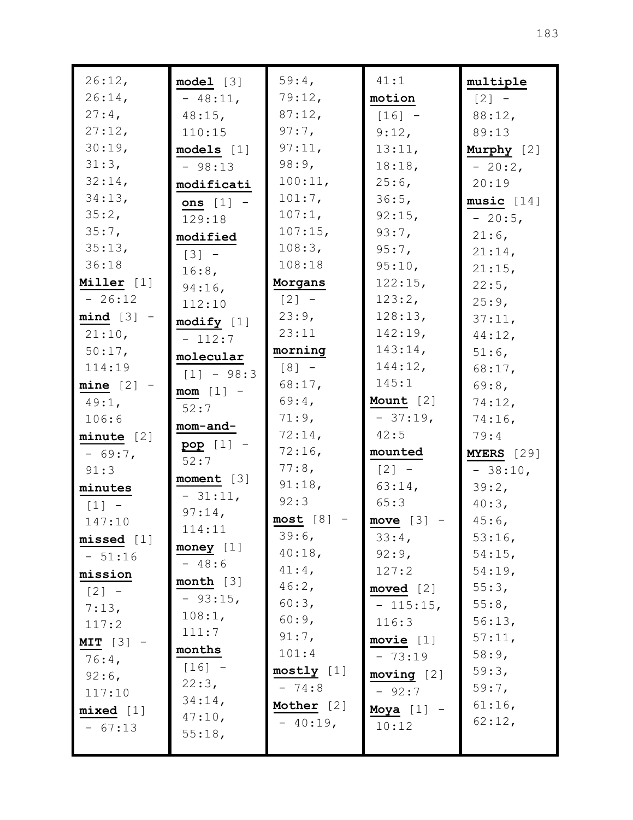| 26:12,                              | model [3]    | 59:4,               | 41:1         | multiple   |
|-------------------------------------|--------------|---------------------|--------------|------------|
| 26:14,                              | $-48:11,$    | 79:12,              | motion       | $[2] -$    |
| $27:4$ ,                            | $48:15$ ,    | 87:12,              | $[16] -$     | 88:12,     |
| 27:12,                              | 110:15       | $97:7$ ,            | 9:12,        | 89:13      |
| 30:19,                              | models [1]   | 97:11,              | 13:11,       | Murphy [2] |
| 31:3,                               | $-98:13$     | 98:9,               | 18:18,       | $-20:2$ ,  |
| 32:14,                              | modificati   | 100:11,             | $25:6$ ,     | 20:19      |
| 34:13,                              | ons $[1]$ -  | 101:7,              | 36:5,        | music [14] |
| 35:2,                               | 129:18       | 107:1,              | 92:15,       | $-20:5,$   |
| 35:7,                               | modified     | $107:15$ ,          | 93:7,        | $21:6$ ,   |
| 35:13,                              | $[3]$ -      | 108:3,              | $95:7$ ,     | 21:14,     |
| 36:18                               | 16:8,        | 108:18              | 95:10,       | $21:15$ ,  |
| Miller [1]                          | $94:16$ ,    | Morgans             | 122:15,      | 22:5,      |
| $-26:12$                            | 112:10       | $\lceil 2 \rceil$ - | 123:2,       | 25:9,      |
| $mind [3] -$                        | modify [1]   | 23:9,               | 128:13,      | 37:11,     |
| 21:10,                              | $-112:7$     | 23:11               | 142:19,      | 44:12,     |
| 50:17,                              | molecular    | morning             | 143:14,      | $51:6$ ,   |
| 114:19                              | $[1] - 98:3$ | $[8] -$             | 144:12,      | 68:17,     |
| $mine [2] -$                        | $mom [1] -$  | 68:17,              | 145:1        | $69:8$ ,   |
| $49:1$ ,                            | 52:7         | 69:4,               | Mount $[2]$  | 74:12,     |
| 106:6                               | mom-and-     | 71:9,               | $-37:19,$    | 74:16,     |
| minute [2]                          | $pop [1] -$  | 72:14,              | 42:5         | 79:4       |
| $-69:7$                             | 52:7         | 72:16,              | mounted      | MYERS [29] |
| 91:3                                | moment [3]   | 77:8,               | $[2] -$      | $-38:10,$  |
| minutes                             | $-31:11,$    | 91:18,              | $63:14$ ,    | 39:2,      |
| $\begin{bmatrix} 1 \end{bmatrix}$ - | 97:14,       | 92:3                | 65:3         | 40:3,      |
| 147:10                              | 114:11       | $most [8] -$        | move $[3]$ - | $45:6$ ,   |
| missed [1]                          |              | 39:6,               | 33:4,        | 53:16,     |
| $-51:16$                            | money $[1]$  | 40:18,              | 92:9,        | 54:15,     |
| mission                             | $-48:6$      | $41:4$ ,            | 127:2        | 54:19,     |
| $[2] -$                             | month [3]    | $46:2$ ,            | moved $[2]$  | 55:3,      |
| 7:13,                               | $-93:15,$    | 60:3,               | $-115:15,$   | 55:8,      |
| 117:2                               | 108:1,       | 60:9,               | 116:3        | 56:13,     |
| $MIT [3] -$                         | 111:7        | 91:7,               | movie $[1]$  | 57:11,     |
| $76:4$ ,                            | months       | 101:4               | $-73:19$     | 58:9,      |
| $92:6$ ,                            | $[16] -$     | mostly [1]          | moving [2]   | 59:3,      |
| 117:10                              | 22:3,        | $-74:8$             | $-92:7$      | $59:7$ ,   |
| mixed [1]                           | 34:14,       | Mother [2]          | Moya $[1]$ - | $61:16$ ,  |
| $-67:13$                            | 47:10,       | $-40:19,$           | 10:12        | 62:12,     |
|                                     | 55:18,       |                     |              |            |
|                                     |              |                     |              |            |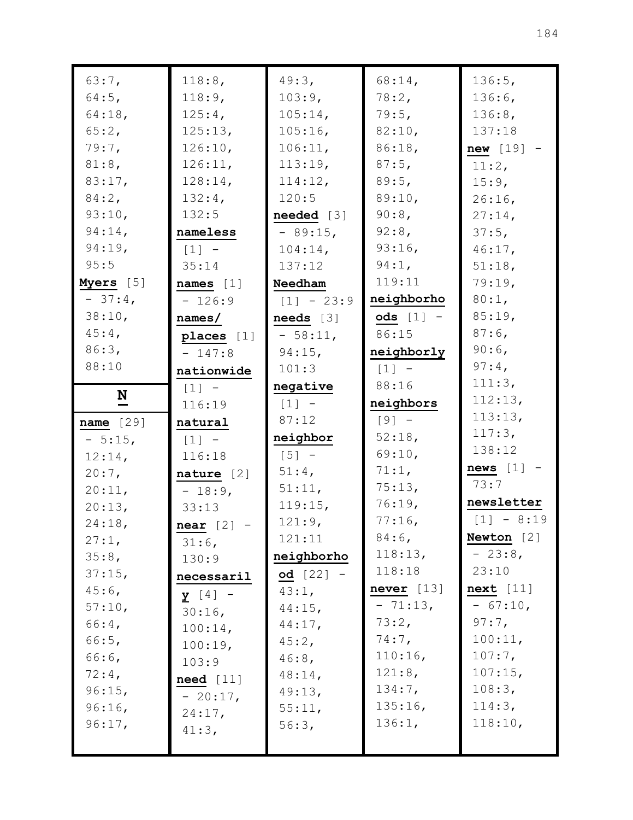| 63:7,                    | 118:8,             | 49:3,        | 68:14,       | 136:5,       |
|--------------------------|--------------------|--------------|--------------|--------------|
| $64:5$ ,                 | 118:9,             | 103:9,       | 78:2,        | 136:6,       |
| 64:18,                   | 125:4,             | 105:14,      | 79:5,        | 136:8,       |
| 65:2,                    | 125:13,            | $105:16$ ,   | 82:10,       | 137:18       |
| $79:7$ ,                 | 126:10,            | 106:11,      | 86:18,       | $new [19] -$ |
| 81:8,                    | 126:11,            | 113:19,      | $87:5$ ,     | 11:2,        |
| 83:17,                   | 128:14,            | 114:12,      | 89:5,        | 15:9,        |
| $84:2$ ,                 | $132:4$ ,          | 120:5        | 89:10,       | $26:16$ ,    |
| 93:10,                   | 132:5              | needed [3]   | $90:8$ ,     | 27:14,       |
| 94:14,                   | nameless           | $-89:15$ ,   | 92:8,        | 37:5,        |
| 94:19,                   | $[1]$ -            | 104:14,      | $93:16$ ,    | $46:17$ ,    |
| 95:5                     | 35:14              | 137:12       | 94:1,        | 51:18,       |
| Myers [5]                | names $[1]$        | Needham      | 119:11       | 79:19,       |
| $-37:4$                  | $-126:9$           | $[1] - 23:9$ | neighborho   | 80:1,        |
| 38:10,                   | names/             | needs [3]    | $ods [1] -$  | 85:19,       |
| $45:4$ ,                 | places $[1]$       | $-58:11,$    | 86:15        | $87:6$ ,     |
| 86:3,                    | $-147:8$           | 94:15,       | neighborly   | $90:6$ ,     |
| 88:10                    | nationwide         | 101:3        | $[1] -$      | $97:4$ ,     |
|                          | $[1] -$            | negative     | 88:16        | 111:3,       |
| $\underline{\mathbf{N}}$ | 116:19             | $[1]$ -      | neighbors    | 112:13,      |
|                          |                    |              |              | 113:13,      |
|                          |                    | 87:12        | $[9] -$      |              |
| name $[29]$              | natural            | neighbor     | 52:18,       | 117:3,       |
| $-5:15,$                 | $[1] -$            | $[5] -$      | 69:10,       | 138:12       |
| 12:14,                   | 116:18             | $51:4$ ,     | 71:1,        | news $[1]$ - |
| $20:7$ ,<br>20:11,       | nature $[2]$       | 51:11,       | 75:13,       | 73:7         |
| 20:13,                   | $-18:9$ ,<br>33:13 | 119:15,      | 76:19,       | newsletter   |
| 24:18,                   |                    | 121:9,       | $77:16$ ,    | $[1] - 8:19$ |
| 27:1,                    | $near [2] -$       | 121:11       | $84:6$ ,     | Newton $[2]$ |
| 35:8,                    | $31:6$ ,           | neighborho   | 118:13,      | $-23:8$      |
| 37:15,                   | 130:9              | $od [22] -$  | 118:18       | 23:10        |
| $45:6$ ,                 | necessaril         | 43:1,        | never $[13]$ | next [11]    |
| 57:10,                   | $y [4] -$          | $44:15$ ,    | $-71:13,$    | $-67:10,$    |
| 66:4,                    | $30:16$ ,          | 44:17,       | 73:2,        | 97:7,        |
| 66:5,                    | 100:14,            | 45:2,        | $74:7$ ,     | 100:11,      |
| 66:6,                    | 100:19,            | $46:8$ ,     | 110:16,      | $107:7$ ,    |
| $72:4$ ,                 | 103:9              | $48:14$ ,    | 121:8,       | 107:15,      |
| 96:15,                   | $need$ [11]        | 49:13,       | 134:7,       | 108:3,       |
| 96:16,                   | $-20:17,$          | 55:11,       | 135:16,      | 114:3,       |
| 96:17,                   | 24:17,             | 56:3,        | 136:1,       | 118:10,      |
|                          | 41:3,              |              |              |              |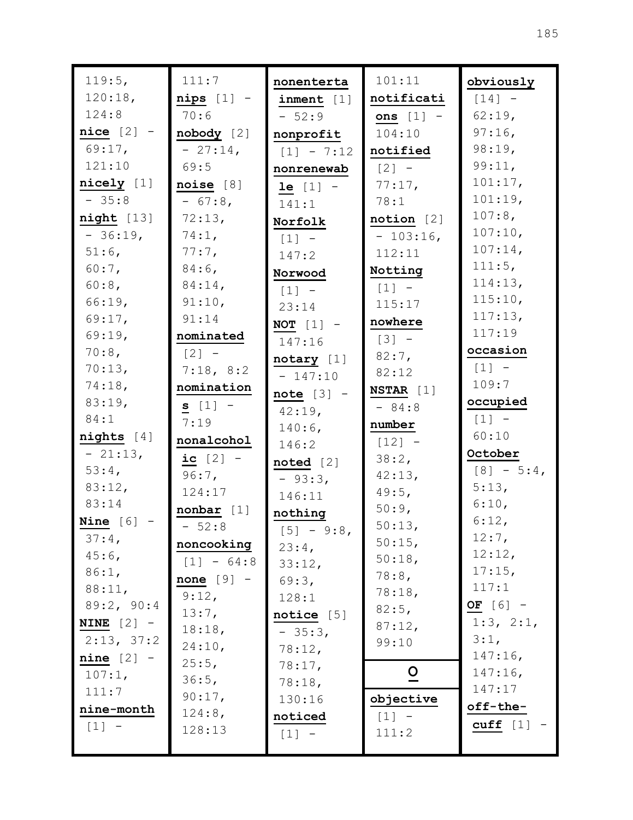| 119:5,              | 111:7                              | nonenterta          | 101:11              | obviously         |
|---------------------|------------------------------------|---------------------|---------------------|-------------------|
| 120:18,             | $nips [1] -$                       | inner [1]           | notificati          | $[14] -$          |
| 124:8               | 70:6                               | $-52:9$             | ons $[1]$ -         | $62:19$ ,         |
| $nice [2] -$        | $\boldsymbol{\mathtt{nobody}}$ [2] | nonprofit           | 104:10              | $97:16$ ,         |
| $69:17$ ,           | $-27:14,$                          | $[1] - 7:12$        | notified            | 98:19,            |
| 121:10              | 69:5                               | nonrenewab          | $[2] -$             | 99:11,            |
| nicely [1]          | noise [8]                          | <b>le</b> $[1]$ -   | 77:17,              | 101:17,           |
| $-35:8$             | $-67:8$                            | 141:1               | 78:1                | 101:19,           |
| night [13]          | 72:13,                             | Norfolk             | notion [2]          | $107:8$ ,         |
| $-36:19,$           | 74:1,                              | $[1]$               | $-103:16$ ,         | 107:10,           |
| $51:6$ ,            | $77:7$ ,                           | 147:2               | 112:11              | 107:14,           |
| $60:7$ ,            | $84:6$ ,                           | Norwood             | Notting             | 111:5,            |
| $60:8$ ,            | 84:14,                             | $\lceil 1 \rceil$ - | $[1]$ -             | 114:13,           |
| 66:19,              | 91:10,                             | 23:14               | 115:17              | 115:10,           |
| 69:17,              | 91:14                              | NOT $[1]$ -         | nowhere             | 117:13,           |
| 69:19,              | nominated                          | 147:16              | $\lceil 3 \rceil$ - | 117:19            |
| $70:8$ ,            | $\lceil 2 \rceil$ -                | notary [1]          | $82:7$ ,            | occasion          |
| 70:13,              | 7:18, 8:2                          | $-147:10$           | 82:12               | $[1]$ -           |
| 74:18,              | nomination                         | $note [3] -$        | $NSTAR$ [1]         | 109:7             |
| 83:19,              | $s [1] -$                          | $42:19$ ,           | $-84:8$             | occupied          |
| 84:1                | 7:19                               | $140:6$ ,           | number              | $[1] -$           |
| $nights$ [4]        | nonalcohol                         | 146:2               | $[12] -$            | 60:10             |
| $-21:13,$           | ic $[2] -$                         | noted [2]           | 38:2,               | October           |
| $53:4$ ,            | $96:7$ ,                           | $-93:3,$            | 42:13,              | $[8] - 5:4$       |
| 83:12,              | 124:17                             | 146:11              | 49:5,               | 5:13,             |
| 83:14               | nonbar [1]                         | nothing             | 50:9,               | 6:10,             |
| <b>Nine</b> $[6]$ - | $-52:8$                            | $[5] - 9:8$         | 50:13,              | 6:12,             |
| $37:4$ ,            | noncooking                         | 23:4,               | 50:15,              | $12:7$ ,          |
| $45:6$ ,            | $[1] - 64:8$                       | 33:12,              | 50:18,              | 12:12,            |
| 86:1,               | none $[9]$ -                       | 69:3,               | 78:8,               | $17:15$ ,         |
| 88:11,              | 9:12,                              | 128:1               | 78:18,              | 117:1             |
| 89:2, 90:4          | 13:7,                              | notice $[5]$        | 82:5,               | OF $[6]$ -        |
| NINE $[2]$ -        | 18:18,                             | $-35:3,$            | 87:12,              | 1:3, 2:1,         |
| 2:13, 37:2          | 24:10,                             | 78:12,              | 99:10               | 3:1,              |
| $nine [2] -$        | 25:5,                              | 78:17,              |                     | $147:16$ ,        |
| $107:1$ ,           | 36:5,                              | 78:18,              | $\overline{0}$      | $147:16$ ,        |
| 111:7               | 90:17,                             | 130:16              | objective           | 147:17            |
| $\verb nine-month $ | 124:8,                             | noticed             | $[1]$ -             | off-the-          |
| $[1] -$             | 128:13                             | $[1]$ -             | 111:2               | $\text{cuff}$ [1] |
|                     |                                    |                     |                     |                   |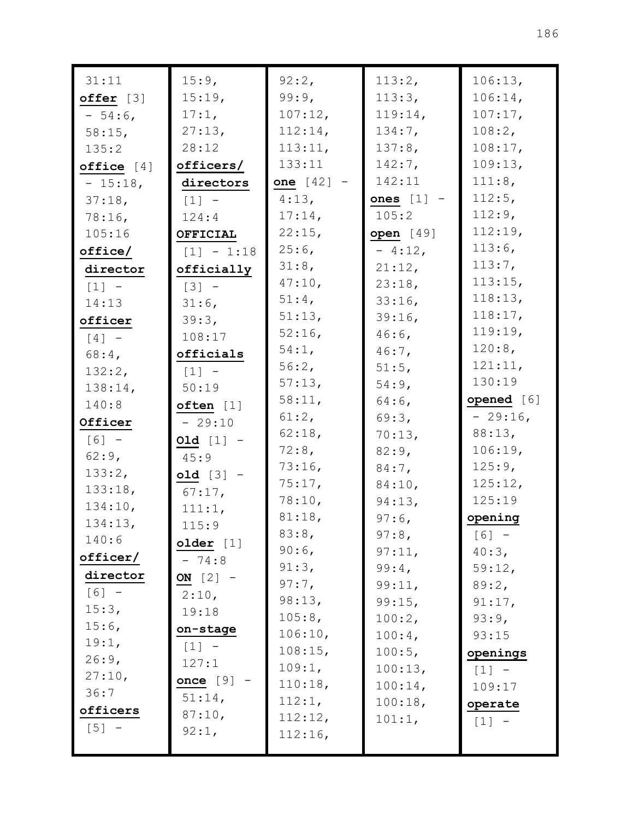| 31:11                 | 15:9,               | 92:2,        | 113:2,       | 106:13,    |
|-----------------------|---------------------|--------------|--------------|------------|
| offer [3]             | 15:19,              | 99:9,        | 113:3,       | 106:14,    |
| $-54:6$               | $17:1$ ,            | 107:12,      | 119:14,      | 107:17,    |
| $58:15$ ,             | 27:13,              | 112:14,      | $134:7$ ,    | 108:2,     |
| 135:2                 | 28:12               | 113:11,      | 137:8,       | 108:17,    |
| office $[4]$          | officers/           | 133:11       | $142:7$ ,    | 109:13,    |
| $-15:18$ ,            | directors           | one $[42] -$ | 142:11       | 111:8,     |
| 37:18,                | $\lceil 1 \rceil$ - | 4:13,        | ones $[1]$ - | 112:5,     |
| $78:16$ ,             | 124:4               | $17:14$ ,    | 105:2        | $112:9$ ,  |
| 105:16                | OFFICIAL            | 22:15,       | open $[49]$  | 112:19,    |
| offsetice/            | $[1] - 1:18$        | $25:6$ ,     | $-4:12,$     | $113:6$ ,  |
| director              | officially          | 31:8,        | 21:12,       | $113:7$ ,  |
| $[1] -$               | $\lceil 3 \rceil$ - | 47:10,       | 23:18,       | 113:15,    |
| 14:13                 | $31:6$ ,            | $51:4$ ,     | $33:16$ ,    | 118:13,    |
| officer               | 39:3,               | 51:13,       | 39:16,       | 118:17,    |
| $\lceil 4 \rceil$ -   | 108:17              | $52:16$ ,    | $46:6$ ,     | $119:19$ , |
| $68:4$ ,              | officials           | $54:1$ ,     | $46:7$ ,     | $120:8$ ,  |
| 132:2,                | $[1]$ -             | 56:2,        | 51:5,        | 121:11,    |
| 138:14,               | 50:19               | 57:13,       | $54:9$ ,     | 130:19     |
| 140:8                 | often [1]           | 58:11,       | $64:6$ ,     | opened [6] |
| Officer               | $-29:10$            | 61:2,        | 69:3,        | $-29:16$ , |
| $[6] -$               | $old [1] -$         | $62:18$ ,    | 70:13,       | 88:13,     |
| $62:9$ ,              | 45:9                | 72:8,        | $82:9$ ,     | 106:19,    |
| 133:2,                | $old [3] -$         | 73:16,       | $84:7$ ,     | $125:9$ ,  |
| 133:18,               | $67:17$ ,           | 75:17,       | 84:10,       | 125:12,    |
| 134:10,               | 111:1,              | 78:10,       | 94:13,       | 125:19     |
| 134:13,               | 115:9               | 81:18,       | $97:6$ ,     | opening    |
| 140:6                 | older [1]           | 83:8,        | $97:8$ ,     | $[6] -$    |
| $of \texttt{ficer}$ / | $-74:8$             | $90:6$ ,     | 97:11,       | 40:3,      |
| director              | ON $[2]$ -          | 91:3,        | 99:4,        | 59:12,     |
| $[6] -$               | 2:10,               | $97:7$ ,     | 99:11,       | 89:2,      |
| 15:3,                 | 19:18               | 98:13,       | 99:15,       | 91:17,     |
| $15:6$ ,              |                     | 105:8,       | 100:2,       | 93:9,      |
| 19:1,                 | on-stage            | 106:10,      | $100:4$ ,    | 93:15      |
| 26:9,                 | $[1] -$             | 108:15,      | 100:5,       | openings   |
| 27:10,                | 127:1               | 109:1,       | 100:13,      | $[1] -$    |
| 36:7                  | once $[9]$          | 110:18,      | $100:14$ ,   | 109:17     |
| officers              | 51:14,              | 112:1,       | 100:18,      | operate    |
| $[5]$ -               | 87:10,              | 112:12,      | 101:1,       | [1]        |
|                       | 92:1,               | 112:16,      |              |            |
|                       |                     |              |              |            |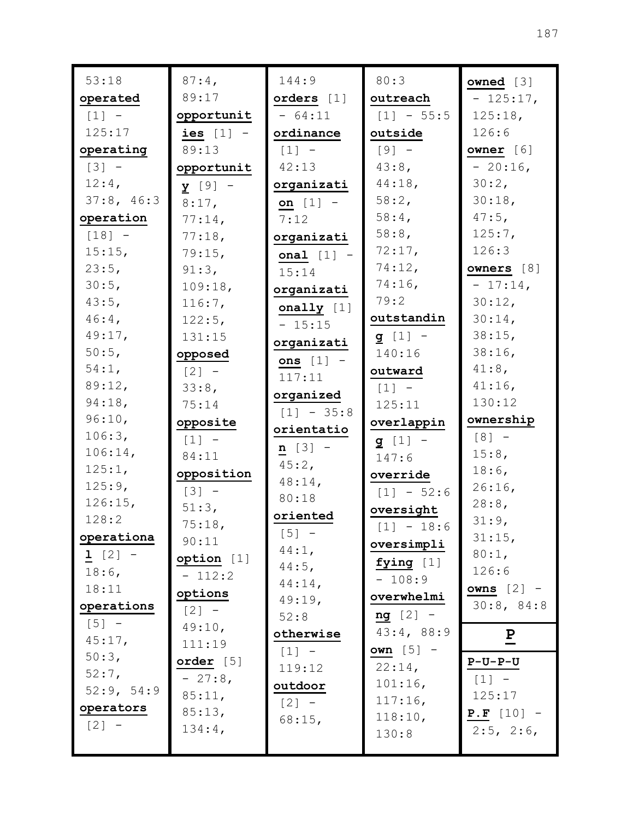| 53:18      | $87:4$ ,            | 144:9        | 80:3               | owned $[3]$     |
|------------|---------------------|--------------|--------------------|-----------------|
| operated   | 89:17               | orders $[1]$ | outreach           | $-125:17$ ,     |
| $[1] -$    | opportunit          | $-64:11$     | $[1] - 55:5$       | 125:18,         |
| 125:17     | ies $[1]$ -         | ordinance    | outside            | 126:6           |
| operating  | 89:13               | $[1] -$      | $[9]$ -            | owner [6]       |
| $[3] -$    | opportunit          | 42:13        | 43:8,              | $-20:16$        |
| 12:4,      | $\frac{y}{2}$ [9] - | organizati   | 44:18,             | 30:2,           |
| 37:8, 46:3 | $8:17$ ,            | on $[1]$ -   | 58:2,              | 30:18,          |
| operation  | $77:14$ ,           | 7:12         | $58:4$ ,           | $47:5$ ,        |
| $[18] -$   | 77:18,              | organizati   | $58:8$ ,           | 125:7,          |
| 15:15,     | 79:15,              | onal $[1]$ - | 72:17,             | 126:3           |
| 23:5,      | 91:3,               | 15:14        | 74:12,             | owners [8]      |
| 30:5,      | 109:18,             | organizati   | 74:16,             | $-17:14$ ,      |
| 43:5,      | 116:7,              | onally $[1]$ | 79:2               | 30:12,          |
| $46:4$ ,   | 122:5,              | $-15:15$     | outstandin         | $30:14$ ,       |
| 49:17,     | 131:15              | organizati   | $g [1] -$          | $38:15$ ,       |
| $50:5$ ,   | opposed             | ons $[1]$ -  | 140:16             | $38:16$ ,       |
| 54:1,      | $[2] -$             | 117:11       | outward            | $41:8$ ,        |
| 89:12,     | 33:8,               | organized    | $[1]$ -            | $41:16$ ,       |
| 94:18,     | 75:14               | $[1] - 35:8$ | 125:11             | 130:12          |
| 96:10,     | opposite            | orientatio   | overlappin         | ownership       |
| 106:3,     | $\lceil 1 \rceil$ - |              | $g [1] -$          | $[8]$ -         |
| 106:14,    | 84:11               | $n [3] -$    | 147:6              | 15:8,           |
| 125:1,     | opposition          | 45:2,        | override           | $18:6$ ,        |
| 125:9,     | $[3] -$             | $48:14$ ,    | $[1] - 52:6$       | 26:16,          |
| 126:15,    | 51:3,               | 80:18        | oversight          | 28:8,           |
| 128:2      | 75:18,              | oriented     | $[1] - 18:6$       | 31:9,           |
| operationa | 90:11               | $[5] -$      | oversimpli         | 31:15,          |
| 1 $[2]$ -  | option [1]          | 44:1,        | fying $[1]$        | 80:1,           |
| $18:6$ ,   | $-112:2$            | $44:5$ ,     | $-108:9$           | 126:6           |
| 18:11      | options             | $44:14$ ,    | overwhelmi         | owns $[2]$ -    |
| operations | $[2] -$             | 49:19,       | $ng [2] -$         | 30:8, 84:8      |
| $[5] -$    | 49:10,              | 52:8         | 43:4, 88:9         |                 |
| 45:17,     | 111:19              | otherwise    |                    | $\mathbf{P}$    |
| 50:3,      | order $[5]$         | $[1] -$      | own $[5]$ -        | $P-U-P-U$       |
| $52:7$ ,   | $-27:8$             | 119:12       | 22:14,             | $[1] -$         |
| 52:9, 54:9 | 85:11,              | outdoor      | 101:16,            | 125:17          |
| operators  | 85:13,              | $[2] -$      | 117:16,<br>118:10, | $P.F [10] -$    |
| $[2] -$    | 134:4,              | 68:15,       | 130:8              | $2:5$ , $2:6$ , |
|            |                     |              |                    |                 |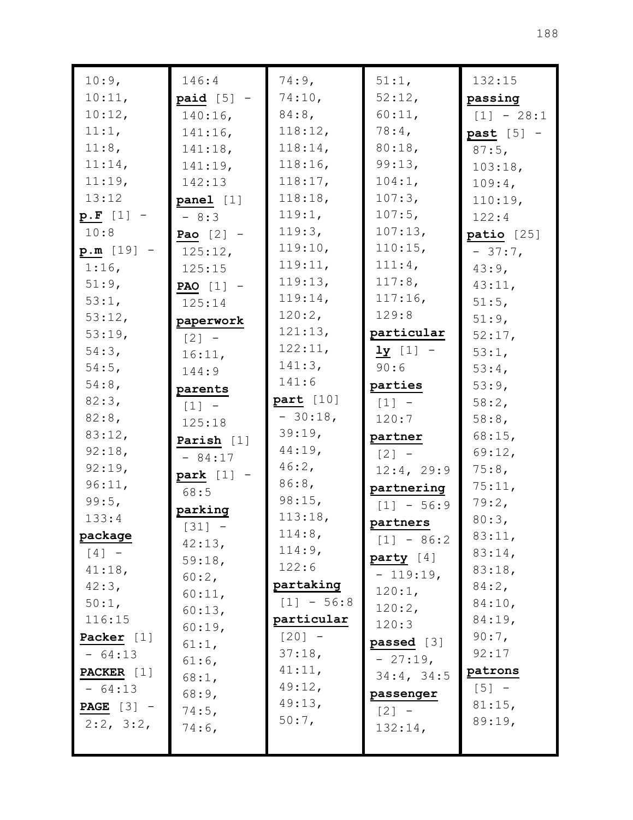| 10:9,               | 146:4               | 74:9,        | 51:1,        | 132:15       |
|---------------------|---------------------|--------------|--------------|--------------|
| 10:11,              | $paid [5]$ -        | 74:10,       | 52:12,       | passing      |
| 10:12,              | $140:16$ ,          | $84:8$ ,     | 60:11,       | $[1] - 28:1$ |
| 11:1,               | $141:16$ ,          | 118:12,      | $78:4$ ,     | $past [5] -$ |
| 11:8,               | 141:18,             | 118:14,      | 80:18,       | $87:5$ ,     |
| 11:14,              | 141:19,             | 118:16,      | 99:13,       | 103:18,      |
| 11:19,              | 142:13              | 118:17,      | 104:1,       | 109:4,       |
| 13:12               | panel [1]           | 118:18,      | 107:3,       | 110:19,      |
| $p.F [1] -$         | $-8:3$              | 119:1,       | 107:5,       | 122:4        |
| 10:8                | Pao $[2]$ -         | 119:3,       | 107:13,      | patio [25]   |
| $p.m [19] -$        | 125:12,             | 119:10,      | 110:15,      | $-37:7,$     |
| 51:9,               | PAO $[1]$ -         | 119:13,      | 117:8,       | 43:11,       |
| 53:1,               | 125:14              | 119:14,      | $117:16$ ,   | 51:5,        |
| 53:12,              | paperwork           | 120:2,       | 129:8        | 51:9,        |
| 53:19,              | $\lceil 2 \rceil$ - | 121:13,      | particular   | 52:17,       |
| 54:3,               | 16:11,              | 122:11,      | $1y$ [1] -   | 53:1,        |
| $54:5$ ,            | 144:9               | 141:3,       | 90:6         | 53:4,        |
| $54:8$ ,            | parents             | 141:6        | parties      | 53:9,        |
| 82:3,               | $[1]$ -             | part [10]    | $[1] -$      | 58:2,        |
| $82:8$ ,            | 125:18              | $-30:18,$    | 120:7        | 58:8,        |
| 83:12,              | Parish $[1]$        | 39:19,       | partner      | 68:15,       |
| 92:18,              | $-84:17$            | $44:19$ ,    | $[2]$ -      | 69:12,       |
| 92:19,              | park $[1]$ -        | 46:2,        | 12:4, 29:9   | 75:8,        |
| 96:11,              | 68:5                | 86:8,        | partnering   | 75:11,       |
| 99:5,               | parking             | 98:15,       | $[1] - 56:9$ | 79:2,        |
| 133:4               | $[31] -$            | 113:18,      | partners     | 80:3,        |
| package             | 42:13,              | 114:8,       | $[1] - 86:2$ | 83:11,       |
| $[4]$ -             | 59:18,              | 114:9,       | party [4]    | 83:14,       |
| 41:18,              | 60:2,               | 122:6        | $-119:19,$   | 83:18,       |
| 42:3,               | 60:11,              | partaking    | 120:1,       | 84:2,        |
| 50:1,               | 60:13,              | $[1] - 56:8$ | 120:2,       | 84:10,       |
| 116:15              | 60:19,              | particular   | 120:3        | 84:19,       |
| Packer [1]          | $61:1$ ,            | $[20] -$     | passed [3]   | $90:7$ ,     |
| $-64:13$            | $61:6$ ,            | 37:18,       | $-27:19,$    | 92:17        |
| <b>PACKER</b> [1]   | 68:1,               | 41:11,       | 34:4, 34:5   | patrons      |
| $-64:13$            | 68:9,               | 49:12,       | passenger    | $[5] -$      |
| <b>PAGE</b> $[3]$ – | 74:5,               | 49:13,       | $[2] -$      | 81:15,       |
| $2:2$ , $3:2$ ,     | $74:6$ ,            | $50:7$ ,     | 132:14,      | 89:19,       |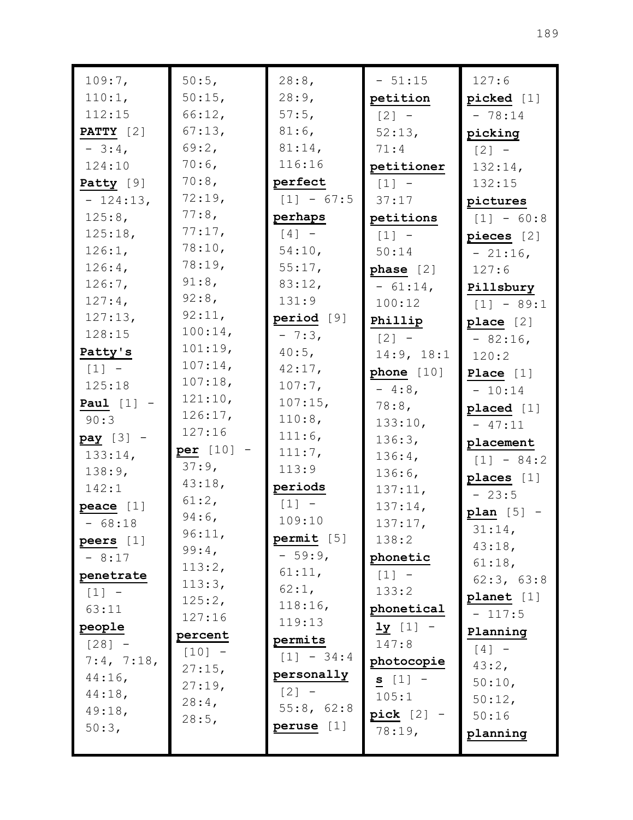| 109:7,             | 50:5,               | 28:8,               | $-51:15$     | 127:6        |
|--------------------|---------------------|---------------------|--------------|--------------|
| 110:1,             | 50:15,              | 28:9,               | petition     | picked [1]   |
| 112:15             | 66:12,              | $57:5$ ,            | $[2] -$      | $-78:14$     |
| <b>PATTY</b> $[2]$ | 67:13,              | $81:6$ ,            | 52:13,       | picking      |
| $-3:4$ ,           | 69:2,               | $81:14$ ,           | 71:4         | $[2] -$      |
| 124:10             | $70:6$ ,            | 116:16              | petitioner   | 132:14,      |
| Patty [9]          | 70:8,               | perfect             | $[1]$ -      | 132:15       |
| $-124:13,$         | 72:19,              | $[1] - 67:5$        | 37:17        | pictures     |
| 125:8,             | 77:8,               | perhaps             | petitions    | $[1] - 60:8$ |
| 125:18,            | 77:17,              | $\lceil 4 \rceil$ - | $[1] -$      | pieces $[2]$ |
| 126:1,             | 78:10,              | 54:10,              | 50:14        | $-21:16$ ,   |
| $126:4$ ,          | 78:19,              | 55:17,              | phase $[2]$  | 127:6        |
| $126:7$ ,          | $91:8$ ,            | 83:12,              | $-61:14,$    | Pillsbury    |
| 127:4,             | $92:8$ ,            | 131:9               | 100:12       | $[1] - 89:1$ |
| 127:13,            | 92:11,              | period [9]          | Phillip      | place [2]    |
| 128:15             | 100:14,             | $-7:3,$             | $[2] -$      | $-82:16$ ,   |
| Patty's            | 101:19,             | 40:5,               | 14:9, 18:1   | 120:2        |
| $[1]$ -            | $107:14$ ,          | 42:17,              | phone [10]   | Place $[1]$  |
| 125:18             | 107:18,             | $107:7$ ,           | $-4:8$ ,     | $-10:14$     |
| Paul $[1]$ -       | 121:10,             | 107:15,             | $78:8$ ,     | placed [1]   |
| 90:3               | 126:17,             | 110:8,              | 133:10,      | $-47:11$     |
| $pay [3] -$        | 127:16              | 111:6,              | 136:3,       | placement    |
| 133:14,            | $per [10] -$        | 111:7,              | $136:4$ ,    | $[1] - 84:2$ |
| $138:9$ ,          | 37:9,               | 113:9               | 136:6,       | places $[1]$ |
| 142:1              | 43:18,              | periods             | 137:11,      | $-23:5$      |
| peace [1]          | 61:2,               | $[1] -$             | 137:14,      | plan $[5]$ - |
| $-68:18$           | $94:6$ ,            | 109:10              | 137:17,      | $31:14$ ,    |
| peers [1]          | 96:11,              | permit [5]          | 138:2        | 43:18,       |
| $-8:17$            | 99:4,               | $-59:9$             | phonetic     | 61:18,       |
| penetrate          | 113:2,              | 61:11,              | $[1] -$      | 62:3, 63:8   |
| $[1] -$            | 113:3,              | 62:1,               | 133:2        | planet [1]   |
| 63:11              | 125:2,<br>127:16    | 118:16,             | phonetical   | $-117:5$     |
| people             |                     | 119:13              | $1y [1] -$   | Planning     |
| $[28] -$           | percent<br>$[10] -$ | permits             | 147:8        | $[4]$ -      |
| 7:4, 7:18,         | 27:15,              | $[1] - 34:4$        | photocopie   | 43:2,        |
| $44:16$ ,          | 27:19,              | personally          | $s [1] -$    | 50:10,       |
| $44:18$ ,          | $28:4$ ,            | $[2] -$             | 105:1        | 50:12,       |
| 49:18,             | 28:5,               | 55:8, 62:8          | pick $[2]$ - | 50:16        |
| 50:3,              |                     | peruse [1]          | 78:19,       | planning     |
|                    |                     |                     |              |              |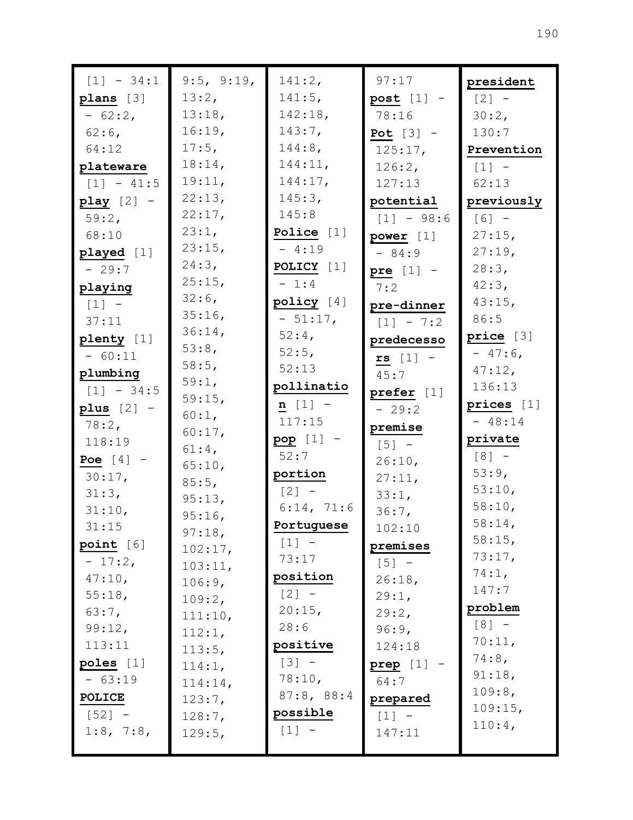| $[1] - 34:1$          | 9:5, 9:19, | 141:2,       | 97:17             | president  |
|-----------------------|------------|--------------|-------------------|------------|
| plans [3]             | 13:2,      | $141:5$ ,    | post $[1]$ -      | $[2] -$    |
| $-62:2$               | 13:18,     | 142:18,      | 78:16             | 30:2,      |
| $62:6$ ,              | 16:19,     | 143:7,       | Pot $[3]$ -       | 130:7      |
| 64:12                 | $17:5$ ,   | $144:8$ ,    | 125:17,           | Prevention |
| plateware             | 18:14,     | 144:11,      | 126:2,            | $[1]$ -    |
| $[1] - 41:5$          | 19:11,     | 144:17,      | 127:13            | 62:13      |
| play $[2]$ -          | 22:13,     | 145:3,       | potential         | previously |
| 59:2,                 | 22:17,     | 145:8        | $[1] - 98:6$      | $[6] -$    |
| 68:10                 | 23:1,      | Police [1]   | power $[1]$       | $27:15$ ,  |
| played [1]            | 23:15,     | $-4:19$      | $-84:9$           | $27:19$ ,  |
| $-29:7$               | 24:3,      | POLICY [1]   | pre $[1]$ -       | 28:3,      |
| playing               | 25:15,     | $-1:4$       | 7:2               | 42:3,      |
| $[1]$ -               | $32:6$ ,   | policy $[4]$ | pre-dinner        | 43:15,     |
| 37:11                 | 35:16      | $-51:17$ ,   | $[1] - 7:2$       | 86:5       |
| plenty [1]            | $36:14$ ,  | $52:4$ ,     | predecesso        | price [3]  |
| $-60:11$              | 53:8,      | 52:5,        | $rs$ [1] -        | $-47:6$    |
| plumbing              | 58:5,      | 52:13        | 45:7              | $47:12$ ,  |
| $[1] - 34:5$          | 59:1,      | pollinatio   | prefer $[1]$      | 136:13     |
| plus $[2]$ -          | 59:15,     | $n [1] -$    | $-29:2$           | prices [1] |
| $78:2$ ,              | 60:1,      | 117:15       | premise           | $-48:14$   |
| 118:19                | 60:17,     | $pop [1] -$  | $[5] -$           | private    |
| Poe $[4]$ -           | $61:4$ ,   | 52:7         | 26:10,            | $[8] -$    |
| $30:17$ ,             | 65:10,     | portion      | 27:11,            | 53:9,      |
| 31:3,                 | 85:5,      | $[2] -$      |                   | 53:10,     |
| 31:10,                | 95:13,     | 6:14, 71:6   | 33:1,<br>36:7,    | 58:10,     |
| 31:15                 | 95:16,     | Portuguese   | 102:10            | 58:14,     |
|                       | 97:18,     | $[1]$ -      |                   | 58:15,     |
| point [6]<br>$-17:2,$ | 102:17,    | 73:17        | premises          | 73:17,     |
| 47:10,                | 103:11,    | position     | $[5]$ -<br>26:18, | 74:1,      |
| $55:18$ ,             | 106:9,     | $[2] -$      | 29:1,             | 147:7      |
| 63:7,                 | 109:2,     | 20:15,       | 29:2,             | problem    |
| 99:12,                | 111:10,    | 28:6         | 96:9,             | $[8] -$    |
| 113:11                | 112:1,     | positive     | 124:18            | 70:11,     |
| poles $[1]$           | 113:5,     | $[3] -$      |                   | 74:8,      |
| $-63:19$              | 114:1,     | 78:10,       | prep [1]<br>64:7  | 91:18,     |
|                       | 114:14,    | 87:8, 88:4   |                   | 109:8,     |
| <b>POLICE</b>         | 123:7,     | possible     | prepared          | 109:15,    |
| $[52] -$              | 128:7,     | $[1] -$      | $[1] -$           | 110:4,     |
| 1:8, 7:8,             | 129:5,     |              | 147:11            |            |
|                       |            |              |                   |            |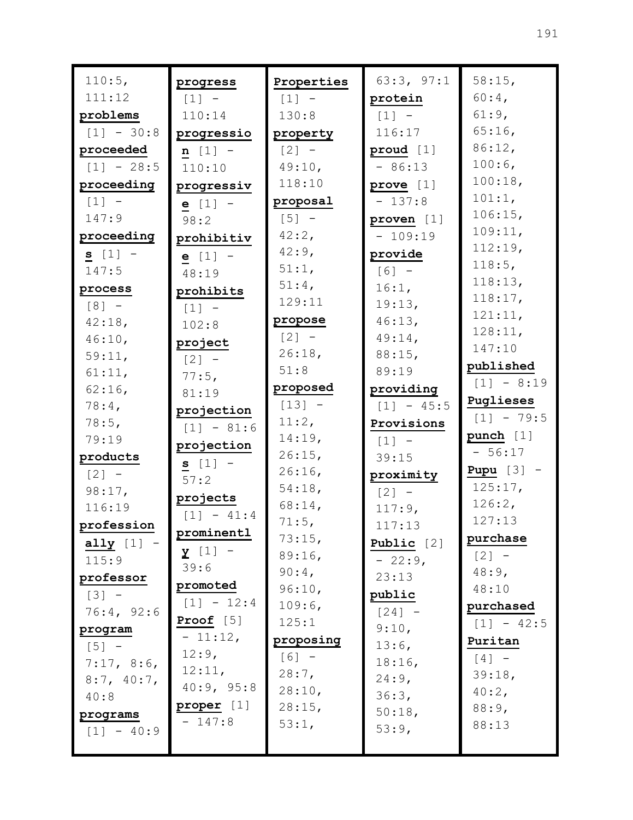| 110:5,              | progress              | Properties          | 63:3, 97:1          | 58:15,                            |
|---------------------|-----------------------|---------------------|---------------------|-----------------------------------|
| 111:12              | $[1]$ -               | $[1] -$             | protein             | $60:4$ ,                          |
| problems            | 110:14                | 130:8               | $\lceil 1 \rceil$ - | $61:9$ ,                          |
| $[1] - 30:8$        | progressio            | property            | 116:17              | $65:16$ ,                         |
| proceeded           | $n [1] -$             | $\lceil 2 \rceil$ – | proud $[1]$         | 86:12,                            |
| $[1] - 28:5$        | 110:10                | 49:10,              | $-86:13$            | $100:6$ ,                         |
| proceeding          | progressiv            | 118:10              | prove $[1]$         | 100:18,                           |
| $[1] -$             | $e [1] -$             | proposal            | $-137:8$            | 101:1,                            |
| 147:9               | 98:2                  | $\lceil 5 \rceil$ – | proven [1]          | 106:15,                           |
| proceeding          | prohibitiv            | $42:2$ ,            | $-109:19$           | 109:11,                           |
| $s [1] -$           | $e [1] -$             | $42:9$ ,            | provide             | 112:19,                           |
| 147:5               | 48:19                 | $51:1$ ,            | $[6] -$             | 118:5,                            |
| process             | prohibits             | $51:4$ ,            | 16:1,               | 118:13,                           |
| $[8] -$             | $[1] -$               | 129:11              | 19:13,              | 118:17,                           |
| 42:18,              | 102:8                 | propose             | 46:13,              | 121:11,                           |
| 46:10,              | project               | $\lceil 2 \rceil$ – | $49:14$ ,           | 128:11,<br>147:10                 |
| 59:11,              | $\lceil 2 \rceil$ -   | 26:18,              | $88:15$ ,           |                                   |
| 61:11,              | 77:5,                 | 51:8                | 89:19               | published                         |
| $62:16$ ,           | 81:19                 | proposed            | providing           | $[1] - 8:19$                      |
| $78:4$ ,            | projection            | $[13] -$            | $[1] - 45:5$        | Puglieses                         |
| 78:5,               | $[1] - 81:6$          | 11:2,               | Provisions          | $[1] - 79:5$                      |
| 79:19               | projection            | 14:19,              | $\lceil 1 \rceil$ - | punch $[1]$                       |
| products            | $s [1] -$             | 26:15,              | 39:15               | $-56:17$                          |
| $\lceil 2 \rceil$ – | 57:2                  | $26:16$ ,           | proximity           | Pupu $[3]$ -                      |
| 98:17,              | projects              | 54:18,              | $\lceil 2 \rceil$ - | 125:17,                           |
| 116:19              | $[1] - 41:4$          | 68:14,              | 117:9,              | 126:2,<br>127:13                  |
| profession          | prominentl            | $71:5$ ,            | 117:13              |                                   |
| ally $[1]$ -        | $\underline{y}$ [1] - | 73:15,<br>89:16,    | Public $[2]$        | purchase<br>$\lbrack 2 \rbrack$ - |
| 115:9               | 39:6                  | $90:4$ ,            | $-22:9$ ,           | $48:9$ ,                          |
| professor           | promoted              | 96:10,              | 23:13               | 48:10                             |
| $[3] -$             | $[1] - 12:4$          | 109:6,              | public              | purchased                         |
| 76:4, 92:6          | Proof $[5]$           | 125:1               | $[24] -$            | $[1] - 42:5$                      |
| program             | $-11:12,$             | proposing           | 9:10,               | Puritan                           |
| $[5]$ -             | $12:9$ ,              | $[6] -$             | $13:6$ ,            | $[4]$ -                           |
| 7:17, 8:6,          | 12:11,                | $28:7$ ,            | $18:16$ ,           | 39:18,                            |
| 8:7, 40:7,          | 40:9, 95:8            | 28:10,              | $24:9$ ,            | $40:2$ ,                          |
| 40:8                | proper [1]            | 28:15,              | 36:3,               | 88:9,                             |
| programs            | $-147:8$              | 53:1,               | 50:18,              | 88:13                             |
| $[1] - 40:9$        |                       |                     | 53:9,               |                                   |
|                     |                       |                     |                     |                                   |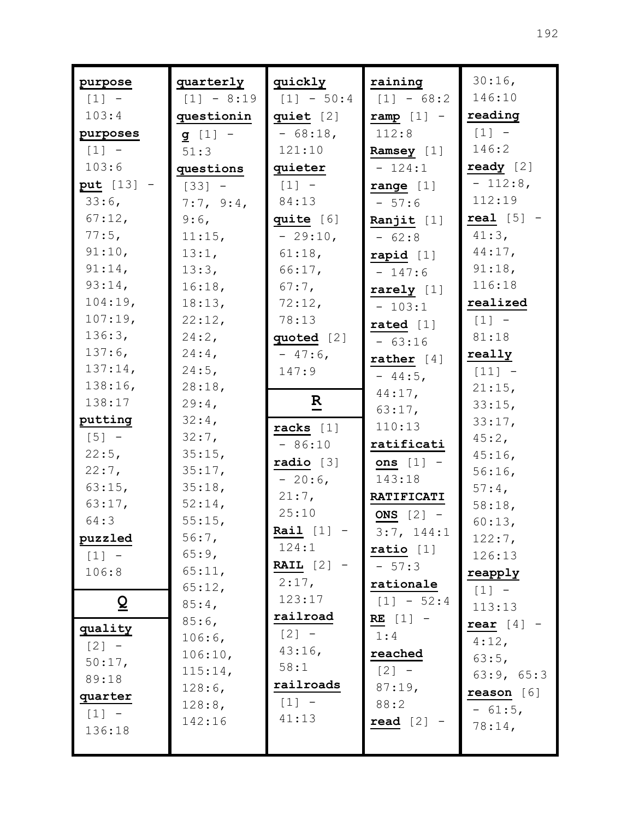| purpose            | quarterly        | quickly             | raining             | $30:16$ ,<br>146:10 |
|--------------------|------------------|---------------------|---------------------|---------------------|
| $[1]$ -            | $[1] - 8:19$     | $[1] - 50:4$        | $[1] - 68:2$        |                     |
| 103:4              | questionin       | quiet $[2]$         | $ramp [1]$ -        | reading<br>$[1] -$  |
| purposes           | $g [1] -$        | $-68:18,$<br>121:10 | 112:8               | 146:2               |
| $[1] -$<br>103:6   | 51:3             |                     | Ramsey [1]          | ready $[2]$         |
|                    | questions        | quieter             | $-124:1$            | $-112:8,$           |
| put [13] -         | $[33] -$         | $[1]$ -             | range $[1]$         | 112:19              |
| $33:6$ ,           | 7:7, 9:4,        | 84:13               | $-57:6$             | real $[5]$ -        |
| 67:12,<br>$77:5$ , | 9:6,             | quite [6]           | Ranjit $[1]$        | $41:3$ ,            |
| 91:10,             | 11:15,           | $-29:10,$           | $-62:8$             |                     |
| 91:14,             | 13:1,            | 61:18,              | rapid $[1]$         | $44:17$ ,<br>91:18, |
| 93:14,             | 13:3,            | 66:17,              | $-147:6$            | 116:18              |
| 104:19,            | 16:18,           | $67:7$ ,            | rarely $[1]$        | realized            |
| 107:19,            | 18:13,<br>22:12, | 72:12,<br>78:13     | $-103:1$            |                     |
| 136:3,             | $24:2$ ,         |                     | rated $[1]$         | $[1] -$<br>81:18    |
| $137:6$ ,          | $24:4$ ,         | quoted [2]          | $-63:16$            |                     |
| $137:14$ ,         | $24:5$ ,         | $-47:6$<br>147:9    | rather $[4]$        | really              |
| 138:16,            | 28:18,           |                     | $-44:5$ ,           | $[11] -$            |
| 138:17             | $29:4$ ,         | $\mathbf R$         | $44:17$ ,           | 21:15,<br>33:15,    |
| putting            | 32:4,            |                     | 63:17,              | 33:17,              |
| $[5] -$            | $32:7$ ,         | racks $[1]$         | 110:13              | 45:2,               |
| 22:5,              | 35:15,           | $-86:10$            | ratificati          | $45:16$ ,           |
| $22:7$ ,           | 35:17,           | radio [3]           | ons $[1]$ -         | $56:16$ ,           |
| $63:15$ ,          | 35:18,           | $-20:6$             | 143:18              | $57:4$ ,            |
| 63:17,             | 52:14,           | $21:7$ ,            | <b>RATIFICATI</b>   | 58:18,              |
| 64:3               | 55:15,           | 25:10               | ONS $[2]$ -         | 60:13,              |
| puzzled            | 56:7,            | Rail $[1]$          | 3:7, 144:1          | 122:7,              |
| $[1] -$            | 65:9,            | 124:1               | ratio [1]           | 126:13              |
| 106:8              | 65:11,           | RAIL $[2]$ -        | $-57:3$             | reapply             |
|                    | 65:12,           | $2:17$ ,            | rationale           | $[1] -$             |
| $\overline{Q}$     | $85:4$ ,         | 123:17              | $[1] - 52:4$        | 113:13              |
|                    | $85:6$ ,         | railroad            | $RE [1]$ -          | rear $[4]$          |
| quality            | 106:6,           | $[2] -$             | 1:4                 | 4:12,               |
| $[2] -$            | 106:10,          | $43:16$ ,           | reached             | 63:5,               |
| 50:17,             | 115:14,          | 58:1                | $[2] -$             | 63:9, 65:3          |
| 89:18              | 128:6,           | railroads           | 87:19,              | reason [6]          |
| quarter            | 128:8,           | $[1] -$             | 88:2                | $-61:5,$            |
| $[1] -$            | 142:16           | 41:13               | $\texttt{read}$ [2] | 78:14,              |
| 136:18             |                  |                     |                     |                     |
|                    |                  |                     |                     |                     |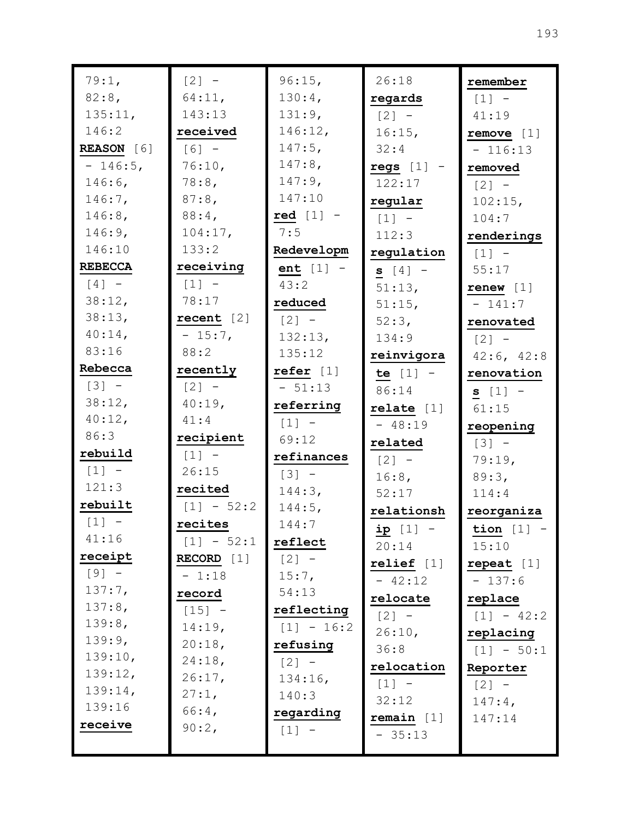| 79:1,              | $[2]$ -      | 96:15,       | 26:18               | remember                      |
|--------------------|--------------|--------------|---------------------|-------------------------------|
| 82:8,              | 64:11,       | 130:4,       | regards             | $[1] -$                       |
| 135:11,            | 143:13       | 131:9,       | $\lceil 2 \rceil$ - | 41:19                         |
| 146:2              | received     | 146:12,      | 16:15,              | remove [1]                    |
| <b>REASON</b> [6]  | $[6] -$      | $147:5$ ,    | 32:4                | $-116:13$                     |
| $-146:5$ ,         | 76:10,       | $147:8$ ,    | $regs [1]$ -        | removed                       |
| $146:6$ ,          | 78:8,        | $147:9$ ,    | 122:17              | $\lceil 2 \rceil$ -           |
| $146:7$ ,          | $87:8$ ,     | 147:10       | regular             | 102:15,                       |
| $146:8$ ,          | $88:4$ ,     | red $[1]$ -  | $[1]$ -             | 104:7                         |
| 146:9,             | 104:17,      | 7:5          | 112:3               | renderings                    |
| 146:10             | 133:2        | Redevelopm   | regulation          | $[1] -$                       |
| <b>REBECCA</b>     | receiving    | $ent [1] -$  | $S [4] -$           | 55:17                         |
| $[4]$ -            | $[1] -$      | 43:2         | 51:13,              | $r$ enew [1]                  |
| 38:12,             | 78:17        | reduced      | $51:15$ ,           | $-141:7$                      |
| 38:13,             | recent $[2]$ | $[2] -$      | 52:3,               | renovated                     |
| $40:14$ ,          | $-15:7$ ,    | 132:13,      | 134:9               | $\lceil 2 \rceil$ -           |
| 83:16              | 88:2         | 135:12       | reinvigora          | 42:6, 42:8                    |
| Rebecca            | recently     | refer $[1]$  | te $[1] -$          | renovation                    |
| $[3] -$            | $[2] -$      | $-51:13$     | 86:14               | $s [1] -$                     |
| 38:12,             | 40:19,       | referring    | relate $[1]$        | 61:15                         |
| 40:12,<br>86:3     | 41:4         | $[1] -$      | $-48:19$            | reopening                     |
|                    | recipient    | 69:12        | related             | $[3] -$                       |
| rebuild            | $[1] -$      | refinances   | $[2] -$             | 79:19,                        |
| $[1] -$<br>121:3   | 26:15        | $[3] -$      | 16:8,               | 89:3,                         |
|                    | recited      | 144:3,       | 52:17               | 114:4                         |
| rebuilt            | $[1] - 52:2$ | $144:5$ ,    | relationsh          | reorganiza                    |
| $[1] -$            | recites      | 144:7        | <u>ip</u> [1] -     | $\frac{\text{tion}}{\ }[1]$ - |
| 41:16              | $[1] - 52:1$ | reflect      | 20:14               | 15:10                         |
| receipt<br>$[9] -$ | $RECORD$ [1] | $[2] -$      | relief [1]          | repeat $[1]$                  |
| 137:7,             | $-1:18$      | 15:7,        | $-42:12$            | $-137:6$                      |
| 137:8,             | record       | 54:13        | relocate            | replace                       |
| 139:8,             | $[15] -$     | reflecting   | $[2] -$             | $[1] - 42:2$                  |
| 139:9,             | 14:19,       | $[1] - 16:2$ | 26:10,              | replacing                     |
| 139:10,            | 20:18,       | refusing     | 36:8                | $[1] - 50:1$                  |
| 139:12,            | 24:18,       | $[2] -$      | relocation          | Reporter                      |
| 139:14,            | 26:17,       | 134:16,      | $[1] -$             | $[2] -$                       |
| 139:16             | $27:1$ ,     | 140:3        | 32:12               | $147:4$ ,                     |
| receive            | $66:4$ ,     | regarding    | remain $[1]$        | 147:14                        |
|                    | 90:2,        | $[1] -$      | $-35:13$            |                               |
|                    |              |              |                     |                               |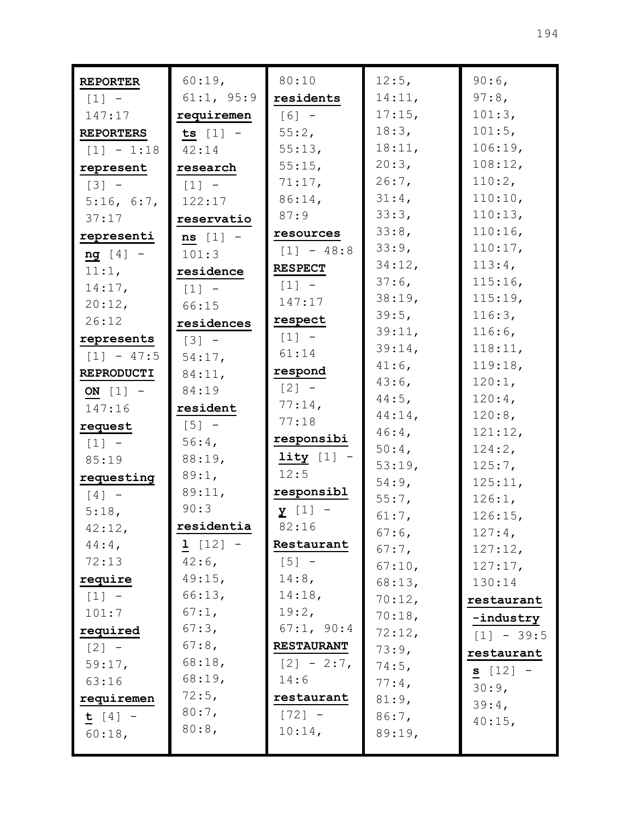| <b>REPORTER</b>  | 60:19,              | 80:10                               | 12:5,                | 90:6,               |
|------------------|---------------------|-------------------------------------|----------------------|---------------------|
| $[1]$ -          | 61:1, 95:9          | residents                           | 14:11,               | $97:8$ ,            |
| 147:17           | requiremen          | $[6] -$                             | $17:15$ ,            | 101:3,              |
| <b>REPORTERS</b> | ts $[1]$ -          | 55:2,                               | 18:3,                | 101:5,              |
| $[1] - 1:18$     | 42:14               | 55:13,                              | 18:11,               | 106:19,             |
| represent        | research            | $55:15$ ,                           | 20:3,                | 108:12,             |
| $[3] -$          | $\lceil 1 \rceil$ - | 71:17,                              | $26:7$ ,             | 110:2,              |
| 5:16, 6:7,       | 122:17              | $86:14$ ,                           | 31:4,                | 110:10,             |
| 37:17            | reservatio          | 87:9                                | 33:3,                | 110:13,             |
| representi       | $ns [1] -$          | resources                           | 33:8,                | $110:16$ ,          |
| $ng [4] -$       | 101:3               | $[1] - 48:8$                        | 33:9,                | 110:17,             |
| 11:1,            | residence           | <b>RESPECT</b>                      | 34:12,               | 113:4,              |
| 14:17,           | $\lceil 1 \rceil$ - | $\begin{bmatrix} 1 \end{bmatrix}$ - | $37:6$ ,             | $115:16$ ,          |
| 20:12,           | 66:15               | 147:17                              | 38:19,               | 115:19,             |
| 26:12            | residences          | respect                             | 39:5,                | 116:3,              |
| represents       | $\lceil 3 \rceil$ - | $[1]$ -                             | 39:11,               | $116:6$ ,           |
| $[1] - 47:5$     | 54:17,              | 61:14                               | 39:14,               | 118:11,             |
| REPRODUCTI       | 84:11,              | respond                             | $41:6$ ,             | 119:18,             |
| ON $[1]$ -       | 84:19               | $[2] -$                             | $43:6$ ,             | 120:1,              |
| 147:16           | resident            | $77:14$ ,                           | $44:5$ ,             | $120:4$ ,           |
| request          | $\lceil 5 \rceil$ - | 77:18                               | $44:14$ ,            | 120:8,              |
| $[1] -$          | $56:4$ ,            | responsibi                          | $46:4$ ,<br>$50:4$ , | 121:12,             |
| 85:19            | 88:19,              | $lity [1] -$                        | 53:19,               | 124:2,<br>$125:7$ , |
| requesting       | 89:1,               | 12:5                                | 54:9,                | 125:11,             |
| $[4]$ -          | 89:11,              | responsibl                          | 55:7,                | 126:1,              |
| 5:18,            | 90:3                | $\underline{y}$ [1] -               | 61:7,                | 126:15,             |
| 42:12,           | residentia          | 82:16                               | $67:6$ ,             | 127:4,              |
| $44:4$ ,         | $1 [12] -$          | Restaurant                          | $67:7$ ,             | 127:12,             |
| 72:13            | $42:6$ ,            | $[5] -$                             | 67:10,               | 127:17,             |
| require          | 49:15,              | $14:8$ ,                            | 68:13,               | 130:14              |
| $[1] -$          | 66:13,              | 14:18,                              | 70:12,               | restaurant          |
| 101:7            | 67:1,               | 19:2,                               | 70:18,               | -industry           |
| required         | 67:3,               | 67:1, 90:4                          | 72:12,               | $[1] - 39:5$        |
| $[2] -$          | $67:8$ ,            | <b>RESTAURANT</b>                   | 73:9,                | restaurant          |
| 59:17,           | 68:18,              | $[2] - 2:7$                         | 74:5,                | $s [12] -$          |
| 63:16            | 68:19,              | 14:6                                | $77:4$ ,             | 30:9,               |
| requiremen       | $72:5$ ,            | restaurant                          | 81:9,                | 39:4,               |
| $t [4] -$        | $80:7$ ,            | $[72] -$                            | 86:7,                | 40:15,              |
| $60:18$ ,        | 80:8,               | 10:14,                              | 89:19,               |                     |
|                  |                     |                                     |                      |                     |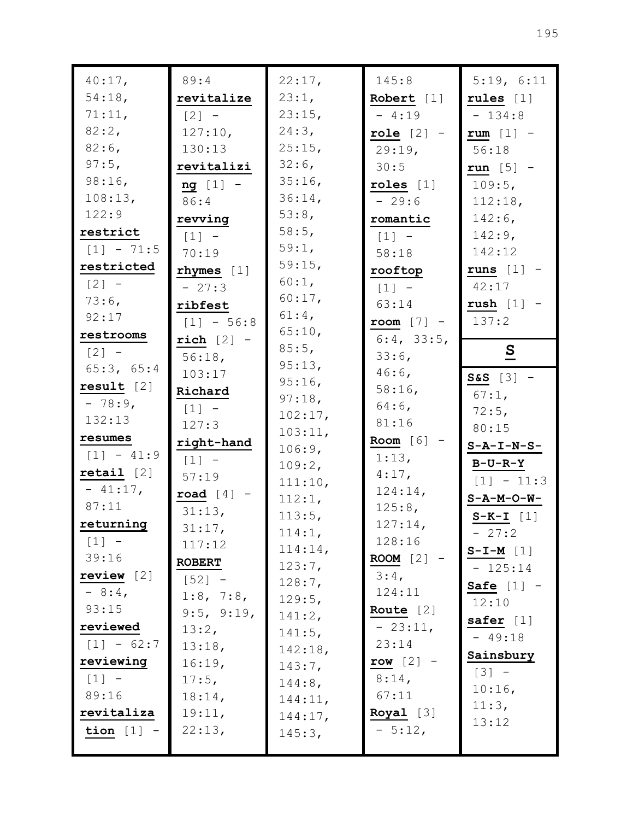| 40:17,                | 89:4                | 22:17,            | 145:8                      | 5:19, 6:11              |
|-----------------------|---------------------|-------------------|----------------------------|-------------------------|
| 54:18,                | revitalize          | 23:1,             | Robert $[1]$               | rules $[1]$             |
| 71:11,                | $\lceil 2 \rceil$ - | 23:15,            | $-4:19$                    | $-134:8$                |
| 82:2,                 | 127:10,             | 24:3,             | role $[2]$ -               | rum $[1]$ -             |
| $82:6$ ,              | 130:13              | 25:15,            | 29:19,                     | 56:18                   |
| $97:5$ ,              | revitalizi          | $32:6$ ,          | 30:5                       | run $[5]$ -             |
| $98:16$ ,             | $ng [1] -$          | 35:16,            | roles $[1]$                | $109:5$ ,               |
| 108:13,               | 86:4                | 36:14,            | $-29:6$                    | 112:18,                 |
| 122:9                 | revving             | 53:8,             | romantic                   | $142:6$ ,               |
| restrict              | $[1]$ -             | 58:5,             | $[1]$ -                    | $142:9$ ,               |
| $[1] - 71:5$          | 70:19               | 59:1,             | 58:18                      | 142:12                  |
| restricted            | $r$ hymes $[1]$     | 59:15,            | rooftop                    | runs $[1]$ -            |
| $\lceil 2 \rceil$ -   | $-27:3$             | 60:1,             | $\lceil 1 \rceil$ -        | 42:17                   |
| $73:6$ ,              | ribfest             | 60:17,            | 63:14                      | $rush [1]$ -            |
| 92:17                 | $[1] - 56:8$        | $61:4$ ,          | room $[7]$ -               | 137:2                   |
| restrooms             | $rich [2] -$        | 65:10,            | 6:4, 33:5,                 |                         |
| $\lceil 2 \rceil$ -   | $56:18$ ,           | 85:5,             | $33:6$ ,                   | $\overline{\mathbf{S}}$ |
| 65:3, 65:4            | 103:17              | 95:13,            | $46:6$ ,                   | $S&S$ [3] -             |
| result [2]            | Richard             | 95:16,            | 58:16,                     | $67:1$ ,                |
| $-78:9$               | $\lceil 1 \rceil$ - | 97:18,            | $64:6$ ,                   | $72:5$ ,                |
| 132:13                | 127:3               | 102:17,           | 81:16                      | 80:15                   |
| resumes               | right-hand          | 103:11,<br>106:9, | Room $[6]$ -               | $S - A - I - N - S -$   |
| $[1] - 41:9$          | $[1] -$             | 109:2,            | 1:13,                      | <b>B-U-R-Y</b>          |
| $\texttt{retail}$ [2] | 57:19               | 111:10,           | $4:17$ ,                   | $[1] - 11:3$            |
| $-41:17,$             | road $[4]$ -        | 112:1,            | 124:14,                    | $S - A - M - O - W -$   |
| 87:11                 | 31:13,              | 113:5,            | 125:8,                     | $S-K-L$ [1]             |
| returning             | 31:17,              | 114:1,            | 127:14,                    | $-27:2$                 |
| $[1] -$               | 117:12              | $114:14$ ,        | 128:16                     | $S-I-M$ [1]             |
| 39:16                 | <b>ROBERT</b>       | 123:7,            | ROOM $[2]$ -               | $-125:14$               |
| review $[2]$          | $[52] -$            | 128:7,            | $3:4$ ,                    | Safe $[1]$ -            |
| $-8:4$                | 1:8, 7:8,           | 129:5,            | 124:11                     | 12:10                   |
| 93:15                 | 9:5, 9:19,          | 141:2,            | Route $[2]$                | safer $[1]$             |
| reviewed              | 13:2,               | 141:5,            | $-23:11,$                  | $-49:18$                |
| $[1] - 62:7$          | 13:18,              | 142:18,           | 23:14                      | Sainsbury               |
| reviewing             | 16:19,              | 143:7,            | row $[2]$ -                | $[3] -$                 |
| $[1] -$               | $17:5$ ,            | 144:8,            | $8:14$ ,                   | $10:16$ ,               |
| 89:16                 | 18:14,              | 144:11,           | 67:11                      | 11:3,                   |
| revitaliza            | 19:11,              | 144:17,           | $\textbf{Royal} \quad [3]$ | 13:12                   |
| tion $[1]$ -          | 22:13,              | 145:3,            | $-5:12,$                   |                         |
|                       |                     |                   |                            |                         |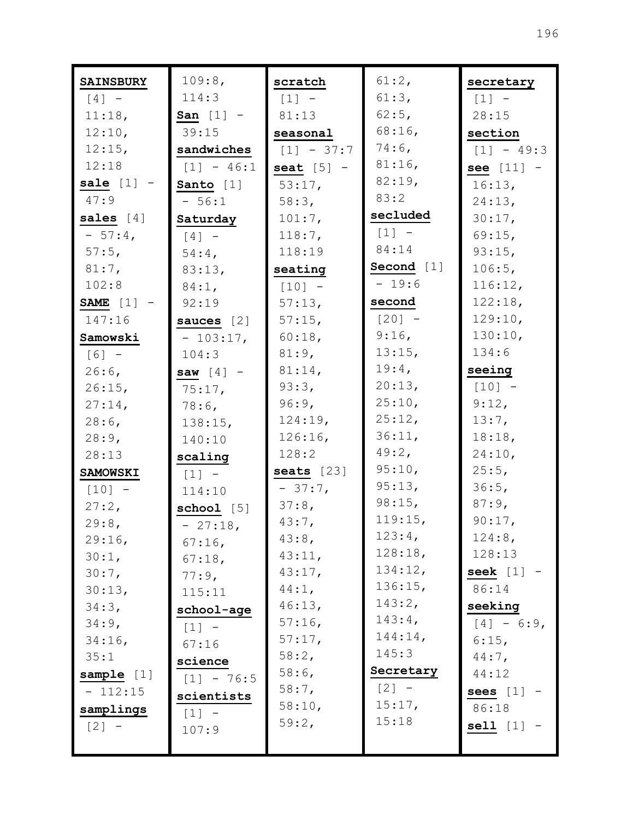| <b>SAINSBURY</b> | 109:8,       | scratch      | 61:2,              | secretary           |
|------------------|--------------|--------------|--------------------|---------------------|
| $[4]$ -          | 114:3        | $[1]$ -      | 61:3,              | $[1]$ -             |
| 11:18,           | San $[1]$ -  | 81:13        | $62:5$ ,           | 28:15               |
| 12:10,           | 39:15        | seasonal     | $68:16$ ,          | section             |
| 12:15,           | sandwiches   | $[1] - 37:7$ | $74:6$ ,           | $[1] - 49:3$        |
| 12:18            | $[1] - 46:1$ | seat $[5]$ - | $81:16$ ,          | see $[11]$ -        |
| sale $[1]$ -     | Santo [1]    | 53:17,       | 82:19,             | 16:13,              |
| 47:9             | $-56:1$      | 58:3,        | 83:2               | 24:13,              |
| sales $[4]$      | Saturday     | 101:7,       | secluded           | $30:17$ ,           |
| $-57:4$          | $[4]$ -      | 118:7,       | $[1] -$            | 69:15,              |
| $57:5$ ,         | $54:4$ ,     | 118:19       | 84:14              | 93:15,              |
| 81:7,            | 83:13,       | seating      | Second $[1]$       | 106:5,              |
| 102:8            | $84:1$ ,     | $[10] -$     | $-19:6$            | 116:12,             |
| SAME $[1]$ -     | 92:19        | 57:13,       | second             | 122:18,             |
| 147:16           | sauces $[2]$ | $57:15$ ,    | $[20] -$           | 129:10,             |
| Samowski         | $-103:17,$   | 60:18,       | 9:16,              | 130:10,             |
| $[6] -$          | 104:3        | 81:9,        | 13:15,             | 134:6               |
| $26:6$ ,         | saw $[4]$ -  | 81:14,       | 19:4,              | seeing              |
| 26:15,           | 75:17,       | 93:3,        | 20:13,             | $[10] -$            |
| 27:14,           | $78:6$ ,     | 96:9,        | 25:10,             | 9:12,               |
| $28:6$ ,         | 138:15,      | 124:19,      | 25:12,             | 13:7,               |
| 28:9,            | 140:10       | 126:16,      | 36:11,             | 18:18,              |
| 28:13            | scaling      | 128:2        | $49:2$ ,           | 24:10,              |
| <b>SAMOWSKI</b>  | $[1] -$      | seats [23]   | 95:10,             | 25:5,               |
| $[10] -$         | 114:10       | $-37:7$      | 95:13,             | 36:5,               |
| 27:2,            | school $[5]$ | 37:8,        | 98:15,             | $87:9$ ,            |
| $29:8$ ,         | $-27:18$     | $43:7$ ,     | 119:15,            | 90:17,              |
| 29:16,           | $67:16$ ,    | 43:8,        | 123:4,             | $124:8$ ,           |
| $30:1$ ,         | 67:18,       | 43:11,       | 128:18,            | 128:13              |
| $30:7$ ,         | 77:9,        | 43:17,       | 134:12,<br>136:15, | seek $[1]$ -        |
| 30:13,           | 115:11       | 44:1,        | 143:2,             | 86:14               |
| 34:3,            | school-age   | 46:13,       | $143:4$ ,          | seeking             |
| 34:9,            | $[1] -$      | $57:16$ ,    | 144:14,            | $[4] - 6:9$         |
| 34:16,           | 67:16        | 57:17,       | 145:3              | 6:15,               |
| 35:1             | science      | 58:2,        | Secretary          | $44:7$ ,            |
| sample $[1]$     | $[1] - 76:5$ | $58:6$ ,     |                    | 44:12               |
| $-112:15$        | scientists   | $58:7$ ,     | $[2] -$<br>15:17,  | sees $[1]$ -        |
| samplings        | $[1] -$      | 58:10,       | 15:18              | 86:18               |
| $[2] -$          | 107:9        | 59:2,        |                    | $\text{sell}$ [1] - |
|                  |              |              |                    |                     |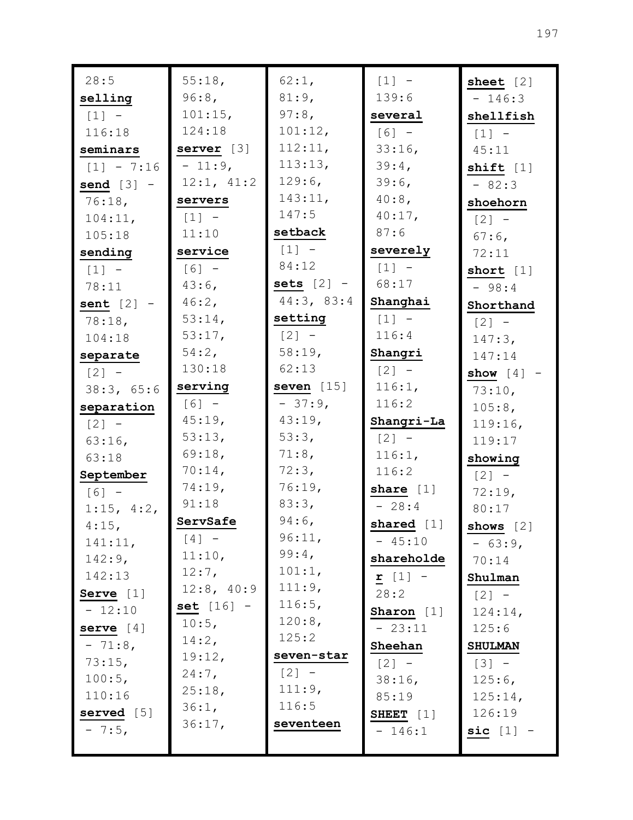| 28:5         | 55:18,       | 62:1,        | $[1] -$      | sheet $[2]$          |
|--------------|--------------|--------------|--------------|----------------------|
| selling      | 96:8,        | 81:9,        | 139:6        | $-146:3$             |
| $[1] -$      | 101:15,      | $97:8$ ,     | several      | shellfish            |
| 116:18       | 124:18       | 101:12,      | $[6] -$      | $[1]$ -              |
| seminars     | server $[3]$ | 112:11,      | 33:16,       | 45:11                |
| $[1] - 7:16$ | $-11:9,$     | 113:13,      | 39:4,        | shift $[1]$          |
| send $[3]$ - | 12:1, 41:2   | 129:6,       | 39:6,        | $-82:3$              |
| 76:18,       | servers      | 143:11,      | $40:8$ ,     | shoehorn             |
| 104:11,      | $[1]$ -      | 147:5        | $40:17$ ,    | $\lceil 2 \rceil$ -  |
| 105:18       | 11:10        | setback      | 87:6         | $67:6$ ,             |
| sending      | service      | $[1] -$      | severely     | 72:11                |
| $[1] -$      | $[6] -$      | 84:12        | $[1] -$      | short $[1]$          |
| 78:11        | $43:6$ ,     | sets $[2]$ - | 68:17        | $-98:4$              |
| sent $[2]$ - | 46:2,        | 44:3, 83:4   | Shanghai     | Shorthand            |
| 78:18,       | 53:14,       | setting      | $[1]$ -      | $[2] -$              |
| 104:18       | 53:17,       | $[2] -$      | 116:4        | 147:3,               |
| separate     | 54:2,        | 58:19,       | Shangri      | 147:14               |
| $[2] -$      | 130:18       | 62:13        | $[2] -$      | show $[4]$ -         |
| 38:3, 65:6   | serving      | seven $[15]$ | 116:1,       | 73:10,               |
| separation   | $[6] -$      | $-37:9,$     | 116:2        | 105:8,               |
| $[2] -$      | 45:19,       | 43:19,       | Shangri-La   | 119:16,              |
| $63:16$ ,    | 53:13,       | 53:3,        | $[2] -$      | 119:17               |
| 63:18        | 69:18,       | 71:8,        | 116:1,       | showing              |
| September    | $70:14$ ,    | 72:3,        | 116:2        | $[2] -$              |
| $[6] -$      | 74:19,       | 76:19,       | share $[1]$  | 72:19,               |
| 1:15, 4:2,   | 91:18        | 83:3,        | $-28:4$      | 80:17                |
| $4:15$ ,     | ServSafe     | $94:6$ ,     | shared [1]   | shows $[2]$          |
| 141:11,      | $[4] -$      | 96:11,       | $-45:10$     | $-63:9,$             |
| $142:9$ ,    | 11:10,       | 99:4,        | shareholde   | 70:14                |
| 142:13       | $12:7$ ,     | 101:1,       | $r$ [1] -    | Shulman              |
| Serve $[1]$  | 12:8, 40:9   | 111:9,       | 28:2         | $\lceil 2 \rceil$ -  |
| $-12:10$     | set $[16]$ - | 116:5,       | Sharon $[1]$ | 124:14,              |
| serve $[4]$  | 10:5,        | 120:8,       | $-23:11$     | 125:6                |
| $-71:8$ ,    | 14:2,        | 125:2        | Sheehan      | <b>SHULMAN</b>       |
| 73:15,       | 19:12,       | seven-star   | $[2] -$      | $[3] -$              |
| 100:5,       | $24:7$ ,     | $[2] -$      | $38:16$ ,    | 125:6,               |
| 110:16       | 25:18,       | 111:9,       | 85:19        | 125:14,              |
| served [5]   | 36:1,        | 116:5        | SHEET $[1]$  | 126:19               |
| $-7:5,$      | 36:17,       | seventeen    | $-146:1$     | $\texttt{sic}$ [1] - |
|              |              |              |              |                      |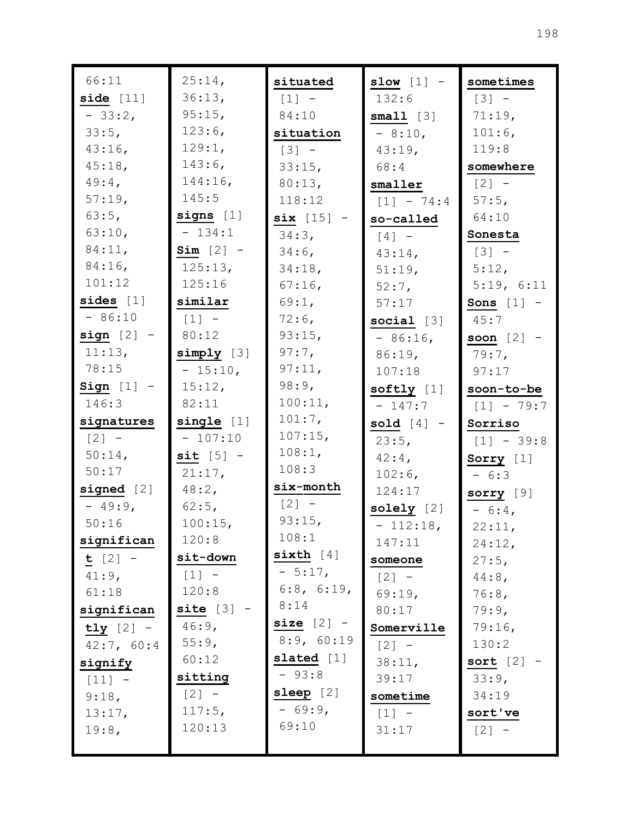| 66:11        | 25:14,       | situated     | slow $[1]$ - | sometimes    |
|--------------|--------------|--------------|--------------|--------------|
| side $[11]$  | 36:13,       | $[1] -$      | 132:6        | $[3] -$      |
| $-33:2,$     | 95:15,       | 84:10        | small [3]    | 71:19,       |
| 33:5,        | 123:6,       | situation    | $-8:10$ ,    | 101:6,       |
| 43:16,       | 129:1,       | $[3] -$      | $43:19$ ,    | 119:8        |
| 45:18,       | $143:6$ ,    | 33:15,       | 68:4         | somewhere    |
| $49:4$ ,     | 144:16,      | 80:13,       | smaller      | $[2] -$      |
| 57:19,       | 145:5        | 118:12       | $[1] - 74:4$ | $57:5$ ,     |
| 63:5,        | signs $[1]$  | $six [15]$ - | so-called    | 64:10        |
| 63:10,       | $-134:1$     | $34:3$ ,     | $[4]$ -      | Sonesta      |
| 84:11,       | $Sim [2] -$  | $34:6$ ,     | $43:14$ ,    | $[3] -$      |
| $84:16$ ,    | 125:13,      | 34:18,       | 51:19,       | 5:12,        |
| 101:12       | 125:16       | $67:16$ ,    | $52:7$ ,     | 5:19, 6:11   |
| sides $[1]$  | similar      | 69:1,        | 57:17        | Sons $[1]$ - |
| $-86:10$     | $[1]$ -      | $72:6$ ,     | social $[3]$ | 45:7         |
| $sign [2] -$ | 80:12        | 93:15,       | $-86:16$     | soon $[2]$ - |
| 11:13,       | $simply$ [3] | $97:7$ ,     | $86:19$ ,    | $79:7$ ,     |
| 78:15        | $-15:10,$    | 97:11,       | 107:18       | 97:17        |
| Sign $[1]$ - | 15:12,       | 98:9,        | softly $[1]$ | soon-to-be   |
| 146:3        | 82:11        | 100:11,      | $-147:7$     | $[1] - 79:7$ |
| signatures   | single [1]   | $101:7$ ,    | sold $[4]$ - | Sorriso      |
| $[2] -$      | $-107:10$    | $107:15$ ,   | 23:5,        | $[1] - 39:8$ |
| $50:14$ ,    | $sit$ [5] -  | 108:1,       | $42:4$ ,     | Sorry [1]    |
| 50:17        | 21:17,       | 108:3        | $102:6$ ,    | $-6:3$       |
| signed $[2]$ | 48:2,        | six-month    | 124:17       | sorry $[9]$  |
| $-49:9$ ,    | $62:5$ ,     | $[2] -$      | solely $[2]$ | $-6:4$       |
| 50:16        | 100:15,      | 93:15,       | $-112:18$ ,  | 22:11,       |
| significan   | 120:8        | 108:1        | 147:11       | $24:12$ ,    |
| $t [2] -$    | sit-down     | sixth $[4]$  | someone      | 27:5,        |
| $41:9$ ,     | $[1] -$      | $-5:17,$     | $[2] -$      | $44:8$ ,     |
| 61:18        | 120:8        | 6:8, 6:19,   | 69:19,       | 76:8,        |
| significan   | site [3]     | 8:14         | 80:17        | 79:9,        |
| $tly$ [2] -  | $46:9$ ,     | size $[2]$ - | Somerville   | 79:16,       |
| 42:7, 60:4   | 55:9,        | 8:9, 60:19   | $[2] -$      | 130:2        |
| signify      | 60:12        | slated [1]   | 38:11,       | sort $[2]$ - |
| $[11] -$     | sitting      | $-93:8$      | 39:17        | 33:9,        |
| 9:18,        | $[2] -$      | sleep [2]    | sometime     | 34:19        |
| 13:17,       | 117:5,       | $-69:9,$     | $[1] -$      | sort've      |
| 19:8,        | 120:13       | 69:10        | 31:17        | $[2] -$      |
|              |              |              |              |              |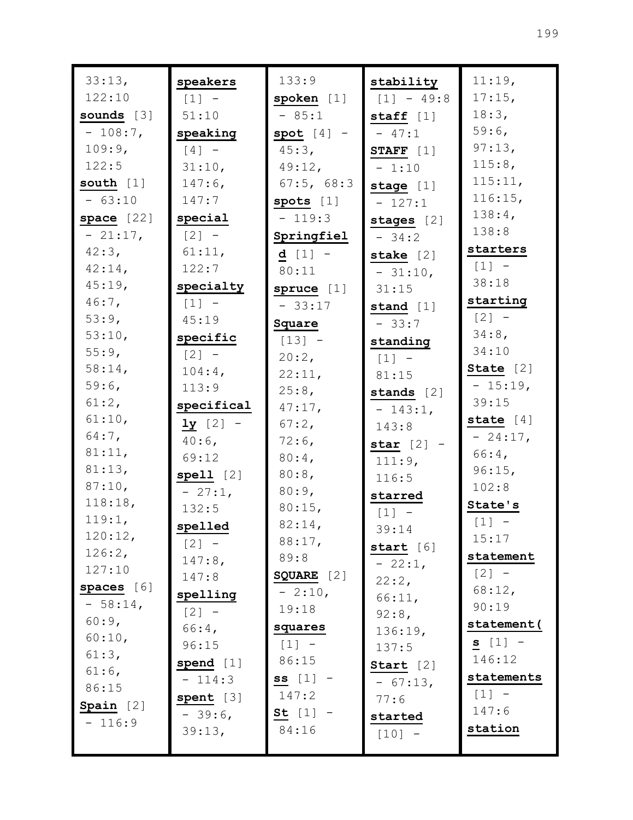| 33:13,           | speakers            | 133:9        | stability           | 11:19,      |
|------------------|---------------------|--------------|---------------------|-------------|
| 122:10           | $\lceil 1 \rceil$ - | s'poken [1]  | $[1] - 49:8$        | $17:15$ ,   |
| sounds $[3]$     | 51:10               | $-85:1$      | staff $[1]$         | 18:3,       |
| $-108:7$ ,       | speaking            | $spot [4] -$ | $-47:1$             | 59:6,       |
| 109:9,           | $[4]$ -             | $45:3$ ,     | STAFF $[1]$         | 97:13,      |
| 122:5            | 31:10,              | $49:12$ ,    | $-1:10$             | 115:8,      |
| south $[1]$      | $147:6$ ,           | 67:5, 68:3   | stage $[1]$         | 115:11,     |
| $-63:10$         | 147:7               | spots $[1]$  | $-127:1$            | $116:15$ ,  |
| space [22]       | special             | $-119:3$     | stages $[2]$        | $138:4$ ,   |
| $-21:17,$        | $\lceil 2 \rceil$ - | Springfiel   | $-34:2$             | 138:8       |
| 42:3,            | 61:11,              | $d [1] -$    | stake [2]           | starters    |
| $42:14$ ,        | 122:7               | 80:11        | $-31:10,$           | $[1] -$     |
| $45:19$ ,        | specialty           | spruce [1]   | 31:15               | 38:18       |
| $46:7$ ,         | $\lceil 1 \rceil$ - | $-33:17$     | stand $[1]$         | starting    |
| 53:9,            | 45:19               | Square       | $-33:7$             | $[2] -$     |
| 53:10,           | specific            | $[13] -$     | standing            | $34:8$ ,    |
| $55:9$ ,         | $\lceil 2 \rceil$ - | 20:2,        | $\lceil 1 \rceil$ - | 34:10       |
| 58:14,           | $104:4$ ,           | 22:11,       | 81:15               | State [2]   |
| $59:6$ ,         | 113:9               | 25:8,        | stands $[2]$        | $-15:19,$   |
| 61:2,            | specifical          | 47:17,       | $-143:1,$           | 39:15       |
| 61:10,           | $1y [2] -$          | $67:2$ ,     | 143:8               | state $[4]$ |
| $64:7$ ,         | $40:6$ ,            | $72:6$ ,     | star $[2]$ -        | $-24:17,$   |
| 81:11,           | 69:12               | $80:4$ ,     | 111:9,              | 66:4,       |
| 81:13,           | $spel1$ [2]         | $80:8$ ,     | 116:5               | 96:15,      |
| 87:10,           | $-27:1,$            | 80:9,        | starred             | 102:8       |
| 118:18,          | 132:5               | 80:15,       | $[1] -$             | State's     |
| 119:1,           | spelled             | 82:14,       | 39:14               | $[1]$ -     |
| 120:12,          | $[2] -$             | 88:17,       | start $[6]$         | 15:17       |
| 126:2,<br>127:10 | $147:8$ ,           | 89:8         | $-22:1,$            | statement   |
|                  | 147:8               | SQUARE [2]   | 22:2,               | $[2] -$     |
| spaces [6]       | spelling            | $-2:10,$     | 66:11,              | 68:12,      |
| $-58:14$ ,       | $[2] -$             | 19:18        | $92:8$ ,            | 90:19       |
| 60:9,            | 66:4,               | squares      | 136:19,             | statement(  |
| 60:10,<br>61:3,  | 96:15               | $[1] -$      | 137:5               | $s [1] -$   |
| $61:6$ ,         | spend [1]           | 86:15        | Start $[2]$         | 146:12      |
| 86:15            | $-114:3$            | $ss [1] -$   | $-67:13,$           | statements  |
|                  | spent [3]           | 147:2        | 77:6                | $[1] -$     |
| Spain $[2]$      | $-39:6$             | St $[1]$ -   | started             | 147:6       |
| $-116:9$         | 39:13,              | 84:16        | $[10] -$            | station     |
|                  |                     |              |                     |             |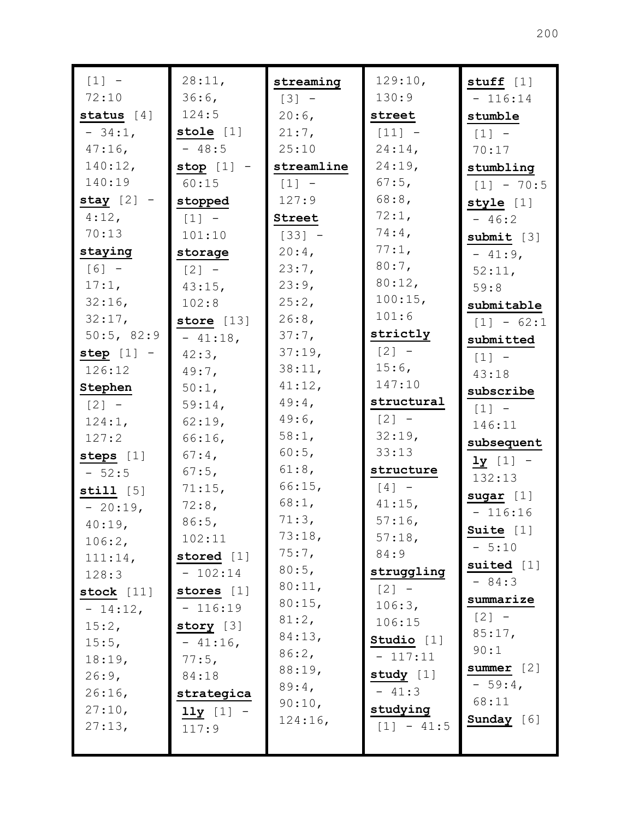| $[1] -$      | 28:11,       | streaming  | 129:10,      | stuff $[1]$             |
|--------------|--------------|------------|--------------|-------------------------|
| 72:10        | 36:6,        | $[3] -$    | 130:9        | $-116:14$               |
| status $[4]$ | 124:5        | $20:6$ ,   | street       | stumble                 |
| $-34:1$ ,    | stole $[1]$  | 21:7,      | $[11] -$     | $[1]$ -                 |
| $47:16$ ,    | $-48:5$      | 25:10      | $24:14$ ,    | 70:17                   |
| 140:12,      | stop $[1]$ - | streamline | 24:19,       | stumbling               |
| 140:19       | 60:15        | $[1] -$    | $67:5$ ,     | $[1] - 70:5$            |
| stay $[2]$ - | stopped      | 127:9      | $68:8$ ,     | style $[1]$             |
| $4:12$ ,     | $[1]$ -      | Street     | 72:1,        | $-46:2$                 |
| 70:13        | 101:10       | $[33] -$   | $74:4$ ,     | submit $[3]$            |
| staying      | storage      | $20:4$ ,   | 77:1,        | $-41:9$ ,               |
| $[6] -$      | $[2] -$      | 23:7,      | $80:7$ ,     | 52:11,                  |
| 17:1,        | 43:15,       | 23:9,      | 80:12,       | 59:8                    |
| 32:16        | 102:8        | 25:2,      | 100:15,      | submitable              |
| 32:17,       | store $[13]$ | 26:8,      | 101:6        | $[1] - 62:1$            |
| 50:5, 82:9   | $-41:18,$    | 37:7,      | strictly     | submitted               |
| step $[1]$ - | $42:3$ ,     | 37:19,     | $[2] -$      | $[1]$ -                 |
| 126:12       | $49:7$ ,     | 38:11,     | $15:6$ ,     | 43:18                   |
| Stephen      | $50:1$ ,     | 41:12,     | 147:10       | subscribe               |
| $[2] -$      | 59:14,       | $49:4$ ,   | structural   | $[1] -$                 |
| 124:1,       | 62:19,       | $49:6$ ,   | $[2] -$      | 146:11                  |
| 127:2        | 66:16        | 58:1,      | 32:19,       | subsequent              |
| steps $[1]$  | $67:4$ ,     | 60:5,      | 33:13        | $\frac{1y}{1}$ [1] -    |
| $-52:5$      | $67:5$ ,     | $61:8$ ,   | structure    | 132:13                  |
| still $[5]$  | 71:15,       | 66:15,     | $[4]$ -      | $sugar$ [1]             |
| $-20:19,$    | $72:8$ ,     | 68:1,      | $41:15$ ,    | $-116:16$               |
| 40:19,       | 86:5,        | 71:3,      | $57:16$ ,    | Suite [1]               |
| 106:2,       | 102:11       | 73:18,     | 57:18,       | $-5:10$                 |
| 111:14,      | stored [1]   | 75:7,      | 84:9         | suited $[1]$            |
| 128:3        | $-102:14$    | 80:5,      | struggling   | $-84:3$                 |
| stock $[11]$ | stores [1]   | 80:11,     | $[2] -$      | summarize               |
| $-14:12,$    | $-116:19$    | 80:15,     | 106:3,       | $[2] -$                 |
| 15:2,        | story $[3]$  | 81:2,      | 106:15       | 85:17,                  |
| 15:5,        | $-41:16,$    | 84:13,     | Studio [1]   | 90:1                    |
| 18:19,       | 77:5,        | 86:2,      | $-117:11$    |                         |
| 26:9,        | 84:18        | 88:19,     | study [1]    | summer $[2]$<br>$-59:4$ |
| 26:16,       | strategica   | 89:4,      | $-41:3$      | 68:11                   |
| 27:10,       | $11y$ [1] -  | 90:10,     | studying     |                         |
| 27:13,       | 117:9        | 124:16,    | $[1] - 41:5$ | Sunday [6]              |
|              |              |            |              |                         |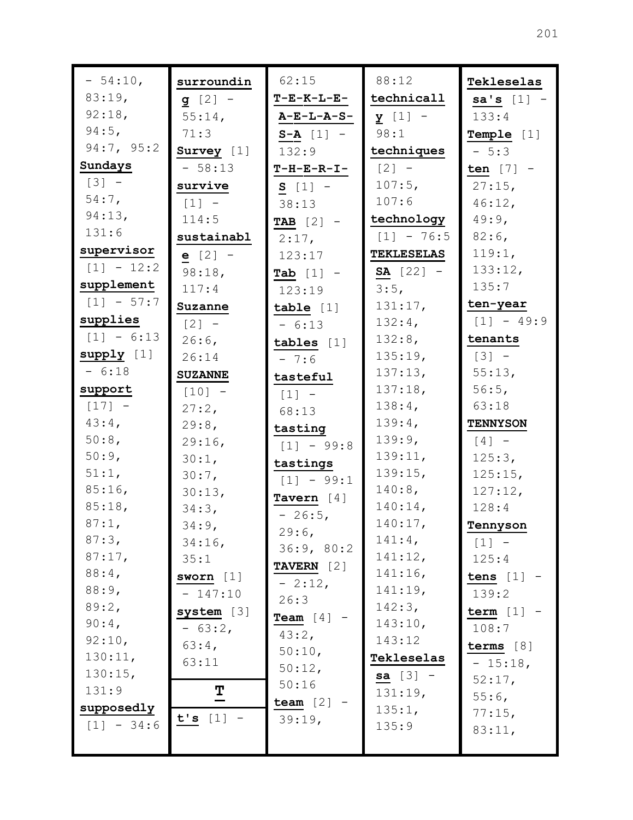| $-54:10,$    | surroundin                          | 62:15             | 88:12              | Tekleselas      |
|--------------|-------------------------------------|-------------------|--------------------|-----------------|
| 83:19,       | <b>g</b> $[2]$ –                    | <b>T-E-K-L-E-</b> | technicall         | $sa's [1] -$    |
| 92:18,       | $55:14$ ,                           | $A-E-L-A-S-$      | $y$ [1] -          | 133:4           |
| $94:5$ ,     | 71:3                                | $S - A [1] -$     | 98:1               | Temple [1]      |
| 94:7, 95:2   | Survey $[1]$                        | 132:9             | techniques         | $-5:3$          |
| Sundays      | $-58:13$                            | $T-H-E-R-I-$      | $[2] -$            | ten $[7]$ -     |
| $[3] -$      | survive                             | $S [1] -$         | $107:5$ ,          | $27:15$ ,       |
| $54:7$ ,     | $\lceil 1 \rceil$ -                 | 38:13             | 107:6              | 46:12,          |
| 94:13,       | 114:5                               | TAB $[2]$ -       | technology         | $49:9$ ,        |
| 131:6        | sustainabl                          | $2:17$ ,          | $[1] - 76:5$       | $82:6$ ,        |
| supervisor   | $e [2] -$                           | 123:17            | <b>TEKLESELAS</b>  | 119:1,          |
| $[1] - 12:2$ | 98:18,                              | Tab $[1]$ -       | <b>SA</b> $[22]$ – | 133:12,         |
| supplement   | 117:4                               | 123:19            | 3:5,               | 135:7           |
| $[1] - 57:7$ | Suzanne                             | table $[1]$       | 131:17,            | ten-year        |
| supplies     | $\begin{bmatrix} 2 \end{bmatrix}$ - | $-6:13$           | $132:4$ ,          | $[1] - 49:9$    |
| $[1] - 6:13$ | $26:6$ ,                            | tables $[1]$      | $132:8$ ,          | tenants         |
| supply [1]   | 26:14                               | $-7:6$            | 135:19,            | $[3] -$         |
| $-6:18$      | <b>SUZANNE</b>                      | tasteful          | 137:13,            | 55:13,          |
| support      | $[10] -$                            | $[1]$ -           | 137:18,            | 56:5,           |
| $[17] -$     | 27:2,                               | 68:13             | 138:4,             | 63:18           |
| $43:4$ ,     | 29:8,                               | tasting           | 139:4,             | <b>TENNYSON</b> |
| 50:8,        | 29:16,                              | $[1] - 99:8$      | 139:9,             | $[4]$ -         |
| 50:9,        | 30:1,                               | tastings          | 139:11,            | 125:3,          |
| 51:1,        | $30:7$ ,                            | $[1] - 99:1$      | 139:15,            | 125:15,         |
| $85:16$ ,    | 30:13,                              | Tavern $[4]$      | 140:8,             | 127:12,         |
| 85:18,       | 34:3,                               | $-26:5$           | $140:14$ ,         | 128:4           |
| 87:1,        | $34:9$ ,                            | 29:6              | 140:17,            | Tennyson        |
| 87:3,        | 34:16,                              | 36:9, 80:2        | $141:4$ ,          | $[1] -$         |
| 87:17,       | 35:1                                | TAVERN [2]        | 141:12,            | 125:4           |
| $88:4$ ,     | sworn $[1]$                         | $-2:12,$          | 141:16,            | tens $[1]$ -    |
| 88:9,        | $-147:10$                           | 26:3              | 141:19,            | 139:2           |
| 89:2,        | system [3]                          | Team $[4]$ -      | 142:3,             | term $[1]$ -    |
| $90:4$ ,     | $-63:2,$                            | 43:2,             | 143:10,            | 108:7           |
| 92:10,       | 63:4,                               | 50:10,            | 143:12             | terms $[8]$     |
| 130:11,      | 63:11                               | 50:12,            | Tekleselas         | $-15:18$ ,      |
| 130:15,      |                                     | 50:16             | <b>sa</b> $[3]$ –  | 52:17,          |
| 131:9        | $\overline{1}$                      | team $[2]$        | 131:19,            | $55:6$ ,        |
| supposedly   | t's [1]                             | 39:19,            | 135:1,             | 77:15,          |
| $[1] - 34:6$ |                                     |                   | 135:9              | 83:11,          |
|              |                                     |                   |                    |                 |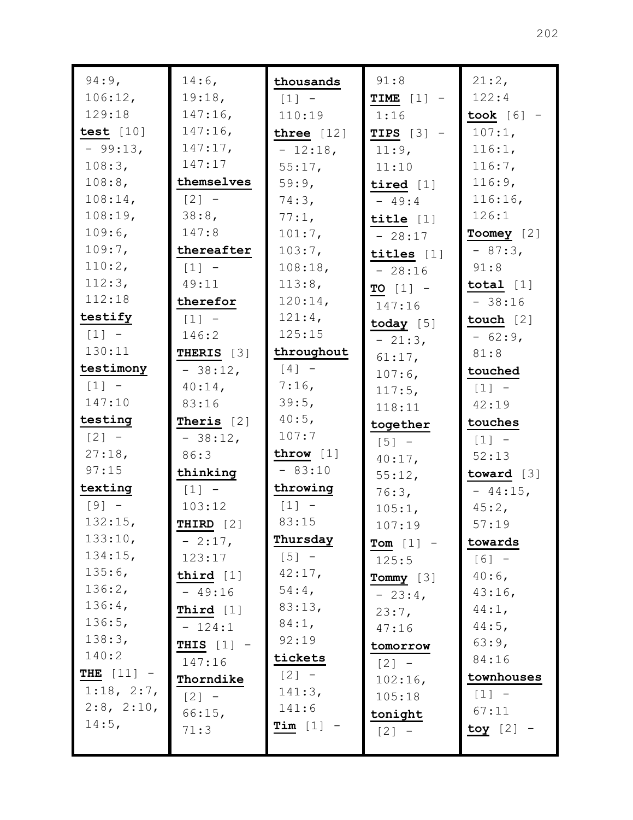| $94:9$ ,            | $14:6$ ,                            | thousands    | 91:8         | 21:2,                               |
|---------------------|-------------------------------------|--------------|--------------|-------------------------------------|
| 106:12,             | 19:18,                              | $[1] -$      | TIME $[1]$ - | 122:4                               |
| 129:18              | $147:16$ ,                          | 110:19       | 1:16         | took $[6]$ -                        |
| test $[10]$         | $147:16$ ,                          | three $[12]$ | TIPS $[3]$ - | $107:1$ ,                           |
| $-99:13,$           | 147:17,                             | $-12:18$ ,   | 11:9,        | 116:1,                              |
| 108:3,              | 147:17                              | 55:17,       | 11:10        | 116:7,                              |
| 108:8,              | themselves                          | 59:9,        | tired $[1]$  | 116:9,                              |
| 108:14,             | $\begin{bmatrix} 2 \end{bmatrix}$ - | 74:3,        | $-49:4$      | 116:16,                             |
| 108:19,             | 38:8,                               | 77:1,        | title $[1]$  | 126:1                               |
| 109:6,              | 147:8                               | 101:7,       | $-28:17$     | Toomey [2]                          |
| 109:7,              | thereafter                          | 103:7,       | titles $[1]$ | $-87:3,$                            |
| 110:2,              | $[1] -$                             | 108:18,      | $-28:16$     | 91:8                                |
| 112:3,              | 49:11                               | 113:8,       | TO $[1]$ -   | total $[1]$                         |
| 112:18              | therefor                            | 120:14,      | 147:16       | $-38:16$                            |
| testify             | $[1] -$                             | 121:4,       | today $[5]$  | touch [2]                           |
| $[1] -$             | 146:2                               | 125:15       | $-21:3,$     | $-62:9,$                            |
| 130:11              | THERIS [3]                          | throughout   | 61:17,       | 81:8                                |
| testimony           | $-38:12,$                           | $[4]$ -      | $107:6$ ,    | touched                             |
| $[1] -$             | $40:14$ ,                           | 7:16,        | 117:5,       | $\begin{bmatrix} 1 \end{bmatrix}$ - |
| 147:10              | 83:16                               | 39:5,        | 118:11       | 42:19                               |
| testing             | Theris $[2]$                        | 40:5,        | together     | touches                             |
| $[2] -$             | $-38:12,$                           | 107:7        | $[5]$ -      | $[1]$                               |
| 27:18,              | 86:3                                | throw $[1]$  | $40:17$ ,    | 52:13                               |
| 97:15               | thinking                            | $-83:10$     | 55:12,       | toward $[3]$                        |
| texting             | $\lceil 1 \rceil$ -                 | throwing     | 76:3,        | $-44:15$ ,                          |
| $[9] -$             | 103:12                              | $[1] -$      | 105:1,       | $45:2$ ,                            |
| 132:15,             | THIRD $[2]$                         | 83:15        | 107:19       | 57:19                               |
| 133:10,             | $-2:17,$                            | Thursday     | Tom $[1]$ -  | towards                             |
| 134:15,             | 123:17                              | $[5]$ -      | 125:5        | $[6] -$                             |
| 135:6,              | third $[1]$                         | 42:17,       | Tommy $[3]$  | $40:6$ ,                            |
| 136:2,              | $-49:16$                            | $54:4$ ,     | $-23:4$      | $43:16$ ,                           |
| 136:4,              | Third $[1]$                         | 83:13,       | 23:7,        | 44:1,                               |
| 136:5,              | $-124:1$                            | 84:1,        | 47:16        | $44:5$ ,                            |
| 138:3,              | THIS $[1]$ -                        | 92:19        | tomorrow     | 63:9,                               |
| 140:2               | 147:16                              | tickets      | $[2] -$      | 84:16                               |
| <b>THE</b> $[11] -$ | Thorndike                           | $[2] -$      | $102:16$ ,   | townhouses                          |
| 1:18, 2:7,          | $[2]$ -                             | 141:3,       | 105:18       | $[1] -$                             |
| $2:8$ , $2:10$ ,    | 66:15,                              | 141:6        | tonight      | 67:11                               |
| $14:5$ ,            | 71:3                                | Tim $[1]$ -  | $[2]$ -      | toy $[2]$ -                         |
|                     |                                     |              |              |                                     |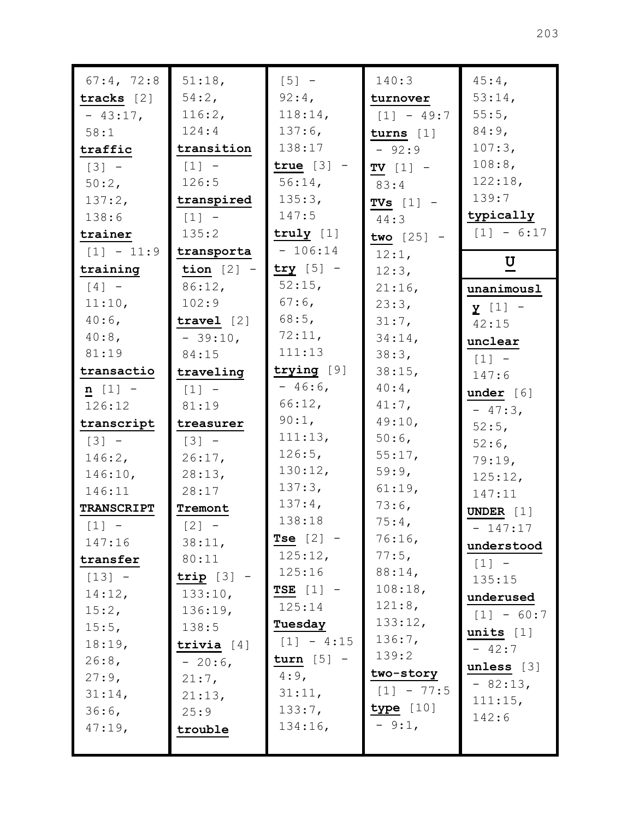| 67:4, 72:8          | 51:18,              | $[5] -$      | 140:3        | $45:4$ ,            |
|---------------------|---------------------|--------------|--------------|---------------------|
| tracks $[2]$        | 54:2,               | $92:4$ ,     | turnover     | 53:14,              |
| $-43:17,$           | 116:2,              | 118:14,      | $[1] - 49:7$ | 55:5,               |
| 58:1                | 124:4               | $137:6$ ,    | $turns$ [1]  | 84:9,               |
| traffic             | transition          | 138:17       | $-92:9$      | 107:3,              |
| $\lceil 3 \rceil$ - | $\lceil 1 \rceil$ - | true $[3]$ - | TV $[1]$ -   | 108:8,              |
| 50:2,               | 126:5               | $56:14$ ,    | 83:4         | 122:18,             |
| 137:2,              | transpired          | 135:3,       | TVs $[1]$ -  | 139:7               |
| 138:6               | $[1]$ -             | 147:5        | 44:3         | typically           |
| trainer             | 135:2               | truly $[1]$  | two $[25]$ - | $[1] - 6:17$        |
| $[1] - 11:9$        | transporta          | $-106:14$    | 12:1,        |                     |
| training            | tion $[2]$ -        | $try [5]$ -  | 12:3,        | $U$                 |
| $[4]$ -             | $86:12$ ,           | 52:15,       | 21:16,       | unanimousl          |
| 11:10,              | 102:9               | 67:6,        | 23:3,        | $y$ [1] -           |
| $40:6$ ,            | travel $[2]$        | $68:5$ ,     | 31:7,        | 42:15               |
| $40:8$ ,            | $-39:10,$           | 72:11,       | 34:14,       | unclear             |
| 81:19               | 84:15               | 111:13       | 38:3,        | $\lceil 1 \rceil$ - |
| transactio          | traveling           | trying [9]   | 38:15,       | 147:6               |
| $n$ [1] -           | $\lceil 1 \rceil$ - | $-46:6$      | $40:4$ ,     | under [6]           |
| 126:12              | 81:19               | $66:12$ ,    | $41:7$ ,     | $-47:3,$            |
| transcript          | treasurer           | 90:1,        | 49:10,       | $52:5$ ,            |
| $[3] -$             | $\lceil 3 \rceil$ - | 111:13,      | $50:6$ ,     | $52:6$ ,            |
| 146:2,              | 26:17,              | 126:5,       | 55:17,       | 79:19,              |
| 146:10,             | 28:13,              | 130:12,      | 59:9,        | 125:12,             |
| 146:11              | 28:17               | 137:3,       | 61:19,       | 147:11              |
| <b>TRANSCRIPT</b>   | Tremont             | $137:4$ ,    | 73:6,        | UNDER $[1]$         |
| $\lceil 1 \rceil$ - | $\lceil 2 \rceil$ - | 138:18       | 75:4,        | $-147:17$           |
| 147:16              | 38:11,              | Tse $[2]$ -  | 76:16,       | understood          |
| transfer            | 80:11               | 125:12,      | 77:5,        | $[1]$ -             |
| $[13] -$            | trip $[3]$ -        | 125:16       | 88:14,       | 135:15              |
| 14:12,              | 133:10,             | $TSE$ [1] -  | 108:18,      | underused           |
| 15:2,               | 136:19,             | 125:14       | 121:8,       | $[1] - 60:7$        |
| 15:5,               | 138:5               | Tuesday      | 133:12,      | units $[1]$         |
| 18:19,              | trivia $[4]$        | $[1] - 4:15$ | 136:7,       | $-42:7$             |
| $26:8$ ,            | $-20:6$             | turn $[5]$ - | 139:2        | unless [3]          |
| $27:9$ ,            | $21:7$ ,            | $4:9$ ,      | two-story    | $-82:13,$           |
| 31:14,              | 21:13,              | 31:11,       | $[1] - 77:5$ | 111:15,             |
| $36:6$ ,            | 25:9                | 133:7,       | type [10]    | 142:6               |
| 47:19,              | trouble             | $134:16$ ,   | $-9:1$ ,     |                     |
|                     |                     |              |              |                     |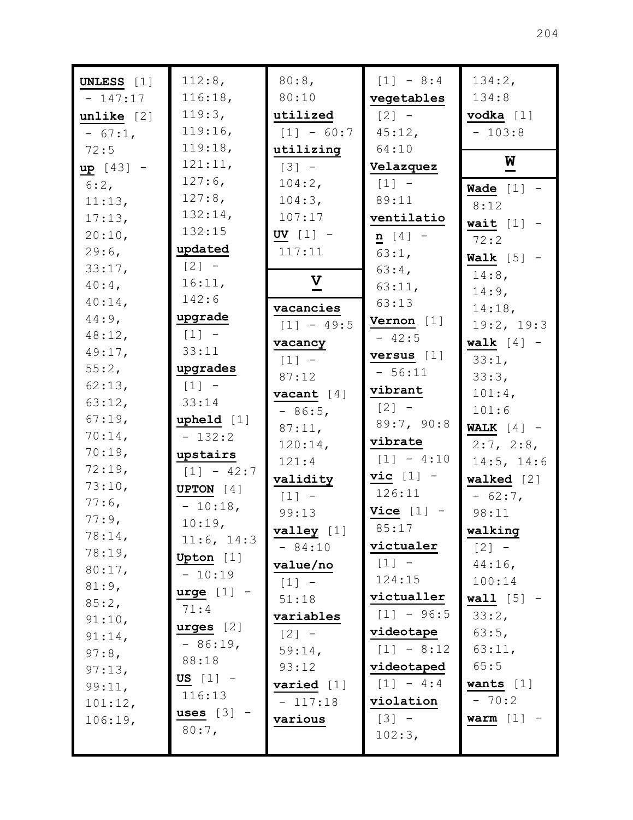| UNLESS [1]             | 112:8,                | 80:8,                     | $[1] - 8:4$        | 134:2,                           |
|------------------------|-----------------------|---------------------------|--------------------|----------------------------------|
| $-147:17$              | 116:18,               | 80:10                     | vegetables         | 134:8                            |
| unlike [2]             | 119:3,<br>119:16,     | utilized                  | $[2] -$            | $\texttt{vodka}$ [1]<br>$-103:8$ |
| $-67:1,$               | 119:18,               | $[1] - 60:7$              | 45:12,<br>64:10    |                                  |
| 72:5                   | 121:11,               | utilizing<br>$[3] -$      | Velazquez          | $\overline{\mathbf{M}}$          |
| $up [43] -$<br>$6:2$ , | $127:6$ ,             | 104:2,                    | $[1] -$            |                                  |
| 11:13,                 | $127:8$ ,             | 104:3,                    | 89:11              | Wade $[1]$ -                     |
| 17:13,                 | 132:14,               | 107:17                    | ventilatio         | 8:12                             |
| 20:10,                 | 132:15                | UV $[1]$ -                | $n [4] -$          | wait $[1]$ -                     |
| $29:6$ ,               | updated               | 117:11                    | 63:1,              | 72:2                             |
| 33:17,                 | $\lceil 2 \rceil$ -   |                           | $63:4$ ,           | Walk $[5]$ -                     |
| $40:4$ ,               | 16:11,                | $\boldsymbol{\mathrm{V}}$ | 63:11,             | $14:8$ ,                         |
| $40:14$ ,              | 142:6                 |                           | 63:13              | 14:9,                            |
| $44:9$ ,               | upgrade               | vacancies                 | Vernon $[1]$       | 14:18,                           |
| 48:12,                 | $\lceil 1 \rceil$ -   | $[1] - 49:5$              | $-42:5$            | 19:2, 19:3                       |
| 49:17,                 | 33:11                 | vacancy                   | versus $[1]$       | walk $[4]$ -                     |
| 55:2,                  | upgrades              | $[1] -$                   | $-56:11$           | $33:1$ ,<br>33:3,                |
| 62:13,                 | $[1] -$               | 87:12                     | vibrant            | $101:4$ ,                        |
| 63:12,                 | 33:14                 | vacant $[4]$              | $[2] -$            | 101:6                            |
| 67:19,                 | upheld [1]            | $-86:5,$                  | 89:7, 90:8         | WALK $[4]$ -                     |
| $70:14$ ,              | $-132:2$              | 87:11,                    | vibrate            | 2:7, 2:8,                        |
| 70:19,                 | upstairs              | 120:14,<br>121:4          | $[1] - 4:10$       | 14:5, 14:6                       |
| 72:19,                 | $[1] - 42:7$          |                           | $\text{vic}$ [1] - | walked $[2]$                     |
| 73:10,                 | <b>UPTON</b> $[4]$    | validity<br>$[1]$ -       | 126:11             | $-62:7$                          |
| $77:6$ ,               | $-10:18,$             | 99:13                     | Vice $[1]$         | 98:11                            |
| 77:9,                  | 10:19,                | valley [1]                | 85:17              | walking                          |
| 78:14,                 | 11:6, 14:3            | $-84:10$                  | victualer          | $[2] -$                          |
| 78:19,                 | Upton [1]             | value/no                  | $[1] -$            | $44:16$ ,                        |
| 80:17,                 | $-10:19$              | $[1] -$                   | 124:15             | 100:14                           |
| 81:9,                  | $\texttt{urge}$ [1] - | 51:18                     | victualler         | <b>wall</b> $[5]$ -              |
| 85:2,                  | 71:4                  | variables                 | $[1] - 96:5$       | 33:2,                            |
| 91:10,                 | urges [2]             | $[2] -$                   | videotape          | 63:5,                            |
| 91:14,                 | $-86:19$ ,            | 59:14,                    | $[1] - 8:12$       | 63:11,                           |
| 97:8,<br>97:13,        | 88:18                 | 93:12                     | videotaped         | 65:5                             |
|                        | US $[1]$ -            | varied [1]                | $[1] - 4:4$        | wants $[1]$                      |
| 99:11,<br>101:12,      | 116:13                | $-117:18$                 | violation          | $-70:2$                          |
| 106:19,                | uses $[3]$            | various                   | $[3] -$            | warm $[1]$ -                     |
|                        | $80:7$ ,              |                           | 102:3,             |                                  |
|                        |                       |                           |                    |                                  |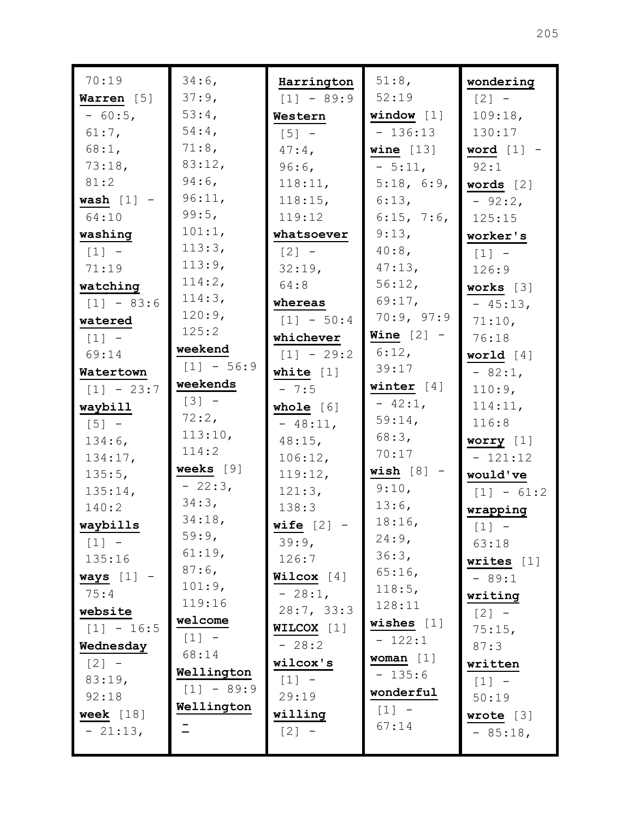| 70:19        | 34:6,        | Harrington   | 51:8,        | wondering                           |
|--------------|--------------|--------------|--------------|-------------------------------------|
| Warren [5]   | 37:9,        | $[1] - 89:9$ | 52:19        | $\begin{bmatrix} 2 \end{bmatrix}$ - |
| $-60:5,$     | $53:4$ ,     | Western      | window $[1]$ | 109:18,                             |
| $61:7$ ,     | $54:4$ ,     | $[5]$ -      | $-136:13$    | 130:17                              |
| 68:1,        | 71:8,        | $47:4$ ,     | wine $[13]$  | word $[1]$ -                        |
| 73:18,       | 83:12,       | 96:6,        | $-5:11,$     | 92:1                                |
| 81:2         | $94:6$ ,     | 118:11,      | 5:18, 6:9,   | words $[2]$                         |
| wash $[1]$ - | 96:11,       | 118:15,      | 6:13,        | $-92:2$                             |
| 64:10        | 99:5,        | 119:12       | 6:15, 7:6,   | 125:15                              |
| washing      | 101:1,       | whatsoever   | 9:13,        | worker's                            |
| $[1] -$      | 113:3,       | $[2] -$      | $40:8$ ,     | $\lceil 1 \rceil$ -                 |
| 71:19        | 113:9,       | 32:19,       | 47:13,       | 126:9                               |
| watching     | 114:2,       | 64:8         | 56:12,       | works $[3]$                         |
| $[1] - 83:6$ | 114:3,       | whereas      | 69:17,       | $-45:13,$                           |
| watered      | 120:9,       | $[1] - 50:4$ | 70:9, 97:9   | 71:10,                              |
| $[1]$ -      | 125:2        | whichever    | Wine $[2]$ - | 76:18                               |
| 69:14        | weekend      | $[1] - 29:2$ | $6:12$ ,     | world $[4]$                         |
| Watertown    | $[1] - 56:9$ | white $[1]$  | 39:17        | $-82:1,$                            |
| $[1] - 23:7$ | weekends     | $-7:5$       | winter $[4]$ | $110:9$ ,                           |
| waybill      | $[3] -$      | whole $[6]$  | $-42:1$ ,    | 114:11,                             |
| $[5]$ -      | 72:2,        | $-48:11,$    | 59:14,       | 116:8                               |
| 134:6,       | 113:10,      | $48:15$ ,    | 68:3,        | worry [1]                           |
| 134:17,      | 114:2        | 106:12,      | 70:17        | $-121:12$                           |
| 135:5,       | weeks [9]    | 119:12,      | $wish [8]$ - | would've                            |
| 135:14,      | $-22:3,$     | 121:3,       | 9:10,        | $[1] - 61:2$                        |
| 140:2        | 34:3,        | 138:3        | 13:6,        | wrapping                            |
| waybills     | 34:18,       | wife $[2]$ - | 18:16,       | $\begin{bmatrix} 1 \end{bmatrix}$ - |
| $[1] -$      | 59:9,        | 39:9,        | 24:9,        | 63:18                               |
| 135:16       | 61:19,       | 126:7        | 36:3,        | writes $[1]$                        |
| $ways [1] -$ | $87:6$ ,     | Wilcox $[4]$ | 65:16        | $-89:1$                             |
| 75:4         | 101:9,       | $-28:1$ ,    | 118:5,       | writing                             |
| website      | 119:16       | 28:7, 33:3   | 128:11       | $[2] -$                             |
| $[1] - 16:5$ | welcome      | WILCOX [1]   | wishes $[1]$ | 75:15,                              |
| Wednesday    | $[1] -$      | $-28:2$      | $-122:1$     | 87:3                                |
| $[2] -$      | 68:14        | wilcox's     | woman $[1]$  | written                             |
| 83:19,       | Wellington   | $[1] -$      | $-135:6$     | $[1] -$                             |
| 92:18        | $[1] - 89:9$ | 29:19        | wonderful    | 50:19                               |
| week $[18]$  | Wellington   | willing      | $[1]$ -      | wrote $[3]$                         |
| $-21:13,$    |              | $[2] -$      | 67:14        | $-85:18$ ,                          |
|              |              |              |              |                                     |